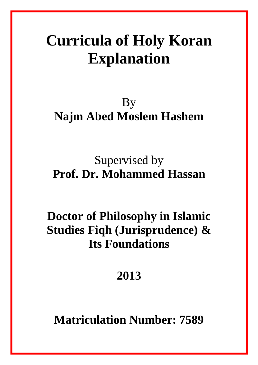# **Curricula of Holy Koran Explanation**

### By **Najm Abed Moslem Hashem**

## Supervised by **Prof. Dr. Mohammed Hassan**

## **Doctor of Philosophy in Islamic Studies Fiqh (Jurisprudence) & Its Foundations**

### **2013**

**Matriculation Number: 7589**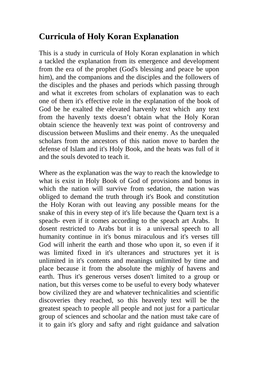#### **Curricula of Holy Koran Explanation**

This is a study in curricula of Holy Koran explanation in which a tackled the explanation from its emergence and development from the era of the prophet (God's blessing and peace be upon him), and the companions and the disciples and the followers of the disciples and the phases and periods which passing through and what it excretes from scholars of explanation was to each one of them it's effective role in the explanation of the book of God be he exalted the elevated harvenly text which any text from the havenly texts doesn't obtain what the Holy Koran obtain science the heavenly text was point of controversy and discussion between Muslims and their enemy. As the unequaled scholars from the ancestors of this nation move to barden the defense of Islam and it's Holy Book, and the heats was full of it and the souls devoted to teach it.

Where as the explanation was the way to reach the knowledge to what is exist in Holy Book of God of provisions and bonus in which the nation will survive from sedation, the nation was obliged to demand the truth through it's Book and constitution the Holy Koran with out leaving any possible means for the snake of this in every step of it's life because the Quarn text is a speach- even if it comes according to the speach art Arabs. It dosent restricted to Arabs but it is a universal speech to all humanity continue in it's bonus miraculous and it's verses till God will inherit the earth and those who upon it, so even if it was limited fixed in it's ulterances and structures yet it is unlimited in it's contents and meanings unlimited by time and place because it from the absolute the mighly of havens and earth. Thus it's generous verses dosen't limited to a group or nation, but this verses come to be useful to every body whatever bow civilized they are and whatever technicalities and scientific discoveries they reached, so this heavenly text will be the greatest speach to people all people and not just for a particular group of sciences and schoolar and the nation must take care of it to gain it's glory and safty and right guidance and salvation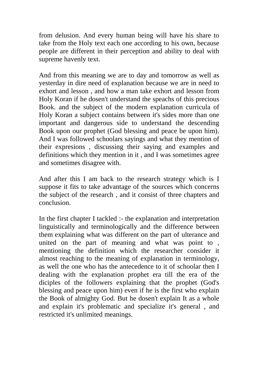from delusion. And every human being will have his share to take from the Holy text each one according to his own, because people are different in their perception and ability to deal with supreme havenly text.

And from this meaning we are to day and tomorrow as well as yesterday in dire need of explanation because we are in need to exhort and lesson , and how a man take exhort and lesson from Holy Koran if he dosen't understand the speachs of this precious Book. and the subject of the modern explanation curricula of Holy Koran a subject contains between it's sides more than one important and dangerous side to understand the descending Book upon our prophet (God blessing and peace be upon him). And I was followed schoolars sayings and what they mention of their expresions , discussing their saying and examples and definitions which they mention in it , and I was sometimes agree and sometimes disagree with.

And after this I am back to the research strategy which is I suppose it fits to take advantage of the sources which concerns the subject of the research , and it consist of three chapters and conclusion.

In the first chapter I tackled :- the explanation and interpretation linguistically and terminologically and the difference between them explaining what was different on the part of ulterance and united on the part of meaning and what was point to , mentioning the definition which the researcher consider it almost reaching to the meaning of explanation in terminology, as well the one who has the antecedence to it of schoolar then I dealing with the explanation prophet era till the era of the diciples of the followers explaining that the prophet (God's blessing and peace upon him) even if he is the first who explain the Book of almighty God. But he dosen't explain It as a whole and explain it's problematic and specialize it's general , and restricted it's unlimited meanings.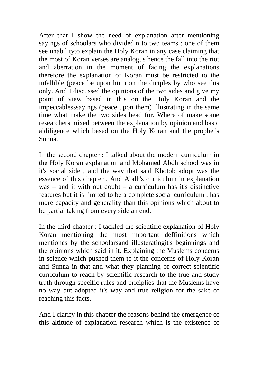After that I show the need of explanation after mentioning sayings of schoolars who dividedin to two teams : one of them see unabilityto explain the Holy Koran in any case claiming that the most of Koran verses are analogus hence the fall into the riot and aberration in the moment of facing the explanations therefore the explanation of Koran must be restricted to the infallible (peace be upon him) on the diciples by who see this only. And I discussed the opinions of the two sides and give my point of view based in this on the Holy Koran and the impeccablesssayings (peace upon them) illustrating in the same time what make the two sides head for. Where of make some researchers mixed between the explanation by opinion and basic aldiligence which based on the Holy Koran and the prophet's Sunna.

In the second chapter : I talked about the modern curriculum in the Holy Koran explanation and Mohamed Abdh school was in it's social side , and the way that said Khotob adopt was the essence of this chapter . And Abdh's curriculum in explanation  $was - and it with out doubt - a curriculum has it's distinctive$ features but it is limited to be a complete social curriculum , has more capacity and generality than this opinions which about to be partial taking from every side an end.

In the third chapter : I tackled the scientific explanation of Holy Koran mentioning the most important deffinitions which mentiones by the schoolarsand illusteratingit's beginnings and the opinions which said in it. Explaining the Muslems concerns in science which pushed them to it the concerns of Holy Koran and Sunna in that and what they planning of correct scientific curriculum to reach by scientific research to the true and study truth through specific rules and priciplies that the Muslems have no way but adopted it's way and true religion for the sake of reaching this facts.

And I clarify in this chapter the reasons behind the emergence of this altitude of explanation research which is the existence of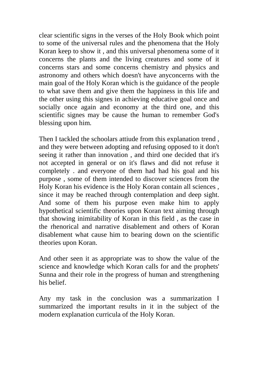clear scientific signs in the verses of the Holy Book which point to some of the universal rules and the phenomena that the Holy Koran keep to show it , and this universal phenomena some of it concerns the plants and the living creatures and some of it concerns stars and some concerns chemistry and physics and astronomy and others which doesn't have anyconcerns with the main goal of the Holy Koran which is the guidance of the people to what save them and give them the happiness in this life and the other using this signes in achieving educative goal once and socially once again and economy at the third one, and this scientific signes may be cause the human to remember God's blessing upon him.

Then I tackled the schoolars attiude from this explanation trend , and they were between adopting and refusing opposed to it don't seeing it rather than innovation , and third one decided that it's not accepted in general or on it's flaws and did not refuse it completely . and everyone of them had had his goal and his purpose , some of them intended to discover sciences from the Holy Koran his evidence is the Holy Koran contain all sciences , since it may be reached through contemplation and deep sight. And some of them his purpose even make him to apply hypothetical scientific theories upon Koran text aiming through that showing inimitability of Koran in this field , as the case in the rhenorical and narrative disablement and others of Koran disablement what cause him to bearing down on the scientific theories upon Koran.

And other seen it as appropriate was to show the value of the science and knowledge which Koran calls for and the prophets' Sunna and their role in the progress of human and strengthening his belief.

Any my task in the conclusion was a summarization I summarized the important results in it in the subject of the modern explanation curricula of the Holy Koran.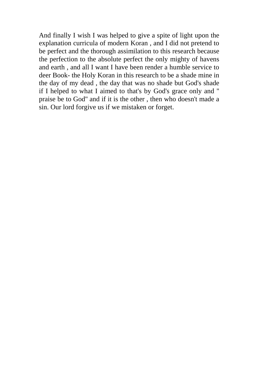And finally I wish I was helped to give a spite of light upon the explanation curricula of modern Koran , and I did not pretend to be perfect and the thorough assimilation to this research because the perfection to the absolute perfect the only mighty of havens and earth , and all I want I have been render a humble service to deer Book- the Holy Koran in this research to be a shade mine in the day of my dead , the day that was no shade but God's shade if I helped to what I aimed to that's by God's grace only and '' praise be to God'' and if it is the other , then who doesn't made a sin. Our lord forgive us if we mistaken or forget.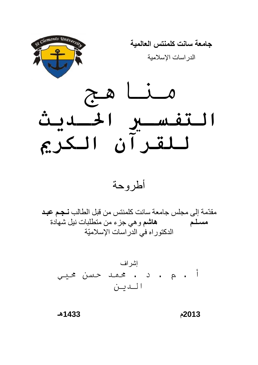

أطروحة

مقدّمة إلى مجلس جامعة سانت كلمنتس من قبل الطالب نـجـم عبـد هاشم و هي جزء من متطلبات نيل شهادة مسلم الدكتوراه في الدراسات الإسلاميّة

إشراف أ. م . د . محمد حسن محيي الىين

 $-1433$ 

2013م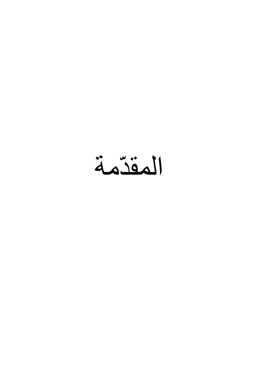المقدّمة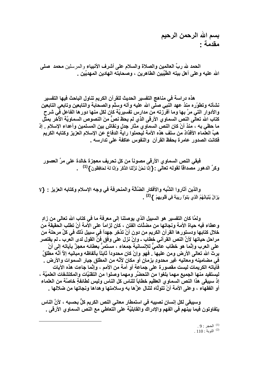بسم الله الرحمن الرحيم مقدمة :

الحمد لله ربِّ العالمين والصلاة والسلام على أشرف الأنبياء والمر سلين محمد \_صلى الله عليه و على أهل بيته الطَّيِّبين الطاهرين ، وصحابته الـهادين المـهديِّين .

هذه دراسة في مناهج التفسير الحديث للقرآن الكريم تناول الباحث فيها التفسير نشأته وتطوّره منذ عهد النبي صلى الله عليه وآله وسلَّم والصحابة والتابعين وتابعي التابعين والأدوار التي مرّ بها وما أفرزته من مدارس تفسيريّة كان لكل منها دورها الفاعل في شرح كتاب الله تعالى النص السماوي الأرقى الذي لم يحظ نصٌّ منَ النصوص السماويَّة الأخر بمثل ما حظى به ، منذ أنْ كان النص السماوي مثار جدلٍ ونقاشٍ بين المسلمين وأعداء الإسلام . إذ هبَّ العلماء الأفذاذ من سلف هذه الأمة ليحملوا راية الدفاع عن الإسلام العزيز وكتابه الكريم فكانت الصدور عامرة بحفظ القرآن والنفوس عاكفة على تدارسه .

فَبِقَى النِّص السماوي الأرقي مصوناً من كل تحريف معجزة خالدة على مرِّ العصور وكرِّ الدهور مصداقاً لقوله تعالى : { إِنَّا نَحْنُ نَزَلْنَا الذِّكْرَ وَإِنَّا لَهُ لَحَافِظُونَ } <sup>(1)</sup> و

والذين أثاروا الشُّبه والأفكار الضَّالَّة والمنحرفة في وجه الإسلام وكتابه العزيز : {لا يَزَالُ بُنْيَاتُهُمُ الَّذِي بَنَوْاْ رِيبَهَ فِي قُلُوبِهِمْ } <sup>(2)</sup> .

ولمَّا كان التفسير هو السبيل الذي يوصلنا إلى معرفة ما في كتاب الله تعالى من زادٍ وعطاء فيه حياة الأمة ونجاتها من مضلَّات الفتن ، كان لِزاماً على الأمة أنْ تطلب الحقيقة من خلال كتابها ودستور ها القرآن الكريم من دون أنْ تدَّخِر جهداً في سبيل ذلك في كلِّ مرحلة من مراحل حياتها لأنَّ النص القرآني خطاب ـ وإنْ نزل على وفق فنِّ القول لدى العرب ـ لم يقتصر علَّى العرب وإنَّما هو خطاب عالَّميٌّ للإنسانية جمعاء ، مستمرٌّ بعطائه معجزٌ بآياته إلى أنْ يرِ ثَ الله تعالى الأرض ومن عليها . فهو وإنْ كان محدوداً ثابتاً بألفاظه ومبانيه إلاَّ أنَّه مطلقٌ ۖ في مضامينه ومعانيه غير محدودٍ بزمانٍ أو مكانٍ لأنَّه من المطلق جبار السموات والأرض . فَآياته الكريمات ليست مقصورة على جماعة أو أمة من الأمم ، وإنَّما جاءت هذه الآيات ليستفيد منـها الـجميع مـهما بلغوا من التحضُّر ومـهما وصلوا من التقنيَّات والمكتشفات الـعلميَّة ، إذ سيبقى هذا النص السماو ، العظيم خطاباً للناس كل الناس وليس لطائفةٍ خاصَّة من العلماء أو الفقهاء ، وعلى الأمة أنْ تتولَّاه لتنال عزَّها به وسلامتها وهداها ونجاتها من ضلالها .

وسيبقى لكل إنسان نصيبه في استمطار معاني النص الكريم كلِّ بحسبه ، لأنَّ الناس يتفاوتون فيما بينهم في الفهم والإدراك والقابليَّة على التعاطي مع النص السماوي الأرقى .

> . الحجر  $(9:1)$  $.110:$ التوبة  $^{(2)}$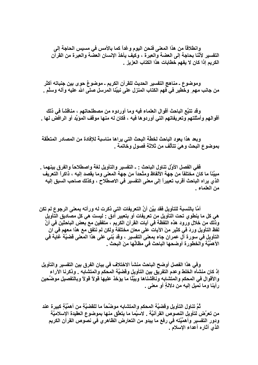وانطلاقاً من هذا المعنى فنحن اليوم وغداً كما بالأمس في مسيس الحاجة إلى التفسير لأنَّنا بحاجة إلى العضة والعبرة ، وكيف يأخذ الإنسان العضة والعبرة من القرآن الكريم إذا كان لا يفهم خطابات هذا الكتاب العزيز .

وموضوع ـ مناهج التفسير الحديث للقرآن الكريم ـ موضوعٌ حوى بين جنباته أكثر من جانب مهم ٍ وخطيرٍ في فهم الكتاب المنزل على نبيِّنا المرسل صلى الله عليه وآله وسلَّم .

وقد تتبَّع الباحث أقوال العلماء فيه وما أوردوه من مصطلحاتهم ، مناقشاً في ذلك أقوالهم وأمثلتهم وتعريفاتهم التي أوردوها فيه ، فكان له منها موقف المؤيِّد أو الرافض لها .

وبعد هذا يعود الباحث لخطَّة البحث التي يراها مناسبة للإفادة من المصادر المتعلِّقة بموضوع البحث وهيَ تتألَّف من ثلاثةٍ فصولٍ وخاتمة .

فَفي الفصل الأوَّل تناول الباحث : ـ التفسير والتأويل لغة واصطلاحاً والفرق بينهما . مبيِّنـْاً مـا كـان مـختلفاً من جـهـة الألفـاظ ومتَّحداً من جـهـة المـعنى ومـا يـقصد إليـه ، ذاكراً التعريف الذي يراه الباحث أقرب تعبيراً إلى معنى التفسير في الاصطلاح ، وكذلك صاحب السبق إليه من العلماء .

أمَّا بالنسبة للتأويل فقد بيَّن أنَّ التعريفات التي ذكرت له ورأته بمعنى الرجوع لم تكن هي كل ما ينطو ي تحت التأويل من تعريفات أو بتعبير أدق - ليست هي كل مصاديق التأويل وذلك من خلال ورود هذه اللفظة في آيات القرآن الكريم ، متفقين مع بعض الباحثين في أنّ لفظ التأويل وردَ في كثير منَ الآيات على معانٍ مختلفة ولكن لم نتفقٍ مع هذا معهم في ان التأويل في سورة آل عمران جاء بمعنى التفسير ، وقد بُنِّي على هذا المعنى قَضيَّة غاية في الأهمِّيَّة والخطورة أوضحها الباحث في مظانِّها منَ البحث \_

وفي هذا الفصل أوضح الباحث منشأ الاختلاف في بيان الفرق بين التفسير والتأويل إذ كان منشأه الخلط وعدم التفريق بين التأويل وقضيَّة المحكم والمتشابه . وذكرنا الآراء والأقوال في المحكم والمتشابه وناقشناها وبيَّنًا ما يؤخذ عليها قولاً قولاً وبالتفصيل موضِّحين رأينا وما نميل إليه من دلالةٍ أو معنى .

تُمَّ تناول التأويل وقضيَّة المحكم والمتشابه موضِّحاً ما للقضيَّةِ من أهمِّيَّةِ كبيرة عند من تعرَّض لتأويل النصوص القرآنيَّة . لاسيَّما ما يتعلَّق منها بموضوع العقيدة الإسلاميَّة ودور التفسير وأهمِّيَّته في رفع ما يبدو من التعارض الظاهري في نصوص القرآن الكريم الذي أثاره أعداء الإسلام .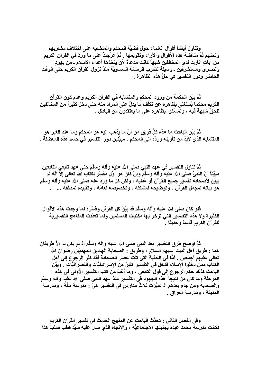وتناول أيضاً أقوال العلماء حول قضيَّة المحكم والمتشابه على اختلاف مشاربهم ونحلهم ثُمَّ مناقشة هذه الأقوال والآراء وتقويمها . ثُمَّ عرَّجتُ على ما وردَ في القرآن الكريم من آياتٍ أثارت لدى المخالفين شبَهاً كانت مدعاةً لأنْ يتخذها أعداء الإسلام ـ من يهودِ ونصار ي ومستشرقين ـ وسيلة لضرب الرسالة السماويَّة منذ نزول القرآن الكريم حتى الوقت الحاضر ودور التفسير في حلِّ هذه الظاهرة .

ثُمَّ بِيَّنِ الحكمة من ورود المحكم والمتشابه في القرآن الكريم وعدم كون القرآن الكريم محكماً يُستغنى بظاهره عن تكلُّف ما يدلُّ على المراد منه حتى دخل كثيراً منَ المخالفين للحقِّ شبهةً فيه ، وتمسِّكوا بظاهره على ما يعتقدون من الباطل .

ثُمَّ بِيِّنِ البِاحث ما عدَّه كلَّ فريقٍ من أنَّ ما يذهب إليه هو المحكم وما عند الغير هو المتشابه الذِّي لابُدَّ من تأويله وردِّه إلى المحكم ، مبيِّنين دور التفسير في حسم هذه المعضلة .

تُمَّ تناول النفسير في عهد النبي صلى الله عليه وآله وسلَّم حتى عهد تابعى التابعين مبيَّنـاً أنَّ النَّبيَّ صلى الله عليه وآلـه وسلَّم وإنْ كان هو أوَّل مفسِّرٍ لكتاب الله تعالى إلاَّ انَّه لم يبيِّن لأصحابه تفسير جميع القرآن أو غالبه ، ولكن كل ما ورد عنه صلى الله عليه وآله وسلَّم هو بيانه لمجمل القرآن ، وتوضيحه لمشكله ، وتخصيصه لعامِّه ، وتقييده لمطلقه ... .

فلو كان صلى الله عليه وآله وسلَّم قد بيَّنَ كل القرآن وفسَّره لما وجدت هذه الأقوال الكثيرة ولا هذه التفاسير التي تزخر بها مكتبات المسلمين ولما تعدَّدت المناهج التفسيريَّة للقرآن الكريم قديماً وحديثاً .

تُمَّ أوضح طرق التفسير بعد النبي صلى الله عليه وآله وسلَّم إذ لم يكن له إلاَّ طريقان همـا · طريق أهل البيت عليهم السلام ، وطريق · الصحابـة الـهادين المـهديّين رضوان الله تعالى عليهم أجمعين . أمَّا في الحقبة التي تلت عصر الصحابة فقد كثر الرجوع إلى أهل الكتاب ممن دخلوا الإسلام فدخل في التفسير كثيرٌ من الإسرائيليَّات والنصرانيَّات . وبيَّن الباحث كذلك حكم الرجوع إلى قول التابعي ، وما ألَّفَ من كتب التفسير الأولى في هذه المرحلة وما كان من نتيجة هذه الجهود في التفسير منذ عهد النبي صلى الله عليه وآله وسلَّم والصحابة ومن جاء بعدهم إذ تميِّزت ثلاثُ مدارس في التفسير. هيَ : مدرسة مكَّة ، ومدرسة المدينة ، ومدرسة العراق .

وفي الفصل الثاني : تحدَّث الباحث عن المنهج الحديث في تفسير القرآن الكريم فكانت مدرسة محمد عبده بجنبتها الإجتماعيَّة ، والإتجاه الذي سار عليه سيِّد قطب صلبَ هذا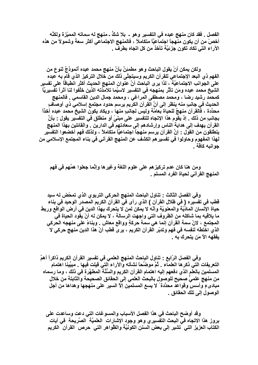الفصل . فقد كان منهج عبده في التفسير وهو ــ بلا شكَّ ـ منهج له سماته المميِّزة ولكنَّه أخصّ من أن يكون منَّهجاً اجتماعيَّاً متكاملاً ، فالمنهج الاجتماعي أكثر سعة وشمولاً من هذه الآراء التي تكاد تكون جزئيّة تأخذ من كل اتجاه بطرف \_

ولكن يمكن أنْ يقول الباحث وهو مطمئِنٌ بأنَّ منهج محمد عبده أنموذجٌ لنوعٍ من الفهم ذي البعد الإجتماعي للقرآن الكريم وسيتجلَّى ذلك من خلال التركيز الذي قام به عبده على الجوانب الاجتماعيَّة ، لذا يرى الباحث أنَّ عنوان المنهج الحديث أكثر انطباقاً على تفسير الشيخ محمد عبده ومَن تأثِّر بمنهجه في التفسير لاسيَّما تلامذته الذين خلَّفوا لنا أثراً تفسيريًّا كمحمد رشيد رضا ، ومحمد مصطفى المراغى ، ومحمد جمال الدين القاسمي . فالمنهج الحديث في جانبٍ منه ينظر إلى أنَّ القرآن الكريم يرسم حدود مجتمع إسلامي ذي أوصافٍ محدّدة ، فالقرآن منهجٌ للحياة بعامّة وليس لجانبِ منها ، ويكاد يكون الشيخ محمد عبده آخذاً بجانبٍ من ذلك . إذ يقوم هذا الإتجاه للتفسير على مبنىً أو منطلق في التفسير يقول : بأنَّ القرآن يـهدف إلى هدايـة النـاس وإرشـادهم إلى سـعادتـهم في الدارين . والقائلين بـهذا المنـهج ينطلقون من القول : إنَّ القرآن يرسم منهجاً اجتماعيًّا متكاملاً ، ولذلك فهم أخضعوا التفسيُّر لهذا المفهوم وحاولوا في تفسير هم الكشف عن المنهج القرآني في بناء المجتمع الإسلامي من جو انبه كافة .

ومن هنا كان عدم تركيز هم على علوم اللغة وغيرها وإنَّما جعلوا همَّهم في فهم المنهج القرآني لحياة الفرد المسلم .

وفي الفصل الثالث - تناول الباحث المنهج الحركي التربوي الذي تمحّض له سيد قطب في تفسيره ( في ظلال القرآن ) الذي رأى في القرآن الكريم المصدر الوحيد في بناء حياة الإنسان المادّيّة والمعنويّة وأنّه لا يمكن لمن لا يتحرك بهذا الدين في أرض الواقع وربط ما يلاقيه بما شاكله من الظروف التي واجهت الرسالة ، لا يمكن له أنْ يقود الحياة في المجتمع ، لانّ سمة القرآن إنما هي سمة حركةٍ وواقع معاش . وبناءً على منهجه الحركي الذي اخْتطَّه لنفسه في فهم وتدبِّر الْقرآن الكريم ، يرى قطب أنّ هذا الدين منهج حركي لا يفقهه الآ مَن يتحرك به .

وفي الفصل الرّابع : تناول الباحث المنهج العلمي في تفسير القرآن الكريم ذاكراً أهمَّ التعريفات التي ذكر ها العلماء . ثُمَّ موضّحًا نشأته والآراء التيّ قيلت فيها . مبيِّينا اهتمام المسلمين بالعلم الذي دفعهم إليه اهتمام القرآن الكريم والسُّنَّة المطهَّرة في ذلك ، وما رسماه من منهج علميٍّ صحيح للوصول بالبحث العلمي إلى الحقائق الصحيحة والثابتة من خلال مبادىءٍ وأسس وقواعد محدَّدة ً لا يسع المسلمين إلاّ السير. على منهجها وهداها من أجل الوصول إلى تلك الحقائق .

وقد أوضح الباحث في هذا الفصل الأسباب والمسوغات التي دعت وساعدت على بروز هذا الاتجاه في البحث التفسيري وهو وجود الإشارات العلميَّة الصَّريحة في آيات الكتاب العزيز التي تشير إلى بعض السنن الكونيّة والظّواهر التي حرص القرآن الكريم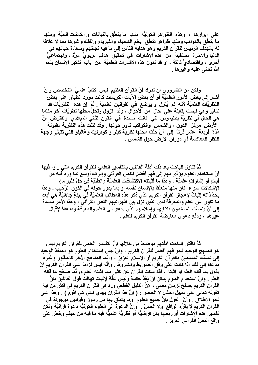على إبراز ها ، و هذه الظواهر الكونيَّة منها ما يتعلَّق بالنباتات أو الكائنات الحيَّة ومنها ما يُتعلَّق بالكواكب ومنـها ظواهر تتعلَّق بعلم الكيمياء والفيزياء والفلك وغيرها مما لا علاقة لـه بـالـهدف الرئيس للقرآن الكريم و هو هدايـة النـاس إلى مـا فيـه نـجـاتـهم وسعادة حياتـهم في الدنيا والآخرة مستفيداً من هذه الإشارات في تحقيق هدفٍ تربويٍّ مرَّة ، واجتماعيٍّ أخرى ، واقتصاديَّ ثالثة ، أو قد تكون هذه الإشارات العلميَّة من باب تذكير الإنسان بنعم الله تعالى عليه وغيرها .

ولكن من الضروري أنْ ندرك أنَّ القرآن العظيم ليس كتاباً علميَّ التخصّص وإنْ أشار إلى بعض الأمور العلميَّة أو أنَّ بعض الآيات الكريمات كانت مورد انطباق على بعض النظريَّات العلميَّة لأنَّه لم يُنزل أو يوضع في القوانين العلميَّة . ثُمَّ إنَّ هذه النظريَّات قد تتغيَّر وهي ليست بثابتة على حالٍ منَ الأحوال ، وقد تزول وتحلُّ محلَّها نظريَّات أخر مثلما هي الحال في نظريَّة بطليموس التي كانت سائدة في القرن الثاني الميلادي وتفترض أنَّ الأرض مركز الكون ، والشمس والكواكب تدور حولها . وقد ظلَّت هذه النظريَّة مقبولة مُدَّة ۖ أربعة ۖ عشر قرناً ۖ إلى ۖ أنْ حلَّت محلَّها نظريَّة كبلر و كوبرنيك وغاليلو التي تتبنَّى وجهة النظر المعاكسة أي دوران الأرض حول الشمس .

تُمَّ تناول الباحث بعد ذلك أدلَّة القائلين بالتفسير العلمي للقرآن الكريم التي رأوا فيها أنّ استخدام العلوم يؤدّي بهم إلى فهمٍ أفضلٍ للنص القرآني وإدراك أوسع لِما وردّ فيه من آياتٍ أو إشاراتٍ علميَّة ، وهذا ما أَثبتته الاكتشافات العلميَّة والطّبَيَّة في حلّ كثير منّ الإشكالات سواء أكان منها متعلِّقاً بالإنسان نفسه أو بما يدور حوله في الكون الرّحيب \_ وهذا بحدٌ ذاته إثباتٌ لإعجاز القرآن الكريم الذي ذكر هذه المطالب العلميّة في بيئةٍ جاهليّة هيَ أبعد ما تكون عن العلم والمعرفة لدى الذين نزل بين ظهرانيهم النص القرآني ، وهذا الأمر مدعاةٌ إلى أنْ يتمسَّك المسلمون بكتابهم وإسلامهم الذي يدعو إلى العلم والمعرفة ومدعاةٌ لإقبال غير هم ، ودفع دعو ي معارضة القرآن الكريم للعلم .

تُمّ ناقش الباحث أدلّتهم موضحاً من خلالها أنّ التفسير العلمي للقرآن الكريم ليس هو المنهج الوحيد نحو فهمٍ أفضل للقرآن الكريم ، وأنْ ليس استخدام العلوم هو المنفذ الوحيد إلى تمسِّك المسلمين بالقرآن الكريم أو الإسلام العزيز ، وإنَّما المناهج الأخر كالمأثور وغيره مدعاة إلى ذلك إذا كانت على وفق الضوابط والشروط . وأنَّه ليس لِزاماً على القرآن الكريم أنْ يقول بما قاله العلم أو أثبته ، فقد سكت القرآن عن كثيرٍ مما أثبته العلم وربَّما صحَّح ما قاله العلم . وأنَّ استخدام العلوم يمكن أنْ يُعَدّ حكمة وليس علَّة لإثبات تهافت قول القائلين بأنَّ القرآن الكريم يصلح لزمانٍ مضى ، لأنّ الدليل القطعي ورد في القرآن الكريم في أكثر من أية كقوله تعالى على سبيل المثال لا الحصر : ( إنَّ هذا القرآن يهدي للتي هي أقوم ) . وهذا على نحو الإطلاق . وأنَّ القول بأنَّ جميع العلوم وما يتعلَّق بها من رموز وقوانين موجودة في القرآن الكريم لا يقرَّه الواقع ولا الحسِّ . وإنَّ الدعوة إلى العلوم الكونيَّة دعوة قرآنيَّة ولكن تفسير. هذه الإشارات أو ربطها بكل فرضيّة أو نظريّة علميّة فيه ما فيه من حيفٍ وخطر على واقع النصّ القرآنى العزيز .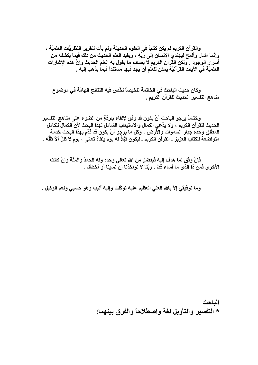والقرآن الكريم لم يكن كتاباً في العلوم الحديثة ولم يأت لتقرير النظريَّات العلميَّة ، وإنَّما أشار وألمح ليهتدي الإنسان إلى ربِّهِ ، ويفيد العلم الحديث من ذلك فيما يكشفه من أسرار الوجود \_ ولكن القرآن الكريم لا يصادم ما يقول به العلم الحديث وإنّ هذه الإشارات العلميَّة في الآيات القرآنيَّة يمكن للعلم أنْ يجد فيها مستنداً فيما يذهب إليه \_

وكان حديث الباحث في الخاتمة تلخيصاً لخَّص فيه النتائج الهامَّة في موضوع مناهج التفسير الحديث للقرآن الكريم .

وختاماً يرجو الباحث أنْ يكون قد وفَق لإلقاء بارقةٍ من الضوء على مناهج التفسير الحديث للقرآن الكريم ، ولا يدَّعي الكمال والاستيعاب الشامل لـهذا البحث لأنَّ الكمال للكامل المطلق وحده جبار السموات والأرض ، وكل ما يرجو أنْ يكون قد قدَّم بهذا البحث خدمةً متواضعةً للكتاب العزيز ـ القرآن الكريم ـ ليكون ظلاَّ له يوم يلقاهُ تعالى ، يوم لا ظلَّ ألاَّ ظلُّه \_

فإنْ وفق لما هدف إليه فبفضلٍ منَ الله تعالى وحده وله الحمدُ والمنَّة وإنْ كانت الأخرى فمن ذا الذي ما أساء قط . ربَّنا لا توَاخذنا إن نسبنا أو أخطأنا .

وما توفيقي إلاَّ بالله العلي العظيم عليه توكَّلت وإليه أنيب وهو حسبي ونعم الوكيل .

الباحث \* التفسير والتأويل لغة واصطلاحاً والفرق بينهما: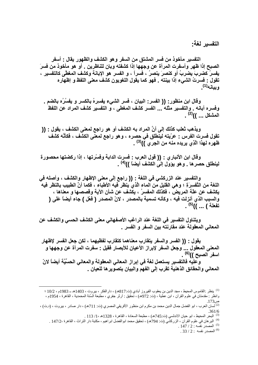التفسير لغة:

التفسير مأخوذ من فسر المشتق من السفر وهو الكشف والظهور يقال : أسفر الصبح إذا ظهر وأسفرت المرأة عن وجهها إذا كشفته وبان للناظرين . أو هو مأخوذ من فسرَ يفسرُ كضربَ يضربُ أو كنصرَ ينصرُ ، فسراً ، و الفسرِ هو الإبانة وكشف المغطَّى كالتفسيرِ ، تقول : فسرتُ الشيء إذا بينته . فهو كما يقول اللغويون كشف معنى اللفظ و إظهاره ويبانه(1)

وقال ابن منظور: (( الفسر: البيان ، فسر الشيء يفسِرِهُ بالكسر و يفسُرُه بالضم . وفسره أبانه . والتفسير مثله ... الفسر كشف المغطى ، و التفسير كشف المراد عن اللفظ المشكل ... ))<sup>(2)</sup> .

ويذهب ثعلب كذلك إلى أنَّ المراد به الكشف أو هو راجع لمعنى الكشف ، يقول : (( تقول فسرت الفرس : عرّيته لينّطلق في حصره ، وهو راجع لمعنّى الكشف ، فكأنّه كشف ظهره لهذا الّذِي يريده منه من الجري ))<sup>(3)</sup> .

وقال ابن الأنباري : (( قول العرب : فسرت الدابة وفسَّرتها ، إذا ركضتها محصورة لينطلق حصرها . وهو يؤول إلى الكشف أيضاً ))<sup>(4)</sup> .

والتفسير عند الزركشي في اللغة : (( راجع إلَى معنى الإظهار والكشف ، وأصله في اللغة من التَّفسررَةِ ؛ وهي القليل من الماء الَّذي ينظر فيه الأطباء ، فكما أنَّ الطبيب بالنظر فيه ً يكشف عن علَّة المريض ، فكذلك المفسرُ ، يكشف عن شأن الآية وقصصها و معناها ، والسبب الذي أنزلت فيه ، وكأنه تسمية بالمصدر ، لانّ المصدر ( فعّل ) جاء أيضاً عَلَى ( تفعلة ) ... ))<sup>(5)</sup> .

ويتناول التفسير في اللغة عند الراغب الأصفهاني معنى الكشف الحسي والكشف عن المعاني المعقولة عند مقارنته بين السفر و الفسر .

يقول : (( الفسر والسفر يتقارب معناهما كتقارب لفظيهما ، لكن جعل الفسر لإظهار المعنى المعقول ... وجعل السفر لإبراز الأعيان للأبصار فقيل : سفرت المرأة عن وجهها و اسفر الصبح ))<sup>(6)</sup> .

و عليه فالتفسير يستعمل لغة في إبراز المعاني المعقولة والمعاني الحسِّيَّة أيضاً لانّ المعاني والحقائق الذهنية تقرب إلى الفهم والبيان بتصويرها للعيان .

.  $147 / 2$ : المصدر نفسه  $147 / 2$ 

 $.33/2:$  المصدر نفسه  $.2$ 

<sup>&</sup>lt;sup>(1)</sup> ينظر :القاموس المحيط ، مجد الدين بن يعقوب الفيروز آبادي (ت:817هـ) ، دار الفكر ، بيروت ، 1403هـ 1983م ، 10/2 ؛ وانظر : مقدمتان في علوم القرآن ، ابن عطية ، (ت: 972هـ) ، تحقيق : أرثر جفري ، مطبعة السُنة المحمدية ، القاهرة ، 1954م ، ص 173.

<sup>&</sup>lt;sup>(2)</sup> لسان العرب ، ابو الفضل جمال الدين محمد بن مكرم ابن منظور الأفريقي المصري (ت: 711هـ) ، دار صادر ، بيروت ، (د.ت) ،  $.361/6$ 

<sup>.&</sup>lt;br><sup>(3)</sup> البحر المحيط ، ابو حيان الاندلسي (ت745هـ) ، مطبعة السعادة ، القاهرة ، 1328هـ ، 1/ 113 .

<sup>&</sup>lt;sup>(4)</sup> البر هان في علوم القرآن ، الزركشي (ت: 794هـ) ، تحقيق محمد ابوالفضل ابراهيم ، مكتبة دار التراث ، القاهرة ،147/2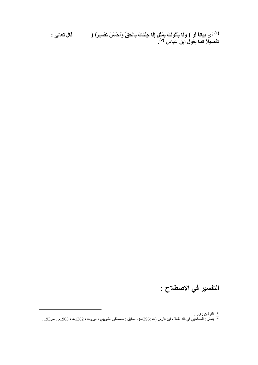<sup>(1)</sup> أي بيانـًا أو ) ولَـا يَأْتُونَكَ بِمَثَلِ إلَّـا جِئْنَـاكَ بِالْحَقِّ وَأَحْسَنَ تَفْسِيرًا (<br>تفصيلاً كما يقول ابن عباس <sup>(2)</sup>. قال تعالى :

#### التفسير في الاصطلاح :

<sup>(1)</sup> الفرقان : 33 .<br><sup>(2)</sup> ينظر : الصاحبي في فقه اللغة ، ابن فارس (ت :395هـ) ، تحقيق : مصطفى الشويهي ، بيروت ، 1382هـ ، 1963م . ص193 .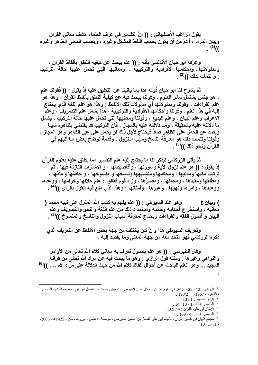يقول الراغب الأصفهاني : (( إنَّ التفسير في عرف العلماء كشف معاني القرآن وبيان المراد ، أعَمّ من أنْ يكون بحسب اللفظ المشكل وغيره ، وبحسب المعنى الظاهر وغيره  $(1)$ 

وعرّفه ابو حيان الأندلسي بأنه : (( علم يبحث عن كيفية النطق بألفاظ القرآن ، ومدلولاتها ، وأحكامها الافرادية والتركيبيّة ، ومعانيها الّتِي تحمل عليها حالة التركيب . و تتمَّات لذلك ))<sup>(2)</sup> .

ثمَّ يشرح لنا أبو حيان قوله هذا بما يغنينا عن التعليق عليه إذ يقول : (( فقولنا علم ، هو جنس يشتمل سائر العلوم ، وقولنا يبحث فيه عن كيفية النطق بألفاظ القرآن ، وهذا هو علم القراءات ، وقولنـا ومدلولاتها أي مدلولات تلك الألفاظ : وهذا هو علم اللغة الَّذي يحتاج إليه في هذا العلم ، وقولنا وأحكامها الإفرادية والتركيبية ، هذا يشمل علم التصريف ، وعلم الاعراب وعلم البيان ، وعلم البديع ، وقولنا ومعانيها الَّتي تحمل عليها حالة التركيب ، يشمل ما دلالته عليه بالحقيقة ، ومــا دلالته عليه بالمجاز ، فانَّ التركيب قد يقتضي بظاهره شيئاً ويصدُّ عن الحمل على الظاهر صادَّ فيحتاج لأجل ذلك انْ يحمل على غير الظاهر وهو المجاز ، وقولنا وتتمات ذلك هو معرفة النسخ وسبب الـنزول ، وقصة توضح بعض مـا انبهم في القرآن ونحو ذلك ))<sup>(3)</sup> .

ثمَّ يأتي الزركشي ليذكر لنا ما يحتاج إليه علم التفسير مما يطلق عليه بعلوم القرآن إذ يقول : (( هو علم نزول الآية وسورتها ، وأقاصيصها ، و الإشارات النازلة فيها ، ثمّ ترتيب مكيها ومدنيها ، ومحكمها ومتشابهها وناسخها و منسوخها ، و خاصّها وعامّها ، ومطلقها ومقيدها ، ومجملها ، ومفسرّها ، وزاد قوم فقالوا : علم حلالها وحرامها ، ووعدها ووعيدها ، وامرها ونـهيها ، وعبرها ، وأمثالها ؛ وهذا الذي منع فيه القول بالرأي ))<sup>(4)</sup> .

وهو عند السيوطي : (( علم يفهم به كتاب الله المنزل على نبيه محمد ( ) وييان ع معانيه ، واستخراج أحكامه وحكمه واستمداد ذلك من علم اللغة والنحو والتصريف وعلم البيان و أصول الفقه والقراءات ويحتاج لمعرفة أسباب النزول والناسخ والمنسوخ ))<sup>(5)</sup> .

وتعريف السيوطي هذا وانْ كان يختلف من جهة بعض الألفاظ عن التعريف الَّذي ذكره الزركشي فهو متحَّد معه من جهة المعنى وما يقصد إليه .

وقال الطبرسي : (( هو علم بأصول تعرف به معاني كلام الله تعالى من الأوامر والنواهي وغيرها . ومثله قول الرازي : وهو ما يبحث فيه عن مراد الله تعالى من قرآنه المجيد ... وهو العلم الباحث عن أحوال ألفاظ كلام الله من حيث الدلالة على مراد الله .... ))<sup>(6)</sup>

- $13/1$ : البحر المحيط  $^{(2)}$
- $. 14$  المصدر نفسه: 1 / 13 14 .
- . 169 / 4: الإتقان في علوم القرآن $(4:169)$ 
	- $.169/4$  : المصدر نفسه  $.169/4$

<sup>&</sup>lt;sup>(1)</sup> البر هان : 2 / 285 ؛ الإتقان في علوم القرآن ، جلال الدين السيوطى ، تحقيق : محمد أبو الفضل إبر اهيم ، مطبعة المشهد الحسينى ، القاهرة ، 1967م ، 190/2 .

<sup>&</sup>lt;sup>(6)</sup> مجمع البيان في تفسير القرآن ، تأليف أبي علي الفضل بن الحسن الطبرسي ، مؤسسة الاعلمي ، بيروت ، ط2 ، 1425هـ ـ 2005م  $.18 - 17/1$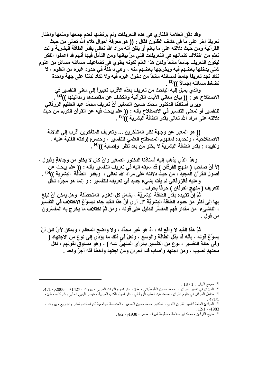وقد دقَّقَ العلاَّمة الفناري في هذه التعريفات ولم يرتضها لعدم جمعها ومنعها واختار تعريفاً آخر على ما في كشف الظنُّون فقال : (( هو معرفةٌ أحوال كلام الله تعالى من حيث القرآنية ومن حيث دلالته على ما يعلم أو يظنِّ أنَّه مراد الله تعالى بقدر الطاقة البشرية وأنت تعلم من اختلاف كلماتهم في التعريفات التي مرَّ بيانها ومن التأمل فيها أنهم قد اعملوا الفكر ليكون التعريف جامعاً مانعاً ولكن هذا العلم لكونه يطوى في تضاعيف مسائله مسائل من علوم شتي يدخلها بعضهم فيه ويخرجها بعضهم منه ، وهي داخلة في حدود غيره من العلوم ، لا تكاد تجد تعريفاً جامعاً لمسائله مانعاً من دخول غيره فيه ولا تكاد تدلنا على جهة واحدة تضغط مسائله إجمالاً ))<sup>(1)</sup> .

والذي يميل إلَّيه الباحث من تعريف بعَدَّه الأقرب تعبيراً إلى معنى التفسير في الاصطلاح هو : (( بيان معاني الآيات القرآنية والكشف عن مقاصدها ومداليلها ))<sup>(2) ْ</sup> .

وير ي أستاذنا الدكتور محمّد حسين الصغير أنَّ تعريف محمّد عبد العظيم الزرقاني للتفسير أو لمعنى التفسير في الاصطلاح بأنه : (( علم يبحث فيه عن القرآن الكريم من حيث دلالته على مراد الله تعالى بقدر الطاقة البشرية ))<sup>(3)</sup> .

(( هو المعبر عن وجهة نظر المتأخرين ... وتعريف المتأخرين أقرب إلى الدلالة الاصطلاحيَّةَ ، وتحديده لمفهوم المصطلح العلمي للتفسير ، وحصرهِ إرادته الفنية عليه ، وتقييده - بقدر الطاقة البشرية لا يخلو من بعد نُظر وإصابة ))<sup>(4)</sup> .

و هذا الذي يذهب إليه أستاذنا الدكتور الصغير وانْ كان لا يخلو من وجاهةٍ وقبول ، إلاَّ أنَّ صاحب ( منهج الفرقان ) قد سبقه اليه في تعريف التفسير بأنه : (( علم يبحث عن أصول القرآن المجيد ، من حيث دلالته على مراد الله تعالى ، وبقدر الطاقة البشرية ))<sup>(5)</sup> . وعليه فالزرقاني لم يأت بشيء جديد في تعريفه للتفسير : و إنما هو مجرّد ناقل

لتعريف ( منهج الفرقان ) حرفاً بحرف .

تُمَّ إنَّ تقييده بقدر الطاقة البشريَّة ، يشمل كل العلوم المتحصّلة وهل يمكن أنْ نبلغ بِها إلى أكثر من حدود الطاقة البشريَّة ؟!. أرى أنَّ هذا القيد جاء ليسوِّغ الاختلاف في التفسير ، النـَاشـَىء من مقدار فـهم المفسِّر للدليل على قولـه ، ومن ثُمَّ اختلاف ما يخرج بـه المفسِّرون من قول ۔

تُمَّ هذا القيد لا واقع له ، إذ هو غير محدَّد ، ولا واضح المعالم ، ويمكن لأيِّ كان أنْ يسوِّغ قوله ، بأنَّه قد بذل الطاقة والوسع ، ولعلَّ في ذلك ما يؤدِّي إلى نوع من الاجتهاد ( وفي حالة التفسير ، نوع من التفسير بالرأي المنهيِّ عنه ) ، وهو مساوق لقولهم ، لكل مجتهدٍ نصيبٍ ، ومن اجتهد وأصابٍ فله أجرانٍ ومن اجتهد وأخطأ فله أجرٌ واحد .

 $.18/1:$  مجمع البيان  $11.3$ 

<sup>&</sup>lt;sup>(2)</sup> الميزآن في تفسير القرآن ، محمد حسين الطباطبائي ، ط1 ، دار احياء التراث العربي ، بيروت ، 1427هـ ـ 2006م ، 1/ 4. <sup>(3)</sup> مناهل العرّفان في علوم القرآن ، محمد عبد العظيم الّزرقاني ، دار احياء الكتب العربية ، عيسى البابي الحلبي وشركاءه ، ط3 ،

<sup>&</sup>lt;sup>(4)</sup> المبادئ العامة لتفسير القرآن الكريم ، الدكتور محمد حسين الصغير ، المؤسسة الجامعية للدراسات والنشر والتوزيع ، بيروت ،  $.12/1.1983$ 

<sup>&</sup>lt;sup>(5)</sup> منهج الفرقان ، محمّد أبو سلامة ، مطبعة شبرا ، مصر ، 1938م ، 6/2 .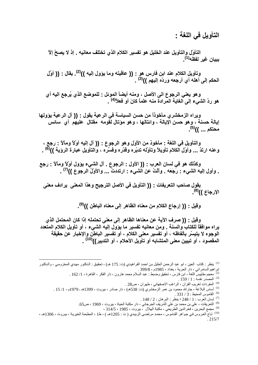التأويل في اللغة :

التأوّل والتأويل عند الخليل هو تفسير الكلام الذي تختلف معانيه . إذ لا يصحّ إلاّ بيبان غبر لفظه<sup>(1)</sup>۔

وتأويل الكلام عند ابن فارس هو : (( عاقبته وما يؤول إليه ))<sup>(2)</sup>. يقال : (( أوَّل الحكم إلى أهله أي أرجعه وردّه إليهم ))<sup>(3)</sup> .

وهو يعني الرجوع الى الأصل ، ومنه أيضاً الموئل : للموضع الذي يُرجع اليه أي هو ردّ الشيء إلى الغاية المرادة منه علماً كانَ أو فعلاً<sup>(4)</sup> .

ويراه الزمخشري مأخوذاً من حسن السياسة في الرعية يقول : (( آل الرعية يؤولها إيالة حسنة ، وهو حسن الإيالة ، وائتالها ، وهو مؤتال لقومه مقتال عليهم أي سائس محتكم ... ))<sup>(5)</sup>.

والتأويل في اللغة : مأخوذ من الأول وهو الرجوع : (( آل إليه أوْلاً ومآلاً : رجعٍ ، وعنه ارتدَّ ... وأوّل الكلام تأويلاً وتأوّله تدبّره وقدّره وفسَّره ، والتأويلُ عبارة الروية ))<sup>(6)</sup> .

وكذلك هو في لسان العرب : (( الأول : الرجوع . آل الشيء يؤول أوْلاً ومآلاً : رجع . وأول إليه الشيء : رَجَعَه . وألتُ عن الشيء : ارتددتٌ ... والأولُ الرجوع ))<sup>(7)</sup> .

يقول صاحب التعريفات : (( التأويل في الأصل الترجيح وهذا المعنى يرادف معنى الإرجاع ))<sup>(8)</sup>.

وقيل : (( إرجاع الكلام من معناه الظاهر إلى معناه الباطن ))<sup>(9)</sup>.

وقيل : (( صرف الآية عن معناها الظاهر إلى معنى تحتمله إذا كان المحتمل الذي يراه موافقاً للكتاب والسنة . ومن معانيه تفسير ما يؤول إليه الشيء ، أو تأويل الكلام المتّعدد الوجوه لا يتيسّر بألفاظه ، أو تفسير معنى الكلام ، أو تفسير الباطنّ والإخبار عن حقيقة المقصود ، أو تبيين معنى المتشابه أو تأويل الأحلام ، أو التدبير))<sup>(10)</sup> .

<sup>(1)</sup> ينظر : كتاب العين ، ابو عبد الرحمن الخليل بن احمد الفراهيدي (ت: 175 هـ) ، تحقيق : الدكتور مهدي المخزومـي ، والدكتور ابر اهيم السامر آئي ، دار الحرية ، بغداد ، 1985م ، 399/8 .

- <sup>(2)</sup> معجم مقاييس اللغة ، ابن فارس ، تحقيق وضبط : عبد السلام محمد هارون ، دار الفكر ، القاهرة ، 1/ 162 .
	- . المصدر نفسه : 1 / 159 .
	- <sup>(4)</sup> المفردات لغريب القرآن ، الراغب الاصفهاني ، طهران ، ص28 .
- <sup>(5)</sup> أساس البلاغة ، جارالله محمود بن عمر الزمخشري (ت: 538هـ) ، دار صادر ، بيروت ، 1399هـ ـ 1979م ، 1/ 15 .
	- (6) القاموس المحيط: 3 / 331
	- .  $148 / 2$ : ينظر: البرهان  $248 / 1$ :  $1$
	- <sup>(8)</sup> التعريفات ، علي بن محمد بن علي الشريف الجرجاني ، دار مكتبة الحياة ، بيروت ، 1969 ، ص65.
		- <sup>(9)</sup> مجمع البحرين ، فخر الدين الطريحي ، مكتبة الهلال ، بيروت ، 1985 ، 314/5 ،

(<sup>10)</sup> تاج العروس في جواهر القاموس ، محمد مرتضى الزبيدي (ت : 1205هـ ) ، ط1 ، المطبعة الخيرية ، بيروت ، 1306هـ ،  $.215/7$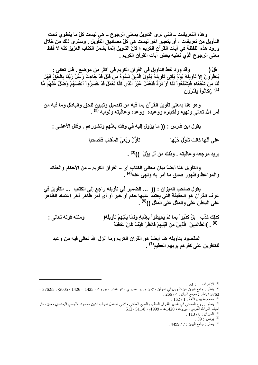وهذه التعريفات ـــ التي ترى التأويل بمعنى الرجوع ـــ هي ليست كلِّ ما ينطوي تحت التأويل من تعريفات ، أو بتعبير آخر ليست هي كلّ مصادّيق التّأويل . وسنرى ذلك من خلال ورود هذه اللفظة في آيات القرآن الكريم ؛ لانَّ التأويل إنَّما يشمل الكتاب العزيز كلَّه لا فقط معنى الرجوع الَّذِي تعنيه بعض آيات القَرآن الكريم .

وقد ورد لفظ التأويل في القرآن الكريم في أكثر من موضع . قال تعالى : هَلْ ( يَنظَرُونَ إِلاَّ تَأْوِيلَهُ يَوْمَ يَأْتِي تَأْوِيلُهُ يَقُولُ الَّذِينَ نَسُوهُ مِنْ قَبْلُ قَدْ جَاءتْ رُسْلُ رَبِّنَا بِالْحَقِّ فَهَل لَّذَا مِنْ شُفْعَاء فَيَشْفْعُواْ لَنَا أَوْ ثُرَدُّ فَنَعْمَلَ غَيْرَ الَّذِي كُنَّا نَعْمَلُ قَدْ خَسِرُواْ أنفْسَهُمْ وَضَلَّ عَنْهُم مَّا <sup>(1)</sup> .)كَاثُو أَ يَفْتَرُ ونَ

و هو هنا بمعنى تأويل القرآن بما فيه من تفصيل وتبيين للحق والباطل وما فيه من أمر الله تعالى ونهيه وأخبار ه ووعيده ووعده وعاقبته وثوابه <sup>(2)</sup> .

يقول ابن فارس : (( ما يؤول إليه في وقت بعثهم ونشورهم . وقال الأعشى :

تأوُّلُ رِ بِعِيِّ السِّقَابِ فَأَصحيا على أنّها كانت تأوُّلُ حُبِّها

يريد مرجعه وعاقبته <sub>-</sub> وذلك من آل يؤُلُ ))<sup>(3)</sup> .

والتأويل هنا أيضاً بيان معاني الكتاب أي \_ القرآن الكريم \_ من الأحكام والعقائد والمواعظ وظهور صدق ما أمر به ونهى عنه<sup>(4)</sup> .

يقول صاحب الميزان : (( ... الضمير في تأويله راجع إلى الكتاب ... التأويل في عرف القرآن هو الحقيقة التي يعتمد عليها حكم أو خبر أو أي أمر ظاهر آخر اعتماد الظاهر علمي الباطن علمي والمثل علميّ المثل ))<sup>(5)</sup> .

كَذَلِكَ كَذَّبَ ۚ بَلْ كَذَّبُواْ بِمَا لَمْ يُحِيطُواْ بِعِلْمِهِ وَلَمَّا يَأْتِهِمْ تَأْوِيلُهُ( ومثله قوله تعالمي : (6) . )الظَّالِمِينَ ۖ الَّذِينَ مِن قَبْلِهِمْ فَانظُرْ كَيْفَ كَانَ عَاقِبَةً ۖ

المقصود بتأويله هنا أيضاً هو القرآن الكريم وما أنزل الله تعالى فيه من وعيد للكافرين على كفر هم بربـهم الـعظيم<sup>(7)</sup> .

. 162 / 1 معجم مقاييس اللغة: 162 / 162 .

 $113/8$ : الميزان  $^{(5)}$ 

9) يونس : 39 .

 $.53:$  الإعراف  $1^{(1)}$ 

<sup>&</sup>lt;sup>(2)</sup> ينظر : جامع البيان عن نـأ ويـل أي القرآن ، لابـن جريـر الطبـري ، دار الفكـر ، بيـروت ، 1425 ــ 1426 ، 2005م . 3762/5 ــ 3763 ؛ ينظر : مجمع البيان : 4 / 266 .

<sup>&</sup>lt;sup>(4)</sup> ينظر : روح المعاني في تفسير القرآن العظيم والسبع المثاني ، لأبي الفضل شهاب الدين محمود الألوسي البغدادي ، ط1 ، دار احياء النَّزاتْ الْعَرْبِي ، بَيْرُوْتَ ، 1420هـ ــ 1999م ، 512 ـ 512 ـ

<sup>.&</sup>lt;sup>7)</sup> ينظر : جامع البيان : 7 / 4499 .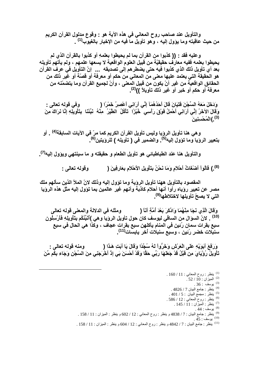والتأويل عند صاحب روح المعاني في هذه الآية هو : وقوع مدلول القرآن الكريم من حيث عاقبته وما يؤول إليه ، وهو تأويلٌ ما فيه من الإخبار بالغيوب<sup>(1)</sup> .

وعليه فقد : (( كذبوا من القرآن بما لم يحيطوا بعلمهِ أو كذبوا بالقرآن الذي لم يحيطوا بعلَّمه ففيه معارَفٌ حقيقيّةً من قبيل العلوم الواقعية لا يسعها علمهم ، ولم يأتهم تأويله بعد أي تأويل ذلك الذي كذبوا فيه حتى يضطر هم إلى تصديقه ... إنّ التأويل في عرف القرآن هو الحقيقة التي يعتمد عليها معنى من المعاني من حكم أو معرفة أو قصّة أو غير ذلك من الحقائق الواقعيَّة من غير أنْ يكون من قبيل المعنى ، وأنّ لجميع القرآن وما يتضمّنه من معرفة أو حكم أو خبر أو غير ذلك تأويلاً ))<sup>(2)</sup>.

وَدَخَلَ مَعَهُ السِّجْنَ فَتَيَانَ قَالَ أَحَدُهُمَآ إِنِّي أَرَانِي أَعْصِرُ خَمْرًا ﴿ وفي قوله تعالى : وَقَالَ الآخَرُ إِنِّي أَرَانِي أَحْمِلُ فَوْقَ رَأْسِي ۖ خُبْزًا ۖ تَأْكُلُ ۚ الطَّيْرُ ۖ مِئْهُ ۚ نَبِّئنَا ۚ بِتَأْوِيلِّهِ إِنَّا نَرَاكَ مِنَ <sup>(3)</sup>.)الْمُحْسِنِينَ

و هي هنا تأويل الروّيا وليس تأويل القرآن الكريم كما مرّ في الآيات السابقة<sup>(4)</sup> . أو بِتعبِيرِ الروِّيا وما توِّولِ اليه<sup>(5)</sup>. والضميرِ في ( تأويله ) للروِّيتين<sup>(6)</sup>.

والتأويل هنا عند الطباطبائي هو تأويل الطعام و حقيقته و ما سينتهي ويؤول إليه<sup>(7)</sup>.

<sup>(8)</sup>. ) قالواْ أَصْنْعَاتُ أَحْلاَمِ وَمَا نَحْنُ بِتَأْوِيلِ الأَحْلاَمِ بِعَارِفِينَ ( وقوله تعالى :

المقصود بالتأويل ههنا تأويل الرؤية وما تؤول إليه وذلك لانّ الملأ الذين سألهم ملك مصر عن تعبير روياه رأوا أنـها أحلام كانبة وأنـهم غير عالمين بما تؤول إليه مثل هذه الروَيا التي لا يصحّ تأويلها لاختلاطها<sup>(9)</sup>.

ومثله في الدلالة والمعنى قوله تعالى وَقَالَ الَّذِي نَجَا مِنْهُمَا وَادَّكَرَ بَعْدَ أُمَّةٍ أَنَّا ( (10) . لانّ السوّال من الساقي ليوسف كان حول تأويل الروَيا وهي )أنَبِّنُكُم بِتَأْوِيلِهِ فَأَرْسِلُون سبع بقرات سمان رُنين في المنام يأكلهن سبع بقرات عجاف ، وكذا هي الحال في سبع سنبلات خضر رُنين ، وسبّع سنبلات أخر يابسّات<sup>(11)</sup>.

وَرَفَعَ أَبَوَيْهِ عَلَى الْعَرْشِ وَخَرُّواْ لَهُ سُجَّدًا وَقَالَ يَا أَبَتِ هَذَا ( ومنه قوله تعالى : ٍ تَأْوِيلُ رُوْيَايَ مِنْ قَبْلُ قَدْ جَعَلَهَا رَبِّي حَقًّا وَقَدْ أَحْسَنَ بَيِ إِذْ أَخْرَجَنِي مِنَ السِّجْن وَجَاء بِكُم مِّنَ

> $160/11$ : ينظر : روح المعاني : 11 / 160.  $.52/10:$ الميزان الميزان  $.36:$ يوسف ي . 4826 / 7 ينظر : جامع البيان 7  $.401/5$ : ينظر: مجمع البيان: 401/5 <sup>(6)</sup> ينظر : روح المعاني : 12 / 586 . . 145 / 11 : بنظر : الميزان : 11 / 145. . 44 : بوسف : 44  $.45:$ يوسف : 45 . 11) ينظر : جامع البيان : 7 / 4842 و ينظر : روح المعاني : 12 / 604 و ينظر : الميزان : 11 / 158 .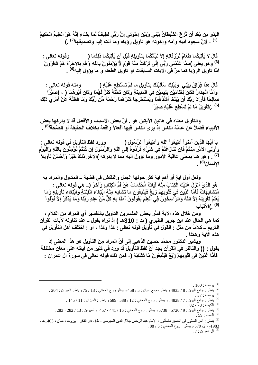الْبَدْوِ مِن بَعْدِ أَن نُّرْعَ الشَّيْطَانُ بَيْنِي وَبَيْنَ إِخْوَتِي إِنَّ رَبِّي لَطِيفٌ لَمَا يَشَاء إِنَّهُ هُوَ الْعَلِيمُ الْحَكِيمُ <sup>(1)</sup> ، لانَّ سجود أبيه وأمه وإخوته هو تأويل روّياه وما آلت إليه وتصديقها<sup>(2)</sup> .)

**وقوله تعالى :** قَالَ لاَ يَأْتِيكُمَا **طَعَامٌ تُرْزَقَانِهِ إلاَّ نَبِّأْتُكُمَا بِتَأْوِيلِهِ قَبْلَ أَن يَأْتِ** <sup>(3)</sup> وهو **يعني )مِمَّا عَلَّمَنِي رَبِّي إنِّي تَرَكْتُ مِلَّة قوْمٍ لاَّ يُوْمِنُونَ بِاللَّهِ وَهُم بِالآخِرِةِ هُمْ كَافِرُونَ** أمّا تأويل الروّيا كما مرّ فّي الأّيات السابقات أو تأويل الطعام و ما يؤول إليه<sup>(4)</sup> .

**ومنه قوله تعالى :** قَالَ هَذَا فِرَاقُ بَيْنِي ۖ وَبَيْنِكَ سَأَنَبَنُكَ بِتَأْوِيلِ مَا لَمْ تَسْتَطِع عَلَّا وَأَمَّا الْجِدَارُ فَكَانَ لِغُّلَامَيْنِ يَتِيمَيْنِ فِي الْمَدِينَةِ وَكَانَ تَحْتَهُ كَنْزٌ لَّهُمَا وَكَانَ أَبُوهُمَا ( ، )صَبْرًا صَالِحًا فَأَرَادَ رَبّكَ أَنْ يَبْلُغَا أَشْدَّهُمَا وَيَسْتَخْرِجَا كَنْزَهُمَا رَحْمَةً مّن رّبّكَ وَمَا فَعَلْتُهُ عَنْ أَمْرِي ذَٰلِكَ <sup>(5)</sup> .)تَأْوِيلُ مَا لَمْ تَسْطِعِ عَّلَيْهِ صَبْرًا

والتأويل معنـاه في هاتين الآيتين هو <sub>.</sub> أنّ بعض الأسباب والأفعال قد لا يدركـها بعض الأنبياء فضلاً عن عامّة النّاس إذ يرى الناس فيها أفعالاً واقعة بخلاف الحقيقة أو الصّحة<sup>(6)</sup> .

يَا أَيُّهَا الّذِينَ آمَنُواْ أَطِيعُواْ اللّهَ وَأَطِيعُواْ الرّسُولَ ( وورد لفظ الّ وورد لفظ التأويل ف*ي* قوله تعالى : وَأُوْلِّي الأَمْرِ مِنْكُمْ فَإِنْ تَتَازَعْتُمْ فِي شَيْءٍ فَرُدُوهُ إِلَى اللَّهِ وَالرَّسُولِ إِنْ كُنْتُمْ تُؤْمِنُونَ بِاللَّهِ وَالْيَوْمِ <sup>(7)</sup> . وهو هنا بمعنى عاقبة الأمور وما تؤول إليه مما لا يدركه )الآخِر ذَلِكَ خَيْرٌ وَأَحْسَنُ تَأْوِيلاً ۖ الإنسان<sup>(8)</sup> .

، ولعل أول آيةٍ أو أهم آية كثر حولها الجدل والنقاش في قضية ــ المتأول والمراد بـه هُوَ الّذِيَ أَنْزَلَ عَلَيْكَ الْكِتَابَ مِثْـهُ آيَاتٌ مّحْكَمَاتٌ هُنّ أُمّ الْكِتَابِ وَأَخَرُ (ــ هي قولـه تعالى : مُتَشَابِهَاتٌ فَأَمَّا الَّذِينَ في قُلُوبِهِمْ زَيْغٌ فَيَتَّبِعُونَ مَا تَشَابَهَ مِنْهُ ابْتِغَاء الْفِتْنَةِ وَابْتِغَاء تَأْوِيلِهِ وَمَا يَعْلَمُ تَأُويلَهُ إِلاَّ اللَّهُ وَالرَّأسِخُونَ فِي اَلْعِلْمِ يَقُولُونَ آمَنًا بِهِ كُلِّ مِّنْ عِنْدِ رَبِّنَا وَمَا يَذَكَّرُ إِلاَّ أُوْلُواْ **)9(** )**ا!ْ َبِ .** 

**ومن خلال هذه الآية فسّر بعض المفسرين التأويل بالتفسير أي المراد من الكلام ،** كما هي الحال عند ابن جرير الطبري ( ت : 310هـ ) إذ نراه يقول ــ عند تناوله لآيات القرآن الكريم ــ كلاماً من مثل : القول في تأويل قولـه تعالى : كذا وكذا ، أو : اختلف أهل التأويل في هذه الآية و هكذا <sub>.</sub>

 **ويشير الدكتور محمّد حسين الذهبي إلى أنّ المراد مِنَ التأويل هو هذا المعنى إذ** يقول : (( والناظر في القرآن يجد أنّ لفظ التأويل قد ورد في كثير من آياته على معا*ن* مختلفة ِ فَأَمَّا الَّذِينَ في قُلُوبِهِمْ زَيْغٌ فَيَتَّبِعُونَ مَا تَشْـَابَـهَ (، فَمن ذلك قولـه تعالى في سورة آل عمران :

l

8) ينظر : الدر المنثور في التفسير بالمأثور ، الإمام عبد الرحمن جلال الدين السيوطي ، ط1، دار الفكر ، بيروت ، لبنان ، 1403هـ ـ 1983م ، 2/ 579 و ينظر : روح المعاني : 5 / 88 .

<sup>(9)</sup> آل عمران : 7 .

 $\,$  100  $\,$ يوسف  $\,$ 

<sup>&</sup>lt;sup>(2)</sup> ينظر : جامع البيان : 8 / 4935 و ينظر مجمع البيان : 5 / 458 و ينظر روح المعاني : 13 / 75 و ينظر الميزان : 204 .

 $\,$  پوسف : 37  $^{(3)}$ 

<sup>&</sup>lt;sup>(4)</sup> ينظر : جامع البيان : 7 / 4828 . و ينظر : روح المعاني : 12 / 588 - 589 و ينظر : الميزان : 11 / 145 .

 $.82 \cdot 78 :$ الكهف  $)$ 

<sup>&</sup>lt;sup>(6)</sup> ينظر : جامع البيان : 9 / 5720 ، 5738 و ينظر : روح المعاني : 16 / 441 ، 457 و الميزان : 13 / 282 ، 283 . النساء : 59 .  $^{(7)}$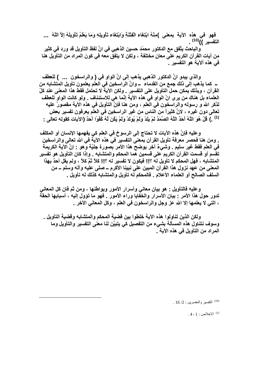فَهُو ۖ فِي هذه ۖ الآية ۖ بِمعنى ۗ )مِنْهُ ابْتِغَاء الْفِتْنَةِ وَابْتِغَاء تَأْوِيلِهِ وَمَا يَعْلَمُ تَأْويلَهُ إلأَ اللّهُ ۖ ... التفسير ))<sup>(10)</sup> .

والباحث يتَّفْق مع الدكتور محمَّد حسين الذِّهبي في انِّ لفظ التأويل قد ورد في كثير من آيات القرآن الكريم على معانٍ مختلفة ، ولكن لا يتفق معه في كون المراد من التأويل هنا في هذه الآية هو التفسير .

والذي يبدو انَّ الدكتور الذهبي يذهب إلى انَّ الواو في ( والراسخون ... ) للعطف ــ كما يذهب إلى ذلك جمع من القدماء ــ وانَّ الراسخين في العلم يعلمون تأويل المتشابه من القرآن ، وبذلك يمكن حمل التأويل على التفسير \_ ولكن الآية لا تحتمل فقط هذا المعنى عند كلّ العلماء بل هناك من يرى انِّ الواو في هذه الآية إنَّما هي للاستئناف . ولو كانت الواو للعطف لذكر الله و رسوله والراسخون في العلم ، ومن هنا فإنَّ التأويل في هذه الآية مقصورٌ عليه تعالى دون غير ه ، لانَّ كثيراً من الناس من غير الراسخين في العلم يعرفون تفسير بعض (1) . ) قُلْ هُوَ اللَّهُ أَحَدٌ اللَّهُ الصَّمَدُ لَمْ يَلِدْ وَلَمْ يَوْلَدْ وَلَمْ يَكُن لَّهُ كُفُوا أَحَدٌ (الآيات كقوله تعالى :

وعليه فإنَّ هذه الآيات لا تحتاج إلى الرسوخ في العلم كي يفهمها الإنسان أو المكلف . ومن هنا فحصر معرفة تأويل القرآن بمعنى التفسير في هذه الآية في الله تعالى والراسخين في العلم فقط غير سليم . وشيءٌ آخر يوضح هذا الأمر بصورة جليّة وهو : إنَّ الآية الكريمة تقسم أو قسمت القرآن الكريم على قسمين هما المحكم والمتشابه . وإذا كان التأويل هو تفسير المتشابه ، فهل المحكم لا تأويل له ؟!! فيكون لا تفسير له ؟!! كلاّ ثمّ كلاّ ، ولم يقل أحدٌ بهذا المعنى من عهد نزول هذا القرآن المبين على نبينا الأكرم ــ صلى عليه وآله وسلم ــ من السلف الصالح أو العلماء الأعلام . فالمحكم له تأويل والمتشابه كذلك له تأويل .

وعليه فالتأويل : هو بيان معاني وأسرار الأمور ويواطنها ، ومن ثم فان كل المعاني تدور حول هذا الأمر : بيان الأسرار والخفايا وراء الأمور . فهو ما تؤول إليه ، أسبابها الحقة ، التي لا يعلمها إلا الله عز وجل والراسخون في العلم ، وكل المعاني الأخر .

ولكن الذين تناولوا هذه الآية خلطوا بين قضية المحكم والمتشابه وقضية التأويل . وسوف نتناول هذه المسألة بشيء من التفصيل كي يتبيَّن لنا معنى التفسير والتأويل وما المراد من التأويل في هذه الآية .

. 16 /2 : التفسير والمفسرين (16 /2 .

.  $4$  - 1 خلاص  $1$  - 4  $^{(1)}$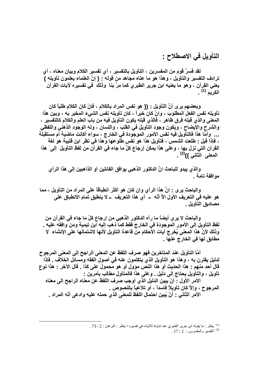#### التأويل في الاصطلاح :

لقد فسرَّ قوم من المفسرين ، التأويل بالتفسير ، أي تفسير الكلام وبيان معناه ، أي ترادف التفسير والتأويل ، وهذا هو ما عناه مجاهد من قوله : ( إنَّ العلماء يعلمون تأويله ) يعني القرآن ، وهو ما يعنيه ابن جرير الطبري كما مرَّ بنا ۖ وذلك ۖ في تفسيره لآيات القرآن الكريم <sup>(1)</sup> .

وبعضهم يرى أنِّ التأويل : (( هو نفس المراد بالكلام ، فانْ كان الكلام طلباً كان تأويله نفس الفعل المطلوب ، وانْ كان خبراً ، كان تأويله نفس الشيء المخبر به ، وبين هذا المعنى والذي قبله فرق ظاهر ، فالذي قبله يكون التأويل فيه من باب العلم والكلام كالتفسير ، والشرح والإيضاح ، ويكون وجود التأويل في القلب ، واللسان ، وله الوجود الذهني واللفظي ... وأمَّا هذا فالتأويل فيه نفس الأمور الموجودة في الخارج ، سواء أكانت ماضية أم مستقبلَّة ، فإذا قيل : طلعت الشمس ، فتأويل هذا هو نفس طلوعها وهذا في نظر ابن قتيبة هو لغة القرآن التي نزل بها ، وعلى هذا يمكن إرجاع كلّ ما جاء في القرآن من لفظ التأويل إلى هذا المعنى الثاني ))<sup>(2)</sup> .

والذي يبدو للباحث انِّ الدكتور الذهبي يوافق القائلين أو الذاهبين إلى هذا الرأى مو افقة تامة \_

والباحث يرى : انّ هذا الرأى وان كان هو أكثر انطباقاً على المراد من التأويل ، مما هو عليه في التعريف الأول الأ أنَّه \_ أي هذا التعريف \_ لا ينطبق تمام الانطباق على مصاديق التأويل .

والباحث لا يرى أيضاً ما رآه الدكتور الذهبي من إرجاع كلّ ما جاء في القرآن من لفظ التأويل إلى الأمور الموجودة في الخارج فقط كما ذهب إليه ابن تيمية ومن وافقه عليه . وذلك لأنَّ هذا المعنى يُخرج آيات الأحكام من قاعدة التأويل لأنها لاشتمالها على الإنشاء لا مطابق لها في الخارج علها .

أمَّا التأويل عند المتأخرين فهو صرف اللفظ عن المعنى الراجح إلى المعنى المرجوح لدليل يقترن به ، وهذا هو التأويل الذي يتكلمون عنه في أصول الفقه ومسائل الخلاف . فإذا قال أحد منهم : هذا الحديث أو هذا النص مؤول أو هو محمول على كذا . قال الآخر : هذا نوع تأويل ، والتأويل يحتاج إلى دليل . وعلى هذا فالمتأول مطالب بأمرين :

الأمر الأول : أنْ يبين الدليل الذي أوجب صرف اللفظ عن معناه الراجح إلى معناه المرجوح ، وإلاّ كان تأويلاً فاسداً ، أو تلاعباً بالنصوص .

الأمر الثاني : أنْ يُبِين احتمال اللفظ للمعنى الذي حمله عليه وادعى أنّه المراد .

<sup>&</sup>lt;sup>(1)</sup> ينظر : ما يقوله ابن جرير الطبري عند تناوله للأيات في تفسيره ؛ ينظر : البرهان : 2 / 73 .

 $17/2:1$ التفسير والمفسرون  $2:17/2$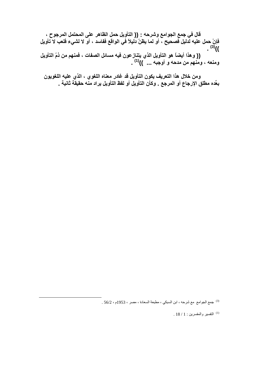(( وهذا أيضاً هو التأويل الذي يتنازعون فيه مسائل الصفات ، فمنهم من ذمِّ التأويل ومنعه ، ومنهم من مدحه و أوجبه ... "))<sup>(1)</sup> .

ومن خلال هذا التعريف يكون التأويل قد غادر معناه اللغوي ، الذي عليه اللغويون بعِّده مطلق الإرجاع أو المرجع . وكأن التأويل أو لفظ التأويل يراد منه حقيقة ثانية .

3) جمع الجوامع مع شرحه ، ابن السبكي ، مطبعة السعادة ، مصر ، 1953م ، 56/2 .

 $18/1$ : التفسير والمفسرين (1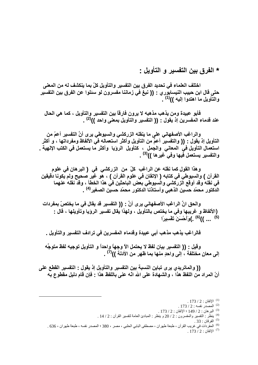\* الفرق بين التفسير و التأويل :

اختلف العلماء في تحديد الفرق بين التفسير والتأويل كلّ بما ينكشف له من المعنى حتى قال ابن حبيب النيسابور ي : (( نبغ في زماننا مفسرون لو سئلوا عن الفرق بين التفسير والتأويل ما اهتدوا إليه ))<sup>(1)</sup> .

فأبو عبيدة ومن يذهب مذهبه لا يرون فارقاً بين التفسير والتأويل ، كما هي الحال عند قدماء المفسرين إذ يقول : (( التفسير والتأويل بمعنى واحد ))<sup>(2)</sup> .

والراغب الأصفهاني على ما ينقله الزركشي والسيوطي يرى أنَّ التفسير أعمّ من التأويل إذ يقول : (( والتفسير أعمٌّ من التأويل وأكثر استعماله في الألفاظ ومفرداتها ، و أكثر استعمال التأويل في المعاني والجمل ، كتأويل الروّيا وأكثر ما يستعمل في الكتب الإلهية \_ والتفسير يستعمل فَيها وفي ُغيرها ))<sup>(3)</sup> .

وهذا القول كما نقله عن الراغب كلِّ من الزركشي في ( البرهان في علوم القرآن ) والسيوطي في كتابه ( الإتقان في علوم القرآن ) ، هو غير صحيح ولم يكونا دقيقين في نقله وقد أوقع الزركشي والسيوطي بعض الباحثين في هذا الخطأ ، وقد نقله عنهما الدكتور محمّد حسّين الذهبي وأستاذنا الدكتور محمّد حسين الصغير<sup>(4)</sup> .

والحق انَّ الراغب الأصفهاني يرى أنَّ : (( النفسير قد يقال في ما يختصّ بمفردات (الألفاظ و غريبها وفي ما يختص بالتأويل ، ولهذا يقال تفسير الرؤيا وتأويلها ، قال : <sup>(5)</sup> ... ))<sup>(6)</sup> .)وَأَحْسَنَ تَفْسِيرًا

فالراغب يذهب مذهب أبي عبيدة وقدماء المفسرين في ترادف التفسير والتأويل .

وفيل : (( التفسير بيان لفظ لا يحتمل الآ وجهاً واحداً و التأويل توجيه لفظ متوجِّه إلى معانٍ مختلفة ، إلى واحدٍ منها بما ظهر من الأدلّة ))<sup>(7)</sup> .

(( والماتريدي يرى تباين النسبة بين التفسير والتأويل إذ يقول : التفسير القطع على أنّ المراد من اللفظ هذا ، والشهادة على الله انّه عنى باللفظ هذا - فإن قام دليل مقطوع به

 $.173/2:$ المصدر نفسه $.2$ 

- <sup>(4)</sup> ينظَّر : التفسير والمفسرون : 2 / 20 و ينظر : المبادئ العامة لتفسير القرآن : 2 / 14 .
	- .33 الفرقان : 33 .

<sup>(6)</sup> المفردات في غريب القرآن ، طبعة طهران ، مصطفى البابي الحلبي ، مصر ، 380 ؛ المصدر نفسه ، طبعة طهران ، 636 .

.  $173/2$  : الإتقان $173/2$ 

<sup>.</sup>  $173 / 2$  : الإتقان $173 / 2$ 

 $173/2$ : البرهان : 2 / 149 ؛ الإتقان : 2 / 173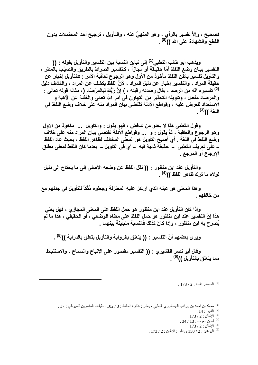فصحيح ، وإلاَّ تفسير بالرأى ، وهو المنهيُّ عنه ، والتأويل ، ترجيح أحد المحتملات بدون القطع والشهادة على الله ))<sup>(8)</sup> .

ويذهب أبو طالب الثعلبي<sup>(1)</sup> إلى تباين النسبة بين التفسير والتأويل بقوله : (( التفسير بيــان وضـع اللفظ أمّا حقيـقة أو مجازاً ، كـتفسير الصراط بالطريق والصيّب بالمطر ، والتأويل تفسير باطّن اللفظ مأخوذ من الأول وهو الرجوع لعاقبة الأمر : فالتأويل إخبار عن حقيقة المراد ، والتفسير إخبار عن دليل المراد ، لأنَّ اللفظ يكشف عن المراد ، والكشف دليل <sup>(2)</sup> تفسيره أنّه من الرصد ، يقال رصدته رقبته ، ) إنَّ رَبَّكَ لَبِالْمِرْصَادِ (، مثاله قوله تعالى : والمرصاد مفعال ، وتأويله التحذير من التهاون في أمر الله تعالى والغفلة عن الأهبة و الاستعداد للعرض عليه ، وقواطع الأدلة تقتضي بيَّان المراد منه على خلاف وضع اللفظ في اللغة ))<sup>(3)</sup> .

وقول الثعلبي هذا لا يخلو من تناقض ، فهو يقول : والتأويل ... مأخوذ من الأول وهو الرجوع والعاقبة ، ثمَّ يقول : و ... وقواطع الأدلة تقتضى بيان المراد منه على خلاف وضع اللفظ في اللغة \_ أي أصبح التأويل هو المعنى المخالف لظاهر اللفظ ، بحيث عاد اللفظ ـ علَّمِ تعريف الثعلبي ــ حقيقةٌ ثانية فيه ــ أي فَي التأويل ــ بعدما كان اللفظ لمعنى مطلق الإرجاع أو المرجع .

والتأويل عند ابن منظور : (( نقل اللفظ عن وضعه الأصلي إلى ما يحتاج إلى دليل لولاه ما ترك ظاهر اللفظ ))<sup>(4)</sup> .

وهذا المعنى هو عينه الذي ارتكز عليهِ المعتزلة وجعلوه مُتِّكاً للتأويل في جدلهم مع من خالفهم .

وإذا كان التأويل عند ابن منظور هو حمل اللفظ على المعنى المجاز ى ، فهل يعني هذا إنَّ التفَسير عند ابن منظور هو حمل اللفظ على معناه الوصّعي ، أو الحقيقي ، هذا ما لَم يُصرح به ابن منظور ، وإذا كانَ كذلك فالنسبة متباينة بينهما .

وير ي بعضهم أنّ التفسير : (( يتعلق بالرواية والتأويل يتعلق بالدراية ))<sup>(0)</sup> .

وقال أبو نصر القشيري : (( التفسير مقصور على الإتباع والسماع ، والاستنباط مما يتعلق بالتأويل ))<sup>(6)</sup> .

 $173/2$ : المصدر نفسه  $173/2$ 

<sup>(1)</sup> محمّد بن أحمد بن إبر اهيم النيسابور ي الثعلبي ، ينظر : تذكر ة الحفاظ : 3 / 102 ؛ طبقات المفسر بن للسيوطي : 37 .

- .  $173 / 2$  : الإتقان $173 / 2$ . 34 / 13 : سان العرب : 13 / 34.
	- . الإتقان : 2 / 173 .
- $173/2$ : البرهان : 2 / 150 وينظر : الإتقان : 2 / 173

<sup>.</sup> الفجر : 14 .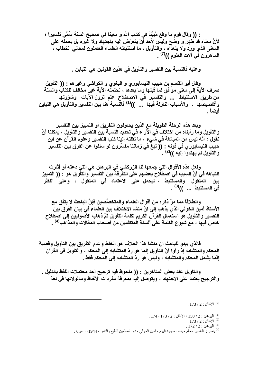: (( وفَّال قوم ما وقع مُبِيَّنًا في كتاب الله و معينًا في صحيح السنة سُمِّي تفسيراً ؛ لأنَّ معناه قدَّ ظهر و وضَّح وليسٌ لأحد أَنْ يتعرَّض إليه باجتهاد ولا غَيره بل يحملُه على المعنى الذي ورد ولا يتعدَّاه ، والتأويل ، ما استنبطه العلماء العاملون لمعاني الخطاب ، الماهرون في آلات العلوم ))<sup>(7)</sup> .

و عليه فالنسبة بين التفسير والتأويل في هذين القولين هي التباين .

وقال أبو القاسم بن حبيب النيسابور ٍ و البغو ٍ و الكواشي وغير هم : (( التأويل صرف الآية إلى معنى موافق لما قبلها وما بعدها ، تحتمله الآية غير مخالف للكتاب والسنة من طريق الاستنباط ... والتفسير في الاصطلاح علم نزول الآيات وشؤونها وأقاصيصها ، والأسباب النازلة فيها ... ))<sup>(1)</sup> فالنسبة هنا بين التفسير والتأويل هي التباين أيضاً .

وبعد هذه الرحلة الطويلة مع الذين يحاولون التفريق أو التمييز بين التفسير والتأويل وما رأيناه من اختلاف في الآراء في تحديد النسبة بين التفسير والتأويل ، يمكننا أنْ نقول : أنَّه ليس من المبالغة في شَّيع ، ما نقلته إلينا كتب التفسير وعلوم القرآن عن ابن حبيب النيسابور ي في قوله : (( نبغ في زماننا مفسِّرون لو سئلوا عن الفرق بين التفسير والتأويل لم يهتدوا إليه ))<sup>(2)</sup> .

ولعل هذه الأقوال التي جمعها لنا الزركشي في البر هان هي التي دعته أو أثارت انتباهه في أنَّ السبب في اصطلاح بعضهم على التفرقة بين التفسير والتأويل هو : (( التمييز بين المنقول والمستنبط ، ليحمل على الاعتماد فى المنقول ، وعلى النظر في المستنبط ... ))<sup>(3)</sup> .

وانطلاقاً مما مرَّ ذكره من أقوال العلماء والمتخصِّصين فإنَّ الباحث لا يتفق مع الأستاذ أمين الخولى الذي يذهب إلى انَّ منشأ الاختلاف بين العلماء في بيان الفرق بينِّ التفسير والتأويل هو استعمال القرآن الكريم لكلمة التأويل ثمَّ ذهاب الأصوليين إلى اصطلاح خاص فيها ، مع شيوع الكلمة على ألسنة المتكلمين من أصحاب المقالات والمذاهَب<sup>(4)</sup> .

فالذي يبدو للباحث ان منشأ هذا الخلاف هو الخلط وعدم التفريق بين التأويل وقضية المحكم والمتشابه إذ رأوا أنّ التأويل إنما هو ردّ المتشابه إلى المحكم ، والتأويل في القرآن إنَّما يشمل المحكم والمتشابه ، وليس هو ردِّ المتشابِه إلى المحكم فقط ـ

والتأويل عند بعض المتأخرين : (( ملحوظٌ فيه ترجيح أحد محتملات اللفظ بالدليل . والترجيح يعتمد على الاجتهاد ، ويتوصل إليه بمعرفة مفردات الألفاظ ومدلولاتها في لغة

.  $173 / 2$  : الإتقان $173 / 2$ 

 $174 - 173 / 2$  : البرهان : 2 / 150 ؛ الإتقان : 2 / 173 - 174

.  $173 / 2$  : الإتقان $173 / 2$ 

 $.172 / 2:$ البرهان  $172 / 2$ 

<sup>(4)</sup> ينظر : التفسير معالم حياته ـ منهجه اليوم ، أمين الخولي ، دار المعلمين للطبع والنشر ، 1944م ، ص6 .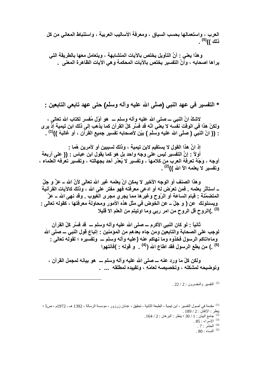العرب ، واستعمالها بحسب السياق ، ومعرفة الأساليب العربية ، واستنباط المعاني من كل ذلك ))<sup>(5)</sup> .

و هذا يعني : أنَّ التأويل يختص بالآيات المتشابهة ، ويتعامل معها بالطريقة التي يراها اصحابه ، وأَنَّ التفسير يختص بالآيات المحكمة وهي الآيات الظاهرة المعنى .

\* التفسير في عهد النبي (صلَّى الله عليه وآلـه وسلَّم) حتى عهد تابعي التابعين :

لاشكِّ انِّ النَّبِي ـــ صلى الله عليه وأله وسلَّم ـــ هو أوَّل مُفسر لكتاب الله تعالى ، ولكنْ هذا في الوقت نفسَه لا يعني انّه قد فسَّر كلّ القرآن كما يذهب إلى ذلك ابن تيمية إذ يرى : (( انّ النبي ( صلَّى الله عليه وسلَّم ) بيِّن لأصحابه تفسير جميع القرآن ، أو غالبهُ ))<sup>(1)</sup> .

إذ انَّ هذا القول لا يستقيم لابن تيمية ، وذلك لسببين أو لأمرين هُما : أولاً : إنَّ التفسير ليس على وجه واحد بل هو كما يقول ابن عباس : (( على أربعة أوجه ، وَجْهٌ تعرفَهُ العرب من كلامها ، وتفسير لا يُعنْر أحد بجهالته ، وتفسير تعرفه العلماء ، وتفسير لا يعلمه الأ الله ))<sup>(2)</sup> .

و هذا الصنف أو الوجه الأخير لا يمكن انْ يعلمه غير الله تعالى لأنّ الله ــ عزّ و جلّ ــ استأثر بعلمه . فمن تعرّض له أو ادعى معرفته فهو مفتر على الله ، وذلك كالآيات القرآنية المتضمّنة : قيام الساعة أو الرّوح وغيرها مما يجرى مجرى الغيوب . وقد نهى الله ــ عزَّ ويسئلونك عن ( و جلّ ــ عن الخوض في مثل هذه الأمور. ومحاولة معرفتها ، كقوله تعالى : <sup>(3)</sup> .)الروح قل الروح من امر رب*ي* وما اوتيتم من العلم الا قليلا

ثانياً : لو كان النبي الأكرم ـــ صلى الله عليه وآله وسلم ـــ قد فسَّر كلِّ القرآن لوجب على الصحابة والتابعين ومن جاء بعدهم من المؤمنين - إتباع قول النبي ـــ صلى الله وماءاتاكم الرسول فخذوه وما نهاكم عنه (عليه وآله وسلم ــــ وتفسيره ؛ لقوله تعالى : (5) .) من يطع الرسول فقد اطاع الله (<sup>(4)</sup> . و قوله : )فانتهوا

ولكن كلِّ ما ورد عنه ــــ صلى الله عليه وآله وسلم ــــ هو بيانـه لمجمل القرآن ، وتوضيحه لمشكله ، وتخصيصه لعامّهِ ، وتقييده لمطلقه ... .

<sup>(5)</sup> التفسير والمفسرون : 2 / 22 .

.  $85:$  الاسراء:  $^{(3)}$ 

 $80:10^{(5)}$ 

<sup>&</sup>lt;sup>(1)</sup> مقدمة في أصول التفسير ، ابن نيمية ، الطبعة الثانية ، تحقيق ، عدنان زرزور ، مؤسسة الرسالة ، 1392 هـ ـ 1972م ، ص5 ؛ ينظر : الإتقان : 2 / 189 .

<sup>. 164 / 2 :</sup> بنظر : البرهان : 164 / 2

<sup>.</sup> الْحَشْر : 7 .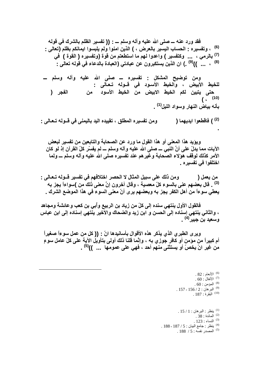فقد ورد عنه ـــ صلى الله عليه وآله وسلم ـــ : (( تفسير الظلم بالشرك في قوله <sup>(6)</sup> ، وتفسيره : الحساب اليسير بالعرض ، ) الذين امنوا ولم يلبسوا ايمانكم بظلم (تعالى : <sup>(7)</sup> بالرمي ، ... وكتفسير ) واعدوا لهم ما استطعتم من قوة (وتفسيره ( القوة ) فَى <sup>(8)</sup> ، ... ))<sup>(9)</sup> .) ان الذين يستكبرون عن عبادتي (العبادة بالدعاء في قولـه تعالى :

ومن توضيح المشكل : تفسيره ـــ صلى الله عليه وآله وسلم ـــ للخيط الأبيض ، والخيط الأسود فى قــوله تـعـالى : الفجر ( حت*ي* يتبين لكم الخيط الابيض من الخيط الأسود من  $(i^{(10)}$ بأنـه بياض النـهار وسواد الليل<sup>(1)</sup> .

ومن تفسيره المطلق ، تقييده اليد باليمني في قــولـه تــعـالى : <sup>(2)</sup> ) فَاقْطَعو ا ابديـهما (

ويؤيد هذا المعنى أو هذا القول ما ورد عن الصحابة والتابعين من تفسير لبعض الآيات مما يدلِّ على أنَّ النبي ـــ صلى الله عليه وآله وسلم ـــ لم يفسِّر كلِّ القرآن إذ لو كان الأمر كذلك لوقف هولاء الصحابة وغيرهم عند تفسيره صلى الله عليه وآله وسلم ـــ ولما اختلفوا ف*ي* تفسيره <sub>-</sub>

ومن ذلك على سبيل المثال لا الحصر اختلافهم في تفسير قــولـه تــعـالى : من يعمل ( <sup>(3)</sup> . قال بعضهم عنى بالسوء كلّ معصية ، وقال آخرون إنَّ معنى ذلك من )سواءاً يجز به يعطي سوءاً من أهل الكفر يجز به وبعضهم يرى أنّ معنى السوء في هذا الموضع الشرك .

فالقول الأول ينتهي سنده إلى كلِّ من زياد بن الربيع وأبي بن كعب وعائشة ومجاهد ، والثاني ينتهي إسناده إلى الحسن و ابن زيد والضحاك والأخير ينتهي إسناده إلى ابن عباس وسعيد بن جبير <sup>(4)</sup> ۔

ويرى الطبري الذي يذكر هذه الأقوال بأسانيدها انّ : (( كل من عمل سوءاً صغيراً أم كبيراً من مؤمن أو كافر جُوزي به ، وإنَّما قلنا ذلك أولى بتأويلُ الآية على كلِّ عاملٍ سوعٍ من غير انْ يخصّ أو يستثنى منهم أحد ، فهي على عمومها ... ))<sup>(5)</sup> .

> .  $82:$ الأنعام  $^{(6)}$ .  $60:10^{(7)}$  الأنفال  $\,$ .  $60:$ المؤمن  $^{(8)}$  $.157 - 156 / 2$ : البرهان  $^{(9)}$  $187:$ البقرة  $187:$

 $15/1$ : ينظر : البرهان : 1 / 15 المائدة: 38. .  $123$  : النساء  $^{(3)}$ . 188 - 187 / 5 : بنظر : جامع البيان : 5 / 187 - 188  $.188 / 5$ : المصدر نفسه  $.5$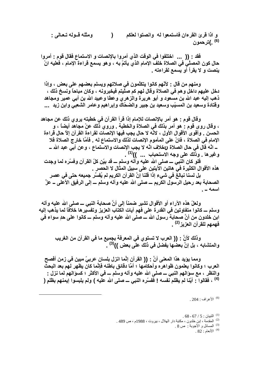و اذا قرئ القرءان فاستمعوا لـه ۖ وانصتوا لـعلكم ومثله قسوله تتعالى :  $\sum_{i=1}^{n}$ <sup>(6)</sup> .)تر حمو ن

فقد : (( ... اختلفوا في الوقت الذي أمروا بالإنصات و الاستماع فقال قوم : أمروا حال كون المصلَّى في الصلاة خلف الإمام الذي يأتمَّ به ، و هو يسمع قراءة الإمام ، فعليه انْ ۖ ينصت و لا يقرأ أو يسمع لقراءته .

ومنـهم من قال : لأنّهم كانوا يتكلّمون في صلاتـهم ويسلم بعضـهم علـى بعض ، وإذا دخل عليهم داخل و هم في الصلاة وقال لهم كم صلّيتم فيخبرونـه ، وكان مباحاً ونسخ ذلك ، ذهب إليه عبد الله بن مسعود و أبو هريرة والزهرى وعطا وعبيد الله بن أبي عمير ومجاهد وفَّتادة وسعيد بن المسبِّب وسعيد بن جبير والضحّاك وإبراهيم وعامر الشعبي وابن زيد ...

وقال قوم : هو أمر بالإنصات للإمام إذا قرأ القرآن في خطبته يروي ذلك عن مجاهد ، وقال روى قوم : هو أمر بذلك في الصلاة والخطبة . وروى ذلك عنْ مجاهد أيضاً ، و الحسن . وأقوى الأقوال الأول ، لانّه لا حال يجب فيها الإنصات لقراءة القرآن إلاّ حال قراءة الإمام في الصلاة ، فانّ على المأموم الإنصات لذلك والاستماع له . فأمَّا خارج الصلاة فلا ــ انَّه قال في حال الصلاة ر2خلاف انَّه لا يجب الإنصات والاستماع ، وعن أبي عبد الله ـــ وغيرها . وذلك على وجه الاستحباب ... ))<sup>(1)</sup> .

فلو كان النبي ـــ صلى الله عليه وآله وسلم ـــ قد بيّن كلّ القرآن وفسّره لما وجدت هذه الأقوال الكثيرة في هاتين الآيتين على سبيل المثال لا الحصر \_

بِلِ لسنا نبِالَّغِ في شيءِ إذا قلنا إِنَّ القرآنِ الكريمِ لم يُفسَّر جِميعه حتى في عصرِ الصحابة بعد رحيل الرسول الكريم ـــ صلى الله عليه وآله وسلم ـــ إلى الرفيق الأعلى ــ عزَّ اسمه ۔

ولعلِّ هذه الآراء أو الأقوال تشير ضمناً إلى أنَّ صحابة النبي ـــ صلى الله عليه وآله وسلم ـــ كانوا متفاوتين في القدرة على فهم آيات الكتاب العزيز. وتفسير ها خلافاً لما يذهب إليه ابن خلدون من أنَّ صحابةً رسول الله ـــ صلى الله عليه وأله وسلم ـــ كانوا على حدٍ سواء في فهمهم للقرآن العزيز<sup>(2)</sup> .

وذلك لأنَّ : (( العرب لا تستوي في المعرفة بجميع ما في القرآن من الغريب والمتشابه ، بل إنَّ بعضها يفضل في ذلك علَّى بعض ))<sup>(3)</sup> .

ومما يؤيد هذا المعنى أنَّ : (( القرآن إنَّما انزل بلسان عربيٍّ مبين في زمن أفصح العرب ؛ وكانوا يعلمون ظواهره وأحكامها ؛ أمَّا دقائق باطنه فإنَّما كان يظهر لهم بعد البحث والنظر ، مع سوَالهم النبي ــــ صلى الله عليه وآله وسلم ــــ في الأكثر ؛ كسوَالهم لما نزل :-(4) ، فقالوا : أيّنا لم يظلم نفسه ! ففسّره النبي ــ صلى الله علّيه ) ولم يلبسوا إيمنهم بظلم (

. 204 : الأعراف $(6)$ 

 $.68$ -67 / 5 : التبيان  $10^{(1)}$ <sup>(2)</sup> المقدمة ، إبن خلدون ، مكتبة دار الهلال ، بيروت ، 1988م ، ص 489 . <sup>(3)</sup> المسائل و الأجوبة : ص 8 . .  $82:10^{(4)}$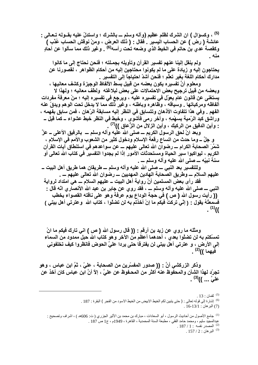<sup>(5)</sup> ، وكسؤال ) ان الشرك لظلم عظيم (وآله وسلم ـــ بالشرك ؛ واستدلّ عليه بقــولـه تــعـال*ي* : عائشة ( رض ) عن الحساب اليسير . فقال : ( ذلك العرض ، ومنْ نوقش الحساب عُذَب ) وكقصة عدى بن حاتم في الخيط الذي وضعه تحت رأسه<sup>(6)</sup> . وغير ذلك مما سألوا عن آحادِ منه ۔

ولم ينقل إلينا عنهم تفسير القرآن وتأويله بجملته ؛ فنحن نحتاج إلى ما كانوا يحتاجون إليه و زيادة على ما لم يكونوا محتاجين إليه من أحكام الظواهر ، لقصورنا عن مدارك أحكام اللغة بغير تعلّم ؛ فنحن أشدّ احتياجاً إلى التفسير \_

ومعلوم أنَّ تفسيره يكون بعضه من قبيل بسط الألفاظ الوجيزة وكشف معانيها ، وبعضه من قبيل ترجيح بعض الاحتمالات على بعض لبلاغته ولطف معانيه ؛ ولهذا لا يستغني عن قانون عام يعوّل في تفسيره عليه ، ويرجع في تفسيره إليه ؛ منْ معرفة مفردات ألفاظه ومركباتها . وسياقه ، وظَّاهره وباطنه ، وغير ذُلك مما لا يدخل تحت الوهم ويدقِّ عنه الفهم . وفي هذا تتفاوت الأذهان وتتسابق في النظر إليه مسابقة الرّهان ، فمن سابق بفهمه ، وراشْق كبدُ الرّمية بسهْمِهِ ، وآخر رمى فأشوّى ، وخبط فى النظر خبط عشواء ــ كما قيل ــ <u>:</u> وأين الدقيق من الركيك ، وأين الزلال من الزُّعاق ))<sup>(7)</sup> .

وبعد انْ لحق الرسول الكريم ـــ صلى الله عليه وآله وسلم ـــ بالرفيق الأعلى ــ عزَّ و جلَّ ـــ وما حدث من اتساع رقعة الإسلام ودخول كثير من الشعوب والأمم في الإسلام ، شَمَّرَ الصحابة الكرام ـــ رضوان الله تعالى عليهم ـــ عن سواعدهم في استنطاق آيات القرآن الكريم ، ليواكبوا سير الحياة ومستحدثات الأمور إذا لم يجدوا التفسير في كتاب الله تعالى أو سنة نبيّه ـــ صلى الله عليه وآله وسلم ـــ .

وللتفسير بعد النبي ـــ صلى الله عليه وآله وسلم ـــ طريقان هما طريق أهل البيت ــ عليهم السلام ــــ وطريق الصحابة الـهادين المـهديين ــــ رضوان الله تعالى عليهم ــــ .

فقد رأى بعض المسلمين أنَّ رواية أهل البيت ــ عليهم السلام ـــ هي امتداد لرواية النَّبِي ـــ صلَّى الله عليه وآله وسلَّم ـــ ، فقد روي عن جابر بن عبد الله الأنصاري انَّه قال :-(( رأيت رسول الله ( ص ) في حجة الوداع يوم عرفة وهو على ناقته القصواء يخطب فسمعتُهُ يقول - ( إِنِّي تركتُ فَيكم ما إِنْ أَخذتم بِه لن تضلُّوا ، كتاب الله ۖ وعترتي أهل بيتي )  $(1)$ 

ومثله ما روي عن زيد بن أرقم : (( قال رسول الله ( ص ) انى تارك فيكم ما انْ تمسّكتم به لن تضلّوا بعدي ، أحدهما أعظم من الآخر و هو كتاب الله حبل ممدود من السماء إلى الأرض ، و عترتي أهل بيتي لن يفترقا حتى يردا عليَّ الحوض فانظروا كيف تخلفونى فيهما ))<sup>(2)</sup> .

وذكر الزركشي أنَّ : (( صدور المفسِّرين من الصحابة ، عليّ ، ثمَّ ابن عباس ، وهو تجرّد لهذا الشأن والمحفوظ عنه أكثر من المحـفوظ عن علـيَّ ، إلاّ أنَّ ابن عباس كان أخذ عن عليّ ... ))<sup>(3)</sup> .

<sup>.</sup>  $13:$ لقمان  $^{(5)}$ 

<sup>&</sup>lt;sup>(6)</sup> إشارة إلى قوله تعالى : ( حتى يتبين لكم الخيط الابيض من الخيط الاسود من الفجر ) البقرة : 187 .

<sup>(7)</sup> البر هان : 16-13/1 .

<sup>&</sup>lt;sup>(1)</sup> جامع الأصول من أحاديث الرسول ، أبو السعادات ، مبارك بن محمد بن الأثير الجزري ( ت: 606هـ ) ، اشراف وتصحيح : عبدالمحبِّد سليم ، ومحمد حامد الفقي ، مطبعة السنة المحمدية ، القاهرة ، 1949م ، ج1 ص 187 .  $.187/1:$ المصدر نفسه  $127/1$ 

 $.157/2:$ البر هان $.2$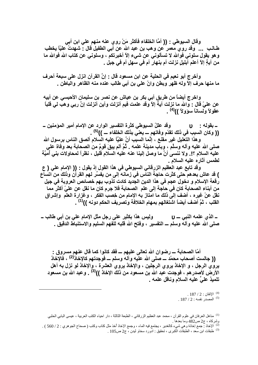وقال السيوطي : (( أمَّا الخلفاء فأكثر مَنْ روي عنه منهم على ابن أبي طــالـب ... وقد روى معمر عن وهب بن عبد الله عن أبى الطفيل قال : شـهدتُ عليَّا يخطب و هو يقول سلوني فوالله لا تسألوني عن شيء إلاّ أخبرتكم ، وسلوني عن كتاب الله فوالله ما من آيةٍ إلاّ أعلم أبليلٍ نزلت أم بنهار أم في سهلٍ أم في جبل .

وأخرج أبو نعيم في الحلية عن ابن مسعود قال : إنَّ القرآن انزل على سبعة أحرف ما منـها حرف إلاّ ولـه ظـهر وبطن وانّ علـي بن أبـي طـالب عنده منـه الظـاهر والبـاطن .

واخرج أيضاً من طريق أبي بكر بن عياش عن نصر بن سليمان الأحبسي عن أبيه عن علىّ قال : والله ما نزلت آيةً إلاّ وقد علمت فيم أنزلت وأين أنزلت إنَّ ربي وهب لي قلباً ۖ عقولاً وَلِساناً سؤولاً ))<sup>(4)</sup> .

. وقد عللّ السيوطي كثرة التفسير الوارد عن الإمام أمير المؤمنين ــ ـ بقوله : ن (( وكان السبب في ذلك تقدّم وفاتهم ـــ يعنيّ بذلك الخلفاء ـــ ))<sup>(5)</sup> .

وهذا التعليل غير مفتع ، إنَّما السبب أنَّ عليَّا عليه السلام ألصق الناس برسول الله صلى الله عليه وآله وسلَّم ، وبأب مدينة علمه . ثُمَّ ألم يبقَ قومٌ من الصحابة بعد وفاة على عليه السلام ؟!. ولا ننسي أنَّ ما وصل إلينا عنه عليه السلام قليل ، نظراً لمحاولات بني أميَّة لطمس آثار ه عليه السلام .

وقد تابع عبد العظيم الزرقاني السيوطي في هذا القول إذ يقول : (( الإمام على ( ع ) قد عاش بعدهم حتى كثرت حاجة النّاس في زمانـه إلى من يفسِّر لـهم القرآن وذلك من اتساع رقعة الإسلام و دخول عجم في هذا الدين الجديد كادت تذوب بهم خصائص العروبة في جيل من أبناء الصحابة كان في حاجة إلى علم الصحابة فلا جرم كان ما نقل عن عليّ أكثر مما نقل عنْ غيره ، أضف إلى ذلك ما امتاز به الإمام من خصب الفكر ، وغزارة العلم ۖ وإشراق القلب ، ثمَّ أضف أيضاً اشتغالهم بمهام الخلافة وتصريف الحكم دونه ))<sup>(1)</sup> .

وليس هذا بكثير على رجل مثل الإمام على بن أبي طالب \_  ${\bf u} = {\bf u}$  – الذي علمه النبي صلى الله عليه وآلـه وسلم ـــ التفسير ، وفتح الله قلبه للَّفهم السليم والاستنباط الدقيق ـ

أمّا الصحابـة ــــ رضوان الله تعالى عليهم ــــ فقد كانوا كما قال عنـهم مسروق :-(( جالست أصحاب محمّد ـــ صلى الله عليه و آلـه وسلم ـــ فوجدتهم كالإخاذ<sup>(2)</sup> ، فالإخاذ يروي الرجل ، و الإخاذ يروي الرجلين ، والإخاذ يروي العشرة ، والإخاذ لو نزل به أهل الأرض لأصدر هم ، فوجدت عبد الله بن مسعود من ذلك الإخاذ ))<sup>(3)</sup> . وعبد الله بن مسعود تلميذ علىً عليه السلام وناقل علمه .

> .  $187 / 2$  : الإتقان $187 / 2$  $.187/2$ : المصدر نفسه  $.97/2$

<sup>(1)</sup> مناهل العرفان في علوم القرآن ، محمد عبد العظيم الزرقاني ، الطبعة الثالثة ، دار احياء الكتب العربية ، عيسى البابي الحلبي وشركاه ، ج2 ص482 وما بعدها <sub>.</sub>

<sup>(2)</sup> الإخاذ : جمع إخاذة وهي شيء كالغدير ، يجتمع فيه الماء ، وجمع الإخاذ أخذ مثل كتاب وكتب ( صحاح الجوهري : 2 / 560 ) . (3) طبقات ابن سعد ، الطبقات الكبرى ، تحقيق : ادورد سخاو ليدن ، ج2 ص105 .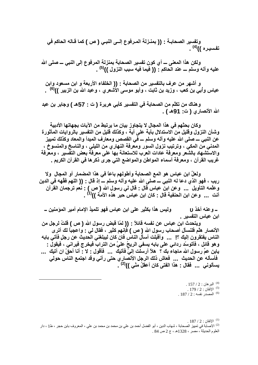وتفسير الصحابــة : (( بمنــزلـة المــرفوع إلـــى النبــى ( ص ) كمـا قــالـه الـحاكم فـى تفسيره ))<sup>(4)</sup> .

ولكن هذا المعنى ــــ أي كون تفسير الصحابة بمنزلة المرفوع إلى النبي ــــ صلى الله عليه وآله وسلم ـــ عند الحاكم : (( فيما فيه سبب النزول ))<sup>(5)</sup> .

و أشهر من عرف بالتفسير من الصحابة : (( الخلفاء الأربعة و ابن مسعود وابن عباس وأبي بن كعب ، وزيد بن ثابت ، وأبو موسى الأشعري ، وعبد الله بن الزبير ))<sup>(6)</sup> .

وهناك من تكلَّم من الصحابة في التفسير كأبي هريرة ( ت : 57هـ ) وجابر بن عبد الله الأنصاري ( ت: 91هـ ) .

وكان بحثهم في هذا المجال لا يتجاوز بيان ما يرتبط من الآيات بجهاتها الأدبية وشأن النزول وقليل من الاستدلال بآية على آية ، وكذلك قليل من التفسير بالروايات المأثورة عن النبي ـــ صلى الله عليه وآله وسلم ـــ فَي القصص ومعارف المبدأ والمعاد وكذلك تمييز المدنى من المكي ، وترتيب نزول السور ومعرفة النهاري من الليلي ، والناسخ والمنسوخ ، والاستشهاد بالشعر ومعرفة عادات العرب للاستعانة بها على معرفة بعض التفسير ، ومعرفة غريب القرآن ، ومعرفة أسماء المواطن والمواضع التي جرى ذكرها في القرآن الكريم .

ولعلَّ ابن عباس هو المع الصحابة وأطولهم باعاً في هذا المضمار أو المجال ۖ ولا ريب ، فهو الذي دعا له النبي ـــ صلى الله عليه وآله وسلم ـــ إذ قال : (( اللهم فقَّهه في الدين وعلَّمه التأويل ... وعن ابن عباس قال : قال لي رسول الله ( ص ) : نعم ترجمان القرآن أنت ... وعن ابن الحنفية قال : كان ابن عباس ۖحبر هذه الأمنَّة ))<sup>(1</sup>) .

وليس هذا بكثير على ابن عباس فهو تلميذ الإمام أمير المؤمنين \_ ـ وعنه أخذ ن ابن عباس التفسير .

ويتحدث ابن عباس عن نفسه قائلاً : (( لمّا قبض رسول الله ( ص ) قلتُ لرجل من الأنصار هلّم فلنسأل أصحاب رسول الله ( ص ) فإنهم كثير ، فقال لي : واعجباً لك أتر ي الناس يفتقرون إليك ؟! ... وأقبلت أسأل الناس فان كان ليبلغني الحديث عن رجلٍ فآتي بابه و هو قائل ، فأتوسّد ردائي على بابه يسفي الريحُ عليَّ من التراب فيخرج فيراني ، فيقول : يابن عمِّ رسول الله ماجاء بك ؟ هلاّ أرسلت إلىَّ فَآتيك ... فَأقول : لا : أنا أحقّ ان آتيك ... فأسأله عن الحديث ... فعاش ذلك الرجل الأنصاري حتى رآني وقد اجتمع الناس حولي يسألوني ... فقال : هذا الفتي كان أعقلُ منّي ))<sup>(2)</sup> .

> .  $157/2$  : البر هان  $^{(4)}$ . الإتقان : 2 / 179 .  $187/2$  : المصدر نفسه  $187/2$

.  $187 / 2$  : الاتقان $^{(1)}$ <sup>(2)</sup> الأصابة في تمييز الصحابة ، شهاب الدين ، أبو الفضل أحمد بن علي بن محمد بن محمد بن علي ، المعروف بابن حجر ، ط1 ، دار العلوم الحديثة ، مصر ، 1328هـ ، ج 2 ص 84 .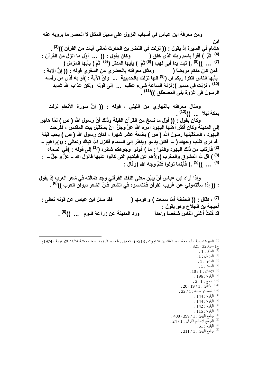ومن معرفة ابن عباس في أسباب النزول على سبيل المثال لا الحصر ما يرويه عنه این هشام في السيرة إذ يقول : (( نزلت في النضر بن الحارث ثماني آيات من القرآن ))<sup>(3)</sup> . <sup>(4)</sup> ثُمَّ ﴾ أقَرأ باسم ربك الذي خلق ( مَس وكان يقول : (( مَس أوّل ما انزّل من القرآن :<br><sup>(7)</sup> ... ))<sup>(8)</sup> .) تبت يدا أب*ى ل*هب (<sup>6)</sup> ثمَّ ) يأيها المدثر (<sup>5)</sup> ثمَّ ) يأيها المزمل ( ... ) فمن كان منكم مريضاً ( ومثال معرفته بالحضري من السفري قوله : (( إنَّ الآية : يأيها الناس اتقوا ربكم ان (<sup>(9)</sup> انـها نزلت بالحديبية ... وانّ الآية : )أو بـه أذى من رأسه <sup>(10)</sup> ، نزلت ف*ى* مسير )زلزلة الساعة شيء عظيم ... إلى قوله ولكن عذاب الله شديد الرسول في غزّوة بني المصطلق ))<sup>(11)</sup> .

ومثال معرفته بالنهاري من الليلي ، قوله : (( إنَّ سورة الأنعام نزلت بمكة ليلاً ... ))<sup>(12)</sup> . وكان يُقول : (( أوّل ما نسخ من القرآن القبلة وذلك أنَّ رسول الله ( ص ) لمّا هاجر إلى المدينـة وكان أكثر أهلها اليهود أمره الله عزَّ وجلَّ ۖ انْ يستقبل بيت المقدس ، ففْرحت اليهود ، فاستقبلها رسول الله ( ص ) بضعة عشر شهراً ، فكان رسول الله ( ص ) يحب قبلة قد نرى تقلب وجهك ( \_ فكان يدعو وينظر إلى السماء فأنزل الله تباك وتعالى : yإبراهيم \_ <sup>(2)</sup> فارتاب من ذلك اليهود وقالوا · ما ) فولوا وجوهكم شطره (<sup>(1)</sup> إلى قوله · )في السماء <sup>(3)</sup> ) قل لله المشرق والمغرب (ولأهم عن قبلتهم التي كانوا عليها فانزل الله ــ عزَّ و جلَّ ــ : <sup>(4)</sup> ... ))<sup>(5)</sup> .) فَأينما تولوا فَثَمَّ وجه الله (وقال :

وإذا أراد ابن عباس أنْ يبيِّن معنى اللفظ القرآني وجد ضالَّته في شعر العرب إذ يقول : (( إذا سألتموني عن غريب القرآن فالتمسوه في الشعر فانّ الشعر ديوآن العرب ))<sup>(6)</sup> .

(7) ، فقال : (( الحنطة أمَا سمعت ) و فومها ( فَقِد سئل ابن عباس عن قوله تعالى : أحيجة بن الجلاّح و هو يقول : ورد المدينة عن زراعة فسوم ... ))<sup>(8)</sup> . قد كُنْتُ أَعْنِي النّاس شَخصاً و احداً

<sup>(3)</sup> السير ة النبوية ، أبو محمّد عبد الملك بن هشام (ت : 213هـ) ، تحقيق : طه عبد الر ووف سعد ، مكتبة الكليات الأز هر ية ، 1974م ، ج1 ص320 - 321 .<br><sup>(4)</sup> العلق : 1 .  $1:1$ المزمّل  $1:1$ .  $1:$  المدثر  $\cdot$  1 .  $1:$  المسد $1:$ .  $10 / 1$  : الاتقان $1 : 10$ . البقرة: 196. .  $2 - 1$  : الحج $^{(10)}$ . 20 - 19 / 1 : الإتقان $1: 1 \times 1$  - 20 .  $.22 / 1$ : المصدر نفسه  $1 / 12$ .  $144$  : البقرة  $^{(1)}$ .  $144:$ البقرة  $^{(2)}$  $142:$ البقرة  $^{(3)}$  $115$ : البقرة  $^{(4)}$ . 400 - 399 / 1 نيبان : 1 / 399 - 400. (6) الجامع لأحكام القرآن: 1 / 24. .  $61:$ البقرة  $(7)$  $.311/1:$ جامع البيان .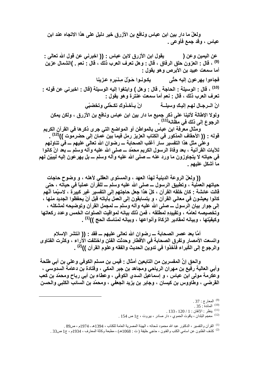ولعلِّ ما دار بين ابن عباس ونافع بن الأزرق خير دليلٍ على هذا الاتجاه عند ابن عباس ، وقد جمع فأوعى .

يقول ابن الأزرق لابن عباس : (( اخبرني عن قول الله تعالى : عن اليمين وعن ( <sup>(9)</sup> ، قال : العزون حلق الرفاق ، قال : وهل تعرف العرب ذلك ، قال : نعم <sub>-</sub> )الشمال عزين أما سمعت عبيد بن الأبرص وهو يقول : فجاءوا يهرعون إليه حتًى مسمى يكونـوا حَوْلَ مِنْبَرهِ عزينا (10) ، قال : الوسيلة : الحاجة . قال : وهل ) وابتغوا إليه الوسيلة (قال : اخبرني عن قوله : تعرف العرب ذلك ، قال : نعم أما سمعت عنترة وهو يقول : ولولا الإطالة لأتينا على ذكر جميع ما دار بين ابن عباس ونافع بن الأزرق ، ولكن يمكن الرجوع إلى ذلك في مظّانه<sup>(11)</sup> . ومثال معرِّفة ابن عباس بالمواطن أو المواضع التي جرى ذكرها في القرآن الكريم قوله : (( الأحقاف المذكور في الكتاب العزيز رمل فيما بين عمان إلى حضرموت ))<sup>(12)</sup> . وعلى مثل هذا التفسير سار أغلب الصحابة ـــ رضوان الله تعالى عليهم ـــ في تناولهم

للآيات القرآنية ، بعد وفاة الرسول الكريم محمّد ـــ صلى الله عليه وآله وسلم ـــ بعد انْ كانوا في حياته لا يتجاوزون ما ورد عنه ـــ صلى الله عليه وآله وسلم ـــ بل يهرعون إليه ليبيّن لهم ما أشكل عليهم .

(( ولعلّ الروعة الدينية لـهذا العهد ، والمستوى العقلي لأهله ، و وضوح حاجات حياتهم العملية ، وتطبيق الرسول ـــ صلى الله عليه وسلم ـــ للقّرآن عملياً في حياته ، حتى قالت عائشة : كان خلقه القرآن ، كلّ هذا جعل حاجتهم إلى التفسير. غير كبيرة ، لاسيِّما أنَّهم كانوا يعيشون في معاني القرآن ، و يتسابقون إلى العمل بآياته قبل أنْ يحفظوا الجديد منها ، إلى جوار بيان الرسول ـــ صلى الله عليه وأله وسلم ـــ لمجمل القرآن وتوضيحه لمشكله ، وتخصيصه لعامًه ، وتقييدِهِ لمطلقه ، فمن ذلك بيانـه لمواقيت الصلوات الخمس وعدد ركعاتها وكيفيّتها ، وبيانه لمقادير الزكاة وأنواعها ، وبيانه لمناسك الحج ))<sup>(1)</sup> .

أمَّا بعد عصر الصحابة ـــ رضوان الله تعالى عليهم ـــ فقد : (( انتشر الإسلام واتسعت الأمصار وتفرق الصحابة في الأقطار وحدثت الفتن واختلفت الآراء ، وكثرت الفتاوي والرجوع إلى الكُبراء فَأَخذُوا في تدوين الحديث والفقه وعلوم القرآن ))<sup>(2)</sup> .

والحق إنّ المفسرين من التابعين أمثال : فَيس بن مسلم الكوفي وعلى بن أبي طلحة وأبي العالية رفيع بن مهران الرياحي ومجاهد بن جبر المكي ، وقتادة بن دعامة السدوسي ، وعكرمة مولى ابن عباس ، و إسماعيل السدى الكوفى ، وعطاء بن أبي رباح ومحمّد بن كعب القرضي ، وطاووس بن كيسان ، وجابر بن يزيد الجعفي ، ومحمّد بن السائب الكلبى والحسن

 $.37:$ المعارج  $^{(9)}$  $.35:$ المائدة  $.35:$  $.133$ - ينظر: الإتقان: 1 / 120 - 133 <sup>(12)</sup> معجم البلدان ، ياقوت الحموي ، دار صادر ، بيروت ، ج1 ص 154 . <sup>(1)</sup> القرآن والتفسير ، الدكتور عبد الله محمود شحاته ، الهيئة المصرية العامة للكتاب ، 1394هـ ـ 1974م ، ص89 . <sup>(2)</sup> كثيف الظنون عن اسامي الكتب والفنون ، حاجي خليفة (ت : 1068هـ) ، مطبعة وكالة المعارف ، 1934م ، ج1 ص33 .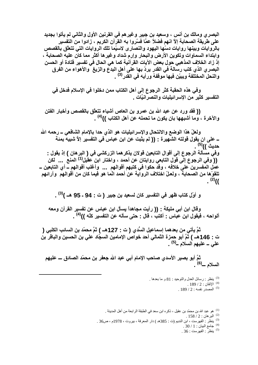البصر ي ومالك بن أنس ، وسعيد بن جبير وغير هم في القرنين الأول والثاني لم يأتوا بجديد على طريقة الصحابة إلاّ انهم فضلاً عمَّا فسَّروا به القرَّآن الكريم ، زادوا من التفسير بالروايات وبينها روايات دسّها اليهود والنصارى لاسيّما تلك الروايات التي تتعلّق بالقصص وابتداء السماوات وتكوين الأرض والبحار وإرم شداد وغيرها أكثر مما كان عليه الصحابة ، إذ زاد الخلاف المذهبي حول بعض الآيات القرآنية كما هي الحال في تفسير قتادة أو الحسن البصري الذي كتب رسالة في القدر يردّ بها على أهل البدع والزيغ ۖ والأهواء من الفرق والنحل المختلفة ويبيّن فيها موقفهُ ورأيه في القدر<sup>(3)</sup> .

وفي هذه الحقبة كثر الرجوع إلى أهل الكتاب ممن دخلوا في الإسلام فدخل في التفسير كثير من الإسر ائيليات و النصر انيًات .

(( فَقَد ورد عن عبد الله بن عمرو بن العاص أشياء تتعلَّق بالقصص وأخبار الفتن والآخرة ، وما أشبهها بان يكون ما تحمله عن أهل الكتاب ))<sup>(4)</sup> .

ولعلّ هذا الوضع والانتحال والإسرائيليات هو الذي حدا بالإمام الشافعي ــ رحمه الله \_ على ان يقول قولته الشهيرة : (( لم يثبت عن ابن عباس في التفسير إلاَّ شبيه بمئة حديث ))<sup>(5)</sup> . وفي مسألة الرجوع إلى أقوال التابعين قولان يذكرهما الزركشي في ( البرهان ) إذ يقول : (( وفي الرجوع إلى قول التابعي روايتان عن أحمد ، واختار آبن عقيل<sup>(1)</sup> المنع ... لكن عمل المفسرين على خلافه ، وقد حكوا في كتبهم أقوالهم ... وأغلب أقوالهم ــ أي التابعين ـــــــــــــ تلقوْها من الصحابة ، ولعلّ اختلاف الرواية عن أحمد انّما هو فيما كان من أقوالهم ۚ وآرائهم  $^{(2)}$ 

و أوّل كتاب ظهر في التفسير كان لسعيد بن جبير ( ت : 94 - 95 هـ )<sup>(3)</sup> .

وقال ابن أبي مليكة : (( رأيت مجاهداً يسأل ابن عباس عن تفسير القرآن ومعه ألواحه ، فيقول ابن عباس : أكتب ، قال : حتى سأله عن التفسير كلِّه ))<sup>(4)</sup> .

ثمَّ يأتي من بعدهما إسماعيل السُّدي ( ت : 127هـ ) ثمَّ محمّد بن السائب الكلبي ( ت : 146هـ ) ثمَّ أبو حمزة الثمالي أحد خواص الإمامين السجّاد علي بن الحسين والباقر بن على ــ عليهم السلام ــ<sup>(5)</sup> .

ثمَّ أبو بصير الأسدي صاحب الإمام أبي عبد الله جعفر بن محمّد الصادق ـــ عليهم<br>السلام ـــ<sup>(6)</sup> .

<sup>(3)</sup> ينظر : رسائل العدل والتوحيد : 81 و ما بعدها . . الإتقان : 2 / 189 . .  $189/2$ : المصدر نفسه  $(5)$ 

<sup>(1)</sup> هو عبد الله بن محمّد بن عقيل ، ذكر ه ابن سعد في الطبقة الر ابعة من أهل المدينة .

 $.158 / 2:$ البر هان  $^{(2)}$ 

(3) ينظّر : الفهرست ، ابن النديم (ت : 385هـ ) دار المعرفة ، بيروت ، 1978م ، ص36 .

.30 / 1 : جامع البيان .30 / 4

 $.36:$ ينظر : الفهرست : 36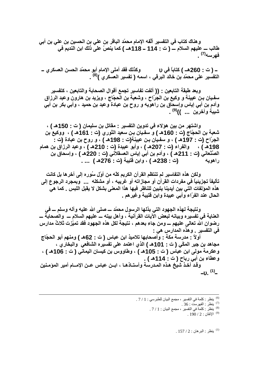و هناك كتاب في التفسير. ألَّفه الإمام محمّد الباقر بن على بن الحسين بن على بن أبي طالب ـــ عليهم السلام ـــ ( ت : 114 ــ 118هــ ) كما ينصّ على ذلك ابن النديم في فهرسه(7)

وكذلك فقد أملي الإمام أبو محمّد الحسن العسكري ــ – ( ت : 260هـ ) كتاباً ف*ي* <sub>لا</sub> التفسير على محمّد بن خالد البرقي ، اسمه ( تفسير العسّكر ي )<sup>(8)</sup> .

وبعد طبقة التابعين : (( ألفت تفاسير تجمع أقوال الصحابة والتابعين ، كتفسير سفيان بـن عيينـة و وكيع بن الـجِرّاح ، وشعبـة بن الّحجّاج ، ويزيد بن هارون وعبد الرزاق وآدم بن أبي إياس وإسحاق بن راهويه و روح بن عبادة وعبد بن حميد ، وأبي بكر بن أبي شيبة وآخرين ... ))<sup>(9)</sup> .

واشتهر من بين هؤلاء في تدوين التفسير - مقاتل بن سليمان ( ت - 150هـ ) ، شعبة بن الحجّاج (ت : 160هـ ) و سفيان بن سعيد الثوري (ت : 161هـ ) ، ووكيع بن الجرّاح (ت : 197هـ ) ، و سفيان بـن عيينة(ت : 198هـ ) ، و روح بن عبادة (ت : 198هـ ) ، والفراء (ت : 207هـ ) ، وأبو عبيدة (ت : 210هـ ) ، وعبد الرزاق بن همام الصَّنْعاني (ت : 211هـ ) ، وأدم بن أبي إياس العسقلاني (ت : 220هـ ) ، وإسحاق بن (ت : 238هـ ) ، وابن فتيبة (ت : 276هـ ) ... . ر اهو سه

ولكن هذه التفاسير لم تنتظم القرآن الكريم كلّه من أوّل سُوره إلى آخرها بل كانت تأليفاً تجزيئياً فى مفردات القرآن أو مجازاته أو غريبه ، أو مشكله ... وبمجرد الرجوع إلى هذه الموَلفات التي بين أيدينا يتبين للناظر فيها هذا المعنى بشكل لا يقبل اللبس . كما هي الحال عند الفرّاء وأبي عبيدة وابن قتيبة وغيرهم .

ونتيجة لهذه الجهود التي بذلها الرسول محمّد ـــ صلى الله عليه وآله وسلم ـــ في العناية في تفسيره وبيانه لبعض الآيات القرآنية ، وأهل بيته ـــ عليهم السلام ـــ والصحابة ـــ رضوان الله تعالى عليهم ـــ ومن جاء بعدهم ، نتيجة لكل هذه الجهود فقد تميّزت ثلاثٌ مدارس فى التفسير . وهذه المدارس هي :

أولاً · مدرسة مكة · وأصحابها تلاميذ ابن عباس ( ت : 62هـ ) ومنهم أبو الحجّاج مجاهد بن جبر المكّي ( ت : 101هـ ) الذي اعتمد على تفسيره الشافعي والبخاري ، وعكرمة مولى ابن عباس ( ت : 105هـ ) ، وطاووس بن كيسان اليماني ( ت : 106هـ ) ، وعطاء بن أبي رباح ( ت : 114هـ ) .

وقد أخذ شيخ هذه المدرسة وأستـاذهـا ، ابــن عباس عــن الإمـــام أمير المؤمـنين  $-$ v.  $(1)$ 

 $157/2$ : ينظر: البرهان  $157/2$ 

<sup>(6)</sup> ينظر : كلمة في التفسير ، مجمع البيان للطبرسي : 1 / 7 .

<sup>.</sup> الاتقان: 2 / 190.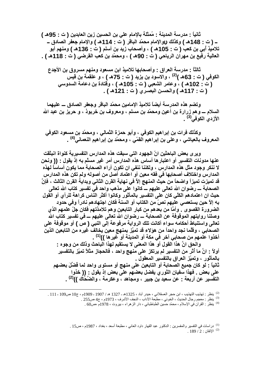ثانياً : مدرسة المدينة : مُمثلة بالإمام على بن الحسين زين العابدين ( ت : 95هـ ) تلاميذ أبي بن كعب ( ت : 105هـ ) ، وأصحاب زيد بن أسلم ( ت : 136هـ ) ومنـهم أبو العالية رفيع بن مهران الرياحي ( ت : 90هـ ) ، ومحمّد بن كعب القرضي ( ت : 118هـ ) .

ثالثًا : مدرسة العراق : وأصحابها تلاميذ ابن مسعود ومنهم مسروق بن الأجدع الكوفي ( ت : 63هـ )<sup>(2)</sup> ، والاسود بن يزيد ( ت : 75هـ ) ، و علقمة بن قيس (ت : 102هـ ) ، وعامر الشعبي (ت : 105هـ ) ، وفَّتادة بن دعامة السدَّوسي ( ت : 117هـ ) والحسن البصري ( ت : 121هـ ) .

وتضم هذه المدرسة أيضاً تلاميذ الإمامين محمّد الباقر وجعفر الصادق ـــ عليهما السلام ـــــوهم زرارة بن أعين ومحمَّد بن مسلم ، ومعروف بن خربوذ ، و حريز بن عبد الله الأز دي الكوفي<sup>(3)</sup> .

وكذلك فرات بن إبراهيم الكوفي ، وأبو حمزة الثمالي ، ومحمّد بن مسعود الكوفي المعروف بالعياشي ، وعلى بن إبراهيم القمّي ، ومحمّد بن إبراهيم النعماني<sup>(4)</sup> .

وير ي بعض الباحثين انّ الجهود التي سبقت هذه المدارس التفسيرية كنواة انبثقت عنها مدونات التفسير أو اعتبارها أساس هذه المدارس أمر غير مسلّم به إذ يقول : (( ونحن لا ننكر وجود مثل هذه المدارس ، ولكننا ننفى ان تكون آراء الصحابة مما يكون أساساً لهذه المدارس واختلاف أصحابها في فقه معين أو اعتماد أصل من أصوله ولم تكن هذه المدارس قد تميزت تميزاً واضحاً من حيث المنهج إلاَّ في نهاية القرن الثاني وبداية القرن الثالث ، فإنَّ الصحابة ــــ رضوان الله تعالى عليهم ـــ كانوا على مذهب واحد فيّ تفسير كتاب الله تعالى حيث ان اعتمادهم الكلّي كان على التفسير بالمأثور وكانوا أكثر الناس كراهة للرأي أو القول بِه إلاّ حين يستعصى عليهم نصّ من الكتاب أو السنة فكان اجتهادهم نادراً وفي حدود الضرورة القصوى . وأمَّا من بعدهم من كبار التابعين وهم تلامذتهم فكان جلِّ علمهم الذي وصلنا روايتهم الموقوفة عن الصحابة ـــ رضوان الله تعالى عليهم ـــ في تفسير كتاب الله تعالى واستنباط أحكامه سواء أكانت تلك الرواية مرفوعة إلى النبي ( صُ ) أو موقوفة على الصحابي ، وقلَّما نجد واحداً من هوَلاء قد تميَّز بمنهج معين يخالف غيره من التابعين الذين أخذوا علمهم من صحابي آخر في مكة أو المدينة أو غيرها ))<sup>(1)</sup> .

والحق انَّ هذا القول أو هذا المعنى لا يستقيم لهذا الباحث وذلك من وجوه : أولاً : انَّ ما أثر من التفسير لم يرتكز على منهج واحد ، فالحجاز مثلاً تميّز بالتفسير بالمأثور ، وتميّز العراق بالتفسير المعقول . ثانياً : لو كان جميع الصحابة أو التابعين على منهج أو مستوى واحد لما فُضِّلَ بعضهم على بعض . فهذا سَفيان الثوري يفضل بعضهم على بعض إذ يقول : (( خذوا التفسير عن أربعة : عن سعيد بن جبير ، ومجاهد ، وعكرمة ، والضَّحّاك ))<sup>(2)</sup> .

<sup>(2)</sup> ينظر : تهذيب التهذيب ، ابن حجر العسقلاني ، حيدر آباد ، 1325هـ ـ 1327 هـ / 1907 - 1909م ، ج10 ص109 - 111 .

<sup>(4)</sup> ينظر : القر آن في الإسلام ، محمّد حسين الطباطبائي ، دار الز هر اء ، بيروت ، 1978م ،ص60 .

<sup>(1)</sup> در اسات في التفسير والمفسرين : الدكتور عبد القهار داود العاني ، مطبعة أسعد ، بغداد ، 1987م ، ص15 . .  $189 / 2$  : الإتقان $189 / 2$ 

<sup>&</sup>lt;sup>(3)</sup> ينظر : معجم رجال الحديث ، الخوئي ، مطبعة الآداب ، النجف الأشرف ، 1973م ، ج4 ص255 .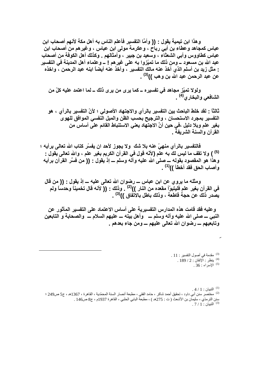و هذا ابن تيمية يقول : (( وأمَّا التفسير فأعلم الناس به أهل مكة لأنهم أصحاب ابن عباس كمجاهد وعطاء بن أبي رباح ، وعكرمة مولى ابن عباس ، وغيرهم من أصحاب ابن عباس كطاووس وأبي الشعثاء ، وسعيد بن جبير ، وأمثالهم . وكذلك أهل الكوفة من أصحاب عبد الله بن مسعود ــ ومن ذلك ما تميّزوا بـه على غير هم ! ــ وعلماء أهل المدينة في التفسير : مثل زيد بن أسلم الذي أخذ عنه مالك التفسير ، وأخذ عنه أيضاً ابنه عبد الرحمن ، واخذه عن عبد الرحمن عبد الله بن وهب ))<sup>(3)</sup> .

ولولا تميّز مجاهد في تفسيره ــ كما يرى من يرى ذلك ــ لما اعتمد عليه كلّ من الشافعي والبخاري<sup>(4)</sup> .

ثالثاً : لقد خلط الباحث بين التفسير بالرأى والاجتهاد الأصولى ؛ لأنّ التفسير بالرأى ، هو التفسير بمجرد الاستحسان ، والترجيح بحسب الظن والميل النفسي الموافق للهوى بغير علم وبلا دليل ،في حين أنَّ الاجتهاد يعني الاستنباط القائم عليٍّ أساس من القرآن والسنة الشريفة .

فالتفسير بالرأى منهيٍّ عنه بلا شك ۖ ولا يجوز لأحد ان يفسِّر كتاب الله تعالى برأيه ؛ <sup>(5)</sup> ) ولا تقف ما ليس لك به علم (لأنّه قول في القرآن الكريم بغير علم ، والله تعالى يقول : وهذًا هو المقصود بقوله ـــ صلى الله عليه وآله وسلم ـــ إذ يقول : (( من فسَّر القرآن برأيه وأصاب الحق فقد أخطأ ))<sup>(1)</sup> .

ومثله ما يروي عن ابن عباس ـــ رضوان الله تعالى عليه ـــ إذ يقول : (( من قال في القرآن بغير علم فليتبوّأ مقعده من النار ))<sup>(2)</sup> . وذلك : (( لأنه قال تخميناً وحدساً ولم يصدر ذلك عن حجة قاطعة ، وذلك باطل بالاتفاق ))<sup>(3)</sup> .

وعليه فقد قامت هذه المدارس التفسيرية على أساس الاعتماد على التفسير المأثور عن النبي ـــ صلى الله عليه وأله وسلم ــــ وأهل بيته ـــ عليهم السلام ـــ والصحابة و التابعين وتابعيهم ــــ رضوان الله تعالى عليهم ــــ ومن جاء بعدهم .

> . 3) مقدمة في أصول التفسير : 11.  $.189/2:$ ينظر: الإتقان  $189/2$ .36 : الإسراء  $^{(5)}$

 $.4/1:$ التبيان  $^{(1)}$ <sup>(2)</sup> مختصر سنن أبي داود ، تحقيق أحمد شاكر ، حامد الفقي ، مطبعة أنصار السنة المحمّدية ، القاهرة ، 1367هـ ، ج5 ص249 ؛ سنن الترمذي ، سليمان بن الأشعث ( ت : 275هـ ) ، مطبعة البابي الحلبي ، القاهرة 1937م ، ج8 ص146 .  $.7/1$ : التبيان  $^{(3)}$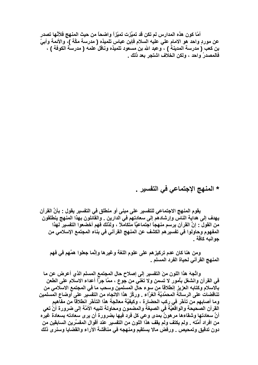أمّا كون هذه المدارس لم تكن قد تميَّزت تميِّزاً واضحاً من حيث المنهج فلأنَّها تصدر عن موردِ واحد هو الامام على عليه السلام فإبن عباس تلميذه ( مدرسة مكَّة )، والأئمة وأبيِّ بن كعب ( مدرسة المدينة ) ، وعبد الله بن مسعود تلميذه وناقلَ علمه ( مدرسة الكوفة ) ، فالمصدرُ واحد ، ولكن الخلاف اشتجر بعد ذلك \_

\* المنهج الإجتماعي في التفسير .

يقوم المنهج الاجتماعي للتفسير. على مبنى أو منطلق في التفسير. يقول : بأنَّ القرآن يهدف إلى هداية الناس وإرشادهم إلى سعادتهم في الدارين . والقائلون بهذا المنهج ينطلقون من القول : إنَّ القرآن يرسم منهجاً اجتماعيًّا متكاملاً ، ولذلك فهم أخضعوا التفسير لـهذا المفهوم وحاولوا في تفسير هم الكشف عن المنهج القرآني في بناء المجتمع الإسلامي من جوانبه كافة .

ومن هنا كان عدم تركيز هم على علوم اللغة وغيرها وإنَّما جعلوا همَّهم في فهم المنهج القرآني لحياة الفرد المسلم .

واتَّجهَ هذا اللون منَ التفسير إلى إصلاح حال المجتمع المسلم الذي أعرض عن ما في القرآن وانشغل بأمور لا تسمن ولا تغني من جوع ، ممَّا جرَّأ أعداء الاسلام على الطعن بالاسلام وكتابه العزيز إنطلاقاً من سوء حال المسلمين وسحب ما في المجتمع الاسلامي من تناقضات على الرسالة المحمّديّة الغرّاء . وركّز هذا الاتجاه من التفسير على أوضاع المسلمين وما أصابِهم من تأخّر في ركب الحضارة ، وكيفيَّة معالجة هذا التأخّر انطلاقاً من مفّاهيم القرآن الصحيحة والواقعيَّة في الصيغة والمضمون ومحاولة تنبيه الأمَّة إلى ضرورة أنْ تعي أنَّ سعادتها وشقاءها مرهونٌ بمدى وعي كل فرد فيها بضرورة أن يرى سعادته بسعادة غيره من افراد أمّته . ولم يكتف ولم يقف هذا اللون من التفسير عند أقوال المفسِّرين السابقين من دون تدقيق وتمحيص . ورفض مالا يستقيم ومنهجه في مناقشة الآراء والقضايا وسنرى ذلك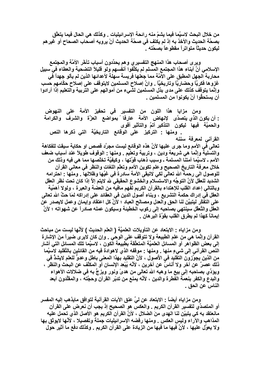من خلال البحث لاسيَّما فيما يشمّ منه رائحة الإسرائيليات . وكذلك هي الحال فيما يتعلَّق بصحَّة الحديث والأخذ به إذ لم يكتف في صحَّة الحديث أنْ يرويه أصحاب الصحاح أو غيرهم ليكون حديثًا متواتراً مقطوعاً بصحَّته \_

وير ي أصحاب هذا المنهج التفسير ي وهم يحدِّدون أسباب تأخَّر الأمَّة والمجتمع الإسلامي أنَّ أبناء هذا المجتمع المسلم لم يكلِّفوا أنفسهم ولو قليلاً التضحية والعطاء في سبيل محاربة الجهل المطبق على الأمّة مما جعلها فريسة سهلة لأعدائها الذين لم يألو جهداً في غزوها فكريًّا وحضاريًّا وتاريخيًّا . وانَّ إصلاح المسلمين لايتوقف على إصلاح حكَّامهم حسب وإنَّما يتوقَّف كذلك على مدى بذل المسلمين لشيء من أموالـهم على التربية والتعليم إذا أرادوا أن يستحقُّوا أنْ يكونوا من المسلمين .

ومن مزايا هذا اللون من التفسير في تحفيز الأمة على النهوض : أن يكون الذي يتصدّى لإنـهاض الأمة عارفًا بمواضع العزّة والشرف والكرامة والحميَّة فيها ليكون التذكير أتمَّ والتأثير أقوى . ومنها : التركيز على الوفائع التاريخيَّة التي ذكرها النص القرآني لمعرفة سننه تعالى في الأمم وما جرى عليها لأنَّ هذه الوقائع ليست مجرَّد قصص او حكاية سيقت للفكاهة والتسلية وإنَّمـا هي شريعة ودين ، وتربية وتعليم . ومنـها - الوقوف طويلاً عند أسباب ضعف الأمم ـ لاسيَّما أمتنا المسلمة ـ وسبب ذهاب قوَّتها ، وكيفيَّة تخلَّصها مما هي فيه وذلك من خلال معرفة التاريخ الصحيح وعلم تكوين الأمم وتعلّم اللغات والنظر في معاني القرآن للوصول الى رحمة الله تعالى لكي لاتبقى الأمة سادرة في غيِّها وظلالها . ومنها : احترامه الشديد للعقل لأنّ التوجّه والاستسلام والخشوع الحقيقي لله لايتم إلاّ إذا كان تحت نظر العقل وبالتالي إعداد القلب للإهتداء بالقرآن الكريم لفهم مافيه من العضة والعبرة ، ولولا أهمّية العقل في إدراك حكمة التشريع ، وبناء أصول الدين في العقائد على إدراكه لمَا حثِّ الله تعالى على التفَكُّر ليتبيَّن لنا الحق والعدل ومصالح العباد ؛ لأَنَّ كل اعتقاد وإيمان وعمل لايصدر عن العقل والتَّعقُّل سينتهي بصاحبه إلى ركوب الخطيئة وسيكون عمله صادراً عن شهواته ؛ لأنَّ إيمانـًا كـهذا لم يطرق القلب بـقوّة البر هان .

ومن مزاياه : الابتعاد عن التأويلات العلميَّة ( العلم الحديث ) لأنَّها ليست من مباحث القرآن وإنَّما هي من علم الطبيعة ولا تتوقف على الوحي . وإن كان لاير ي ضيراً منَ الإشارة إلى بعض الظواهر أو المسائل العلميّة المتعلّقة بطبيعة الكون ، لاسيّما تلك المسائل التي أشار النص القرآني إلى شيءٍ منها . ومنها : موقفه الذي لاهوادة فيه من القائلين بالتِّقليد لاسيِّما من الذين يجوِّزون التقليد في الأصول ، لأنَّ التقليد بـهذا المعنى بـاطل و عدوَّ للـعلم لايشدُّ في ذلك عصرٌ عن آخر ولا أناسٌ عن آخرين ، لأنَّه يُبْعِد الإنسان أو المكلَّف عن البحث والنظر ، ويؤدِّي بصاحبه إلى بيع ما وهبه الله تعالى من هدىً ونور ويزجَّ به في ضلالات الأهواء والبدع والكفر بنعمة الفطرة والدين ، لأنَّه يمنع من تدبِّر القرآن وحجَّته ، والمقلِّدون أبعد الناس عن الحق .

ومن مزاياه أيضاً : الابتعاد عن ليٍّ عنق الآيات القرآنية لتوافق مايذهب إليه المفسر أو المتصدِّي لتفسير القرآن الكريم . والعكس هو الصحيح إذ يجب أن نعرض على القرآن مانعتقد به كي يتبيّن لنا الـهدي منَ الضلال ، لأنّ القرآن الكريم هو الأصل الذي تحمل عليه المذاهب والآراء وليس العكس \_ ومنها رفضه الإسرائيليات جملةً وتفصيلا ، لأنَّها لايوثق بها ولا يعوّل عليها ، لأنّ فيها ما فيها من الزيادة على القرآن الكريم . وكذلك دفع ما أثير حول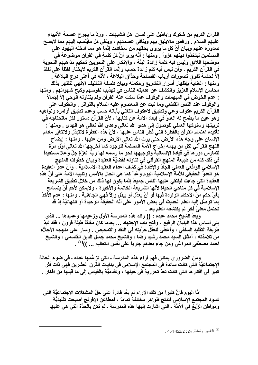القرآن الكريم من شكوك وأباطيل على لسان اهل الشبهات ، وردِّ ما يجرح عصمة الأنبياء عليهم السلام . ورفض مالايليق بهم وينافي عصمتهم ، وينفي كل مايُنسب إليهم مما لايصح صدوره عنهم وبيان أنَّ كل ما يروى بحقهم من سخافَات إنَّما هو مما ادخله اليهود على المسلمين ليتخذوا دينهم هزواً . ومنها : أنَّه يرى أنَّ كل كلمةٍ في القرآن موضوعة في موضعها اللائق وليس فيه كلمة زائدة البتَّة ، والإنكار على النحويين تحكيم مذاهبهم النحوية في القرآن الكريم ، وأن ليس فيه كلم زائدة حسب وإنَّما القرآن الكريم لايختار لفظاً على لفظ إلاَّ لحكمة تفوق تصورات أرباب الفصاحة وحذَّاق البلاغة ، لأنَّه في أعلى درج البلاغة . ومنـها : الـعنايـة بإظهار أسرار التشريـع وحكمته وبيان فلسفة التكليف الإلـهي لتظهر بذلك محاسن الإسلام العزيز والكشف عن هدايته للناس في تهذيب نفوسهم وكبح شهواتهم . ومنها والوقوف عند النص القطعي وما ثبت عن المعصوم عليه السلام بالتواتر . والعكوف على القرآن الكريم عكوف وعى وتطبيق لاعكوف التغني بآياته حسب وعدم تطبيق أوامره ونواهيه و هو عين ما يطمح له العدوّ في إبعاد الأمة عن كتابها ، لأنَّ القرآن دستور لكل ماتحتاجه في تربيتها وسلوكها العملي للوصول إلى هدى الله تعالى وهدى الله تعالى هو الـهدى . ومنها : تأكيده اهتمام القرآن بالفطرة التي فطر الناس عليها ، لأنَّ هذه الفطرة لاتتبدَّل ولاتتغيَّر مادام الإنسان على وجه هذه الأرض حتى يرث الله تعالى الأرض ومن عليها . ومنها : إيضاح النَّهج القرآني لكل من يهمه إخراج الأمة المسلمة للوجود كما أخرجها الله تعالى أوَّل مرَّة لتمارس دور ها في قيادة الإنسانية وتوجيهها نحو ما رسمه لها ربُّ العزَّةِ جِلَّ وعلا مستفيداً في ذلك كله من طبيعة المنهج القرآني في تناوله لقضيَّة العقيدة وبيان خطوات المنهج الإسلامي الواقعي العملي الجِلَّا والإفْادة فَي كشف أعداء العقيدة الإسلامية ، وأنَّ عدوَّ العقيدة هو العدوّ الحقيقي للأمة الإسلامية اليوم و غداً كما هي الحال بالأمس وتنبيه الأمة على أنَّ هذه العقيدة التي جاءت ليلتقي عليها الناس جميعاً إنَّما يكون لها ذلك من خلال تطبيق الشريعة الإسلامية في كل مناحي الحياة لأنَّها الشريعة الخاتمة والأخيرة ، ولايمكن لأحدٍ أنْ يتسامح بأيِّ حكمٍ منَ الأحكام الواردة فيها أو أنْ يعدِّل أو يبدِّل وإلاَّ فهي الجاهلية \_ ومنها - عدم الأخذ بما توصَّل إليه العلم الحديث في بعض الأمور على أنَّه الحقيقة الوحيدة أو النهائيَّة إذ قد تحتمل معنىً آخر لم يكتشفه العلم بعد .

ويعدّ الشيخ محمد عبده : (( رائد هذه المدرسة الأوَّل وزعيمها وعميدها ... الذي بني أساس هذا البنيان الرفيع ، وفتح باب الإجتهاد ... بعدما كان مغلقاً طيلة قرون ، فقد نبذ طريقة التقليد السلفي ، وأعطى للعقل حرِّيته في النقد والتمحيص . وسار على منهجه الأجلاَّء من تلامذته ، أمثال السيد محمد رشيد رضا ، والشيخ محمد جمال الدين القاسمي ، والشيخ أحمد مصطفى المراغى ومن جاء بعدهم جارياً على نفس التعاليم ... ))<sup>(1)</sup> .

ومن الضرور ي بمكان فهم آراء هذه المدرسة ـ التي تزعَّمها عبده ـ في ضوع الحالة الإجتماعيَّة التي كانت سائدة في المجتمع الإسلامي في بدايات القرن العشرين فهي ذات أثر كبير في أفكار ها التي كانت تعدّ تحررية في حينها ، وتقدميَّة بالقياس إلى ما قبلها من أفكار .

امَّا اليوم فإنَّ كثيراً من تلك الآراء لم يعُد قادراً على حلِّ المشكلات الاجتماعيَّة التي تسود المجتمع الإسلامي فتنتج ظواهر مختلفة تماماً ، فمطاعن الإفرنج أصبحت تقليديَّة ومواطن الزَّيغ في الأمَّة ـ التي أشارت إليها هذه المدرسة ـ لم تكن بالحدَّة التي هي عليها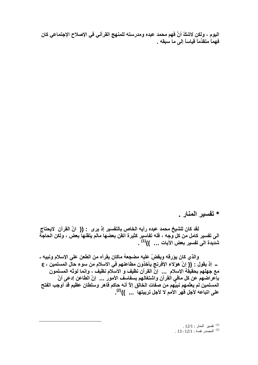اليوم ، ولكن لاشكَ أنَّ فهم محمد عبده ومدرسته للمنهج القرآني في الإصلاح الإجتماعي كان فَهِماً متقدِّماً قياساً إلى ما سبقه .

\* تفسير المنار \_

لقد كان للشيخ محمد عبده رأيه الخاص بالتفسير إذ يرى : (( انّ القرآن لايحتاج الـى تفسير كامل من كل وجه ، فله تفاسير كثيرة اتقن بعضها مالم يتقنها بعض ، ولكن الحاجَّة شديدة الى تفسير بعض الآيات ... ))<sup>(1)</sup> .

والذي كان يؤرقه ويقضّ عليه مضجعهُ ماكان يقرأه من الطعن على الإسلام ونبيه ـ ــــــ إذ يقول : (( إنّ هؤلاء الإفرنج يأخذون مطاعنهم في الاسلام من سوء حال المسلمين ، ع مع جهلهم بحقيَّقة الإسلام ... إنَّ القرآن نظيف و الاسلام نظيفٌ ، وإنما لوثه المسلمون بإعراضهم عن كل مافي القرآن واشتغالهم بسفاسف الأمور … إنّ الطاعن إدعى أنّ المسلمين لم يعلّمهم نبيَّهم من صفات الخالق إلاَّ أنه حاكم قاهر وسلطان عظيم قد أوجب الفتح<br>على اتباعه لأجل قهر الأمم لا لأجل تربيتها ... ))<sup>(2)</sup>.

> .  $12/1$  : تفسير المنار  $.13 - 12/1$  : المصدر نفسه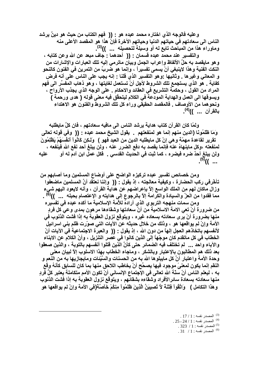وعليه فالوجه الذي اختاره محمد عبده هو : (( ۖ فهم الكتاب من حيث هو دينٌ يرشد الناس الى سعادتهم في حياتهم الدنيا وحياتهم الآخرة فإنّ هذا هو المقصد الأعلى منه وماوراء هذا من المباحث تابع له أو وسيلة لتحصيله ... ))<sup>(3)</sup>.

والتفسير عند محمد عبده قسمان : (( أحدهما : جاف مبعد عن الله وعن كتابه ، و هو مايقصد به حلِّ الألفاظ وإعراب الجمل وبيان ماترمي إليه تلك العبارات والإشارات من النكت الفنية وهذا لاينبغي أنْ يسمى تفسيراً ، وإنما هو ضربٌ من التمرين في الفنون كالنحو و المعاني وغيرها . وثانيها :وهو التفسير الذي قلنا : إنه يجب على الناس على أنه فرض كفاية \_ هو الذي يستجمع تلك الشروط لأجل أنْ تستعمل لغايتها ، و هو ذهاب المفسِّر الى فهم المراد من القول ، وحكمة التشريع في العقائد والاحكام . على الوجه الذي يجذب الأرواح ، ويسوقها الى العمل والهداية المودعة في الكلام ليتحقَّق فيه معنى قوله ( هدى ورحمة ) ونحو هما من الأوصاف . فالمقصد الحقيقى وراء كل تلك الشروط والفنون هو الاهتداء بِالقرآن ... ))<sup>(4)</sup>.

ولمّا كان القرآن كتاب هداية يرشد الناس الى مافيه سعادتهم ، فان كلِّ مايطلبه وَمَا ظَلَمُونَا (الدين منهم إنما هو لمنفعتهم يقول الشيخ محمد عبده : (( وفي قوله تعالى تقرير لقاعدة مهمّة و هي إنّ كل مايطلبه الدين من العبد فهو ) وَلَـكِن كَانُواْ أَنفُسَهُمْ يَظْلِمُونَ لمنفعته ،وكل ماينهاهُ عنه فإنما يقصد به دفع الضرر عنه ، ولن يبلغ أحد نفع الله فينفعه ، ولن يبلغ أحدٌ ضره فيضره ، كما ثبت في الحديث القدسي \_ فكل عمل ابن آدم له أو عليه ... ))<sup>(c)</sup>.

ومن خصائص تفسير عبده تركيزه الواضح على أوضاع المسلمين وما أصابهم من تأخَّرِفَي ركبِ الحضارة ، وكيفية معالجته ، إذ يقول : (( ۖ وإننا نعتقد أنَّ المسلمين ماضعفوا وزال ماكان لـهم مِن الملك الواسع إلاّ بإعراضهم عن هداية القرآن ، وأنـه لايعود اليـهم شـيء مما فقدوا من العزّ والسيادة والكرامة إلاّ بالرجوع إلى هدايته و الإعتصام بحبله ... '))<sup>(6)</sup> . ومن سمات منهجه التربوي الذي أرادهُ للأمة الإسلامية ما أكده عبده في تفسيره

من ضرورة أنْ تعي الامة الاسلامية من أنّ سعادتها وشقاءها مرهون بمدى وعي كل فردِ منـها بضرورة أنْ يرى سعادته بسعاده غيره ، ويتوقع نزول العقوبـة بـه إذا فشت الذنوب في الأمة وإنْ لم يواقعها هو ، وذلك من خلال حديثه عن الآيات التي صوّرت ظلم بني اسرائيل لأنفسهم باتخاذهم العجل إلهاً من دون الله ، إذ يقول : (( ۖ والعبرِّ ة الاجتماعيةَ في الآيات أنّ الخطاب في كل ماتقدم كان موجِّهاً إلى الذين كانوا في عصر التنزيل ، وأنّ الكلام عن الابناء والآباء واحد ... لم تختلف فيه الضمائر حتى كأنَّ الَّذين قتلوا أنفسهم بالتوبة ، والذين صعقوا بعد ذلك هم المطالبون بالإعتبار وبالشكر ، وماجاء الخطاب بهذا الاسلوب إلا لبيان معنى وحدة الأمة واعتبار أنَّ كل مايبلوها الله به من الحسنات والسَّيِّئات ومايجازيها به من النعم و النقم إنما يكون لمعنىً موجود فيها يصحِّح أنْ يخاطب اللاحق منها بما كان للسابق كأنهُ وقع به ، ليعلم الناس أنّ سنّة الله تعالى في الإجتماع الإنساني أنْ تكون الأمم متكاملة يعتبر كلُّ فّردٍ منـها سعادته بسعادة سائرالأفراد وشقاءه بشقائـهم ، ويتوقع نزول العقوبـة بـه إذا فشت الذنوب و هذا التكامل ) وَاتَّقُواْ فِتْنَهَّ لاَّ تُصبِيبَنَّ الَّذِينَ ظَلَمُواْ مِنكُمْ خَآصَّةَ(في الأمة وإنْ لم يواقعها هو

> $17/1$ : المصدر نفسه  $17/1$  $1.25$ - 24 / 1 المصدر نفسه  $1.1$ . 323  $/$  المصدر نفسه  $\cdot$  1  $^{(5)}$  $.31$  / 1: المصدر نفسه $1:1$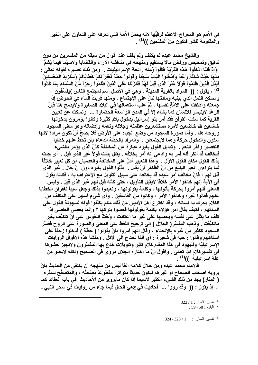في الأمم هو المعراج الأعظم لرقيِّها لانه يحمل الأمة التي تعرفه على التعاون على الخير والمقاومة للشر فتكون منَ المفلحين ))<sup>(1)</sup> .

والشيخ محمد عبده لم يكتفٍ ولم يقف عند أقوال من سبقه من المفسرين من دون تدقيق وتمحيص ورفض مالا يستقيم ومنهحه في مناقشة الآراء والقضايا ولاسيَّما فيما يُشمُّ وَإِذْ قُلْنَا ادْخُلُواْ هَذِهِ الْقَرْيَةَ فَكُلُواْ (منه رائحة الإسرائيليات \_ ومن ذلك تفسيره لقوله تعالى -مِنْهَا حَيْثُ شَئِتُمْ رَعْداً وَادْخُلُواْ الْبَابَ سُجَّداً وَقُولُواْ حِطَّة نَّغْفِرْ لَكُمْ خَطايَاكُمْ وَسَنَزيدُ الْمُحْسِنِينَ فَبَدَّلَ الَّذِينَ ظَلَمُواْ قَوْلاً غَيْرَ الَّذِي قِيلَ لَهُمْ فَأَنْزَلْنَا عَلَى الَّذِينَ ظَلَمُواْ رِجْزاً مِّنَ السَّمَاء بِمَا كَانُواْ <sup>(2)</sup> ، يقول : (( المراد بالقرية المدينة ، وهي في الأصل اسم لمجتمع الناس )يَڤسُقُونَ ومسكن النمل الذي يبنيه ومادتها تدلُّ على الإجتماع ، ومنها قريتُ الْماء في الحوض إذا جمعته وأطلقت على الامّةِ نفسها ، ثمّ غلب استعمالها في البلاد الصغيرة ولايصح هنا فإنَّ الرغد لايتيسّر للإنسان كما يشاء إلاّ في المدن الواسعة الحضارة ... ونسكت عنّ تعيين القرية كما سكت القرآن فقد أمر بنو إسرائيل بدخول بلادٍ كثيرة وكانوا يؤمرون بدخولها خاشعين لله خاضعين لأمره مستشعرين عظمته وجلاله ونعمه وإفضاله وهو معنى السجود وروحه هنا . وأمّا صورة السجود من وضع الجباه على الأرض فلا يصحّ أنْ تكون مرادة لانها سكون والدخول حركة وهما لايجتمعان . ۖ والمراد بالحطَّة الدعاء بأن تحطُّ عنهم خطايا التقصير وكُفر النعم \_ وتبديل القول بغيره عبارة عن المخالفة كأنّ الذي يؤمر بالشيء فيخالف قد أنكر أنـه أمر بـه و ادعى أنـه أمر بـخلافـه . يقال بدلت قولاً غير الذي قيل . أي جئت بذلك القول مكان القول الاول \_ وهذا التعبير أدلّ على المخالفة والعصيان من كل تعبير خلافاً لما يتراءى لغير البليغ من أنّ الظاهر أنْ يقال . بدَّلوا القول بغيره دون أنْ يقال . غير الذي قيل لهم ، فإنّ مخالف أمر سيده قد يخالفه على سبيل التأويل مع الإعتراف به ، فكأنه يقول في الآية إنهم خالفوا الأمر خلافاً لايقبل التأويل ، حتى كأنه قيل لهم غير الذي قيل . وليس المعنى أنهم أمروا بحركة يأتونها ، وكلمة يقولونها ، وتعبدوا بذلك وجعل سبباً لغفران الخطايا عنهم فقالوا غيره وخالفوا الأمر ، وكانوا من الفاسقين . وأي شيءٍ أسهل على المكلف من الكلام يحرك به لسانه ، وقد اخترع أهل الأديان من ذلك مالم يكلِّفوا قوله لسهولة القول على ألسنتهم ، فكيف يقال أمر. هؤلاء بكلمة يقولونها فعصوا بتركها ؟ وإنما يعصى العاصي إذا كلَّف ما يتْقل على نفسه ويحملها على غير ما اعتادت ، وَحَتِّ النفوس على أنْ تتكيَّفَ بغير ماتكيَّفَت . وذهب المفسِّر ( الجلال ) إلى ترجيح اللفظ على المعنى والصورة على الروح ففسَّر السجود ككثير من غيره بالإنحناء ، وقال إنهم أمروا بأنْ يقولوا ( حِطَّة ) فدخلوا زحفاً على أستاههم وقالوا : حبة في شعيرة : أي أننا نحتاج الى الأكل . ومنشأ هذه الأقوال الروايات الإسرائيليّة ولليهود في هذا المقام كلام كثير وتأويلات خدع بـها المفسّرون ولانجيز حشوها في تفسيركلام الله تعالى . وأقول إنّ ما اختاره الجلال مروي في الصحيح ولكنه لايخلو من علّة اسر ائبلية ))<sup>(1)</sup> .

فالامام محمد عبده ومن خلال كلامه آنفاً ليس من منهجه أن يكتفي من الحديث بأنْ يرويه أصحاب الصحاح أو غير هم ليكون حديثًا متواتراً مقطوعاً بصَحتِّه ، والمتصفَّح لسفره ( المنار) يجد من ذلك الشيء الكثير لاسيما إذا كان مايروي من الأحاديث في باب العقائد كما - إذ يقول : (( وقد رووا ... أحاديث في عهي الحال فيما جاء من روايات في سحر النبي -

> . 222 / 1 نفسير المنار: 1 / 322.  $.59$ - البقرة : 58 - 59  $^{(2)}$

.324 - 323 / 1 زنفسير المنار : 1 / 323 - 324 .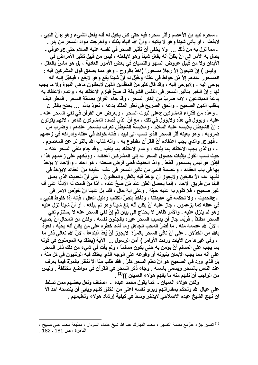ـ سحره لبيد بن الأعصم وأثر سحره فيه حتى كان يخيل له أنه يفعل الشيء وهو عأنّ النبي ـ لايفعله ، أو يأتي شيئاً وهو لا يأتيه ، وأنَّ الله أنبأهُ بذلك ، وأخرجت مواد السحر من بئر . ـ مما نزل به من ذلك ... ولا يخفي أنّ تأثير السحر في نفسه عليه السلام حتى عوعوفي ـ يصل به الأمر الى أنْ يظنَّ أنه يفعل شيئاً و هو لايفعله ، ليس من قبيل تأثير الأمراض في الأبدان ولا من قبيل عروض السهو والنسيان في بعض الأمور العادية ، بل هو ماسِّ بالعقل ، وليس ) إنْ تتبعونَ إلاّ رجلاً مسحوراً (آخذٌ بالروح ، وهو مما يصدق قول المشركين فيه -المسحور عندهم إلاّ مَن خولط في عقله وخُيِّلَ له أنّ شيئاً يقع وهو لايقع ، فيخيِّل إليه أنه يوحي إليه ، ولايوحي إليه ، وقد قال كثيرمِنَ المقلِّدين الذين لايعقلون ماهي النبوة ولا ما يجب لـها - إنّ الخبر بتأثير السحر في النفس الشريفة قد صحَّ فيلزم الاعتقاد به ، وعدم الاعتقاد به بدعة المبتدعين ، لانه ضربٌ من إنكار السحر ، وقد جاء القرآن بصحّة السحر \_ فانظر كيف ينقلب الدين الصحيح ، والحق الصريح في نظر المقلّد بدعة ، نعوذ بالله ... يحتج بالقرآن ـ وعدّه من افتراء المشركين ععلى ثبوت السحر ، ويعرض عن القرآن في نفي السحر عنه ـ عليه ، ويؤول في هذه ولايؤول في تلك ، مع أنّ الذي قصده المشركون ظآهر ، لانـهم يقولون - إنّ الشيطان يلابسه عليه السلام ، وملابسة الشيطان تعرف بالسحر عندهم ، وضرب من ضروبه ، وهو بعينه أثر السحر الذي نسب الى لبيد ، فانه خولط في عقله وإدراكه في زعمهم ـ فهو ع. والذي يجب اعتقاده أنَّ القرآن مقطوع به ، وأنه كتاب الله بالتواتر عن المعصوم ـ ـ ، γالذي يجب الاعتقاد بما يثبته ، وعدم الاعتقاد بما ينفيه . وقد جاء بنفي السحر عنه ــ حيث نسب القول بإثبات حصول السحر له إلى المشركين أعدائه ، ووبَّخهم على زعمهم هذا ، فإذن هو ليس بمسحور قطعاً . وأمّا الحديث فعلى فرض صحتِهِ ، هو آحاد ، والآحاد لا يؤخذ بها في باب العقائد ، وعصمة النبي من تأثير السحر في عقله عقيدة مِنَ العقائد لايؤخذ في نفيها عنه الآ باليقين ولايجوز أن يؤخذ فيه بالظن والمظنونَ . على أنّ الحديث الذي يصل الينا من طريق الآحاد ، إنما يحصل الظن عند مَن صحَّ عنده ، أمّا منْ قامت له الأدلَّة على أنه غير صحيح ، فلا تقوم به عليه حجّة . وعلى أية حال ، فلنا بل علينا أنْ نفوّض الأمر في ـ ع|لحديث ، ولا نحكمه في عقيدتنا ، ونأخذ بنصّ الكتاب ودليل العقل ، فإنه إذا خُلوط النبي ـ في عقله كما يزعمون ، جاز عليه أنْ يظن أنّه بلغ شيناً وهو لم يبلّغه ، أو أنّ شيناً نزل عليه و هو لم ينزل عليه \_ والأمر ظاهر لا يحتاج الى بيان ثمَّ إنَّ نفي السحر عنه لا يستلزم نفي السحر مطلقاً . فربِّما جاز أن يصيب السحر غيره بالجنون نفسه ، ولكن من المحال أنْ يصيبه ، لانّ الله عصمه منه . ما أضرّ المحب الجاهل وما أشد خطره على مَن يظن أنه يحبُّه ، نعوذ بالله من الخذلان . على أنّ نافي السحر بالمرّة لايجوز أنْ يُعدّ مُبتدعاً ، لانّ الله تعالى ذكر ما ، وفي غير ها من الآيات وردت الأوامر ) آمن الرسول ... الآية (يعتقد به المؤمنون في قوله بما يجب على المسلم أنْ يؤمن به حتى يكون مسلماً ، ولم يأتِ في شيء من ذلك ذكر السحر على أنه مما يجب الإيمان بثبوته أو وقوعه على الوجه الذي يعتقد فيه الوثنيون في كل ملَّة ، بل الذي ورد في الصحيح هو أنّ تعلّم السحر كفرٌ . فقد طلب منا ألاّ ننظر بالمرّة فيما يعرف عند الناس بالسحر ويسمى باسمه . وجاء ذكر السحر في القرآن في مواضع مختلفة . وليس من الواجب أنْ نفهم منه ما يفهم هوَلاء العميان ))<sup>(1)</sup> .

ولكن هؤلاء العميان ـ كما يقول محمد عبده ـ أصناف ولعل بعضهم ممن تسلط على عيال الله وتحكّم بمقدراتهم ويرى نفسه اعلى من الخلق كلهم ويأبي أنّ ينصحه احدٌ الأ انّ نـهج الشيخ عبده الاصلاحي لايدّخر وسعاً في كيفية إرشاد هوَلاء وتعليمهم .

<sup>&</sup>lt;sup>(1)</sup> تفسير جزء عمَّ مع مقدمة التفسير ، محمد المبارك عبد الله شيخ علماء السودان ، مطبعة محمد على صبيح ،

القاهرة ، ص 181 ـ 182 .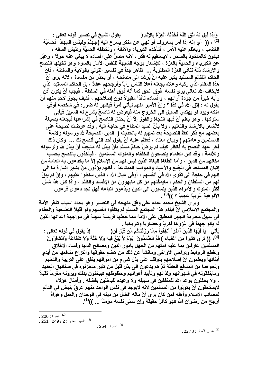وَإِذَا قِيلَ لَهُ اتَّقِ اللَّهَ أَخَذَتْهُ الْعِزَّةُ بِالْإِتْمِ ( ِيقول الشيخ في تفسير قوله تعالى : <sup>(2)</sup> ، (( أي إنّه إذا أمر بمعروف أو نـهي عن منكر يسرع اليه )جَهَنَّمُ وَلَبِئْسَ الْمِهَادُ فَحَسْبُهُ الغضب ، ويعظم عليه الأمر ، فتأخذه الكبرياء والأنفة ، وتخطفه الحميَّة وطيش السفه ، فيكون كالمأخوذُ بالسحر ، لايستقيم له فكر ، لانه مصرٌّ على إفساده لا يبغى عنه حولاً ، وعبّر عن الكبرياء والحمية بالعزة ، للإشعار بوجه الشبهة للنفس الأمار بالسوء وهو تخيلها النصح والإرشاد ذلَّة تنافى العزَّة المطلوبة ... ظاهرٌ جداً في تفسير التولى بالولاية والسلطة ، فانَّ الحاكم الظالم المستبد يكبر عليه أنْ يُرشد الى مصلحة ، أو يحدِّر من مفسدة ، لانه يرى أنَّ هذا المقام الذِّي ركبه وعلاه يجعله أعلا الناس رأياً وأرجحهم عقلاً ، بل الحاكم المستبد الذِّي لايخاف الله تعالى يرى نفسه فوق الحق كما أنه فوق أهله في السلطة ، فيجب أنْ يكون أفن رأيه خيراً من جودة آرائهم ، وإفساده نافذاً مقبولاً دون إصلاحهم ، فكيف يجوز لاحدٍ منهم أنْ يقول له - إتق الله في كذا ؟ وإنَّ الأمير منهم ليأتي أمراً فيظهر له ضرره في شخصه أوفي ملكه ويود لو يهتدي السبيل الي الخروج منه فيعرض له ناصحٌ يشرع له السبيل فيأبي سلوكها ، وهو يعلم أنّ فيها النجاة والفوز إلاّ أنْ يحتال الناصح في إشراعها فيجعله بصيغة لاتُشعر بالارشاد والتعليم ، ولا بأنَّ السيد المطاع في حاجة اليه . وقد عرضت نصيحةً على بعضهم مع ذكر لفظ النصيحة بعد تمهيدٍ له بالحديث ( الدين النصيحة لله ورسوله ولائمة المسلمين وعامتهم ) وبيان معناه ، فعظم عليه أنْ يقول أحد انني أنصح لك ... ۖ وكان ذلك آخر عهد النصح به فانظر كيف لم يرضَ حاكمٌ مسلم بأنْ يبذل له مايجب أنْ يبذل لله ولرسوله وللأئمة ، وقد كان العلماء ينصحون للخلفاء والملوك المسلمين ، فيأخذون بالنصح بحسب مكانـهم من الدين ، وأما الطـغاة البـغاة الذين ليس لـهم من الإسلام إلاّ مـا يـخدعون بـه الـعامـة من إتيان المساجد في الجُمع والأعياد والمواسم المبتدعة ، فانهم يؤذون منْ يشير إشارةً ما الى انـهم فـي حاجـة الـي تـقو ي الله فـي أنـفسـهم ، أو في عيـال الله ، الذين سلطوا عليـهم ، وإنْ لم يبقَ لـهم من السلطان والـحكم ، مايمكّنـهم من كل مايـهوون من الإفسـاد والظلم ، واذا كان هذا شـأن أكثر الملوك والأمراء الذين ينسبون الى الدين ويدّعون اتباعه فهل تجد دعوى فرعون الألوهية غريباً عجيباً ؟ ))<sup>(3)</sup> .

وير ي الشيخ محمد عبده على وفق منهجه في التفسير وهو يحدد اسباب تأخّر الأمة والمجتمع الاسلامي أنّ أبناء هذا المجتمع المسلم لم يكلفوا أنفسهم ولو قليلأ التضحية والعطاء في سبيل محاربة الجهل المطبق على الامة مما جعلها فريسة سهلة في مواجهة أعدائها الذين لم يألو جهداً في غزوها فكرياً وحضارياً وتاريخياً .

يَأْتِيَ ۖ يَا أَيُّهَا الَّذِينَ آمَنُواْ أَنفِقُواْ مِمَّا رَزَقَنَاكُم مِّن قَبْلِ أَن( إذ يقول في قوله تعالى : (4)، (( ترى كثيراً من أغنياء )هُمُ الظَّالِمُونَ ۖ يَوْمٌ لاَّ بَيْعٌ فِيهِ وَلاَ خُلَّةً وَلا شَفَاعَةً وَالْكَافِرُونَ المسلمين عارفين بما عليه أمتهم من الجهل بأمور الدين ومصالح الدنيا وفساد الاخلاق وتقطّع الروابط وتراخى الأواخى ومانشأ عن ذلك من هضم حقوقها وانتزاع منافعها من أيدي أبنائها ويعلمون أنّ إصلاحهم يتوقف على بذل شيءٍ من اموالـهم ينفق على التربية والتعليم ونحو هما مِن المنافع العامَّة ثمَّ هم يدعون الى بذل قليل من كثير ماخزنوه في صناديق الحديد وماينفقونه في شهواتهم ولذاتهم وتأييد أهوائهم وحظوظهم فيبخلون بذلك ويرونه مغرماً ثقيلاً ، ولا يحفلون بوعد الله للمنفقين في سبيله ولا وعيده للباخلين بفضله . وأمثال هؤلاء لايستحقُّون أنْ يكونوا من المسلمين لانه لايوجد في نفس الواحد منهم عرقٌ ينبض في التألم لمصائب الإسلام وأهله فمن كان يرى أنّ ماله أفضلٌ من دينه في الوجدان والعمل وهوّاهُ أرجح من رضوان الله فهو كافرٌ حقيقةً وإن سمّي نفسه مؤمناً ... ))<sup>(1)</sup>.

. 251 - 249 / 2 : 251 . 251

. 254 : النقر ة  $^{(4)}$ 

<sup>. 206 :</sup> البقر ة  $^{(2)}$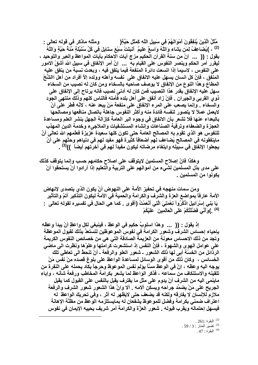مَّثَلُ الَّذِينَ يُنفِقُونَ أَمْوَالَهُمْ فِى سَبِيلِ اللَّهِ كَمَثَلِ حَبَّةٍ( ومثله ماذكر في قوله تعالى : (2) ، )يُضَاعِفُ لِمَن يَشَاء وَاللَّهُ وَاسِعٌ عَلِيمٌ ۚ أَنبَتَتْ سَبْعَ سَنَابِلَ فِي كُلِّ سُنْبُلَةٍ مِّنَةً حَبَّةٍ وَاللَّهُ يقول : (( ... إنّ من سنـة القرآن الَّحكيم مزج آيات الاحكام بأيات المواعظ والـعبر والتوحيد ، ليقرر أمر الحكم وينصر النفوس على القيام به ... إنّ أمر الإنفاق في سبيل الله أشقّ الامور على النفوس ، لاسيما إذا اتسعت دائرة المنفعة فيما ينفق فيه ، وبعدتٌ نسبة من ينفق عليه المنفق ، فإنّ كل انسان يسهل عليه الانفاق على نفسه وأهله وولده إلاّ أفراد من أهل االشَّحّ المطاع وهذا النوع من الإنفاق لا يوصف صاحبه بالسخاء ومن كان له نصيب من السخاء سهل عليه الإنفاق بقدر هذا النصيب فمن كان له أدنى نصيب فانه يرتاح إلى الإنفاق على ذوي القربي والجيران . فإنْ زاد أنفق على أهل بلده فأمته فالناس كلهم وذلك منتهى الجود والسخاء . وإنما يصعب على المرء الإنفاق على منفعة مَنْ يبعد عنه ، لانّه فُطر على أنْ لايعمل عملأ لا يتصور لنفسه فائدة منه وأكثر النفوس جاهلة باتصال منافعها ومصالحها بالبعداء عنها فلا تشعر بأن الانفاق في وجوه البر العامة كإزالة الجهل بنشر العلم ومساعدة العجزة والضعفاء وترقية الصناعات وإنشاء المستشفيات والملاجىء وخدمة الدين المهذب للنفوس هو الذي تقوم به المصالح العامة حتى تكون كلها سعيدة عزيزة فعلّمهم الله تعالى أنّ ماينفقونـه في المصـالح يُضـاعف لـهم أضـعافـًا كثير ة فـهو مفيد لـهم في دنيـاهم وحثـهم على أنْ يجعلوا الإنفاق في سبيله وابتغاء مرضاته ليكون مفيداً لهم في آخرتهم أيضاً ))<sup>(3)</sup> .

وهكذا فانّ إصلاح المسلمين لايتوقف على اصلاح حكامهم حسب وإنما يتوقف كذلك على مدى بذل المسلمين لشيء من أموالـهم على التربية والتعليم إذا أرادوا أنْ يستحقوا أنْ يكونوا من المسلمين .

ومن سمات منهجه في تحفيز الأمة على النهوض أنْ يكون الذي يتصدى لإنهاض الأمة عارفاً بمواضع العزة والشرف والكرامة والحمية في الأمة ليكون التذكير أتمّ والتأثير يَا بَنِي إِسْرَائِيلَ ادْكُرُواْ نِعْمَتِيَ الَّتِي أَنْعَمْتُ (أَقُوى \_ كما هي الحال في تفسيره لقولهِ تعالى \_ <sup>(4)</sup> . )وَأَنِّي فَضَلْتُكُمْ عَلَى الْعَالَمِينَ عَلَيْكُمْ

إِذْ يَقُولُ : (( ... وهذا اسلوبٌ حكيم في الوعظ ، فَيَنْبِغي لَكلِّ واعظِ أَنْ يبدأ وعظه بإحياء إحساس الشرف وشعور الكرامة في نفوس الموعوظين لتستعدَّ بذلكَ لقبول الموعظة وتجد من ذلك الاحساس معونـة من العزيمـة الصـادقـة التي هي من خصـائص النـفوس الكريمـة على عوامل الـهوى والشهوة ، فإنَّ النفس إذ استشعرت كرامتها وعلوَّها ونظرت الى ماضى الرذائل من الخسنّة أبي لها ذلك الشعور ـ شعور العلو والرفعة ـ أنْ تنحطُّ الى تعاطى تلك الخسائس ، وكان ذلك من أقوى الوسائل لمساعدة الواعظ على بلوغ قصده مِنْ نفس مَنْ يوجه اليه وعظه ، إنّ في الوعظ مسَّأ يؤلم نفس الموعوظ وحرجاً يكاد يحمله على النفرة من تلقينه والاستنكاف من سماعه ، فذكر الواعظ لما يشعر بكرامة المخاطب ورفعة شأنه ، وإباء ماينمي اليه من الشرف أنْ يدوم على مثل ما يقترف يقبل بالنفس على القبول كما يقبل الجريح على مَنْ يضمِّد جراحه ويسكن آلامه . ألا وانَّ هذا الشعور شعور الشرف والرفعة ملازم للإنسان لا يفارقه ولكنه قد يضعف حتى لايظهر له أثر ، وفي تحريك الواعظ له اعتراف ضمني بكرامة وفضل للموعوظ يشفعان له بمايستلزمه الوعظ من مظنَّة الإهانة فيسهل إحتماله ويقرب قبوله . شعور العزّة والكرامة أمر شريف يحييه الإيمان في نفوس

> $.261:$ البقرة  $^{(2)}$ <sup>(3)</sup> تفسير المنار: 3 / 59. .  $47:$  البقرة  $^{(4)}$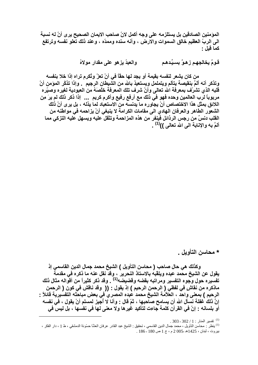المؤمنين الصادقين بل يستلزمه على وجه أكمل لانّ صاحب الايمان الصحيح يرى أنّ له نسبة الى الربِّ العظيم خالق السموات والارض ، وأنه سنده وممدِّه ، وعند ذلك تعلو نفسه وترتفع كما قبل :

> قومٌ يخالجهم زهوٌ بِسيِّدهم والعبدُ يزهو على مقدار مولاهُ

من كان يشعر لنفسه بقيمة أو يجد لها حقًّا في أنْ تعزّ وتُكرم تراه إذا خلا بنفسه وتذكر أنه ألمَّ بنقيصة يتألم ويتململ ويستعيذ بالله من الشَّيطان الرجيم ۚ. وإذا تذكَّر المؤمن أنَّ قلبه الذي تشرك بمعرفة الله تعالى وأنّ شرف تلك المعرفة خلّصَهُ من العبودية لغيره وصيّره مربوباً لرب العالمين وحده فهو في ذلك مع أرفع رفيع وأكرم كريم ... إذا ذكر ذلك لم يرَ مِن اللائق بمثل هذا الاختصاص أنْ يجاوره ما يدنسه من الاستعباد لما يذله ، بل يرى أنّ ذلك الشعور الطاهر والعرفان الـهادي الى مقامات الكرامـة لا ينبغي أنْ يزاحمـه في مواطنـه من القلب دنسٌ من رجس الرذائل فينفر من هذه المزاحمة وتثقل عليه ويسهل عليه التزكي مما أَلَمَّ بِهِ وَالإِنَّابِـةِ الَّـيِّ اللهِ تَـعالَمِي ))<sup>(1)</sup> .

\* محاسن التأويل .

وكذلك هي حال صاحب ( محاسن التأويل ) الشيخ محمد جمال الدين القاسمي إذ يقول عن الشيخ محمد عبده ويلقّبه بالاستاذ النحرير ، وقد نقل عنه ما ذكره في مقدمة تفسيره حول وجوه التفسير ومراتبه بقضه وقضيضه<sup>(1)</sup> . وقد ذكر كثيراً من أقواله مثال ذلك ماذكره من نقاش في لفظي ( الرحمن الرحيم ) إذ يقول : (( ۖ وقد ناقش في كون ( الرحمن الرحيم ) بمعنى واحد ، العلاّمة الشيخ محمد عبده المصري في بعض مباحثه التفسيرية قائلاً : إنَّ ذلكٌ غفلة نسَّال الله أن يسامح صلَّحبها ، ثمّ قال : وأنا لا أجيز لمسلم أنْ يقول ، في نفسه أو بلسانه : إنّ في القرآن كلمة جاءت لتأكيد غيرها ولا معنى لها في نفسها ، بل ليس في

<sup>. 303 - 302 / 1 :</sup> تفسير المنار : 1 / 302 - 303 <sup>(1)</sup> ينظر : محاسن التأويل ، محمد جمال الدين القاسمي ، تحقيق : الشيخ عبد القادر عرفان العشَّا حسَّونة الدمشقي ، ط 1 ، دار الفكر ، .186 - 180 1425هـ -2005 م ، ج 1 ص 180 - 186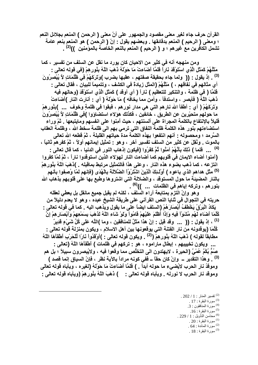القرآن حرف جاء لغير معنى مقصود والجمهور. على أنّ معنى ( الرحمن ) المنعم بجلائل النعم ؛ ومعنى ( الرحيم ) المنعم بدقائقها . وبعضهم يقول : إنّ ( الرحمن ) هو المنعم بنعم عامة تشمل الكافِّرين مع غير هم ؛ و ( الرحيم ) المنعم بالنعم الخاصة بالموَمنين ))<sup>(2)</sup> .

ومن منهجه أنه في كثير من الاحيان كان يورد ما نقل عن السلف من تفسير ، كما مَثَلُهُمْ كَمَثَلِ الَّذِي اسْتَوْقَدَ نَاراً فَلَمَّا أَصْبَاءتْ مَا حَوْلُهُ دُهَبَ اللَّهُ بِنُور هِمْ (في قوله تعالى : <sup>(3)</sup> . إذ يقول : (( ولما جاء بحقيقة صفتهم ، عقبها بضرب )وَتَرَكَهُمْ فِي ظُلْمَاتٍ لاَّ يُبْصِرُونَ أي مثالهم في نفاقهم ، ) مَتَلْهُمْ (المثل زيادةً في الكشف ، وتتميماً للبيان ، فقال تعالى : فَلَمَّا ( في ظلمة ، والتنكير للتعظيم ) نَاراً ( أي أوقد ) كَمَّتْلِ الَّذِي اسْتَوْقَدَ (وحالهم فيه دُهَبَ اللّهُ ( فَأَبِصر ، واستدفأ ، وأمن مما يخافه ) مَا حَوْلَهُ ( أي : أنارت النار )أضَاءتْ ۖ وَتَرَكَهُمْ ( أي : أطفأ الله نارهم التي هي مدار نورهم ، فبقوا في ظلمةٍ وخوف ... )بِنُورهِمْ ما حولهم متحيِّرين عن الطريق ، خائفين ، فكذلك هولاء استضَّاووا )فِي ظُلْمَاتِ لاَ يُبْصِرُونَ قليلاً بالإنتفاع بالكلمة المجراة على ألسنتهم ، حيث أمِنوا على انفسهم ومايتبعها . ثمّ وراء استضاءتهم بِنور هذه الكلمة ظلمة النفاق الّتي ترمي بهم الى ظلمة سخط الله ، وظلمة العقاب السَّرمد ؛ ومحصوله : أنهم انتفعوا بهذه الكلمة مدة حياتهم القليلة ، ثمّ قطعه الله تعالى بالموت . ونُقِلَ عن كثير من السلف تفسير آخر ، وهو : تمثيل إيمانهم أولاً ، ثمّ كفرهم ثانياً ، <sup>(4)</sup> ... فَلما ) ذَلِكَ بِأَنَّهُمْ آمَنُوا تُمَّ كَفَرُوا (فيكون إذهاب النور في الدنيا ، كما قال تعالى : (آمنوا أضاع الإيمان في قلوبهم كما أضاعت النار لهوَلاء الذين استوقدوا ناراً ، ثمّ لمّا كفروا انتزعه ، كما ذهب بضوع هذه النار ، وعلى هذا فالتمثيل مرتبط بماقبله . )دُهَبَ اللَّهُ بِنُورِ هِمْ (5) مثّل هداهم الذي باعوه ) أوْلَـئِكَ الَّذِينَ اشْتَرَوُاْ الضَّلالة بِالْهُدَى (فإنـهم لَمّا وُصفِوا بأنـهم بالنار المضيئة ما حول المستوقد ، والضلالة التي اشتروها وطبع بها على قلوبهم بذهاب الله بنور هم ، وتركه إياهم ف*ي* الظلمات ... ))<sup>(6)</sup> .

وهو وإنْ الْتزِمُّ بِمتابِعة آراء السُّلف ، لكنه لم يقبل جميع مانقل بل يعطي لعقله حريته في التجوال في ثنايا النص القرآني على طريقة الشيخ عبده ، وهو لا يعدم دليلاً من يَكَادُ الْبَرِ ۚقُ يَخْطُفُ أَبْصَارَهُمْ (السلف ايضاً على ما يقول ويذهب اليه . كما في قوله تعالى : كُلَّمَا أَصْبَاء لَهُم مَّشْبَوْاْ فِيهِ وَإِذَا أَظْلَمَ عَلَيْهِمْ قَامُواْ وَلَوْ شَاء اللَّهُ لَذَهَبَ بِسَمْعِهِمْ وَأَبْصَارِ هِمْ إِنَّ (1) ، إذ يقول : (( [... وقد قيل : إنّ هذا مَثلٌ للمنافقين ، وما )اللّه عَلَى كُلِّ شَيْءٍ قَدِيرٌ ۖ كُلَّمَا (يوقدونـه من نـار الفتنـة التي يوقعونـها بين أهل الاسلام ، ويكون بمنزلـة قولـه تعالى : مطابقاً لقوله ) ذهَبَ اللّهُ بِئُورِ هِمْٓ (<sup>(2)</sup> . ويكون قوله تعالى : )أوْقَدُواْ نَارًا لّلْحَرْبِ أطْفَأهَا اللّهُ ... ويكون تخييبهم ، إبطال ماراموه ، هو : تركهم في ظلمات ) أطْفَأَهَا اللّهُ (تعالى : صُمٌّ بُكْمٌ عُمْيٌ (الحيرة ، لايهتدون الى التخلُّص مما وقعوا فيه ، ولايُبصرون سبيلاً ؛ بل هم <sup>(3)</sup> . وهذا التقدير ــ وإنْ كان حقّاً ــ ففي كونـه مراداً بالآيـة نظر ، فإنّ السياق إنمـا قصد ) وموقدُ نار الحرب لايُضىء ما حوله أبداً . ) فَلَمَّا أضَاءتْ مَا حَوْلَهُ (لغيره ، ويأباه قوله تعالى وموقد نار الحرب لا نورله . ويأباه قوله تعالى : ) ذهَبَ اللّهُ بِثُورِهِمْ (ويأباه قوله تعالى :

> . 202 / 1 نفسير المنار: 1 <sup>(3)</sup> سورة البقرة : 17 .  $3:3$ سورة المنافقون  $3$  $16:$ سورة البقرة  $^{(5)}$ .0 محاسن التأويل: 1 / 229 . .  $20:$ سورة البقرة  $^{(1)}$ .  $64:$ سورة المائدة  $^{(2)}$ .  $18:3$ سورة البقرة  $^{(3)}$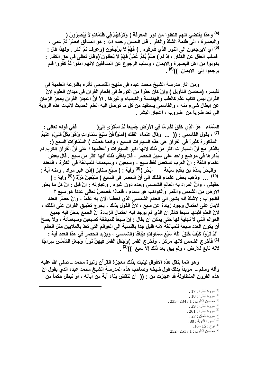<sup>(4)</sup> وهذا يقتضى انهم انتقلوا من نور المعرفة ) وَتَرَكَهُمْ فِي ظُلُمَاتٍ لاَّ يُبْصِرُونَ ( والبصيرة ، الى ظلمة الشكّ والكفر . قال الحسن رحمه الله : هو المنافق ابصَرَ ثمّ عمى ، <sup>(5)</sup> أي لايرجعون الى النور الذي فارقوه . ) فَهُمْ لاَ يَرْجِعُونَ (وعرف ثمّ أنكر . ولـهذا قال : فسلب العقل عن الكفار ، إذ لم ) صُمٌّ بُكْمٌ عُمْيٌ فَهُمْ لاَ يَعقلون َ(وقال تعالى في حق الكفار -يكونوا من أهل البصيرة والايمان ، وسلب الرجوع عن المنافقين لانهم آمنوا ثمَّ كفروا فلم يرجعوا إل*ى* الايما*ن* ))<sup>(6)</sup> .

ومن آثار مدرسة الشيخ محمد عبده في منهج القاسمي تأثره بالنزعة العلمية في تفيسر ه (محاسن التأويل ) وإنْ كان حذراً من التورط في إقحام القرآن في ميدان العلوم لانّ القران ليس كتاب علم كالطب والهندسة والكيمياء وغيرها . الاَ أنَّ اعجاز القرآن يعجز الزمان عن إبطال شيء منه ، والقاسمي يستفيد من كل ما توصل اليه العلم الحديث لاثبات هذه الروَية الى تعد ضرباً من ضروب ، اعجاز البشر .

السَّمَاءِ ۖ هُوَ الَّذِي خَلَقَ لَكُم مَّا فِي الأَرْضِ جَمِيعاً ثُمَّ اسْتَوَى إِلَى( ففي قوله تعالى : <sup>(7)</sup> ، يقول القاسمي : (( ... وقال علماء الفلك )فسَوَّاهُنَّ سَبْعَ سَمَاوَاتٍ وَهُوَ بِكُلِّ شَيْءٍ عَلِيمٌ المذكورة كثيراً في القرآن هي هذه السيارات السبع ، وانما خُصّت ) السَمَاوَاتِ السبعُ (: بالذكر مع أنّ السيارات اكثر من ذلك لانها اكبر السيارات وأعظمها ؛ على أنَّ القرآن الكريم لم يذكر ها فَى موضع واحد على سبيل الحصر ، فلا ينافى ذلك أنـها اكثر من سبع . قال بعض علماء اللغة : إنّ العرب تستعمل لفظ سبع ، وسبعين ، وسبعمائة للمبالغة في الكثرة ، فالعدد <sup>(10)</sup> ... وذهب بعض علماء الفلك الى أنّ الحصر في السبع ) سَبْعِينَ مَرَّةً (<sup>(9)</sup> وآية : ) حقيقي ، وأنَّ المراد به العالم الشمسي وحده دون غيره . وعبارته : إنْ قيل : إنَّ كل ما يعلو الارض من الشمس والقمر والكواكب هو سماء ، فلماذا خصصٌ تعالى عدداً هو سبع ؟ فالجواب - لاشكِّ أنه يشير الى العالم الشمسي الذي أحطنا الآن به علماً ، وانّ حصْر العدد لايدل على احتمال وجود زيادة عن سبع ، لانَّ القول بذلك ، يخرج تطبيق القرآن على الفلك ، لانِّ العلم اثبتها سبعاً كالقرآن الذي لم يوجد فيه احتمال الزيادة انَّ الجمع يدخل فيه جميع العوالم التي لا نـهايـة لـها حتى يمكن أن يقال : إنّ سبعاً للمبالـغة كسبعين وسبعمائـة ، ولا يصحّ أن يكون العدد سبعة للمبالغة لانه قليل جداً بالنسبة الى العوالم التي تعدّ بالملايين مثل العالم ٰ أَلَمْ تَرَوْا كَيْفَ خَلَقَ اللَّهُ سَبْعَ سَمَاوَاتٍ طِبَاقًا (الشمسى ، ويؤيد الحصر في هذا العدد آية : <sup>(1)</sup> فأخرج الشمس لانها مركز ، وأخرج القمر )وَجَعَلَ الْقَمَرَ فِيهِنَّ نُورًا وَجَعَلَ الشَّمْسَ سِرَاجًا لانه تابع للأرض ، ولم يبق بعد ذلك إلاّ سبع ﴾)(2) .

وهو انما ينقل هذه الاقوال ليثبت بذلك معجزة القرآن ونبوة محمد ــ صلى الله عليه وآله وسلم ــ مؤيداً بذلك قول شيخه وصاحب هذه المدرسة الشيخ محمد عبده الذي يقول انّ هذه القرون المتطاولة قد عجزت من : (( ۖ أن تنقض بناء آية من آياته ، أو تبطل حكماً من

> $17:1$ سورة البقرة  $^{(4)}$  $.18:$ سورة البقرة  $.18$ .0) محاسن التأويل: 1 / 234 - 235. <sup>(7)</sup> سورة البقرة : 29 .  $261:$ سورة البقرة  $^{(8)}$  $.27:$ سورة لقمان  $.27$  $0.80$ : سورة التوبة  $^{(10)}$  $16 - 15$  نوح: 15 - 16. 252 - 252 / 1 إن التأويل : 1 / 251 - 252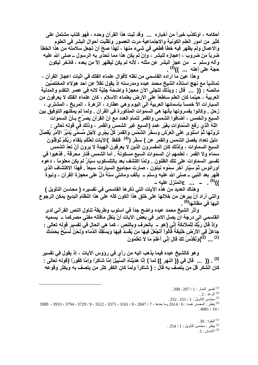أحكامه ، اوتكذب خبراً من أخباره ... وقد ثبت هذا القرآن وحده ، فهو كتاب مشتمل على كثير من امور العلم الكونية والاجتماعية مرت العصور وتقلّبت أحوال البشر في العلوم والاعمال ولم يظهر فيه خطأ قطعي في شيء منها ، لهذا صحِّ أنْ تجعل سلامته من هذا الخطأ ضرباً من ضروب ، إعجازه للبشر ، وإنْ لَم يكن هذا مما تحدَّى به الرسول ــ صلى الله عليه وآله وسلم ــ من عجز البشر عن مثله ، لأنه لم يكن ليظهر إلاّ من بعده ، فادّخر ليكون حجة على أهله ... ))<sup>(3)</sup> .

وهذا عين ما اراده القاسمي من نقله لأقوال علماء الفلك في اثبات اعجاز القرآن ، تماشياً مع نـهج استاذه الشيخ محمد عبده ومدرسته إذ يقول نـقلاً عن احد هوَلاء المختصَّين مانصّه : (( ... قال : وبذلك تتجلى الآن معجزة واضحة جليّة لانه في عصر التقدم والمدنية العربية ، حينما كان العلم ساطعاً على الأرض بعلماء الاسلام ، كان علماء الفلك لا يعرفون من السيارات الآ خمساً بأسمائها العربية الى اليوم وهي عطارد ، الزهرة ، المريخ ، المشترى ، زحل \_ وكانوا يفسرونها بأنها هي السموات المذكورة في القرآن \_ ولما لم يمكنهم التوفيق بين السبع والخمس ، أضافوا الشمس والقمر لتمام العدد مع أنّ القرآن يصرِّح بـأنّ السموات اللَّهُ الَّذِي رَفَعَ السَّمَاوَاتِ بِغَيْرِ عَمَدِ (السبع غير الشمس والقمر ، وذلك في قوله تعالى : تَرَوْنَهَا ثُمَّ اسْتَوَى عَلَى الْعَرْشِ وَسَخَّرَ الشَّمّْسَ وَالْقَمَرَ كُلٌّ يَجْرِي لأجَلِ مُّسَمًّى يُدَبّرُ الأمْرَ يُفَصِّلُ دليل تعداد يفصل الشمس والقمر عن ) سَخَّرَ (<sup>(4)</sup> فَلفظ )الآيَاتِ لَعَلَّكُم بِلِقَاءَ رَبِّكُمْ تُوقِنُونَ السبع السماوات ، ولذلك كان المفسرون الذين لا يعرفون الـهيئة لا يرون أنْ تعدّ الشمس سماءً ولا القمر ، لعلمهم أن السموات السبع مسكونة . أما الشمس فنار محرقة . فذهبوا في تفسير السماوات على تلك الظنون . ولمّا اكتشف بعد بالتلسكوب سيّارٌ لم يكن معلوماً ، دعوه أورانوس ثمّ سيّار آخر سمّوه نبتون ، صارت مجاميع السيارات سبعاً . فُهذا الاكتشاف الذيّ ظهر بعد النبي ــ صلى الله عليه وسلم ــ بألف ومائتي سنة دلَّ على معجزة القرآن ، ونبوة ))<sup>(5)</sup>. \_ \_. \_. 3المنزل عليه \_

و هناك العديد من هذه الآيات التي ذكر ها القاسمي في تفسير ه ( محاسن التأويل ) والتي أراد أنْ يبر هن من خلالها على خلق هذا الكون كلَّه على هذا النظام البديع يمكن الرجوع اليها في مظانها<sup>(6)</sup> .

وأثر الشيخ محمد عبده واضح جداً في اسلوب وطريقة تناول النص القرآني لدى القاسمي الى درجة ان يصل الامر في بعض الآيات أنْ ينقل ماقاله مفتى مصركما ــ يسميه وَإِذْ قَالَ رَبُّكَ لِلْمَلاَئِكَةِ إِنِّي (هو \_ بِالحرف وبِالنص ، كما هي الحال في تفسير قوله تعالى : جَاعِلٌ فِي الأرْضِ خَلِيفَهً قَالُواْ أتَجْعَلُ فِيهَا مَن يُفْسِدُ فِيهَا وَيَسْفَّكُ الدِّمَاء وَنَحْنُ نَسَبِّحُ بِحَمْدِكَ <sup>(1)</sup> ... <sup>(2)</sup>)وَنُقَدِّسُ لَكَ قَالَ إِنِّي أَعْلَمُ مَا لاَ تَعْلَمُونَ

و هو كالشيخ عبده فيما يذهب اليه من رأي في رووس الآيات ، إذ يقول في تفسير <sup>(3)</sup> . (( ... قال في (( النـهر )) لمـا ) إنَّا هَدَيْنَاهُ السَّبِيلَ إمَّا شَاكِرًا وَإِمَّا كَفُورًا (قولـه تعالى : كان الشكر قلّ من يتصف به قال : ( شاكراً ولما كان الكفر كثر من يتصف به ويكثر وقوعه

البقرة: 30 .  $.254/1$ : ينظر : محاسن التأويل : 1 . 3  $1^{(3)}$  الانسان $3$ 

<sup>. 208 - 207 / 1 :</sup> نفسير المنار : 1 / 207 - 208

<sup>.</sup>  $2:$  الرعد  $^{(4)}$ 

<sup>. 252 - 251 / 1 :</sup> محاسن التأويل : 1 / 251 - 252 .

<sup>&</sup>lt;sup>6)</sup> ينظر : المصدر نفسه : 6 / 2614 وما بعدها ، 7 / 2847 ، 8 / 3161 ، 3522 ، 2522 ، 9 / 3729 ، 3933 ، 3989 ، 3989  $.4081/10$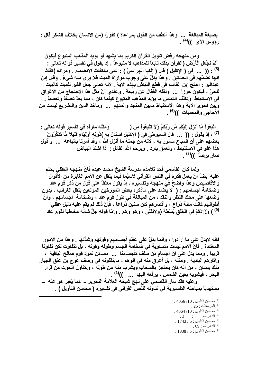بصيغة المبالغة ... وهذا ألطف من القول بمراعاة ) كَفْورًا (من الانسان بخلاف الشكر قال : رؤوس الآ*ق* ))<sup>(4)</sup> .

ومن منهجه رفض تأويل القرآن الكريم بما يشهد أو يؤيد المذهب المتبوع فيكون أَلَمْ نَجْعَلِ الْأَرْضَ (القرآن بِذلك تابِعاً للمذاهب لا متبوعاً . إذ يقول في تفسير قواله تعالى : <sup>(5)</sup> : (( ... في ( الإكليل ) قال ( إلكيا الـهراسيّ ) : عنى بالكفات الانضمام <sub>-</sub> ومراده )كِفَاتًا انـها تضمّهم في الـحالتين . وهذا يدلّ على وجوب مواراة الميت فلا يرى منه شيءٌ . وقال إبن عبدالبر - احتج إبن القاسم في قطع النباش بهذه الآية . لانه تعالى جعل القبر للميت كالبيت للحيِّ ، فيكون حرزاً ... ونقلُّه الفُّقال عن ربيعة . وعندى أنَّ مثل هذا الاحتجاج من الاغراق في الاستنباط وتكلّف التماس ما يؤيد المذهب المتبوع كيفما كان ، مما يعدّ تعسفاً وتعصباً ـ وبِين فحوى الآية وهذا الاستنباط مابين المنجد والمتهم ... ومآخذ الدين والتشريع ليست من الأحاجي والمعميات ))<sup>(6)</sup> .

اتَّبِعُواْ مَا أَنزِلَ اِلَيْكُم مِّن رَّبِّكُمْ وَلاَ تَتَّبِعُواْ مِن ( ومثله مارآه في تفسير قوله تعالى : (7) ، إذ يقول : (( ... قال السيوطى في ( الإكليل استدلّ به )دُونِهِ أوْلِيَاء قَلِيلاً مَّا تَذَكَّرُونَ بعضهم على أنِّ المباح مأمور به ، لانَّه من جملة ما أنزل الله ، وقد أمرنا باتباعه ... وأقول هذا غلو في الاستنباط ، وتعمق بارد . ويرحم الله القائل : إذا اشتدّ البياض صار برصاً ))<sup>(8)</sup> .

ولما كان القاسمي أحد تلامذه مدرسة الشيخ محمد عبده فانَّ منهجه العقلي يحتم عليه ايضاً انّ يعمل فكره في النص القرآني لاسيِّما فيما ينقل عن الامم الغابرة من الأقوال والاقاصيص وهذا واضحٌ في منهجه وتفسيره ، إذ يقول معلقاً على قول من ذكر قوم عاد وضخامة اجسامهم : ( لا يعتمد على ماذكر ه بعض المؤرخين المولعين بنفل الغرائب ، بدون وضعها على محكِّ النظر والنقد ، من المبالغة في طول قوم عاد ، وضخامة اجسامهم ، وأنَّ أطوالهم كانت مائة ذراع ، وأقصر هم كان ستين ذراعاً ، فإنّ ذلك لم يقم عليه دليل عقلي <sup>(9)</sup> ) وَزَادَكُمْ فِي الْخَلْقِ بَسْطَهً (ولانقلي ، وهو وهْم . وامّا قوله جلَّ شانه مخاطباً لقوم عاد

فانه لايدلِّ على ما أرادوا ، وانما يدلِّ على عظم أجسامهم وقوتهم وشدَّتها . وهذا من الامور المعتادة . فانّ الامم ليست متساوية في ضخامة الجسم وطوله وقوته ، بل تتفاوت لكن تفاوتاً قريباً . ومما يدل على انّ اجسام مَنْ سلف كأجسامنا ... مساكن ثمود قوم صالح الباقية ، وآثارهم البادية . ومثله ، بل أعرق منه في الوهم ، ماينقلونه في وصف عوج بن عنق الجبار ملك بيسان ، من أنه كان يحتجز بالسحاب ويشرب منه من طوله ، ويتناول الحوت من قرار البحر ، فيشويه بعين الشمس ، يرفعه اليها ... ))<sup>(1)</sup> . وعليه فقد سار القاسمي على نهج شيخه العلاّمة النحرير ــ كما يُعبر هو عنه ــ

مستهدياً بمباحثه التفسيرية في تناوله للنص القرآني في تفسيره ( محاسن التأويل ) .

. 4056 /10 : محاسن التأويل . 4056 .  $.25:$ المرسلات  $^{(5)}$ . 4064 /10 محاسن التأويل: 4064 /10 <sup>(7)</sup> الاعراف  $.3$  : (8) محاسن التأويل: 5/ 1743. لأعراف : 69 .  $^{\left(9\right)}$  $1838/5$ : محاسن التأويل .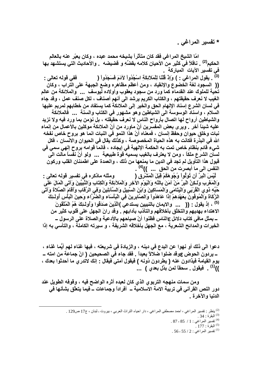\* تفسير المراغي .

امّا الشّيخ المراغي فقد كان متأثِّراً بِشيخه محمد عبده ، وكان يعبِّر عنه بالعالم الحكيم<sup>(2)</sup> . ناقلاً في كثير من الأحيان كلامه بفضِّهِ و فضيضه . والأحاديث الت*ي* يستشهد بها في تفسير الآيات المباركة . (3) . يقول المراغي : ) وَإِذْ قُلْنَا لِلْمَلاَئِكَةِ اسْجُدُواْ لِآدَمَ فَسَجَدُواْ ( ففي قوله تعالى : (( السجود لغة الخضوع والإنقياد ، ومن أعظم مظاهره وضع الجبهة على التراب ، وكان تحية للملوك عند القدماء كما ورد من سجود يعقوب وأولاده ليوسف ... والملائكة من عالم الغيب لا نعرف حقيقتهم ، والكتاب الكريم يرشد الى أنهم أصناف ، لكل صنف عمل ، وقد جاء في لسان الشرع إسناد الإلهام الحق والخير إلى الملائكة كما يستفاد من خطابهم لمريم عليها السلام ، واسناد الوسوسة الى الشياطين وهو مشهور في الكتاب والسنة ... فالملائكة والشياطين أرواح لها اتصال بأرواح الناس لا نعرف حقيقته ، بل نؤمن بما ورد فيه ولا نزيد عليه شيئاً آخر . ويرى بعض المفسرين أنّ ماورد من أنّ الملائكة موكلين بالأعمال من إنماء نبات وخلق حيوان وحفظ إنسان ، فمعناه أنّ هذا النمو في النبات انما هو بروح خاص نفخه الله في البذرة فكانت به هذه الحياة المخصوصة ، وكذلك يقال في الحيوان والاتِّسان ، فكل شرع قائم بنظام خاص تمت به الحكمة الإلهية في إيجاده ، فانماً قوامه بروح إلهي سمي في لسان الشرع ملكاً ، ومن لا يعترف بالغيب يسميه قوة طبيعية ... ولو أنّ نفساً مالت الى قبول هذا التأويل لم تجد في الدين ما يمنعها من ذلك ، والعمدة على اطمئنان القلب وركون النفس الى ما أبصرت من الحق ... ))<sup>(4)</sup> .

لَّيْسَ الْبِرَّ أَن تُوَلُّواْ وُجُوهَكُمْ قِبَلَ الْمَشْرِقِ ( . ومثله ماذكره في تفسير قوله تعالى : وَالْمَغْرِبِ وَلَـكِنَّ الْبِرَّ مَنْ آمَنَ بِاللَّهِ وَالْيَوْمِ الآخِرِ وَالْمَلآئِكَةِ وَالْكِتَابِ وَالنَّبِيِّينَ وَآتَى الْمَالَ عَلَى حُبِّهِ ذُو ي الْقُرْبَى وَالْيَتَامَى وَالْمَسَاكِينَ وَابْنَ السَّبِيلِ وَالسَّآئِلِينَ وَفِي الرِّقابِ وَأقَامَ الصَّلاة وَآتَى الزَّكَاة وَالْمُوفُونَ بِعَهْدِهِمْ إِذَا عَاهَدُواْ وَالصَّابِرِينَ فِي الْبَأْسَاءِ والضَّرَّاءِ وَحِينَ الْبَأْسِ أولئكَ (5) ، إذ يقول : (( ... والايمان بالنبيين يستدعى )الَّذِينَ صَدَقُوا وَأُولَـئِكَ هُمُ الْمُتَّقُونَ الاهتداء بهديهم والتخلُّق بأخلاقهم والتأدُّب بآدابهم . وقد رانَ الجهل على قلوب كثير من ــ بمثل مافي كتاب دلائل ع|لنـاس فظنوا أنّ صياحهم بالأدعية والصلاة على الرسول ــ الخيرات والمدائح الشعرية ، مع الجهل بأخلاقه الشريفة ، و سيرته الكاملة ، والتأسى به إذا

دعوا الى ذلك أو نـهوا عن البدع في دينه ، والزيادة في شريعته ، فيها غناء لـهم أيُّما غناء ، ــ يردون الحوض عوقد ضلوا ضلالاً بعيداً . فقد جاء في الصحيحين ( انّ جماعة من امته ــ يوم القيامة فيذادون عنه ( يطردون دُونه ) فيقول أمتي فيقال : إنك لاتدرى ما أحدثوا بعدك ، ))<sup>(1)</sup> . فيقول <sub>-</sub> سحقاً لمن بدَّل بعدي ) ...

ومن سمات منهجه التربوي الذي كان لعبده أثره الواضح فيه ، وقوفه الطويل عند دور النص القرآني في تربية الامة الاسلامية ــ أفراداً وجماعات ــ فيما يتعلَّق بشأنها في الدنيا والآخرة .

> <sup>(2)</sup> ينظر : تفسير المراغى ، احمد مصطفى المراغى ، دار احياء التراث العربى ، بيروت ـ لبنان ، ج17 ص129 .  $.34:$ البقرة $.34$ (4) تفسير المراغى: 1 / 85 - 87. .  $177$  : البقر ة $177$ . تفسير المراغي : 2 / 55 - 56 .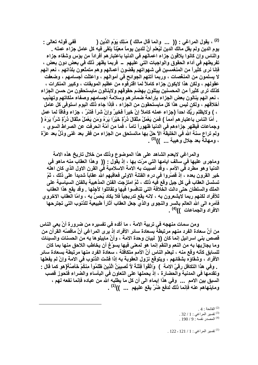<sup>(2)</sup> ، يقول المراغى : (( ... وانما قال مالك ) مَـلِكِ يَوْمِ الدِّين ( . ففي قوله تعالى : يوم الدين ولم يقل مالك الدين ليُعلم أنَّ للدين يوماً معيّناً يلقى فيه كل عامل جزاء عمله . والناس وإن كانوا يلاقون جزاء اعمالهم في الدنيا باعتبارهم أفراداً من بؤس وشقاء جزاء تفريطهم في أداع الحقوق والواجبات التي عليهم \_ فربما يظهر ذلك في بعض دون بعض ، فإنا نرى كثيراً من المنغمسين في شهواتهم يڤضون أعمالهم وهم متمتّعون بلذاتهم ، نعم انهم لا يسلمون من المنغِّصات ، وربما أتتهم الجوائح في أموالهم ، واعتلَّت أجسامهم ، وضعفت عقولهم ، ولكن هذا لايكون جزاء كاملاً لما اقترفوه من عظيم الموبقات ، وكبير المنكرات ، كذلك ترى كثيراً من المحسنين يبتلون بهضم حقوقهم ولاينالون مايستحقون من حسن الجزاء ، نعم انهم ينالون بعض الجزاء بإراحة ضمائر هم وسلامة اجسامهم وصفاء ملكاتهم وتهذيب أخلاقهم ، ولكن ليس هذا كل مايستحقون من الجزاء ، فإذا جاء ذلك اليوم استوفى كل عامل ، ) ولايظلم ربُّكَ احداً (جزاء عمله كاملاً إنْ خيراً فخيرٌ وإنْ شراً فشّرٌ ، جزاء وفاقاً لما عمل . أمّا الناس باعتبار هم أمماً ) فَمَن يَعْمَلْ مِتْقَالَ دُرَّةٍ خَيْرًا يَرَهُ وَمَن يَعْمَلْ مِتْقَالَ دُرَّةٍ شَرًّا يَرَهُ ( وجماعات فيظهر جزاءهم في الدنيا ظهوراً تاماً ، فما من أمّة انحرفت عن الصراط السوى ، ولم تراع سنة الله في الخليقة الآ حلّ بها ماتستحق من الجزاء من فقر بعد غني وذلٍّ بعد عزّة ، وَمهانَّةٌ بعد جلالٍ وَهيبة ... ))<sup>(3)</sup> .

والمراغى لايعدم الشاهد على هذا الموضوع وذلك من خلال تاريخ هذه الامة وماجر ي عليها في سالف ايامها التي مرّت بها ، إذ يقول : (( ۖ وهذا العقاب منه ماهو في الدنيا و هو مطرد في الأمم ، وقد أصببت به الامة الاسلامية في القرن الاول الذي كان اهله خير القرون بعده ، إذ قصَّروا في درع الفتنة الاولى فعاقبِهم الله عقاباً شديداً على ذلك ، ثمّ تسلسل العقاب في كل جيل وقع فيه ذلك ، ثمّ امتزجت الفتن المذهبية بالفتن السياسية على الملك والسلطان حتى دالت الخلافة التي تنافسوا فيها وتقاتلوا لأجلها . وقد يقع هذا العقاب للأفراد لكنهم ربما لايشعرون به ، لانه يقع تدريجياً فلا يكاد يُحسَّ به ، وامّا العقاب الاخروي فأمره الى الله العالم بالسر والنجوى والذيِّ جعل العقاب آثاراً طبيعية للذنوب التي تجترحها الافراد والجماعات ))<sup>(4)</sup> .

ومن سمات منهجه في تربية الامة ، ما أكّده في تفسيره من ضرورة أنْ يعي الناس من أنَّ سعادة الفرد منهم مرتبطةٌ بسعادة سائر الأفراد إذ يرى المراغي أنَّ ماقصّه القرآن من قصص بني اسرائيل إنما كان (( لبيان وحدة الامة ، وأنَّ مايبلو ها به من الحسنات والسيئات وما يجازيها به من النعم والنقم إنما هو لمعنى فيها يسوّغ أن يخاطب اللاحق منها بما كان للسابق كأنه وقع منه ، ليعلم الناس أنّ الأمم متكافلة ، سعادة الفرد منها مرتبطة بسعادة سائر الأفراد ، وشقاؤه بشقائهم ، ويتوقع نزول العقوبة به إذا فشت الذنوب في الامة وإنْ لم يفعلها . وفي هذا التكافل رقيِّ الامة ۖ ) ۖ وَاتَّقُواْ فِتْنَهُ لاَّ تُصبِيبَنَّ الَّذِينَ ظَلَمُواْ مِنكُمْ خَآصَّةَ(هو كما قال -ِ وتقدمها في المدنية والمحضارة ، إذ يحملها على التعاون في البأساء والضراء فتحوز قصب السبق بين الامم ... وفي هذا إيماء الى أن كل ما يطلبه الله من عباده فإنما نفعه لهم ، وماينهاهم عنه فإنما ذلك لدفع ضُرّ يقع عليهم ... ))<sup>(1)</sup> .

> .  $4:$  الفاتحة $(2)$  $.32 / 1$ : تفسير المراغى: 1 . 190 / 9 / 190 . 190 .

. 22 - 121 / 1 نفسير المراغي $1$  / 121 .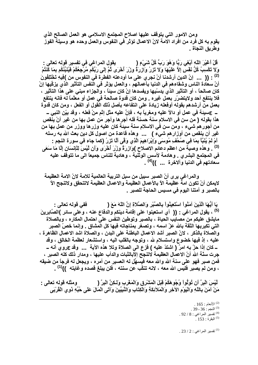ومن الامور التي يتوقف عليها اصلاح المجتمع الاسلامي هو العمل الصالح الذي يقوم به كل فرد من افراد الامة لانّ الاعمال تؤثر في النفوس والعمل وحده هو وسيلة الفوز وطريق النجاة .

قُلْ أَعْيْرَ اللَّهِ أَبْغِي رَبًّا وَهُوَ رَبُّ كُلِّ شَيْءٍ ( يقول المراغي في تفسير قوله تعالى : وَلاَ تَكْسِبُ كُلُّ نَفْسٍ إلاَّ عَلَيْهَا وَلاَ تَزْرُ وَآزِرَةٌ وزِرْ اَخْرَى ثُمَّ إِلَى رَبِّكُمْ مَرْجِعُكُمْ فَيُنَبِّئُكُم بِمَا كَنَّتُمْ : (( ... إنّ الدين أرشدنـا أنْ نجر ي على مـا أودعته الفطرة في النفوس من )فِيهِ تَخْتَلِفُونَ أنّ سعادة الناس وشقاءهم فى الدنيا بأعمالهم ، والعمل يؤثر في الّنفس التأثير الذي يزكّيها إنْ كان صالحاً ، أو التأثير الذي يدسّيها ويفسدها إنْ كان سيئاً ، والجزاء مبنى على هذا التأثير ، فلا ينتفع أحد ولايتضرّر بعمل غيره . ومن كان قدوة صالحة في عمل أو معلّماً له فانه ينتفع بعمل من أرشدهم بقوله أوفعله زيادة على انتفاعه بأصل ذلك القول أو الفعل ، ومن كان قدوة \_ عسينة في عمل أو دالاً عليه ومغرياً به ، فإنَّ عليه مثل إثم منْ فعله ، وقد بيّن النبي \_ هذا بقوله ( من سن في الاسلام سنة حسنة فله أجرها وأجر مَن عمل بها من غير أنْ ينقص من أجور هم شيء ، ومن سن فَي الاسلام سنة سيئة كان عليه وزر ها ووزر من عمل بها من غير أن ينقص من أوزار هم شيء ) ... وهذه قاعدة من اصول كل دين بعث الله به رسله أُمْ لَمْ يُنَبَّأْ بِمَا فِي صُحُفٍ مُوسَى وَإِبْرَاهِيمَ الَّذِي وَقَى أَلَّا تَزْرُ (كما جاء في سورة النجم : <sup>(3)</sup> . وهذه وصية من اعظم دعائم الاصلاح )وَازِرَةٌ وزِرْ اَخْرَى وَأَن لَيْسَ لِلْإِنسَانِ إِلَّا مَا سَعَى في المجتمع البشري . وهادمة لأسس الوثُّنية ، وهادية للناس جميعاً الى ما تتوقف عليه سعادتهم في الدنيا وآلاخرة ... ))<sup>(4)</sup> .

والمراغي يرى أنّ الصبر سبيل من سبل التربية العالمية للامة لانّ الامة العظيمة لايمكن أنْ تكون امةٌ عظيمة الآ بالأعمال العظيمة والاعمال العظيمة لاتتحقق ولاتنجح الآ بالصبر و أمتنا اليوم في مسيس الحاجة للصبر .

يَا أَيُّهَا الَّذِينَ آمَنُواْ اسْتَعِينُواْ بِالصَّبْرِ وَالصَّلاةِ إِنَّ اللَّهَ مَعَ ( ففي قوله تعالى : <sup>(5)</sup> ، يقول المراغي : (( أي استعينوا على إقامة دينكم والدفاع عنه ، وعلى سائر )الصَّابِرينَ مايشق عليكم من مصايب الحياة ، بالصبر وتوطين النفس على احتمال المكاره ، وبالصلاة التي تكبريها الثقة بالله عزّ اسمه ، وتصغر بمناجاته فيها كل المشاق . وإنما خصّ الصبر والصلاة بالذكر ، لانّ الصبر أشد الاعمال الباطنة على البدن ، والصلاة اشد الاعمال الظاهرة ، عليه ، إذ فيها خضوع واستسلام لله ، وتوجه بالقلب اليه ، واستشعار لعظمة الخالق ، وقد ـــ كان إذا حزَّ بـه امرٌ ( اشتدَّ عليه ) فزع الـي الصلاة وتلا هذه الآيـة ... وقد عروي أنـه ــ جرت سنَّة الله أنّ الاعمال العظيمة لاتنجح الأبالثبات والدأب عليها ، ومدار ذلك كله الصبر ، فمن صبر فهو على سنة الله والله معه فيسهِّل له العسير من أمره ، ويجعل له فرجاً من ضيقه ، ومن لم يصبر فليس الله معه ، لانه تنكَّب عن سنته ، فلن يبلغ قصده وغايته ۖ))<sup>(1)</sup> .

لَّيْسَ الْبِرَّ أَن تُوَلُّواْ وُجُوهَكُمْ قِبَلَ الْمَشْرِقِ وَالْمَغْرِبِ وَلَـكِنَّ الْبِرَّ ( ومثله قوله تعالى : مَنْ آمَنَ بِاللَّهِ وَالْيَوْمِ الآخِرِ وَالْمَلآئِكَةِ وَالْكِتَابِ وَالنَّبِيِّينَ وَآتَى الْمَالَ عَلَى حُبِّهِ ذُوي الْقُرْبَى

> .  $165$  : الأنعام $^{(2)}$ .  $39 - 36$  : النجم $^{(3)}$ . 2 / 8 نفسير المراغى: 8 / 92. .  $153:$ البقرة  $^{(5)}$

> . 23 / 2 نفسير المراغي $2$  / 23 .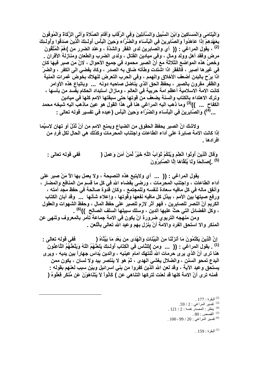وَالْيَتَامَى وَالْمَسَاكِينَ وَابْنَ السَّبِيلِ وَالسَّآئِلِينَ وَفِي الرِّقَابِ وَأَقَامَ الصَّلاةَ وَآتَى الزَّكَاةَ وَالْمُوفُونَ بِعَهْدِهِمْ إِذَا عَاهَدُواْ وَالصَّابِرِينَ فِي الْبَأْسَاءِ والضِّرَّاءِ وَحِينَ الْبَأْسِ أُولَـئِكَ الْذِينَ صَدَقُوا وَأُولَـئِكَ مرض وفقد أهل وولد وَمال ، وفي ميادين القتال ، ولدى الضرب والطعان ومنازلة الأقران . وخصَّ هذه المواضع الثلاثة مع أنّ الصبر محمود في جميع الأحوال ، لانّ من صبر فيها كان في غيرها أصبر ، فالفقر اذا اشتدت وطأته ضاق به الصدر ، وكاد يفضى الى الكفر ، والضرّ اذا برّح بالبدن أضعف الأخلاق والهمم ، وفي الحرب التعرض للهلاك بخوض غمرات المنية والظفر مقرون بالصبر ، يحفظ الحق الذي يناضل صاحبه دونه ... وباتباع هذه الأوامر كانت الامة الاسلامية أعظم امة حريية في العالم ، ومازال استبداد الحكام يفِّسد من بأسها ، وترك الاهتداء بالكتاب والسنة يضعف من قوتها حتى سبقتها الامم كلها في ميادين الكفاح ... ))<sup>(3)</sup> وما ذهب اليه المراغي هنا في هذا القول هو عين ماذهب اليه شيخه محمد ...<sup>(4)</sup>) وَالصَّابِرِينَ فِي الْبَأْسَاءِ والضَّرَّاءِ وَحِينَ الْبَأْسِ (عبده في تفسير قوله تعالى :

ولاشك انّ الصبر. يحفظ الحقوق من الضياع ويمنع الامم من أنْ تُذلّ أو تهان لاسيِّما إذا كانت الامة صابرة على أداء الطاعات واجتناب المحرمات وكذلك هي الحال لكل فردٍ من افر ادها ۔

وَقَالَ الَّذِينَ أُوتُوا الْعِلْمَ وَيُلْكُمْ تَوَابُ اللَّهِ خَيْرٌ لِّمَنْ آمَنَ وَعَمِلَ ( ففي قوله تعالى : (5) . )صَالِحًا وَلَمْا يُلَقَّاهَا إِلَّا الصَّابِرُونَ

يقول المراغى : (( ... أي ولايتبع هذه النصيحة ، ولا يعمل بها الآ مَنْ صبر على أداء الطاعات ، واجتنب المحرمات ، ورضي بقضاء الله في كل ما قسم من المنافع والمضار ، وأنفق ماله في كل مافيه سعادة لنفسه وللمجتمع ، وكان قدوة صالحة في حفظ مجد أمته ، ورفع صيتها بين الأمم ، ببذل كل مافيه نفعها وقوتها ، وإعلاء شأنها . . وقد أبان الكتاب الكريِّم أنّ النصر للصابرين ، فهو أثر لازم للصبر على حفظ المال ، وحفظ الشهوات والعقول ، وكل الفضائل التي حتَّ عليها الدين ، وسلك سبيلها السلف الصالح ))<sup>(6)</sup> .

ومن منهجه التربوي ضرورة انْ يكون في الامة جماعة تأمر بالمعروف وتنهي عن المنكر والا استحق الفرد والامة أنْ ينزل بهم وعيد الله تعالى بالَّلعن .

إِنَّ الَّذِينَ يَكْتُمُونَ مَا أَنْزَلْنَا مِنَ الْبَيِّنَاتِ وَالْهُدَى مِن بَعْدِ مَا بَيِّنَّاهُ ( ففي قوله تعالى : <sup>(1)</sup> . يقول المراغى : (( ... ومن )لِلنَّاسِ فِي الْكِتَابِ أُولَـنِكَ يَلَعَنُّهُمُ اللَّهُ وَيَلْعَنُهُمُ اللَّاعِنُونَ هنـا ترى أنّ الذي يرى حرمـات الله تُنتهك امـام عينيـه ، والدين يُداس جهاراً بين يديـه ، ويرى البدع تمحو السنن ، والضلال يغشي الـهدى ، ثمّ هو لا ينتصر بيد ولا لسان ، يكون ممن يستحق وعيد الآية ، وقد لعن الله الذين كفروا من بني اسرائيل وبيّن سبب لعنهم بقوله : فمنه ترى أنّ الامة كلها قد لعنت لتركها التناهي عن ۖ) كَانُواْ لاَ يَتَنَاهَوْنَ عَن مُّنكَرِ فَعَلُوهُ (

- $177$  : البقرة  $^{(2)}$
- (3) تفسير المراغي : 2 / 59.
- $.121 / 2$ : ينظر : المصدر نفسه : 2 / 121
	- .  $80:$  القصص  $^{(5)}$
- . 100 99 / 20 : قسير المراغى : 20 / 99 100

 $.159:$ البقرة $^{(1)}$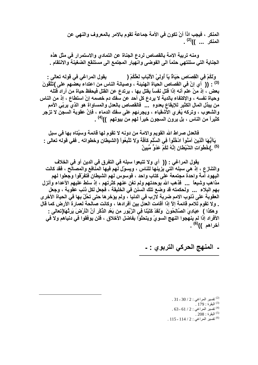المنكر ، فيجب اذاً أنْ تكون في الأمة جماعة تقوم بالامر بالمعروف والنهي عن المنكر ... ))<sup>(2)</sup> .

ومنه تربية الامة بالقصاص لردع الجناة عن التمادي والاستمرار فى مثل هذه الجناية التي ستنتهي حتماً الى الفوضى وانهيار المجتمع الى مستنقع الضغينة والانتقام .

وَلَكُمْ فِي الْقِصَاصِ حَيَاةٌ يَاْ أُولِيْ الأَلْبَابِ لَعَلَّكُمْ ( يقول المراغي في قوله تعالى : <sup>(3)</sup> : (( أي إنّ في القصاص الحياة الهنيئة ، وصيانـة النـاس من اعتداء بعضـهم على )تَتَّقُونَ بعض ، إذ منْ علم أنه إذا قتل نفساً يقتل بها ، يرتدع عن القتل فيحفظ حياة من أراد قتله وحياة نفسه ، والإكتفاء بالدية لا يردع كل أحد عن سفك دم خصمه إنْ استطاع ، إذ من الناس من يبذل المال الكثير للإيقاع بعدوهِ ... ۖ فالقصاص بالعدل والمساواة هو الذي يربِّي الأمم والشعوب ، وتركه يُغرى الأشقياء ، ويجرئهم على سفك الدماء ، فإنَّ عقوبة السجن لا تزجر كثيراً من الناس ، بل يرون السجون خيراً لهم من بيوتهم ))<sup>(4)</sup> .

فالعدل صراط الله القويم والامة من دونه لا تقوم لها قائمة وسيُتاه بها في سبل يَاأَيُّهَا الَّذِينَ آمَنُواْ ادْخُلُواْ فِي السِّلْمِ كَآفَهُ وَلاَ تَتَّبِعُواْ (الشيطان وخطواته \_ ففي قوله تعالى : (5) \_)خُطْوَاتِ الشَّيْطْانِ إِنَّهُ لَكُمْ عَدُوٌّ مُّبِينٌ

يقول المراغي : (( أي ولا تتبعوا سبله في التفرق في الدين أو في الخلاف والتنازع ، إذ هي سبله التي يزينها للناس ، ويسوّل لهم فيها المنّافع والمصالح ، فقد كانت اليهود أمةً واحدة مجتمعة على كتاب واحد ، فوسوس لهم الشيطان فتفرّقوا وجعلوا لهم مذاهب وشيعاً ... فذهب الله بوحدتهم ولم تغن عنهم كثرتهم ، إذ سلط عليهم الأعداء وأنزل بِهِم البِلاءِ ۚ ... ۖ ولحكمته قد وضع تلك السنن في الخليقة ، فجعل لكل ذنب عقوبة ، وجعل العقوبة على ذنوب الامم ضربة لازب في الدنيا ، ولم يؤخر ها حتى تحُلّ بها في الحياة الأخرى . ولا تقوم للامم قائمة إلاّ إذا أقامت العدل بين أفرادها ، وكانت صالحة لعمارة الأرض كما قال و هكذا ﴾ عِبَادِيَ الصَّالِحُونَ ۖ وَلَقَدْ كَتَبْنَا فِي الزَّبُورِ مِن بَعْدِ الذِّكْرِ أَنَّ الْأَرْضَ يَرِئُهَا(تعالى : الأفراد إذا لم ينهجوا النهج السويِّ ويتحلَّوْا بفاضل الأخلاق ، فلن يوفقوا في دنياهم ولا في أخراهم ))<sup>(6)</sup> .

## ـ المنهج الحركي التربوي : ـ

.31 - 30 / 2 : تفسير المراغى : 2 / 30 - 31 . . البقر ة : 179 . . 3 - 61 / 2 نفسير المراغي $2$  : 2 / 61 . .  $208:$ البقر ة $^{(5)}$ . 115 - 114 / 2 : تفسير المراغى : 2 / 114 - 115 .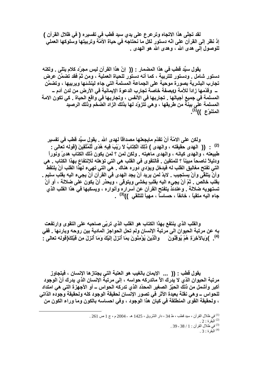لقد تجلَّى هذا الاتجاه وترعرع على يدى سيد قطب في تفسيره ( في ظلال القرآن ) إذ نظر إلى القرآن على انّه دستور لكل ما نحتاجه في حياة الأمّة وتربيتها وسلوكها العملي للوصول إلى هدى الله ، وهدى الله هو المهدى .

يقول سبِّد قطب في هذا المضمار · (( ۖ إنّ هذا القرآن ليس مجرّد كلام يتلي . ولكنه دستور شامل . ودستور للتربية ، كما أنه دستور للحياة العملية ، ومن ثمّ فقد تضمّن عرض تجارب البشرية بصورة موحية على الجماعة المسلمة التى جاء لينشئها ويربيها ، وتضمَّن المسلمة في جميع أجيالها . تجاربها في الأنفس ، وتجاربها في واقع الحياة . كي تكون الامة المسلمة على بينة من طريقها ، وهي تتزوّد لها بذلك الزاد الضخم وذلك الرصيد المتنوّع ))<sup>(1)</sup>.

ولكن على الامّة أنْ تقدّم مايجعلها مصداقاً لـهدى الله . يقول سيّد قطب في تفسير (2) . (( الـهدى حقيقته ، والـهدى ) ذَلِكَ الْكِتَابُ لاَ رَيْبَ فِيهِ هُدًى لِّلْمُتَّقِينَ (قوله تعالى : طبيعته ، والـهدى كيانـه ، والـهدى مـاهيتـه . ولكن لمن ؟ لمن يكون ذلك الكتاب هدىً ونوراً ودليلاً ناصحاً مبيناً ؟ للمتقين . فالتقوى في القلب هي التي تؤهله للإنتفاع بهذا الكتاب . هي التي تفتح مغاليق القلب له فيدخل ويؤدي دوره هناك . هي التي تهيء لهذا القلب أنْ يلتقط وأنْ يتلقَّى وأنْ يستجيب . لابدّ لمن يريد أنْ يجد الـهدى في القرآن أنْ يجيء اليه بقلب سليم . بقلب خالص \_ ثمّ أنْ يجيء اليه بقلبٍ يخشى ويتوقى ، ويحذر أنْ يكون على ضلالة ، أو أنْ تستهويه ضلالة . وعندئذ يتفتح القرآن عن أسراره وأنواره ، ويسكبها في هذا القلب الذي جاع اليه متقياً ، خائفاً ، حساساً ، مهيأ للتلقي ))<sup>(3)</sup> .

والقلب الذي ينتفع بهذا الكتاب هو القلب الذي تربِّي صاحبه على التقوى وارتفعت به عن مرتبة الحيوان الى مرتبة الإنسان ولم تحل الحواجز المادية بين روحه وبارئها . ففي <sup>(4)</sup>. )وَبِالآخِرَةِ هُمْ يُوقِنُونَ والَّذِينَ يُؤْمِنُونَ بِمَا أَنزِلَ إِلَيْكَ وَمَا أَنزِلَ مِن قَبْلِكَ(قولم تعالى :

يقول قطب : (( ... الإيمان بالغيب هو العتبة التي يجتاز ها الإنسان ، فيتجاوز مرتبة الحيوان الذي لا يدرك الأ ماتدركه حواسه ، إلى مرتبة الإنسان الذي يدرك أنّ الوجود أكبر وأشمل من ذلك الحيّز الصغير المحدّد الذي تدركه الحواس ــ أو الأجهزة التي هي امتداد للحواس ـــ وهي نقلة بعيدة الأثر في تصور الإنسان لحقيقة الوجود كله ولحقيقة وجوده الذاتي ، ولحقيقة القوى المنطلقة في كيان هذا الوجود ، وفي احساسه بالكون وما وراء الكون من

> <sup>(1)</sup> في ظلال القرآن ، سيد قطب ، ط 34 ، دار الشّروق ، 1425 هـ ـ 2004 م ، ج 1 ص 261 .  $2:3$ البقرة  $.39 - 38 / 1$ : في ظلال القرآن $.1 \times 38 - 38$ البقر ة $3:3$  .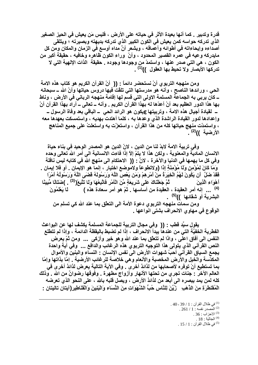قدرة وتدبير . كما أنها بعيدة الأثر في حياته على الأرض ، فليس مَن يعيش في الحيز الصغير الذي تدركه حواسه كمن يعيش في الكون الكبير الذي تدركه بديهته وبصيرته ؛ ويتلقى أصداءه وإيحاءاته في أطوائه وأعماقه ، ويشعر أنَّ مداه أوسع في الزمان والمكان ومن كل مايدركه وعيه في عمره القصير المحدود ، وأنَّ ۖ وراء الكون ظاهره وخافيه ، حقيقة أكبر من الكون ، هي التي صدر عنها ، واستمدّ من وجودها وجوده . حقيقة الذات الإلهية التي لا تدركها الأبصار ولا تحيط بها العقول ))<sup>(1)</sup> .

ومن منهجه التربوي أنْ نستحضر دائماً : (( ۖ أنّ القرآن الكريم هو كتاب هذه الامة الحي ، ورائدها الناصح ، وأنـه هو مدرستها التي تلقّت فيها دروس حياتها وأنّ الله ــ سبحانـه ــ كان يربى به الجماعة المسلمة الاولى التي قسم لها إقامة منهجه الرباني في الأرض ، وناط بـها هذا الدور الـعظيم بـعد أنْ أعدّها لـه بـهذا القرآن الكريم . وأنـه ــ تـعالمي ــ أراد بـهذا القرآن أنْ ـــ لقيادة أجيال هذه الامة ، وتربيتها عيكون هو الرائد الحي \_ الباقي بعد وفاة الرسول ـــ وإعدادها لدور القيادة الراشدة الذي وعدها به ، كلما أهتدت بهديه ، واستمسكت بعهدها معه ، واستمدّت منهج حياتها كله من هذا القرآن ، واستعزّت به واستعلتْ على جميع المناهج الأرضية ))<sup>(2)</sup> .

وفي تربية الامة لابدّ لنا من الدين ، لانّ الدين هو المصدر الوحيد في بناء حياة الانسان المادية والمعنوية ، ولكن هذا لا يتمّ إلاّ إذا فاءت الانسانية الى أمر الله تعالى وحده وفي كل ما يهمها في الدنيا والآخر ة ، لانَّ : (( الاحتكام الى منهج الله في كتابه ليس نافلة وَمَا كَانَ لِمُؤْمِنٍ وَلَا مُؤْمِنَةٍ إِذَا (ولاتطوعاً ولاموضع اختيار ، إنما هو الإيمان . أو فلا إيمان . فَقَدْ ضَلَّ أن يَكُونَ لَـهُمُ الْخِيَرَةُ مِنْ أَمْرِ هِمْ وَمَن يَعْصِ اللَّهَ وَرَسُولَهُ قَضَى اللَّهُ وَرَسُولُهُ أَمْرًا ثُمَّ جَعَلْنَاكَ عَلَى شَرِيعَةٍ مِّنَ الْأَمْرِ فَاتَّبِعْهَا وَلَا تَتَّبِعْ(<sup>3</sup>) . )ضَلَالًا مُّبِينًا أهْوَاء الَّذِينَ <sup>(4)</sup> ... إنه أمر العقيدة ، العقيدة من أساسها . ثمّ هو أمر سعادة هذه ) لَمَا يَعْلَمُونَ البشرية أو شقائها ))<sup>(5)</sup> .

ومن سماتٌ منهجِه التربوي دعوة الأمة الى التعلِّق بما عند الله كي تسلم من الوقوع في مهاوي الانحراف بشتي انواعها .

يقول سيِّد قطب : (( وفي مجال التربية للجماعة المسلمة يكشف لها عن البواعث الفطرية الخفيَّة التي من عندها يبدأ الانحراف ، إذا لم تضبط باليقظة الدائمة ، وإذا لم تتطلع النفس الى آفاق اعلى ، واذا لم تتعلَّق بما عند الله وهو خير وأزكى ... ومن ثمَّ يعرض النص القرآني الذي يتولى هذا التوجيه التربوي هذه الرغائب والدافع ... وفي آية واحدة يجمع السياق القرآني أحبّ شهوات الأرض الى نفس الإنسان : النساء والبنين والأموال المكدّسة والخيل والأرض المخصبة والأنعام وهي خلاصة للرغائب الأرضية . إمّا بذاتها وإمّا بما تستطيع أنْ توفره لأصحابها من لذائذ أخرى [ وفي الآية التالية يعرض لذائذ أخرى في العالم الآخر : جنات تجرى من تحتها الأنهار وأزواج مطهرة . وفوقها رضوانٌ من الله . وذلك كله لمن يمد ببصره الى أبعد من لذائذ الأرض ، ويصل قلبه بالله ، على النحو الذي تعرضه الْمُقْنطْرَةِ مِنَ الذَّهَبِ ۚ زُيِّنَ لِلنَّاسِ حُبُّ الشَّهَوَاتِ مِنَ النِّسَاءِ وَالْبَنِينَ وَالْقَنَاطِيرِ (آيتان تاليتان :

> . 40 - 39 / 1 : في ظلال القرآن : 1 / 39 - 40 .  $.261/1:$ المصدر نفسه $.1/1$ .  $36$  الأحز اب $^{\left( 3\right) }$  $18:18$ الجاثية  $^{(4)}$ . 15 / 1 في ظلال القرآن : 1 / 15.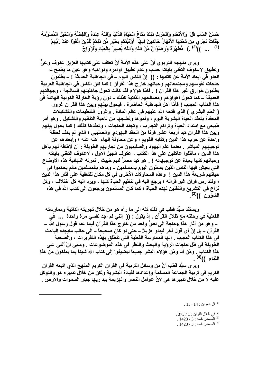حُسْنُ الْمَآبِ قُلْ وَالأَنْعَامِ وَالْحَرْثِ ذَٰلِكَ مَتَاعُ الْحَيَاةِ الدَّنْيَا وَاللّهُ عِنْدَهُ وَالْفِضَّةِ وَالْخَيْلِ الْمُسَوَّمَةِ جَنَّاتٌ تَجْر ي مِن تَحْتِهَا الأَنْهَارُ خَالِدِينَ فِيهَا ۖ أَوُّنَبَّئُكُم بِخَيْرِ مِّن ذَلِكُمْ لِلَّذِينَ اتَّقَوْا عِنْدَ رَبِّهِمْ <sup>(1)</sup> ... ))<sup>(2)</sup> .) مُطْهَّرَةٌ وَرِضْوَانٌ مِّنَ اللّهِ وَاللّهُ بَصبِيرٌ بِالْعِبَادِ وَأَزْوَاجٌ

ويرى منهجه التربوي أنّ على هذه الأمة أنْ تعكف على كتابها العزيز عكوف وع*ي*ّ وتطبيق لاعكوف التغني بآياته حسب وعدم تطبيق أوامره ونواهيه وهو عين ما يطمح له العدو في ابعاد الأمة عن كتابها : (( إنّ الناس اليوم ــ في الجاهلية الحديثة ! ــ يطلبون حاجات نفوسهم ومجتمعاتهم وحياتهم خارج هذا القرآن ! كما كا*ن* الناس في الجاهلية العربية يطلبون خوارق غير هذا القرآن ! . فأمّا هؤلاء فقد كانت تحول جاهليتهم الساذجة ، وجهالتهم العميقة ــ كما تحول أهواوَهم ومصالحهم الذاتية كذلك ـــ دون روَية الخارقة الكونية الـهائلة في هذا الكتاب العجيب ! فأمّا أهل الجاهلية الحاضرة ، فيحول بينهم وبين هذا القرآن غرور ( العلم البشري ) الذي فتحه الله عليهم في عالم المادة . وغرور التنظيمات والتشكيلات المعقدة بتعقد الحياة البشرية اليوم ، ونموها ونضجها من ناحية التنظيم والتشكيل <sub>-</sub> وهو أمر طبيعي مع امتداد الحياة وتراكم التجارب ، وتجدد الحاجات ، وتعقدها كذلك ! كما يحول بينهم وبين هذا القرآن كيد أربعة عشر قرنـاً منَ الـحقد اليـهودي والصليبي ؛ الذي لم يكف لـحظة واحدة ع*ن* حرب هذا الدين وكتابه القويم ؛ وعن محاولة إلـهاء أهلـه عنـه ؛ وإبـعادهم عن توجيههم المباشر <sub>-</sub> بعدما علم اليهود والصليبيون من تجاربهم الطويلة : أن لاطاقة لهم بأهل هذا الدين ، ماظلوا عاكفين على هذا الكتاب ، عكوف الجيل الاول ، لاعكوف التغني بآياته وحياتهم كلها بعيدة عن توجيهاته ! <sub>-</sub> هو كيد مصر ٌ لئيم خبيث . ثمرته النهائية هذه الاوضاع التي يعيش فيها النـاس الذين يسمّون اليوم بـالمسلمين ــ ومـاهم بـالمسلمين مـالم يحكموا في حياتهم شريعة هذا الدين ! وهذه المحاولات الأخرى في كل مكان للتعفية عل*ى* آثار هذا الدين ؛ ولتدارس قرآن غير قرآنـه ؛ يرجع اليـه في تنظيم الحياة كلـها ، ويرد اليـه كل اختلاف ، وكل نزاع في التشريع والتقنين لـهذه الحياة ؛ كما كان المسلمون يرجعون ال*ى* كتاب الله في هذه **)3( اzGون )) .** 

**ويستند سيّد قطب في ذلك كله الى ما رآه هو من خلال تجربته الذاتية وممارسته** الفعلية في رحلته مع ظلال القرآن . إذ يقول : (( إنني لم أجد نفسي مرّة واحدة ... في ــــــوهو من آثـار هذا عجحاجة الـي نصرً واحد من خارج هذا القرآن فيمـا عدا قول رسول الله ـــــــــــــــــــــــ القر آن ــ بل إنّ أي قول آخر ليبدو هزيلاً ــ حتى لو كان صحيحاً ــ ال*ى* جانب مايجده الباحث في هذا الكتاب العجيب <sub>-</sub> إنـها الممارسة الفعلية التي تنطلق بـهذه التقريرات ، والصحبة الطّويلة ف*ي* ظل حاجات الروّية والبحث والنظر في هذه الموضوعات <sub>-</sub> وماب*ي* أنْ أثني عل*ى* هذا الكتاب <sub>-</sub> ومَن أنا ومَن هؤلاء البشر جميعاً ليضيفوا إلى كتاب الله شيئاً بما يملكون من هذا الثناء ))<sup>(4)</sup> .

**ويرى سيِّد قطب أنَّ من وسائل التربية في القرآن الكريم المنهج الذي اتبعه القرآن** الكريم في تربية الجماعة المسلمة وإعدادها لقيادة البشرية ولكن من خلال تدبيره هو والتوكل عليه لا من خلال تدبير ها هي لانّ عوامل النصر والهزيمة بيد ربها جبار السموات والارض <u>.</u>

l

 $15$ - أل عمران : 14 - 15  $^{\left( 1\right) }$ 

في ظلال القرآن : 1 / 373 .  $\sim$ . المصدر نفسه : 3 / 1423 .

<sup>(4)</sup> المصدر نفسه : 3 / 1423 .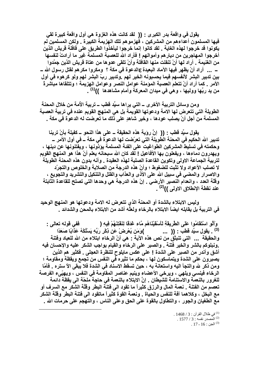يقول في واقعة بدر الكبرى : (( لقد كانت هذه الغزوة هي أول واقعة كبيرة لقي فيها المسلمون أعداءهم من المشركين ، فهزمو هم تلك الهزيمة الكبيرة \_ ولكن المسلمين لم يكونوا قد خرجوا لهذه الغاية . لقد كانوا إنما خرجوا ليأخذوا الطريق على قافلة قريش الذين أخرجوا المهاجرين من ديارهم وأموالهم ! فأراد الله للعصبة المسلمة غير ما أرادتْ لنفسها من الغنيمة \_ أراد لها أنْ تنفلت منها القافلة وأنْ تلقى عدوها من عتاة قريش الذين جمّدوا \_\_ \_\_\_ أراد أنْ يظهر فيها الآماد البعيدة ع|لدعوة في مكة ؟ ومكروا مكر هم لفتل رسول الله \_\_ بين تدبير البشر لأنفسهم فيما يحسبونه الخير لهم .وتدبير ربِّ البشر لهم ولو كرهوه في أول الأمر \_ كما أراد أنْ تتعلم العصبة المؤمنة عوامل النصر وعوامل الهزيمة ؛ وتتلقاها مباشرةً من يد ربِّها ووليها ، وهي في ميدان المعركة وأمام مشاهدها ))<sup>(1)</sup> .

ومن وسائل التربية الأخرى \_ التي يراها سيِّد قطب \_ تربية الأمة من خلال المحنة الطويلة التي تتعرض لها الامة ودعوتها القويمة بل هي المنهج القويم عنده في تربية العصبة المسلمة من أجل أنْ يصلب عودها ، وخير شاهدٍ على ذلك ما تعرضت له الدعوة في مكة .

يقول سبِّد قطب : (( ۖ إنَّ روَية هذه الحقيقة ــ على هذا النحو ــ كفيلة بأنْ ترينا تدبير الله الحكيم في المحنة الطويلة التي تعرّضت لها الدعوة في مكة ــ في أول الأمر ـــ وحكمته في تسليط المشركين الطواغيت على الفئة المسلمة يؤذونها ، ويفتنونها عن دينها ، ويهدرون دماءها ، ويفعلون بها الأفاعيل ! لقد كان الله سبحانه يعلم أنّ هذا هو المنهج القويم لتربية الجماعة الاولى وتكوين القاعدة الصلبة لهذه العقيدة . وأنه بدون هذه المحنة الطويلة لا تصلب الأعواد ولا تثبت للضغوط ؛ وأنّ هذه الدرجة من الصلابة والخلوص والتجرّد والاصرار والمضي في سبيل الله على الأذى والعذاب والفتل والتنكيل والتشريد والتجويع ، وقلَّة العدد ، وانعدام النصير الأرضى . إنّ هذه الدرجة هي وحدها التي تصلح للقاعدة الثابتة عند نفطة الإنطلاق الاولى ))<sup>(2)</sup> .

وليس الابتلاء بالشدة أو المحنة الذي تتعرض له الامة ودعوتها هو المنهج الوحيد في التربية بل يقابله ايضاً الابتلاء بالرخاء ولعلَّه أشد من الابتلاء بالمحن والشدائد .

وَأَلَّو اسْتَقَامُوا عَلَى الطَّرِيقَةِ لَأَسْقَيْنَاهُم مَّاء غَدَقَا لِنَفْتِنَهُمْ فِيهِ ( ِ فَفَى قَوْلُهُ تَعَالَى <u>:</u> <sup>(3)</sup> . يقول سبِّد قطب : (( ... )وَمَن يُعْرِضْ عَن ذِكْرِ رَبِّهِ يَسْلُكْهُ عَذَابًا صَعَدًا والحقيقة ... التي تنبثق من نص هذه الآية : هي أنّ الرخاء ابتلاء من الله للعباد وفتنة .ونبلوكم بالشر والخير فتنة . والصبر على الرخاء والقيام بواجب الشكر عليه والإحسان فيه أشق وأندر من الصبر على الشدة ! على عكس مايلوح للنظرة العجلى . فكثير هم الذين يصبرون على الشدة ويتماسكون لـها ، بـحكم ما تثيره في النفس من تجمع ويقظة ومقاومة ؛ ومن ذكر لله والتجأ اليه واستعانـة بـه ، حين تسقط الاسنـاد فـى الشدة فلا يبقى الآ ستره \_ فأمّا الرخاء فينسي ويلهي ، ويرخى الأعضاء وينيم عناصر المقاومة في النفس ، ويهيِّيء الفرصة للغرور بالنعمة والاستنامة للشيطان . إنَّ الابتلاء بالنعمة في حاجة ملحَّة الى يقظة دائمة تعصم من الفتنة \_ نعمة المال والرزق كثيراً ما تقود الى فتنة البطر وقلَّة الشكر مع السرف أو مع البخل ، وكلاهما آفة للنفس والحياة . ونعمة القوة كَثيراً ماتقود الى فتنة البطرِّ وقلَّة الشكر مع الطغيان والجور ، والتطاول بالقوة على الحق وعلى الناس ، والتهجم على حرمات الله .

> . في ظلال القرآن : 3 / 1468 . . 1577 / 3 المصدر نفسه: 3 / 1577. .  $17 - 16$  : الجن $^{(3)}$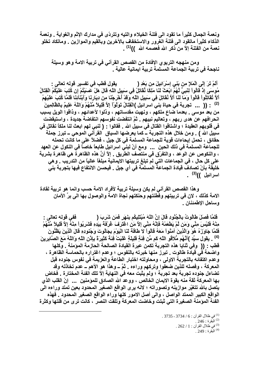ونعمة الجمال كثيراً ما تقود الى فتنة الخيلاء والتيه وتتردّى في مدارك الإثم والغواية <sub>-</sub> ونعمة الذكاء كثيراً ماتقود ال*ى* فتنة الغرور والاستخفاف بالآخرين وبالقيم والموازين <sub>-</sub> وماتكاد تخلو **)1( ا: إfّ ذآ ا =\*0 ا )) .** 

ومن منهجه التربوي الإفادة من القصص القرآني في تربية الامة وهو وسيلة ناجحة في تربية الجماعة المسلمة تربية ايمانية عالية <sub>-</sub>

 **: %A 0ET -:A <= \_5T لE1** ) **َِْ ِ َ7-**أَلَمْ تَرَ إِلَ<sub>ّى</sub> الْمَلإِ مِن بَنِي إِسْرَائِيلَ مِن بَعْدِ ( مُوسَى إِذْ قَالُواْ لِنَبِيِّ لَّهُمُ ابْعَتْ لَنَا مَلِكًا نَقَاتِلْ فِي سَبِيلِ اللَّهِ قَالَ هَلْ عَسَيْتُمْ إِن كُتِبَ عَلَيْكُمُ الْقِتَالُ أَلاَّ تُقَاتِلُواْ قَالُواْ وَمَا لَنَا أَلاَّ نُقَاتِلَ فِي سَبِيلِ اللَّهِ وَقَدْ أَخْرِجْنَا مِن دِيَارِنَا وَأَبْنَآئِنَا فَلَمَّا كُتِبَ عَلَيْهِمُ <sup>(2)</sup> : (( ... تجربة في حياة بني اسرائيل )الْقِتَالُ تَوَلَّوْاْ إلاَّ قَلِيلاً مَّنْهُمْ وَاللّهُ عَلِيمٌ بِالظَّالِمِينَ من بعد موسى <sub>-</sub> بعدما ضاع ملكهم ، ونهبت مقدساتهم ، وذلوا لأعدائهم ، وذاقوا الويل بسبب انحرافهم عن هدى ربهم ، وتعاليم نبيهم . ثمّ انتفضت نفوسهم انتفاضة جديدة ، واستيقضت في قلوبهم العقيدة ؛ واشتاقوا القتال في سبيل الله . فقالوا : ( لنبي لهم ابعث لنا ملكاً نقاتل في سبيل الله **) .** ومن خلال هذه التجربة ــ كما يعرضها السياق القرآني الموحي ــ تبرز جملة حقائق ، تحمل إيحاءات قوية للجماعة المسلمة في كل جيل ، فضلاً على ما كانت تحمله للجماعة المسلمة في ذلك الحين <sub>ــــ</sub> ومع أنّ لبني اسرائيل طابعاً خاصاً في النكول عن العهد ، والنكوص عن الوعد ، والتفرّق في منتصف الطريق <sub>-</sub> إلاّ أنّ هذه الظاهرة هي ظاهرة بشرية **على كل حال ، في الجماعات التي لم تبلغ تربيتها الايمانية مبلغاً عالياً من التدريب <sub>-</sub> و هي** خليقة بأنْ تصادف قيادة الجماعة المسلمة في أي جيل <sub>-</sub> فيحسن الانتفاع فيها بتجربة بني ا**سرائیل ))<sup>(3)</sup> .** 

و هذا القصص القرآني لم يكن وسيلة تربية لأفراد الامة حسب وانما هو تربية لقادة الامة كذلك ، لا*ن* في تربيتهم وفطنتهم وحنكتهم نجاة الامة والوصول بها ال*ى* برِّ الأمان **وساحل الاطمئنان .** 

فَلَمّا فَصَلَ طَالُوتُ بِالْجُنُودِ قَالَ إِنّ اللّهَ مُبْتَلِيكُم بِنَهَرٍ فَمَن شَربَ ( فَفي قوله تعالى : مِنْهُ فَلَيْسَ مِثِّي وَمَن لّمْ يَطْعَمْهُ فَإِنَّهُ مِنِّي إِلاَّ مَنِ اعْتَرَفَ غَرْفَةً بِيَدِهِ فَشَرِبُواْ مِنْهُ إِلاَّ قَلِيلاً مَنْهُمْ فَلَمَّا جَاوَزَهُ هُوَ وَالَّذِينَ آمَنُواْ مَعَهُ قَالُواْ لاَ طَاقَةَ لَنَا الْيَوْمَ بِجَالُوتَ وَجُنُودِهِ قَالَ الَّذِينَ يَظُنُّونَ <sup>(4)</sup> . يقول سيّد )أنَّهُم مُُلاَقُو اللّهِ كَم مِّن فِئَةٍ قَلِيلَةٍ غَلَبَتْ فِئَةً كَثِيرَةً بِإِدْنِ اللّهِ وَاللّهُ مَعَ الصَّابِرِينَ قطب : (( وفي ثنايا هذه التجربة تكمن عبرة القيادة الصالحة الحازمة المؤمنة <sub>-</sub> وكلها واضحة في قيادة طالوت <sub>-</sub> تبرز منها خبرته بالنفوس ؛ وعدم اغتراره بالحماسة الظاهرة ، و عدم اكتفائـه بالتجربـة الاولـى ، ومحاولتـه اختبار الطاعـة والـعزيمـة في نفوس جنوده قبل المعركة ، وفصله للذين ضعفوا وتركهم وراءه . ثمَّ ــ وهذا هو الأهم<sup>ِّ</sup>ــ عدم تخاذله وقد تضاءل جنوده تجربة بعد تجربة ؛ ولم يثبت معه في النهاية إلاّ تلك الفئة المختارة <sub>-</sub> فخاض بـها المعركة ثقة منـه بقوة الايمـان الخـالص ، ووعد الله الصـادق للموَمنين ــــــ إنّ القلب الذي يتصل بالله تتغيّر موازينه وتصوراته ؛ لانه يرى الواقع الصغير المحدود بعين تمتد وراءه ال*ى* الواقع الكبير الممتد الواصل ، وال*ى* أصل الامور كلها وراء الواقع الصغير المحدود <sub>-</sub> فهذه الفئة المؤمنة الصغيرة التي ثبتت وخاضت المعركة وتلقت النصر ، كانت تر *ى* من قلتها وكثرة

l

.<sup>(1)</sup> في ظلال القر آن : 6 / 3734 - 3735 . .  $246:$ البقرة  $\,$ في ظلال القرآن : 1 / 262 .  $(4)$ البقرة : 249 .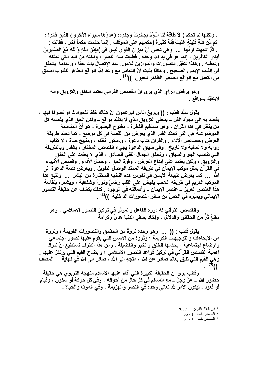. ولكنها لم تحكم ) لاَ طَاقَةَ لَنَا الْيَوْمَ بِجَالُوتَ وَجُنُودِهِ (عدوّها مايراه الآخرون الذين قالوا : كَم مِّن فِنَةٍ قَلِيلَةٍ غَلَبَتْ فِنَةً كَثِيرَةً (حكمهم على الموقف . إنما حكمت حكماً آخر ، فقالت : . ثمَّ اتجهت لربِّها ... وهي تحس أنَّ ميزان القوى ليس في )بإِنْنِ اللَّهِ وَاللَّهُ مَعَ الصَّابِرينَ أيدي الكافرين ، إنما هو في يد الله وحده . فطلبت منه النصر ، ونالته من اليد التِّي تملكه وتعطيه . وهكذا تتغيَّر التصورات والموازين للأمور. عند الإتصال بالله حقًّا ، وعندما يتحقق في القلب الإيمان الصحيح . وهكذا يثبت أنَّ التعامل مع وعد الله الواقع الظاهر للقلوب أصدق من التعمل مع الواقع الصغير الظاهر للعيون ))<sup>(1)</sup> .

وهو يرفض الرأى الذي يرى أنّ القصص القرآني يعتمد الخلق والتزويق وأنه لايتقيّد بالواقع .

يقول سبِّد قطب - (( ويزيغ أنـاس فيزعمون أنَّ هنـاك خلقاً للـحوادث أو تصرفاً فيها ، يقصد بـ4 إلى مجرّد الفن ــ بمعنى التزويق الذي لا يتقيّد بواقع ــ ولكن الحق الذي يلمسه كل من ينظر في هذا القرآن ، وهو مستقيم الفطرة ، مفتوح البصيرة ، هو أنَّ المناسبة الموضوعية هي التي تحدّد القدر الذي يعرض من القصة في كل موضع ، كما تحدّد طريقة العرض وخصائص الأداء . والقرآن كتاب دعوة ، ودستور نظام ، ومنهج حياة ، لا كتاب رواية ولا تسلية ولا تاريخ . وفي سياق الدعوة يجيء القصص المختار ، بالقدر وبالطريقة التي تناسب الجو والسياق ، وتحقِّق الجمال الفني الصادق ، الذي لا يعتمد على الخلق والتزويق ، ولكن يعتمد على إبداع العرض ، وقوة الحق ، وجمال الأداء . وقصص الأنبياء في القرآن يمثل موكب الإيمان في طريقه الممتد الواصل الطويل \_ ويعرض قصة الدعوة الى الله ... كما يعرض طبيعة الإيمان في نفوس هذه النخبة المختارة من البشر ... وتتبع هذَا الموكب الكريم في طريقه اللاحب يفيض على القلب رضيٍّ ونوراً وشفافية ؛ ويشعره بنفاسة هذا العنصر العزيز ــ عنصر الإيمان ــ وأصالته في الوجود . كذلك يكشف عن حقيقة التصور الإيماني ويميّزه في الحسِّ من سائر التصورات الداخلية ))<sup>(2)</sup> .

والقصص القرآني له دوره الفاعل والمؤثِّر في تركيز التصور الاسلامي ، وهو مقلعٌ ثرٌ من الحقائق والدلائل ، وإخاذ يسقى الدنيا هدىً وكرامةً .

يقول قطب : (( ... وهو وحده ثروةٌ من الحقائق والتصورات القويمة ؛ وثروة من الإيحاءات والتوجيهات الكريمة ؛ وثروة من الاسس التي يقوم عليها تصور اجتماعي واوضاع اجتماعية ، يحكمها الخلق والخير والفضيلة . ومن هذا الطرف نستطيع انْ ندرك و هي القيم التي تليق بعالم صادر عن الله ، متجهِ الى الله ، صائر الى القيم التي يرتكز عليها .<br>))<sup>(3)</sup> .<br>))(<sup>3)</sup> .

وقطب يرى أنّ الحقيقة الكبيرة التي أقام عليها الاسلام منهجه التربوي هي حقيقة حضور الله ــ عزّ وجلّ ــ مع المسلم في كل حال من أحواله ، وفي كل حركة أو سكون ، وقيام أو قعود \_ ليكون الأمر لله تعالى وحده في النصر والهزيمة ، وفي الموت والحياة \_

> . 263 / 1 في ظلال القرآن $1$  / 263 .  $.55/1$ : المُصدر نفسه  $1/1$ .  $61/1$  : المصدر نفسه $1/1$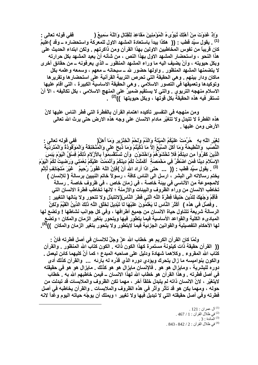وَإِذْ غَدَوْتَ مِنْ أَهْلِكَ تُبَوِّىءُ الْمُوْمِنِينَ مَقَاعِدَ لِلْقِتَالِ وَاللّهُ سَمِيعٌ ( ِ فَفَى قَوْلُهُ تَعَالَى <del>:</del> <sup>(1)</sup> . يقول سيِّد قطب : (( هكذا يبدأ باستعادة المشهد الاول للمعركة واستحضاره ــ وقد )عَلِيمٌ كان قريباً من نفوس المخاطبين الاولين بهذا القرآن ومن ذاكرتهم . ولكن ابتداء الحديث على هذا النحو ، واستحضار المشهد الاول بهذا النص ، من شأنه أنْ يعيد المشهد بكل حرارته وبكل حيويته ، وأنْ يضيف اليه ما وراء المشهد المنظور \_ الذي يعرفونه \_ من حقائق أخرى لا يتضمنها المشهد المنظور \_ واولها حضور لله \_ سبحانه \_ معهم ، وسمعه وعلمه بكل ماكان ودار بينهم . وهي الحقيقة التي تحرص التربية القرآنية على استحضارها وتقريرها وتوكيدها وتعميقها في التصور الاسلامي . وهي الحقيقة الاساسية الكبيرة ، التي اقام عليها الاسلام منهجه التربوي . والتي لا يستقيم ضميرٌ على المنهج الاسلامي ، بكل تكاليفه ، الآ أنْ تستقر فيه هذه الحقيقة بكل قوتها ، وبكل حيويتها ))<sup>(2)</sup> .

ومن منهجه في التفسير تأكيده اهتمام القرآن بالفطرة التي فطر الناس عليها لانّ هذه الفطرة لا تتبدل ولا تتغيّر مادام الانسان على وجه هذه الارض حتى يرث الله تعالى الأرض ومن عليها .

لِغَيْرِ اللَّهِ بِهِ ۖ حُرِّمَتْ عَلَيْكُمُ الْمَيْتَةَ وَالْدَّمُ وَلَحْمُ الْخِنْزِيرِ وَمَا أَهِلَّ( ففي قوله تعالى : النُّصُبِ ۚ وَالنَّطِيحَةَ وَمَا أكَلَ السَّبُعُ إلاَّ مَا نَكَّيْتُمْ وَمَا نُبحَ عَلَى وَالْمُنْخَفِةَ وَالْمَوْقْوَذَةُ وَالْمُتَرَدِّيَّةَ الَّذِينَ كَفَرُواْ مِن دِينِكُمْ فَلاَ تَخْشَوْهُمْ وَاخْشَوْنِ ۚ وَأَن تَسْتَقْسِمُواْ بِالأَرْلَامِ ذَلِكُمْ فِسْقِّ الْيَوْمَ يَئِسَ الإسْلاَمَ دِينًا فَمَنِ اصْطُرَّ فِي مَحْمَصَةٍ ۚ أَكْمَلْتُ لَكُمْ دِينَكُمْ وَأَتْمَمْتُ عَلَيْكُمْ نِعْمَتِي وَرَضيتُ لَكُمُ الْيَوْمَ <sup>(3)</sup> . يقول سبِّد قطب : (( ... حتى اذا أراد الله أنْ )فَإنَّ اللَّهَ غَفُورٌ رَّحِيمٌ غَيْرَ مُتَجَانِفٍ لِّإِتْمِ يختم رسالاته الى البشر ، ارسل الى الناس كافة ، رسولاً خاتم النبيين برسالة ( للإنسان ) لالمجموعة من الأناسي في بيئة خاصة ، في زمان خاص ، في ظروف خاصة \_ رسالة تخاطب الانسان من وراء الظروف والبيئات والأزمنة ؛ لانها تخاطب فطرة الانسان التي فَأَقِمْ وَجْهَكَ لِلدِّينِ حَنِيفًا فِطْرَةَ اللَّهِ الَّتِي فَطْرَ النَّاسَ(لاتتبِدّل ولا تتحور ولا ينالها التغيير -. وفصَّل في هذه ) أكْثَرَ النَّاس لما يَعْلَمُونَ عَلَيْهَا لما تَبْدِيلَ لِخَلْقِ اللَّهِ ذَلِكَ الدِّينُ الْقيِّمُ ولَكِنَّ الرسالة شريعة تتناول حياة الانسان من جميع أطرافها ، وفي كل جوانب نشاطها ! وتضع لها المبادىء الكلية والقواعد الأساسية فيما يتطور فيها ويتحور بتغير الزمان والمكان ؛ وتضع لـها الأحكام التفصيلية والقوانين الجزئية فيما لايتطور ولا يتحور بتغير الزمان والمكان ))<sup>(4)</sup>.

ولمّا كان القرآن الكريم هو خطاب الله عزّ وجلَّ للانسان في أصل فطرته فانَّ : (( القرآن حقيقة ذات كينونـة مستمرة كهذا الكون ذاتـه . الكون كتاب الله المنظور . والقرآن كتاب الله المقروع . وكلاهما شهادة ودليل على صاحبه المبدع ؛ كما أنَّ كليهما كائن ليعمل . والكون بنواميسه ما زال يتحرك ويؤدى دوره الذي قدَّره له بارئه ... والقرآن كذلك أدى دوره للبشرية ، ومايزال هو هو . فالإنسان مايزال هو هو كذلك . مايزال هو هو في حقيقته في أصل فطرته . وهذا القرآن هو خطاب الله لهذا الانسان ــ فيمن خاطبهم الله به . خطاب لايتغيّر ، لانّ الانسان ذاته لم يتبدل خلقاً آخر ، مهما تكن الظروف والملابسات قد تبدلت من حوله ، ومهما يكن هو قد تأثر وأثر في هذه الظروف والملابسات . والقرآن يخاطبه في أصل فطرته وفي أصل حقيقته التي لا تبديل فيها ولا تغيير ؛ ويملك أن يوجِّه حياته اليوم وغداً لانه

> .  $121:$  آل عمران $^{(1)}$ . 467 / 1 في ظلال القرآن: 1 / 467.  $.3:$ المَائدة  $.3$ . 843 - 842 / 2 / 843 - 843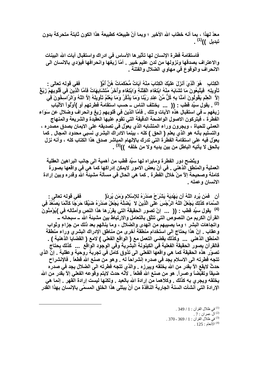معدّ لهذا ، بما أنه خطاب الله الأخير ؛ ويما أنّ طبيعته كطبيعة هذا الكون ثابتة متحركة بدون تبديل ))<sup>(1)</sup> .

فاستقامة فطرة الإنسان لـها تأثيرها الأساس فى ادراك واستقبال آيات الله البينات والاعتراف بصدقها ونزولها من لدن عليم خبير ٬ أمّا زيغها وانحرافها فيؤدى بالانسان الى الانحراف والوقوع في مهاوى الضلال والفتنة .

الْكِتَابِ ۚ هُوَ الَّذِىَ أَنْزَلَ عَلَيْكَ الْكِتَابَ مِنْهُ آيَاتٌ مُّحْكَمَاتٌ هُنَّ أَمُّ( ففي قوله تعالى : تَأْوِيلِهِ ۚ فَيَتَّبِعُونَ مَا تَشَابَهَ مِنْهُ ابْتِغَاءِ الْفِتْنَةِ وَابْتِغَاءِ وَأَخَرُ مُتَشَابِهَاتٌ فَأمَّا الَّذِينَ في قُلُوبِهِمْ زَيْغٌ إِلاَّ ۖ الْعِلْمِ يَقُولُونَ آمَنَّا بِهِ كُلِّ مِّنْ عِنْدِ رَبِّنَا وَمَا يَذْكَّرُ وَمَا يَعْلَمُ تَأويلَهُ إِلاَّ اللّهُ وَالرَّاسِخُونَ فِي <sup>(2)</sup> . يقول سيِّد قطب : (( ... يختلف الناس ــ حسب استقامة فطرتهم أو )أوْلُواْ الألْبَابِ زيغهم ــ في استقبال هذه الآيات وتلك . فأمّا الذين في قلوبهم زيغ وانحراف وضلال عن سَوَاء الفطرة ، فيتركون الاصول الواضحة الدقيقة التي تقوم عليها العقيدة والشريعة والمنهاج العملي للحياة ، ويجرون وراء المتشابه الذي يعوّل في تصديقه على الايمان بصدق مصدره ، والتسليم بأنه هو الذي يعلم ( الحق ) كله ، بينما الادراك البشر ي نسبى محدود المجال . كما يعوّل فيه على استقامة الفطرة التي تدرك بالإلهام المباشر صدق هذا الكتاب كله ، وأنه نزل بالحق لا يأتيه الباطل من بين يديه ولا من خلفه ))<sup>(3)</sup> .

ويتّضح دور الفطرة ومايراه لها سيِّد قطب من أهمية الى جانب البراهين العقلية العملية والمنطق الذهني . في أنّ بعض الامور لايمكن إدراكها كما هي في واقعها بصورة كاملة وصحيحة إلاّ مِنْ خلال الفطرة . كما هي الحال في مسألة مشيئة الله وقدره وبين إرادة الانسان وعمله .

أن \_ فَمَن يُرِدِ اللَّهُ أن يَهْدِيَهُ يَشْرَحْ صَدْرَهُ لِلإِسْلاَمِ وَمَن يُرِدْ( ِ فَفَ*ى* قَولُه تعالى : السَّمَاء كَذَلِكَ يَجْعَلُ اللّهُ الرِّجْسَ عَلَى الَّذِينَ لاَ يُضلِّلَهُ يَجْعَلْ صَدْرَهُ ضَيِّقًا حَرَجًا كَأنَّمَا يَصَغَّدُ فِي <sup>(4)</sup> يقول سيِّد قطب : (( ... إنّ تصور الحقيقة التي يقرّر ها هذا النص وأمثاله في )يُوْمِنُونَ القرآن الكريم مِن النصوص التي تتلَّق بالتعامل والارتباط بين مشيئة الله ــ سبحانه ــ واتجاهات البشر ؛ وما يصيبهم من الهدى والضلال ، وما ينالهم بعد ذلك من جزاعٍ وثواب وعقاب \_ إنّ هذا يحتاج الى استخدام منطقة أخرى من مناطق الإدراك البشرى وراء منطقة المنطق الذهني ... وكذلك يقضي التعمل مع ( الواقع الفعلي ) لامع ( القضايا الذهنية ) . فالقرآن يصور الحقيقة الفعلية فيّ الكينونة البشِّرية وّفى الوّجود الوّاقع ... كذلك يحتاج تصوّر هذه الحقيقة كما هي واقعها الفعلى الى تذوق كامل في تجربة روحية وعقلية \_ إنّ الذي تتجه فطرته الى الاسلام يجد في صدره إنشراحاً له . وهو من صنع الله قطعاً . فالإنشراح حدثٌ لايقع الاّ بقدر من الله يخلقه ويبرزه . والذي تتجه فطرته الى الضلال يجد في صدره ضيقاً وتقبَّضاً وعسراً. هو من صنع الله قطعاً . لأنَّه حدث لايتم وقوعه الفعلي إلاَّ بقدر من الله يخلقه ويجري به كذلك . وكلاهما من إرادة الله بالعبد . ولكنها ليست إرادة القهر . إنما هي الإرادة التي أنشأت السنة الجارية النافذة من أنْ يبتلي هذا الخلق المسمّى بالإنسان بهذا القدر

> . 349 / 1 : في ظلال القرآن $1:1\times 3$ .  $7:$  آلُ عمران  $\cdot$ .370 - 369 / 1 ني ظلال القرآن : 1 / 369 - 370 .  $125:$  الأنعام $^{(4)}$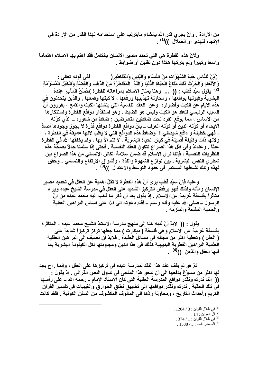من الإرادة . وأنْ يجرى قدر الله بإنشاء مايترتّب على استخدامه لهذا القدر من الإرادة في الإتجاه للهدى أو الضلال ))<sup>(1)</sup> .

ولانّ هذه الفطرة هي التي تحدد مصير الانسان بالكامل فقد اهتم بها الاسلام اهتماماً واسعاً وكبيراً ولم يتركها هكذا دون تقنين أو ضوابط

زُيِّنَ لِلنَّاسِ حُبُّ الشَّهَوَاتِ مِنَ النِّسَاءِ وَالْبَنِينَ وَالْقَنَاطِيرِ ( ففي قوله تعالى : وَالأَنْعَامِ وَالْحَرْثِ ذَلِكَ مَتَاعُ الْحَيَاةِ الدُّنْيَا وَاللّهُ ۖ الْمُقْنَطْرَةِ مِنَ الذَّهَبِ وَالْفَضَّةِ وَالْخَيْلِ الْمُسَوَّمَةِ <sup>(2)</sup> يقول سيِّد قطب : (( ... وهنا يمتاز الاسلام بمراعاته للفطرة )حُسْنُ الْمَآبِ عِندَهُ البشرية وقبولها بواقعها ، ومحاولة تهذيبها ورفعها ، لا كبتها وقمعها . والذين يتحدّثون في هذه الايام عن الكبت وأضراره وعن العقد النفسية التي ينشئها الكبت والقمع ، يقررون أنّ السبب الرئيسي للعقد هو الكبت وليس هو الضبط . وهو استقذار دوافع الفطرة واستنكارها من الأساس ، مما يوقع الفرد تحت ضغطين متعارضين - ضغط من شعوره ــ الذي كوّنه الايحاء أو كوّنه الدين أو كوّنه العرف ــ بأنّ دوافع الفطرة دوافع قذرة لا يجوز وجودها أصلاً ، فهي خطيئة و دافع شيطاني ! وضغط هذه الدوافع التي لا يغلب لانها عميقة في الفطرة ، ولأنـها ذات وظيفة أصبلـة فـي كيان الـحياة البشريـة ، لا تتمّ الآ بـها ، ولم يخلقها الله في الفطرة عبثاً . وعندئذ وفي ظل هذا الصراع تتكون العقد النفسية . فحتى إذا سلمنا جدلاً بصحّة هذه النظريات النفسية ، فإننا نرى الاسلام قد ضمن سلامة الكائن الإنساني من هذا الصراع بين شطري النفس البشرية \_ بين نوازع الشهوة واللذة ، وأشواق الإرتفاع والتسامى \_ وحقق لهذه وتلك نشاطها المستمر في حدود التوسط والاعتدال ))<sup>(3)</sup> .

و عليه فإنّ سيِّد قطب ير ي أنّ هذه الفطرة لا تقلّ اهمية عن العقل في تحديد مصير الإنسان ومآله ولذلك فهو يرفض التركيز الشديد على العقل في مدرسة الشيخ عبده ويراهُ متَأثَراً بِفَلسفَةٍ غَرِيبةٍ عن الإسلام \_ إذ يقول بعد أن ذكر ما ذهب اليه محمد عبده من انِّ الرسول ــ صلى الله عليه وآله وسلم ــ أقام دعوته الى الله على اساس البراهين العقلية و العلمية المقنعة و الملزمة .

يقول : (( لابدِّ أنْ نُنبِه هنا إلى منهجٍ مدرسة الاستاذ الشيخ محمد عبده ، المتأثرة بِفَلسفة غريبة عن الاسلام وهي فَلسفة ( ديكارت ) مما جعلها تركز تركيزاً شديداً على ( العقل ) وتعطية أكثر من مجاله في مسائل العقيدة . فلابدّ أن نضيف الى البراهين العقلية الْعلمية البراهين الفطرية البديهية كذلك في هذا الدين ومجاوبتها لكل الكينونة البشرية بما فيها العقل والذهن ))<sup>(4)</sup> .

ثمّ هو لم يقف عند هذا النقد لمدرسة عبده في تركيزها على العقل ، وإنما راح يجد لها أكثر من مسوّغ يدفعها الى أن تنحو هذا المنحى في تناول النص القرآني . إذ يقول : (( إننا ندرك ونقدر دوافع المدرسة العقلية التي كان الاستاذ الإمام ــ رحمه الله ــ على رأسها في تلك الحقبة . ندرك ونقدر دوافعها إلى تضييق نطاق الخوارق والغيبيات في تفسير القرآن الكريم وأحداث التاريخ ، ومحاولة ردّها الى المألوف المكشوف من السنن الكونية \_ فلقد كانت

> . 2 في ظلال القرآن: 3 / 1204 . .  $14:$  آلّ عمران  $14:$ <sup>(3)</sup> في ظلال القرآن : 1 / 374 .  $1588 / 3$ : المصدر نفسه  $(4)$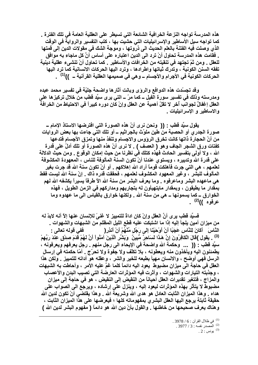هذه المدرسة تواجه النزعة الخرافية الشائعة التي تسيطر على العقلية العامة في تلك الفترة . كما تواجه سيل الأساطير والإسرائيليات التي حشيت بها ، كتب التفسير والروايةٌ في الوقت الذي وصلت فيه الفتنة بالعلم الحديث الى ذروتها ، وموجة الشك في مقولات الدين إلى قمتها \_ فقامت هذه المدرسة تحاول أنْ ترد ال*ى* الدين اعتباره على أساس أنَّ كل ماجاء به موافق للعقل \_ ومن ثمّ تجتهد في تنقيته من الخرافات والأساطير \_ كما تحاول أنْ تنشَّىء عقلية دينية تفقه السنن الكونية ، وتدرك ثباتها واطرادها ، وترد اليها الحركات الانسانية كما ترد اليها الحركات الكونية في الأجرام والأجسام ــ و هي في صميمها العقلية القرآنية ــ ))<sup>(1)</sup> .

وقد تجسّدت هذه الدوافع والروّي وبانت آثارها واضحة جليّة في تفسير محمد عبده ومدرسته وذلك في تفسير سورة الفيل ــ كما مرّ ــ التي يرى سيِّد قطب من خلال تركيز ها على العقل إغفالٌ لجوانب أخر لا تقلّ أهمية عن العقل وإنْ كان دوره كبيراً في الاحتياط من الخرافة والاساطير و الإسرائيليات .

يقول سبِّد قطب : (( ۖ ونحن نرى أنَّ هذه الصورة التي افترضها الاستاذ الإمام ــ صورة الجدري أو الحصبة من طين ملوّت بالجراثيم ــ أو تلك التي جاءت بها بعض الروايات من أنّ الحجارة ذاتها كانت تخرق الروّوس والاجسام وتنفذ منها وتمزق الأجسام فتدعها كفتات ورق الشجر الجاف وهو ( العصف ) . لا نرى أنّ هذه الصورة أو تلك أدلّ على قدرة الله ، ولا أولى بتفسير الحادث فهذه كتلك في نظرنا من حيث إمكان الوقوع . ومن حيث الدلالة على قدرة الله وتدبيره ، ويستوى عندنـا أنْ تكون السنـة المألوفـة للنـاس ، المعهودة المكشوفـة لعلمهم ، هي التي جرت فأهلكت قوماً أراد الله إهلاكهم . أو أنْ تكون سنة الله قد جرت بغير المألوف للبشر ، وغير المعهود المكشوف لعلمهم ، فحققت قدره ذاك \_ إنّ سنة الله ليست فقط هي ماعهده البشر وماعرفوه . وما يعرف البشر من سنة الله الآ طرفاً يسيراً يكشفه الله لهم بمقدار ما يطيقون ، وبمقدار مايتهيأون له بتجاربهم ومداركهم في الزمن الطويل ، فهذه الخوارق ــ كما يسمونـها ــ هي من سنـة الله \_ ولكنـها خوارق بالقياس الى مـا عهدوه ومـا عرفوه ))<sup>(2)</sup> .

فَسيِّد قطب يرى أنِّ العقل وإنْ كان اداةً للتمييز لا غَنيٍّ للإنسان عنها إلاَّ أنه لابدَّ له من ميزان أمين يلجأ إليه إذا ما اشتبكت عليه قطع الليل المظلم من الشبهات والشهوات . النَّاسَ ۚ أَكَانَ لِلنَّاسِ عَجَبًا أَنْ أَوْحَيْنَا إِلَى رَجُلٍ مِّنْهُمْ أَنْ أَنذِرِ ( ِ فَفَى قَوْلُهُ تَعَالَى <u>:</u> <sup>(3)</sup> . يقول )قالَ الْكَافِرُونَ إنَّ هَذَا لَسَاحِرٌ مُّبِينٌ ۚ وَبَثْتُر الَّذِينَ آمَنُواْ أنَّ لَهُمْ قَدَمَ صدْقٍ عِنْدَ رَبِّهِمْ سيِّد قطب : (( ... وحكمة الله واضحة في الإيحاء الى رجل منهم . رجل يعرفهم ويعرفونه ، يطمئنون اليه ويأخذون منه ويعطونه ، بلا تكلّف ولا جفوة ولا تحرّج . أمّا حكمته في إرسال الرسل فهي أوضح ، والانسان مهيأ بطبعه للخير والشر ، وعقله هو أداته للتمييز . ولكن هذا العقل في حاجة الى ميزان مضبوط يعود اليه دائماً كلما غمّ عليه الأمر ، وأحاطت به الشبهات ، وجذبته التيارات والشهوات ، وأثرت فيه المؤثرات العارضة التي تصيب البدن والأعصاب والمزاج ، فَتتغير تقديرات العقل أحياناً من النقيض إلى النقيض ، هو في حاجة إلى ميزان مضبوط لا يتأثر بهذه المؤثرات ليعود إليه ، وينزل على إرشاده ، ويرجع الى الصواب على هداه . وهذا الميزان الثابت العادل هو هدى الله وشريعة الله . وهذا يقتضى أنَّ تكون لدين الله حقيقة ثابتة يرجع اليها العقل البشري بمفهوماته كلها ؛ فيعرضها على هذا الميزان الثابت ، و هناك يعرف صحيحها من خاطئها . والقول بأنّ دين الله هو دائماً ( مفهوم البشر لدين الله )

> . 3978 / 6 في ظلال القرآن : 6 / 3978. (2) المصدر نفسه: 3 / 3977 .  $.2$  : يونس  $^{(3)}$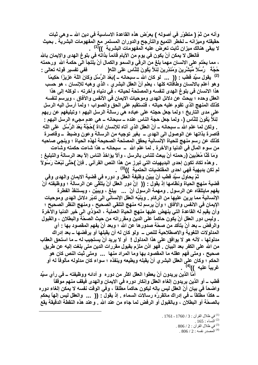وأنه من ثمّ ( متطوَّر في أصوله ) يعرَّض هذه القاعدة الإساسية في دين الله ــ و هي ثبات حقيقته وميزانه ــ لخطر التميع والتأرجح والدوران المستمر مع المفهومات البشرية . بحيث لا يبقى هنالك ميزان ثابت تعرّض عليه المفهومات البشرية ))<sup>(1)</sup>

فالعقل لا يمكن أنْ يكون في يومٍ من الأيام قائماً بذاته في بلوغ الـهدى والإيمان بالله ، مما يحْتم على الانسان مهما بلغ من الرقى والسمو والكمال أنْ يلتجأ الى حكمة الله ورحمته حُجَّةً رُسُلاً مُّبَثِّنِّرِينَ وَمُنذِرِينَ لِنَلاَّ يَكُونَ لِلنَّاسِ عَلَى اللَّهِ( ِ فَفَي تفسير قوله تعالى <u>-</u> <sup>(2)</sup> يقول سيِّد قطب : (( ... لو كان الله ــ سبحانـه ــ )بَعْدَ الرُّسُلِ وَكَانَ اللّهُ عَزِيزَا حَكِيمًا ۖ وهو أعلم بالانسان وطأقَاته كلها ، يعلم أنّ العقل البشري ، الذي وهبه للإنسان ، هو حسب هذا الانسان في بلوغ الهدى لنفسه والمصلحة لحياته ، في دنياه وآخرته ، لوكله إلى هذا العقل وحده ؛ يبحث عن دلائل الـهدي وموحيات الايمان في الأنفس والآفاق ، ويرسم لنفسه كذلك المنهج الذي تقوم عليه حياته ، فتستقيم على الحق والصواب ؛ ولما أرسل اليه الرسل على مدى التاريخ ؛ ولما جعل حجته على عباده هي رسالة الرسل اليهم ؛ وتبليغهم عن ربهم لِنَلاَّ يَكُونَ لِلنَّاسِ (، ولما جعل حجة الناس عنده ــ سبحانـه ــ هي عدم مجيء الرسل اليهم : . ولكن لما علم الله ــ سبحانـه ــ أنّ الـعقل الذي آتاه للإنسـان أداة )حُجَّةً بَعْدَ الرُّسُل عَلَى اللّهِ قاصرة بذاتها عن الوصول الى الهدى \_ بغير توجيه من الرسالة وعون وضبط \_ وقاصرة كذلك عن رسم منهج للحياة الإنسانية يحقق المصلحة الصحيحة لهذه الحياة ؛ وينجى صاحبه من سوع المآل في الدنيا والآخرة . لما علم الله ــ سبحانـه ــ هذا شاءت حكمتـه وشاءت وَمَا كُنَّا مُعَذِّبِينَ (رحمته أنْ يبعث للناس بالرسل ، وألاّ يؤاخذ الناس إلاّ بعد الرسالـة والتبليغ : . وهذه تكاد تكون إحدى البديهيات التي تبرز من هذا النص القرآني . فإنْ )حَتَّى نَبْعَثَ رَسُولاً ۖ لم تكن بديهية فهي احدى المفتضيات الحتمية ))<sup>(3)</sup> .

ثمّ يحاول سيِّد قطب أنْ يبيِّن وظيفة العقل و دوره في قضية الايمان والـهدى وفي قضية منهج الحياة ونظامها إذ يقول : (( ۖ إنَّ دور العقل أنْ يتلقَّى عن الرسالة ؛ ووظيفته أنْ يفهم مايتلقاه عن الرسول . ومهمة الرسول أنْ ... يبلغ ، ويبيّن ، ويستنقذ الفطرة الإنسانية مما يرين عليها من الركام . وينبِّه العقل الإنساني الى تدبِّر دلائل الهدى وموحيات الإيمان في الانفس والآفاق ؛ وأنْ يرسم له منهج التلقي الصحيح ، ومنهج النظر الصحيح ؛ وأن يقيم له القاعدة التي ينهض عليها منهج الحياة العملية ، الموّدِّي الى خير الدنيا والآخرة . وليس دور العقل أنْ يكون حاكماً على الدين ومقرراته من حيث الصحّة والبطلان ، والقبول والرفض ــ بعد أنْ يتأكد من صحّة صدور ها عن الله ؛ وبعد أنْ يفهم المقصود بـها : أي المدلولات اللغوية والاصطلاحية للنص \_ ولو كان له أن يقبلها أو يرفضها \_ بعد إدراك مدلولها ، لأنه هو لا يوافق على هذا المدلول ! أو لا يريد أنْ يستجيب له ــ ما استحق العقاب من الله على الكفر بعد البيان . فهو اذن ملزم بقبول مقررات الدين متى بلغت إليه عن طريق صحيح ، ومتى فهم عقله ما المقصود بها وما المراد منها ... ومتى ثبت النص كان هو الحكم ؛ وكان على العقل البشر ي أنْ يقبله ويطيعه وينفذه ؛ سواء كان مدلوله مألوفًا له أو غريباً عليه ))<sup>(4)</sup> .

أمّا الذين يريدون أنْ يعطوا العقل اكثر من دوره و أدائه ووظيفته ــ في رأي سيِّد قطب ـــ أو الذين يريدون إلغاء العقل وإنكار دوره في الايمان والهدى فيقف منهم موقفاً واضحاً في بيان أنّ العقل ليس بإله ليكون حاكماً مطلقاً ، وفي الوقت نفسه لا يمكن إلغاء دوره ــ هكذا مطلقاً ــ في إدراك ماتقرره رسالات السماء . إذ يقول : (( ... والعقل ليس إلـهاً يحكم بالصحَّة أو البطلان ، وبالقبول أو الرفض لما جاء من عند الله . وعند هذه النقطة الدقيقة يقع

<sup>.</sup> في ظلال القرآن: 3 / 1760 - 1761 .

 $.165$  : النساء  $^{(2)}$ 

<sup>.</sup>  $806 / 2$  : في ظلال القرآن $12 : 806$ 

 $.806 / 2:$ المصدر نفسه  $.2$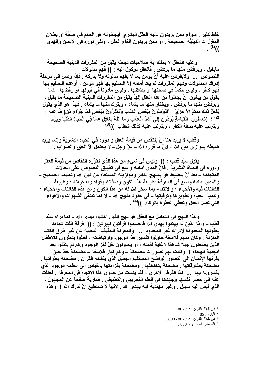خلط كثير \_ سواع ممن يريدون تأليه العقل البشر ي فيجعلونـه هو الحكم في صحَّة أو بطلان المقرَّرات الدينيَّة الصحيحة . أو ممن يريدون إلغاء العقل ، ونفي دوره في الإيمان والـهدي  $(1)($ 

و عليه فالعقل لا يملك أية صلاحيات تجعله يقبل من المقررات الدينية الصحيحة مايقبل ، ويرفض منها ما يرفض \_ فالعقل موكول اليه - (( فهم مدلولات النصوص ... ولايفرض عليه أنْ يؤمن بما لا يفهم مدلوله ولا يدركه فإذا وصل الى مرحلة إدراك المدلولات وفهم المقررات لم يعد أمامه إلآ التسليم بـها فهو مؤمن ، أوعدم التسليم بـها فهو كافر . وليس حكماً في صحتها أو بطلانها . وليس مأذوناً في قبولها أو رفضها ، كما يقول منْ يبغون أنْ يجعلوا من هذا العقل إلهاً يقبل من المقرّرات الدينية الصحيحة ما يقبل ، ويرفض منها ما يرفض ، ويختار منها ما يشاء ، ويترك منها ما يشاء . فهذا هو الذي يقول يَفْعَلُ ذَلِكَ مِنكُمْ إِلاَّ خِرْ يِّ ۗ أَفْتُوْمِنُونَ بِبَعْضِ الْكِتَابِ وَتَكْفُرُونَ بِبَعْضٍ فَمَا جَزَاء مَن(الله عنه -<sup>(2)</sup> ؟ )تَعْمَلُونَ الْقِيَامَةِ يُرَدُّونَ إِلَى أَشْدِّ الْعَدَّابِ وَمَا اللّهُ بِغَافِلِ عَمَّا فِي الْحَيَاةِ الذُّنْيَا وَيَوْمَ ويترتب عليه صفة الكفر ، ويترتب عليه كذلك العقاب ))<sup>(3)</sup> .

وقطب لا يريد هنا أنْ ينتقص من قيمة العقل و دوره في الحياة البشرية وإنما يريد ضبطه بموازين دين الله ، لانّ ما قرره الله ــ عزّ وجل ــ لا يحتمل الآ الحق والصواب \_

يقول سبِّد قطب · (( وليس في شيءٍ من هذا الذي نقرِّره انتقاص من قيمة العقل ودورره في الحياة البشرية . فإنّ المدى أمامه واسع في تطبيق النصوص على الحالات المتجدّدة ــ بعد أنْ ينضبط هو بمنهج النظر وموازينه المستقاة من دين الله وتعليمه الصحيح ــ والمدى أمامه واسع في المعرفة بطبيعة هذا الكون وطاقاته وقواه ومدخراته ؛ وطبيعة الكائنات فيه والأحياء ؛ والانتفاع بما سخر الله له من هذا الكون ومن هذه الكائنات والاحياء ؛ وتنمية الحياة وتطوير ها وترقيتها ــ في حدود منهج الله ــ لا كما تبتغي الشهوات والأهواء التي تضل العقل وتغطى الفطرة بالركام ))<sup>(4)</sup> .

وهذا النَّهج في التعامل مع العقل هو نَّهج الَّذين اهتدوا بِهدى الله ــ كما يراه سيِّد قطب ـــ وأمّا الذين لم يهتدوا بـهدى الله فانقسموا فرقتين كبيرتين : (( ۖ فرقة ظلت تجاهد بعقولها المحدودة لإدراك غير المحدود ... والمعرفة الحقيقية المغيبة عن غير طرق الكتب المنزلة . وكان منهم فلاسفة حاولوا تفسير هذا الوجود وارتباطاته ، فظلوا يتعثرون كالاطفال الذين يصعدون جبلاً شاهقاً لاغاية لقمته ، أو يحاولون حَلَّ لغز الوجود وهم لم يتقنوا بعد أبجدية الـهجاء ! ۖ وكانت لـهم تصورات مضحكة ـــ وهم كبار فلاسفة ـــ مضحكة حقًّا حين يقرنـها الإنسـان الـي التصـور الواضـح المستقيم الـجميل الذي ينشئـه القرآن . مضحكة بعثراتـها . مضحكة بمفارقاتها . مضحكة بتخلخلها . ومضحكة بقزامتها بالقياس الى عظمة الوجود الذي يفسرونه بـها ... أمّا الفرقة الاخرى ، فقد يئست من جدوى هذا الاتجاه في المعرفة ـ فعدلت عنه الى حصر نفسها وجهدها في العلم التجريبي والتطبيقي . ضاربةً صفحاً عن المجهول ، الذي ليس إليه سبيل . وغير مهتدية فيه بهدي الله . لانها لا تستطيع أنْ تدرك الله ! ۖ وهذه

> $1.807/2$ : في ظلال القرآن $12$  $.85:$ اللقرة  $^{(2)}$ .  $808$ -  $807 / 2$  : في ظلال القرآن : 2 / 807 - 808  $.808 / 2:$ المصدر نفسه  $(4)$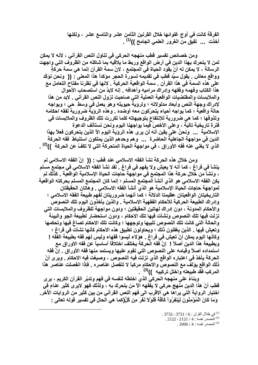الفرقة كانت في أوج غلوائها خلال القرنين الثامن عشر والتاسع عشر ، ولكنها أخذت ... تفيق منّ الغرور العلمي الجامح ))<sup>(1)</sup> .

ومن خصائص تفسير قطب منهجه الحركي في تناول النص القرآني ، لانه لا يمكن لمن لا يتحرك بهذا الدين في أرض الواقع وربط ما يلاقيه بما شاكله من الظروف التي واجهت الرسالة ، لا يمكن له أنْ يقود الحياة في المجتمع ، لانّ سمة القرآن إنما هي سمة حركةٍ وواقع معاش . يقول سيِّد قطب في تقديمه لسورة الحجر مؤكداً هذا المعنى : (( ونحن نؤكِّد على هذه السمة في هذا القرآن \_ سمة الواقعية الحركية \_ لانها في نظرنا مفتاح التعامل مع هذا الكتاب وفهمه وفقهه وإدراك مراميه وأهدافه . إنه لابدّ من استصحاب الأحوال والملابسات والمقتضيات الواقعية العملية التي صاحبت نزول النص القرآني . لابد من هذا لإدراك وجهة النص وأبعاد مدلولاته ؛ ولرؤية حيويته وهو يعمل في وسط حي ؛ ويواجه حالة واقعية ؛ كما يواجه أحياء يتحرّكون معه أوضده . وهذه الروّية ضرورية لفقه احكامه وتذوقها ؛ كما هي ضرورية للإنتفاع بتوجيهاته كلما تكررت تلك الظروف والملابسات في فَترة تاريخية تالية ، وعلى الأخصّ فيما يواجهنا اليوم ونحن نستأنف الدعوة الإسلامية ... ونحنُ على يقين أنه لن يرى هذه الروَية اليوم الآ الذين يتحركون فعلاً بهذا الدين في مواجهة الجاهلية الحاضرة ... وهم وحدهم الذين يملكون استنباط فقه الحركة الذي لا يغني عنه فقه الأوراق ، في مواجهة الحياة المتحركة التي لا تكفّ عن الحركة ))<sup>(2)</sup> .

ومن خلال هذه الحركة نشأ الفقه الاسلامي عند قطب : (( إنّ الفقه الاسلامي لم ينشأ في فراغ ، كما أنه لا يعيش ولا يفهم في فراغ . لقد نشأ الفقه الاسلامي في مجتمع مسلم ، ونشأ من خلال حركة هذا المجتمع في مواجهة حاجات الحياة الإسلامية الواقعية \_ كذلك لم يكن الفقه الاسلامي هو الذي أنشأ المجتمع المسلم ؛ إنما كان المجتمع المسلم بحركته الواقعية لمواجهة حاجات الحياة الإسلامية هو الذي أنشأ الفقه الاسلامي . وهاتان الحقيقتان التاريخيتان الواقعيتان عظيمتا الدلالة ؛ كما أنهما ضروريتان لفهم طبيعة الفقه الاسلامي ؛ وإدراك الطبيعة الحركية للأحكام الفقهية الاسلامية . والذين يأخذون اليوم تلك النصوص والأحكام المدونـة ، دون إدراك لـهاتين الـحقيقتين ؛ ودون مواجـهة للظروف والملابسات التي نزلت فيها تلك النصوص ونشأت فيها تلك الاحكام ، ودون استحضار لطبيعة الجو والبيئة والحالة التي كانت تلك النصوص تلبيها وتوجهها ؛ وكانت تلك الاحكام تصاغ فيها وتحكمها وتعيش فيها . الذين يغفلون ذلك ؛ ويحاولون تطبيق هذه الاحكام كأنها نشأت في فراغ ؛ وكأنَّها اليوم يمكن أنْ تعيش في فراغ . هوَلاء ليسوا فَقهاء وليس لهم فَقه بطبيعة الفَقه ! وبطبيعة هذا الدين أصلاً ! ۖ إنّ فقه الحركة يختلف اختلافًا أساسياً عن فقه الاوراق مع استمداده أصلاً وقيامه على النصوص التي تقوم عليها ويستمد منها فقه الأوراق . إنّ فقه الحركة يأخذ في اعتباره الواقع الذي نزلت فيه النصوص ، وصيغت فيه الاحكام . ويرى أنّ ذلك الواقع يؤلفَ مع النصوص والآحكام مركباً لا تنفصل عناصره . فإذا انفصلت عناصر هذا المركب فقد طبيعته واختل تركيبه ))<sup>(3)</sup> .

وبناءً على منهجه الحركي الذي اختطّه لنفسه في فهم وتدبّر القرآن الكريم ، يرى قطب أنّ هذا الدين منهج حركي لا يفقهه الآ مَن يتحرك به ، ولذلك فهو لاير ي كثير عناءٍ في اختيار الرواية التي يراها هي الاقرب الي فهم النص القرآني من بين كثير من الروايات الأخر. وَمَا كَانَ الْمُؤْمِنُونَ لِيَنفِرُواْ كَآفَةً فَلَوْلاَ نَفَرَ مِن كُلِّ(كما هي الحال في تفسير قوله تعالى :

<sup>.</sup> في ظلال القرآن : 6 / 3731 - 3732 .

 $.2122 - 2121 / 4$ : المصدر نفسه  $.4$  :

<sup>. 2006 / 4 :</sup> المصدر نفسه  $4:4006$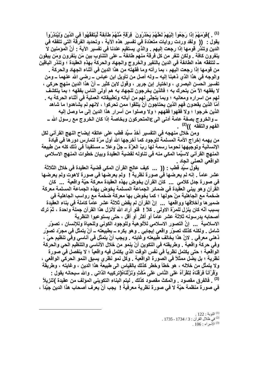(1) \_ )قَوْمَهُمْ إِذَا رَجَعُواْ إِلَيْهِمْ لَعَلَّهُمْ يَحْدُرُونَ ۖ فِرْقَةٍ مِّنْهُمْ طَآئِفَةً لّيَتَفَقَّهُواْ فِي الدِّينِ وَلِيُنذِرُواْ يقول : (( ولقد وردت روايات متعدّدة في تفسير هذه الآية ، وتحديد الفرقة التي تتفقه في الدين وتنذر قومها إذا رجعت إليهم . والذي يستقيم عندنا في تفسير الآية : أنَّ المؤمنين لا ينفرون كافة . ولكن تنفر من كل فرقة منهم طائفة ــ على التِّناوب بين مَن ينفرون ومَن يبقون \_ لتتفقَّه هذه الطائفة في الدين بالنفير والخروج والجهاد والحركة بهذهِ العقيدة ؛ وتنذر الباقين من قومها إذا رجعت اليهم ، بما رأته وما فقهته من هذا الدين في أثناء الجهاد والحركة . والوجه في هذا الذي ذهبنا إليه ــ ولـه أصل من تأويل ابن عباس ــ رضـي الله عنـهما ــ ومن تفسير الحسن البصر ي ، واختيار إبن جرير ، وقول لابن كثير ــ أنّ هذا الدين منهج حركي ، لا يفقهه الآ مَن يتحرك به ؛ فالذين يخرجون للجهاد به هم أولى الناس بفقهه ؛ بما يتكشف لـهم من اسراره ومعانيه ؛ وبما يتجلَّى لهم من آياته وتطبيقاته العملية في أثناء الحركة به \_ أمّا الذين يقعدون فهم الذين يحتاجون أنْ يتلقوا ممن تحركوا ، لانـهم لم يشاهدوا ما شاهد الذين خرجوا ؛ ولا فقهوا فقههم ؛ ولا وصلوا من أسرار هذا الدين إلى ما وصل إليه ـــــــوالخروج بصفة عامة أدنى الى عالمتحركون وبخاصة إذا كان الخروج مع رسول الله ــــــــــــــــــــــــــــــ الفهم والتفقه ))<sup>(2)</sup> .

ومن خلال منهجه في التفسير أخذ سيِّد قطب على عاتقه إيضاح النهج القرآني لكل من يهمه إخراج الأمة المسلمة للوجود كما أخرجها الله أول مرّة لتمارس دورها في قيادة الإنسانية وتوجيهها نحوما رسمهُ لها ربِّ العزَّة ــ جلَّ وعلا ــ مستفيداً في ذلك كله من طبيعة المنهج القرآني لاسيَّما المكي منه في تناوله لقضية العقيدة وبيان خطوات المنهج الاسلامي الواقعي العملي الجاد .

يقول سبِّد قطب : (( ... كيف عالج القرآن المكي قضية العقيدة في خلال الثلاثة عشر عاماً . إنه لم يعرضها في صورة نظرية ! ۖ ولم يعرضها في صورة لاهوت ولم يعرضها في صورة جدل كلامي ... كان القرآن يخوض بهذه العقيدة معركة حيّة واقعية ... كان القرآن وهو يبني العقيدة في ضمائر الجماعة المسلمة يخوض بهذه الجماعة المسلمة معركة ضخمة مع الجاهلية مِنْ حولها ؛ كما يخوض بها معركة ضخمة مع رواسب الجاهلية في ضميرها وأخلاقها وواقعها ... إنّ القرآن لم يقض ثلاثة عشر عاماً كاملة في بناء العقيدة بسبب أنّه كان ينزل للمرّة الاولى . كلاَ ! ۖ فلو أراد الله لأنزل هذا القرآن جملة واحدة ، ثمّ ترك أصحابه يدرسونه ثلاثة عثىر عاماً أو أكثر أو أقل ، حتى يستوعبوا النظرية الاسلامية ... إنَّ التصور الاسلامي للألو هية وللوجود الكوني وللحياة وللإنسان ، تصوّر شامل . ولكنه كذلك تصوّر واقعى إيجابي . وهو يكره ــ بطبيعتَه ــ أنْ يتمثّل في مجرّد تصوّر ذهني معرفي . لانّ هذا يخالف طبيعته وغايته . ويجب أنْ يتمثّل في أناسي وفي تنظيم حيّ ، وفي حركة واقعية . وطريقته في التكوين أنْ ينمو من خلال الأناسي والتنظيم الحي والحركة الواقعية ؛ حتى يكتمل نظرياً في نفس الوقت الذي يكتمل فيه واقعياً ؛ لا ينفصل في صورة نظرية ؛ بل يضل ممثلاً في الصورة الواقعية . وكل نمو نظري يسبق النمو الحركي الواقعي ، ولا يتمثَّل من خلاله ، هو خطأ وخطر كذلك بالقياس الى طبيعة هذا الدين ، وغايته ، وطريقة وَقْرْآنَا فَرَقْنَاهُ لِتَقْرَأَهُ عَلَى النَّاسِ عَلَى مُكْثِ وَنَزَّلْنَاهُ(تركيبه الذاتي . والله سبحانه يقول : <sup>(3)</sup> . فالفرق مقصود . والمكث مقصود كذلك . ليتم البناء التكوين*ي* المولف من عقيدة )تَنزيلاً في صورة منظمة حيّة لا في صورة نظرية معرفية ! يجب أنْ يعرف أصحاب هذا الدين جيّداً ،

> .  $122:$  التوبة  $^{(1)}$ .2) في ظلال القرآن : 3 / 1734 - 1735 . .  $106:$  الأسراء  $^{(3)}$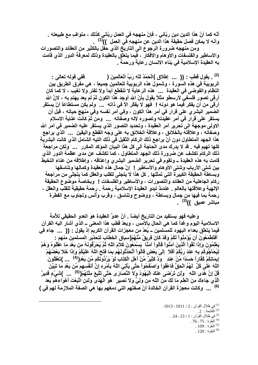أنّه كما أنّ هذا الدين دين ربّاني ، فإنّ منهجه في العمل ربّاني كذلك ، متوافٍ مع طبيعته . وأنه لا يمكن فصل حقيقة هذا الدين عن منهجهِ في العمل ))<sup>(1)</sup>

ومن منهجه ضرورة الرجوع الى التاريخ الذي حفَّل بالكثير من العقائد والتصورات والأساطير والفلسفات والأوهام والأفكار ، فيما يتعلّق بالعقيدة وذلك لمعرفة الدور الذي قامت به العقيدة الإسلامية في بناء الانسان رعاية ورحمة .

(2) . يقول قطب : (( ... إطلاق )الْحَمْدُ للَّهِ رَبِّ الْعَالَمِينَ ( ِ فَفَى قَوْلُهُ تَعَالَمِي <del>:</del> الربوبية في هذهِ السورة ، وشمول هذه الربوبية للعالمين جميعاً ، هي مفَّرق الطريق بين النظام والفَوصْى في العقيدة ... هذه الرعاية لا تنقطع أبداً ولا تفتر ولا تغيب ، لا كما كان أرقى تصور فلسفى لأرسطو مثلاً يقول بأنّ الله أوجد هذا الكون ثمّ لم يعد يهتم به ، لانَّ الله أرقى من أن يفكر فيما هو دونه ! فهو لا يفكّر الآ في ذاته ... ولم يكن مستطاعاً أنْ يستقر الصَّمير البشَّري على قرار في أمر هذا الكون ، وفي أمر نفسه وفي منهج حياته ، قبل أن يستقر على قرار في أمر عقيدته وتصوره لإله وصفَّاته ... ومن ثَمّ كانتٌ عناية الاسلام الاولى موجهة الى تحرير أمر العقيدة ، وتحديد التصور الذي يستقر عليه الضمير في أمر الله وصفاته ، وعلاقته بالخلائق ، وعلاقة الخلائق به على وجه القطع واليقين ... الذي يراجع هذا الجهد المتطاول دون أنْ يراجع ذلك الركام الثقيل في ذلك التيه الشامل الذي كانت البشرية كلها تهيم فيه \_ قد لا يدرك مدى الحاجة الى كل هذا البيان الموكد المكرر \_\_\_ ولكن مراجعة ذلك الركام تكشف عن ضرورة ذلك الجهد المتطاول ، كما تكشف عن مدى عظمة الدور الذي قامت به هذه العقيدة ـــ وتقوم في تحرير الضمير البشري وإعتاقه ، وإطلاقه من عناء التخبط بين شتى الأرباب وشتى الأوهام والأساطير ! إنّ جمال هذه العقيدة وكمالها وتناسقها وبساطة الحقيقة الكبيرة التي تمثلها . كل هذا لا يتجلى للقلب والعقل كما يتجلّى من مراجعة ركام الجاهلية من العقائد والتصورات ، والأساطير والفلسفات ! وبخاصة موضوع الحقيقة الإلهية وعلاقتها بالعالم . عندئذ تبدو العقيدة الإسلامية رحمة . رحمة حقيقية للقلب والعقل ، رحمة بما فيها من جمال وبساطة ، ووضوح وتناسق ، وقرب وأنس وتجاوب مع الفطرة مباشر عميق ))<sup>(3)</sup> .

وعليه فهو يستفيد من التاريخ أيضاً . أنّ عدوَّ العقيدة هو العدو الحقيقي للأمة الاسلامية اليوم وغداً كما هي الحال بالأمس ، ويعدّ قطب هذا المعنى ــ الذي أشار اليه القرآن فيما يتعلَّق بعداء اليهود للمسلمين ــ يُعدّ من معجزات القرآن الكريم إذ يقول : (( ... جاء في أَفْتَطْمَعُونَ أن يُوْمِنُواْ لَكُمْ وَقَدْ كَانَ فَرِيقٌ مِّنْهُمْ(سياق الخطاب لتحذير المسلمين منهم : يَعْلَمُونَ وَإِذَا لَقُواْ الَّذِينَ آمَنُواْ قَالُواْ آمَنَّا ۖ يَسْمَعُونَ كَلاَمَ اللَّهِ ثُمَّ يُحَرِّفُونَهُ مِن بَعْدِ مَا عَقَلُوهُ وَهُمْ لِيُحَآجُوكُم بِهِ عِنْدَ رَبِّكُمْ أَقْلاَ إِلَىَ بَعْضٍ قَالُواْ أَتُحَدِّثُونَـهُم بِمَا فَتَحَ اللّهُ عَلَيْكُمْ وَإِذَا خَلاَ بَعْضُهُمْ إِيمَانِكُمْ كُفَّاراً حَسَدًا مِّنْ عِنْدِ ۖ وَدَّ كَثِيرٌ مِّنْ أهْلِ الْكِتَابِ لَوْ يَرُدُّونَكُم مِّن بَعْزِ(<sup>4)</sup> ... )تَعْقِلُونَ اللّهَ عَلَى كُلِّ ۚ لَهُمُ الْحَقُّ فَاعْفُواْ وَاصْفَحُواْ حَتَّى يَأْتِيَ اللّهُ بِأَمْرِهِ إِنَّ أنفسهم مِّن بَعْدِ مَا تَبَيَّنَ قُلْ إِنَّ هُدَى اللَّهِ ۚ وَلَن تَرْضَى عَنْكَ الْيَهُودُ وَلَا النَّصَارَى حَتَّى تَتَّبِعَ مِلَّتَهُمْ(<sup>(5)</sup> ... )شَىْءٍ قَدِيرٌ ۖ الَّذِي جَاءكَ مِنَ الْعِلْمِ مَا لَكَ مِنَ اللَّهِ مِن وَلِيٍّ وَلاَ نَصبِيرٍ ۖ هُوَ الْهُدَىِ وَلَئِنِ اتَّبَعْتَ أهْوَاءهُم بَعْدَ <sup>(6)</sup> ... وكانت معجزة القرآن الخالدة أنّ صفتهم التي دمغهم بـها هي الصفة الملازمة لـهم في )

> . 1013 - 1011 / 2 في ظلال القرآن : 2 / 1011 - 1013  $.2:$ الفَاتحة $.2:$ . 24 - 23 / 1 ز 24 - 24 . .  $76$ -  $75$  : البقر ة $10^{(4)}$ . البقر ة $109$  . .  $120:$  البقرة $^{(6)}$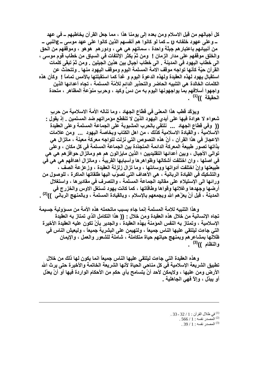كل أجيالهم من قبل الاسلام ومن بعده إلى يومنا هذا ، مما جعل القرآن يخاطبهم ــ في عهد ـــ وعلى عهود خلفائـه π ـــ كمـا لو كانوا هم أنفسهم الذين كانوا على عهد موسى ــ gالنبي ـــ من أنبيائـهم بـاعتبار هم جبلّة واحدة ، سماتـهم هي هي ، ودور هم هو هو ، وموقفـهم من الحق والخلق موقفهم على مدار الزمان ! ۖ ومن ثمَّ يكثر الإلتفات في السياق من خطاب قوم موسى ، الى خطاب اليهود في المدينة . الى خطاب أجيال بين هذين الجيلين . ومن ثمّ تبقى كلمات القرآن حيّة كأنـها تواجه موقف الامـة المسلمـة اليوم وموقف اليـهود منـها . وتتحدّث عن استقبال يهود لهذه العقيدة ولهذه الدعوة اليوم و غداً كما استقبلتها بالأمس تماماً ! ۖ وكأن هذه الكلمات الخالدة هي التنبيه الحاضر والتحذير الدائم للأمّة المسلمة ، تجاه أعدائها الذين واجهوا أسلافهم بما يواجهونها اليوم به من دسٍّ وكيد ، وحربٍ منوِّعةِ المظاهر ، متحدة الحقيقة ))<sup>(1)</sup> .

ويؤكِّد قطب هذا المعنى في قطَّاع الجهاد ، وما تناله الأمة الاسلامية من حربِ شعواء لا هوادة فيها على أيدي اليهود الذين لا تنقطع مؤمراتهم ضد المسلمين . إذ يقول : (( وفي قطاع الجهاد ... نلتقي بالحرب المشبوبة على الجماعة المسلمة وعلى العقيدة الاسلامية ، والقيادة الاسلامية كذلك ، من اهل الكتاب وبخاصة اليهود ... ومن علامات الاعجاز في هذا القرآن ، أنّ هذه النصوص التي نزلت لتواجه معركة معينة ، ماتزال هي بذاتها تصور طبيعة المعركة الدائمة المتجدّدة بين الجماعة المسلمة في كل مكان ، وعلى توالى الأجيال ، وبين أعدائها التقليديين ؛ الذين مايزالون هم هم وماتزال حوافزهم هي هي في اصلها ، وإن اختلفت أشكالها وظواهرها وأسبابها القريبة ، وماتزال أهدافهم هي هي في طبيعتها وإنْ اختلفت أدواتها ووسائلها ، وما تزال زلزلة العقيدة ، وزعزعة الصف ، والتشكيك في القيادة الربانية ، هي الأهداف التي تصوّب اليها طلقاتها الماكرة ، للوصول من ورائـها الى الإستيلاء على مقاليد الجماعة المسلمة ، والتصرف في مقادير ها ، واستغلال أرضها وجهدها وغلاتها وقواها وطاقاتها ، كما كانت يهود تستغل الاوس والخزرج في المدينـة ، قبل أنْ يعزّهم الله ويجمعهم بالإسلام ، وبالقيادة المسلمـة ، وبالمنـهج الربـانـي ۖ ))<sup>(2)</sup> .

وهذا التنبيه للامة المسلمة إنما جاء بسبب ماتحمله هذه الأمة من مسؤولية جسيمة تجاه الإنسانية من خلال هذه العقيدة ومن خلال - (( هذا التكامل الذي تمتاز به العقيدة الإسلامية ، وتمتاز به النفس المؤمنة بهذه العقيدة ، والجدير بأنْ تكون عليه العقيدة الأخيرة التي جاءت ليلتقي عليها الناس جميعاً ، ولتهيمن على البشرية جميعاً ، وليعيش الناس في ظلالها بمشاعر هم وبمنهج حياتهم حياة متكاملة ، شاملة للشعور والعمل ، والإيمان والنظام ))<sup>(3)</sup> .

وهذه العقيدة التي جاءت ليلتقي عليها الناس جميعاً انما يكون لها ذلك من خلال تطبيق الشريعة الإسلامية فَى كل مناحى الحياة لأنـها الشريعة الخاتمة والأخيرة حتى يرث الله الأرض ومن عليها ، ولايمكن لأحد أنْ يتسامح بأي حكم من الأحكام الواردة فيها أو أنْ يعدّل أو يبدّل ، وإلاّ فهي الجاهلية \_

<sup>. 33 - 32 / 1 :</sup> في ظلال القرآن : 1 / 32 - 33

<sup>.</sup> المصدر نفسه: 1 / 566.

<sup>.</sup> المصدر نفسه : 1 / 39 .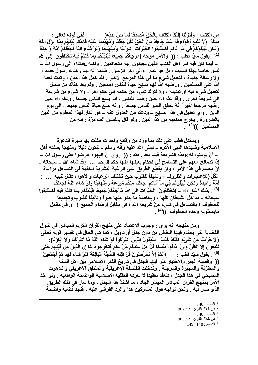مِنَ الْكِتَابِ ۚ وَأَنزَلْنَا اِلْيَكَ الْكِتَابَ بِالْحَقِّ مُصَدِّقَا لِّمَا بَيْنَ يَدَيْهِ(<br>مِنكُمْ ۚ وَلاَ تَتَّبِعْ أَهْوَاءِهُمْ عَمَّا جَاءِكَ مِنَ الْحَقِّ لِكُلٍّ جَعَلْنَا وَمُهَيْمِنًا عَلَيْهِ فَاحْكُم بَيْن وَلَـكِن لِّيَبْلُوَكُمْ فِى مَآ آتَاكُم فَاسْتَبِقُوا الخَيْرَاتِ ۖ شِرْعَهً وَمِنْهَاجًا وَلَوْ شَاء اللّهُ لَجَعَلَكُمْ أمَّةً وَاحِدَةً <sup>(1)</sup> . يقول سيِّد قطب : (( والأمر موجه )مَرْجِعُكُمْ جَمِيعًا فَيُنَبِّئُكُم بِمَا كُنتُمْ فِيهِ تَخْتَلِفُونَ إلى الله ــ فيمـا كـان فيـه أمـر أهل الكتاب الذين يجيئون إليـه متحاكمين . ولكنـه ع|بتداءً الـي رسول الله ــــ ليس خاصاً بهذا السبب ، بل هو عام . وإلى آخر الزمان . طالما أنه ليس هناك رسول جديد ، ولا رسالة جديدة ، لتعديل شيءٍ ما فَي هذا المرجع الأخير . لقد كمل هذا الدين ، وتمت نعمة الله على المسلمين . ورضيه الله لهم منهج حياة للناس أجمعين . ولم يعد هناك من سبيل لتعديل شيء فيه أو تبديله ، ولا لترك شيء من حكمه إلى حكمٍ آخر ، ولا شيء من شريعة الى شريعة أخرى . وقد علم الله حين رضيه للناس ، أنه يسع الناس جميعاً . وعلم الله حين رضيه مرجعاً أخيراً أنَّهُ يحقق الخير للناس جميعاً . وأنه يسع حياة الناس جميعاً ، الى يوم الدين \_ وأي تعديل في هذا المنهج ــ ودعك من العدول عنه ــ هو إنكار لهذا المعلوم من الدين بالضرورة . يخرج صاحبه من هذا الدين . ولو قال باللسان ألف مرَّة : إنـه مِن المسلمين ))<sup>(2)</sup> .

ويستدل قطب على ذلك بما ورد من وقائع واحداث حفلت بها سيرة الدعوة الاسلامية وشهدها النبي الأكرم ــ صلى الله عليه وآله وسلم ــ لتكون دليلاً ومنهجاً يسلكه أهل ــ أنْ يؤمنوا له عهذه الشريعة فيما بعد . فقد : (( روي أنّ اليهود عرضوا على رسول الله ــ إذا تصالح معهم على التسامح في احكام بعينها منها حكم الرجم ... وقد شاء الله ــ سبحانه ــ أنْ يحسم في هذا الأمر ، وأن يقطع الطريق على الرغبة البشرية الخفية في التساهل مراعاةً لِكُلِّ (للإعتبارات والظروف ، وتأليفاً للقلوب حين تختلف الرغبات والأهواء فقال لنبيه ... : أمَّة وَاحِدَةً وَلَـكِن لَّيَبْلُوَكُمْ فِي مَاۤ آتَاكُم ۖ جَعَلْنَا مِنْكُمْ شِرْعَةً وَمِنْهَاجًا وَلَوْ شَاء اللَّهُ لَجَعَلَكُمْ <sup>(3)</sup> . بذلك أغلق الله ــ )تَخْتَلِفُونَ الخَيْرَاتِ إِلَى الله مَرْجِعُكُمْ جَمِيعًا فَيُنَبِّئُكُم بِمَا كُنتُمْ فِيهِ فَاسْتَبِقُوا سبحانـه ــ مداخل الشيطان كلـها ، وبخاصـة مـا يبدو منـهـا خيراً وتـأليفـًا للقلوب وتجميعاً للصفوف ؛ بالتساهل في شيءٍ مِنْ شريعة الله ؛ في مقابل إرضاء الجميع ! ۖ أو في مقابل مايسمّونه وحدة الصفوف ))<sup>(4)</sup> .

ومن منهجه أنه يرى : وجوب الاعتماد على منهج القرآن الكريم المباشر في تناول القضايا التي يحتدم فيها النقاش من دون جدل أو تأويل ، كما هي الحال في تفسير قوله تعالى وَلا حَرَّمْنَا مِن شَىْءٍ كَذَلِكَ كَذَّبَ ۖ سَيَقُولُ الَّذِينَ أشْرِكُواْ لَوْ شَاء اللَّهُ مَا أشْركْنَا وَلاَ آبَاؤُنَا(: تَتَّبِعُونَ إِلاَّ الظَّنَّ وَإِنْ ۚ ذَاقُواْ بَأْسَنَا قُلْ هَلْ عِندَكُم مِّنْ عِلْمٍ فَتُخْرِجُوهُ لَذَا إن الّذِينَ مِن قَبْلِهِمۢ حَتَّى <sup>(5)</sup> . يقول سيِّد قطب : )أنثُمْ إِلاَّ تَخْرُصُونَ قُلْ فَلِلّهِ الْحُجَّةُ الْبَالِغَةَ فَلَوْ شَاء لَهَدَاكُمْ أجْمَعِينَ ۖ (( وقضية الجبر والاختيار كثر فيها الجدل في تاريخ الفكر الاسلامي بين أهل السنة والمعتزلة والمجبِّرة والمرجئة . وتدخلت الفلسفة الإغريقية والمنطق الاغريقي واللاهوت المسيحي في هذا الجدل ، فتعقَّد تعقيداً لا تعرفه العقلية الإسلامية الواضحة الواقعية . ولو أخذ الأمر بمنهج القرآن المباشر الميسّر الجاد ، ما اشتدَّ هذا الجدل ، وما سار في ذلك الطريق الذي سار فيه . ونحن نواجه قول المشركين هذا والردّ القرآني عليه ، فنجد قضية واضحة

> .  $48:$  المائدة  $^{(1)}$ . 902 / 2 في ظلال القرآن : 2 / 902.  $.48:$ الْمَائدة $.48:$ . 4) في ظلال القرآن : 2 / 903 . .  $149 - 148$  : الأنعام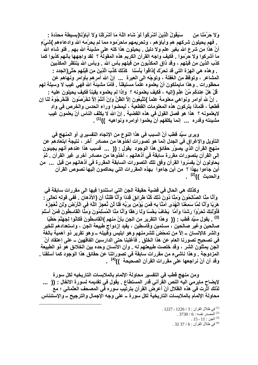وَلا حَرَّمْنَا مِن ۖ سَيَقُولُ الَّذِينَ أَشْرَكُواْ لَوْ شَاءِ اللَّهُ مَا أَشْرَكْنَا وَلاَ آبَاؤُنَا(بسيطة محدّدة -. فهم يحيلون شركهم هم وأباؤهم ، وتحريمهم ماحرّموه مما لم يحرّمه الله وادعاءهم )شَـَىْءٍ أنّ هذا من شرع الله بغير علم ولا دليل . يحيلون هذا كله على مشيئة الله بهم . فلو شاء الله ما أشركوا ولا حرَّموا \_ فكيف واجه القرآن الكريم هذه المقولة ؟ لقد واجهها بأنهم كذبوا كما كذب الذين من قبلهم ، وقد ذاق المكذبون من قبلهم بأس الله . وبأس الله ينتظر المكذبين . و هذه هي الـهزة التي قد تحرّك )ذاڤواْ بَأسَنَا كَذَلِكَ كَذَّبَ الَّذِينَ مِن قَبْلِهِم حَتَّى(الجدد : المشاعر ، وتوقظ من الغفلة ، وتوجّه الى العبرة ... إنّ الله أمر هم بأوامر ونـهاهم عن محظورات . وهذا مايملكون أنْ يعلموه علَّماً مستيقناً . فأمّا مشيئة الله فهي غيب لا وسيلة لهم قُلْ هَلْ عِندَكُم مِّنْ عِلْمِ (إليه ، فكيف يعلمونـه ؟ ۖ وإذا لم يعلموه يقينـًا فكيف يحيلون عليه -ِ . إنَّ لله أوامر ونواهي معلومة علماً )تَتَّبِعُونَ إلاَّ الظَّنَّ وَإِنْ أنتُمْ إلاَّ تَحْرُصُونَ ۖ فَتُحْرِجُوهُ لَذَا إن قطعياً ، فلماذا يتركون هذه المعلومات القطعية ، ليمضوا وراء الحدس والخرص في وادِ لايعلمونـه ؟ هذا هو فصل القول في هذه القضية . إنّ الله لا يكلِّف النـاس أنْ يعلمون غيب مشيئته وقدره ... إنما يكلفهم أنْ يعلموا أوامره ونواهيه ))<sup>(1)</sup> .

وير ي سيِّد قطب أنّ السبب في هذا النوع من الإتجاه التفسير ي أو المنهج في التأويل والإغراق في الجدل إنما هو تصورات أخذوها من مصادر أخر ، نتيجة ابتعادهم عن منهج القرآن الذي يصوّر حقائق هذا الوجود يقول : (( ... فسبب هذا عندهم أنهم يجيئون إلى القرآن بتصورات مقررة سابقة في أذهانهم ، أخذوها من مصادر أخرى غير القرآن . ثمّ يحاولون أنْ يفسِّروا القرآن وفق تلك التصورات السابقة المقررة في أذهانهم من قبل ... من أين جاءوا بهذا ؟ من أين جاءوا بهذه المقررات التي يحاكمون إليها نصوص القرآن والحديث ))<sup>(2)</sup> .

وكذلك هي الحال في قضية حقيقة الجن التي استندوا فيها الى مقررات سابقة في وَأَنَّا مِنَّا الصَّالِحُونَ وَمِنَّا دُونَ ذَلِكَ كُنَّا طَرَائِقَ قِدَدًا وَأَنَّا ظَنَنًا أَنِ (الأذهان . ففي قوله تعالى : هَرَبًا وَأَنَّا لَمَّا سَمِعْنَا الْهُدَى آمَنَّا بِهِ فَمَن يُوْمِن بِرَبِّهِ فَلَا لَن نُعجِزَ اللَّهَ فِى الأرضَ وَلن نُعْجِزَهُ فَٱوْلَئِكَ تَحَرَّوْا رَشَدًا وَأَمَّا ۖ يَخَافُ بَخْسًا وَلَا رَهَقَا وَأَنَّا مِئًا الْمُسْلِمُونَ وَمِئَّا الْقاسِطُونَ فَمَنْ أسْلَمَ <sup>(3)</sup> . يقول سيِّد قطب : (( وهذا التقرير من الجن بأنّ منهم )الْقاسِطُونَ فَكَانُوا لِجَهَنَّمَ حَطْبًا صالحين وغير صالحين ، مسلمين وقاسطين ، يفيد إزدواج طبيعة الجن ، واستعدادهم للخير والشر كالإنسان ـــ إلاّ من تمحّضَ للشرمنـهم و هو ابليس وقبيلـه ـــ و هو تقرير ذو أهمية بـالغة في تصحيح تصورنا العام عن هذا الخلق . فأغلبنا حتى الدارسين الفاقهين ــ على إعتقاد أنّ الجن يمثلون الشر ، وقد خلصت طبيعتهم له . وأن الانسان وحده بين الخلائق هو ذو الطبيعة المزدوجة . وهذا ناشيء من مقررات سابقة في تصوراتنا عن حقائق هذا الوجود كما أسلفنا . وقد آن أنْ نراجعها على مقررات القرآن الصحيحة ))<sup>(4)</sup> .

ومن منهج قطب في التفسير محاولة الإلمام بالملابسات التاريخيه لكل سورة لإيضاح مايرمي اليه النص القرآني قدر المستطاع . يقول في تقديمه لسورة الانفال : (( ... لذلك آثرت في هذه الظلال أنْ أعرض القرآن بترتيب سوره في المصحف العثماني ؛ مع محاولة الإلمام بالملابسات التاريخية لكل سورة ــ على وجه الإجمال والترجيح ــ والإستئناس

<sup>. 1)</sup> في ظلال القرآن : 3 / 1226 - 1227 .

 $.3730/6$ : المصدر نفسه  $.3730/6$ 

 $.15 - 11$  : الجن $^{(3)}$ 

 $.3237/6$ : في ظلال القرآن $.61$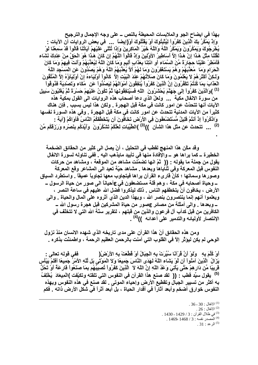بهذا في ايضاح الجو والملابسات المحيطة بالنص ــ على وجه الإجمال والترجيح وَإِذْ يَمْكُنُ بِكَ الَّذِينَ كَفَرُواْ لِيُتْبِتُوكَ أَوْ يَقْتُلُوكَ أَوْ(إيضاً ... في بعض الروايات أن الآيات : يُخْرِجُوكَ وَيَمْكُرُونَ وَيَمْكُرُ اللَّهُ وَاللَّهُ خَيْرُ الْمَاكِرِينَ وَإِذَا تُتْلَى عَلَيْهِمْ آيَاتُنَا قَالُواْ قَدْ سَمِعْنَا لَوْ لَقَلْنَا مِثْلَ هَـذَا إِنْ هَـذَا إِلاَّ أَسَاطِيرُ الأَوَّلِينَ وَإِذْ قَالُواْ اللَّهُمَّ إِن كَانَ هَـذَا هُوَ الْحَقّ مِنْ عِنْدِكَ نَشَاء فَأَمْطِرْ عَلَيْنَا حِجَارَةً مَنَ السَّمَاء أَو انْتِنَا بِعَدَابِ أَلِيمٍ وَمَا كَانَ اللَّهُ لِيُعَذِّبَهُمْ وَأَنْتَ فِيهِمْ وَمَا كَانَ الْحَرَامِ وَمَا ۖ مُعَذِّبَهُمْ وَهُمْ يَسْتَغْفِرُونَ وَمَا لَهُمْ أَلاّ يُعَذِّبَهُمُ اللّهُ وَهُمْ يَصُدّونَ عَنِ الْمَسْجِدِ اللّهُ وَلَـكِنَّ أَكْثَرَ هُمْ لاَ يَعْلَمُونَ وَمَا كَانَ صَلاَتُـهُمْ عِنْدَ الْبَيْتِ إِلاَّ كَانُواْ أُوْلِيَاءَهُ إِنْ أُوْلِيَآؤُهُ إِلاَّ الْمُتَّقُونَ الْعَذَابَ بِمَا كُنْتُمْ تَكْفُرُونَ إِنّ الّذِينَ كَفَرُواْ يُنْفِقُونَ أَمْوَالَهُمْ لِيَصُدّواْ عَن ۖ مُكَاء وَتَصْدِيَه**َ فَدُوقُواْ** <sup>(1)</sup> )وَالَّذِينَ كَفَرُواْ إِلَى جَهَنَّمَ يُحْتْنَرُونَ اللّهِ فَسَيُنْفِقُونَـهَا ثُمَّ تَكُونُ عَلَيْهِمْ حَسْرَةً ثُمَّ يُغْلَبُونَ سَبِيل من سورة الانفال مكية <sub>ــــ</sub> ولعلّ الذي دعا أصحاب هذه الروايات ال*ى* القول بمكية هذه الآيات أنـها تتحدّث عن امور كانت في مكـة قبل الـهجر ة . ولكن هذا ليس بسبب . فإن هنـاك كثيراً من الآيات المدنية تتحدث عن امور كانت في مكة قبل الـهجرة <sub>-</sub> وفي هذه السورة نفسها وَادْكُرُواْ إِذْ أَنْتُمْ قَلِيلٌ مَسْتَصْعَفُونَ فِي الأَرْضِ تَخَافُونَ أَنْ يَتَخَطَّفَكُمُ النَّاسُ فَأَوَاكُمْ (آية : <sup>(2)</sup> ... تتحدث عن مثل هذا الشأن ))<sup>(3)</sup> )الطَّيِّبَاتِ لَعَلَّكُمْ تَشْكُرُونَ وَأيَّدَكُم بِنَصْرِهِ وَرَزَقَكُم مِّنَ  **.** 

ِ وقد مكّن هذا المنهج لقطب في التحليل ، أنْ يصل ال*ى* كثير من الحقائق الضخمة الخطيرة ــ كما يراها هو ـــ والإفادة منـها في تأييد مايذهب اليـه <sub>-</sub> ففي تنـاولـه لسورة الانـفـال يقول من جملة ما يقوله : (( ثمّ انها تضمّنت مشاهد من الموقعة ، ومشاهد من حركات النفوس قبل المعركة وفي ثناياها وبعدها <sub>-</sub> مشاهد حيّة تعيد الى المشاعر وقع المعركة وصور ها وسماتها ؛ كأنّ قارىء القرآن يراها فيتجاوب معها تجاوباً عميقاً <sub>-</sub> واستطرد السياق **ــ و-ة أ./0 => B ، وه T c:Eن =>** ε**أً- ا% /Eرٍ -ة اEل ــ**  الأرض ، يخافون أنْ يتخطفهم الناس <sub>-</sub> ذلك ليذكروا فضل الله عليهم في ساعة النصر ، ويعلموا أنـهم إنمـا ينتصرون بنصر الله ، وبـهذا الدين الذي أثروه على المـال والـحياة <sub>·</sub> وال*ـى* **ـ ـ وه . وا% أK \*m** ε**/Eر -ة اGآ- T 7 ه`ة رEل ا ــ**  الكافرين من قبل كدأب آل فر عون والذين من قبلهم ، لتقرير سنّة الله التي لا تتخلّف في الإنتصار لأوليائه والتدمير على أعدائه ))<sup>(4)</sup> .

ومن هذه الحقائق أنّ هذا القرآن عل*ى مدى* تاريخه الذي شهده الانسان منذ نزول الوحي لم يكن ليوَتّر إلاّ في القلوب التي آمنت بالرحمن العظيم الرحمة ، واطمئنّت بذكر ه <sub>-</sub>

أَوْ كُلَّمَ بِهِ ۖ وَلَوْ أَنَّ قُرْآَنًا سُيِّرَتْ بِهِ الْجِبَالُ أَوْ قَطَّعَتْ بِهِ الأَرْضُ( فَفي قوله تعالى : يَزَالُ الَّذِينَ آمَنُواْ أَن لَّوْ يَشَاء اللَّهُ لَهَدَى النَّاسَ جَمِيعًا وَلاَ الْمَوْتَى بَلْ لَلَّهِ الأَمْرُ جَمِيعًا أَفَلَمْ يَيْأَس قريبًا مِّن دَار هِمْ حَتَّ*ى* يَأْتِيَ وَعْدُ اللَّهِ إِنَّ اللَّهَ لاَ الَّذِينَ كَفَرُواْ تُصنِيبُهُم بِمَا صَنَعُواْ قَار عَهِّ أَوْ تَحُلَّ <sup>(5)</sup> يقول سيِّد قطب : (( لقد صنع هذا القرآن في النفوس التي تلقته وتكيِّفت )الْمِيعَادَ يُخْلِفُ بــه أكثر من تسبير الجبال وتقطيع الأرض وإحياء الموت*ى* . لقد صنـع في هذه النفوس وبـهذه النفوس خوارق أضخم وأبعد آثاراً في أقدار الحياة ، بل أبعد أثراً في شكل الأرض ذاته <sub>-</sub> فكم

l

. 36 - 30  $^{\, (1)}$ الانفال $^{\, (1)}$  $\,$  الانفال : 26  $\,$ <sup>(3)</sup> في ظلال القرآن : 3 / 1429 - 1430 . . المصدر نفسه : 3 / 1468 ـ1469 .  $1469$  $\,$  الرعد : 31  $^{(5)}$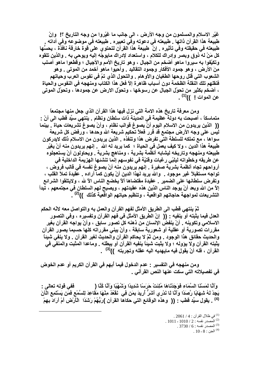غيّر الاسلام والمسلمون من وجه الأرض ، الى جانب ما غيّروا من وجه التاريخ ؟! وإنّ طبيعة هذا القرآن ذاتها . طبيعته في دعوته وفي تعبيره . طبيعته في موضوعه وفي أداته . طبيعته في حقيقته وفي تأثيره . إنَّ طبيعة هذا القرآن لتحتوي على قوة خارقة نافذة ، يحسُّها كل مَنْ له ذوق وبصر وإدراك للكلام ، واستعداد لإدراك مايوجّه إليه ويوحى به \_ والذين تلقوه وتكيّفوا به سيروا ماهو أضخم من الجبال ، وهو تاريخ الأمم والأجيال ؛ وقطعوا ماهو أصلب مِنَ الأرض ، وهو جمود الأفكار وجمود التقاليد . وأحيوا ماهو أخمد من الموتى . وهو الشعوب التي قتل روحها الطغيان والأوهام . والتحول الذي تمّ في نفوس العرب وحياتهم فَنقلهم تلك النقلة الظخمة دون أسباب ظاهرة إلآ فعل هذا الكتاب ومنهجه في النفوس والحياة ، أضخم بكثير من تحوّل الجبال عن رسوخها ، وتحوّل الارض عن جمودها ، وتحوّل الموتى عن الموات ! ))<sup>(1)</sup> .

ومن معرفة تاريخ هذه الامة التي نزل فيها هذا القرآن الذي جعل منها مجتمعاً متماسكاً ، أصبحت به دولةً عظيمةً في المدينة ذات سلطان ونظام . ينتهي سيِّد قطب الى أنِّ : (( الذين يريدون من الاسلام اليوم أنْ يصوغ قوالب نظام ، وأنْ يصوغ تشريعات حياة \_ بينما لنِّس على وجه الأرض مجتمع قد قرر فعلاً تحكيم شريعة الله وحدها ، ورفض كل شريعة سواها ، مع تملكه للسلطة التي تفرض هذا وتنفذه \_ الذين يريدون من الاسلام ذلك لايدركون طبيعة هذا الدين ، ولا كيف يعمل في الحياة ؛ كما يريد لـه الله إنـهم يريدون منـه أنْ يغيّر طبيعته ومنهجه وتاريخه ليشابه أنظمة بشرية ، ومناهج بشرية . ويحاولون أنْ يستعجلوه عن طريقه وخطواته ليلبّي رغبات وقتيّة في نفوسهم إنما تنشئها الهزيمة الداخلية في أرواحهم تجاه أنظمة بشرية صغيرة . إنهم يريدون منه أنْ يصوغ نفسه في قالب فروض ، تواجه مستقبلاً غير موجود \_ والله يريد لـهذا الدين أنْ يكون كما أراده \_ عقيدة تملأ القلب ، وتفرض سلطانها على الضمير . عقيدة مقتضاها ألاّ يخضع الناس الاّ لله ، ولايتلقوا الشرائع إلاّ من الله وبعد أنْ يوجد الناس الذين هذه عقيدتهم ، ويصبح لهم السلطان في مجتمعهم ، تبدأ التشريعات لمواجهة حاجاتهم الواقعية ، وتنظيم حياتهم الواقعية كذلك ))<sup>(2)</sup> .

ثمّ ينتهي قطب الى الطريق الأمثل لفهم القرآن والعمل به والتواصل معه لانّه الحكم العدل فيما يثبته أو ينفيه : (( ۖ إنّ الطريق الأمثل في فهم القرآن وتفسيره ، وفي التصور الاسلامي وتكوينه . أنْ ينفض الإنسان من ذهنه كل تصور سابق ، وأنْ يواجه القرآن بغير مقررات تصورية أو عقلية أو شعورية سابقة ، وأنْ يبني مقرراته كلها حسبما يصور القرآن والحديث حقائق هذا الوجود . ومن ثمّ لا يحاكم القرآن والحديث لغير القرآن . ولا ينفى شيناً يثبته القرآن ولا يؤوله ؛ ولا يثبت شبِناً ينفيه القرآن أو يبطله . وماعدا المثبت والمنفي في القرآن ، فله أنْ يقول فيه مايهديه اليه عقله وتجربته ))<sup>(3)</sup> .

ومن منهجه في التفسير : عدم الدخول فيما أبهم في القرآن الكريم أو عدم الخوض في تفصيلاته التي سكت عنها النص القرآني .

وَأَنَّا لَمَسْنَا السَّمَاءِ فَوَجَدْنَاهَا مُلِئَتْ حَرَسًا شَدِيدًا وَشَهْبًا وَأَنَّا كُنَّا ( ففي قوله تعالى : يَجِدْ لَهُ شِهَابًا رَّصَدًا وَأَنَّا لَا نَدْرِي أَشَرٌّ أرِيدَ بِمَن فِي ۚ نَقْعُدُ مِنْهَا مَقَاعِدَ لِلسَّمْعِ فَمَن يَسْتَمِعِ الْآنَ <sup>(4)</sup> . يقول سبِّد قطب : (( وهذه الوقائع التي حكاها القرآن )رَبُّهُمْ رَشَدًا الْأَرْضِ أمْ أَرَادَ بِهِمْ

> .2061 / 4 في ظلال القرآن : 4 / 2061  $.1011 - 1010 / 2$  المُصدر نفسه: 2/1010  $.3730/6$ : المصدر نفسه  $.61$  $10 - 8:$  الجن $^{(4)}$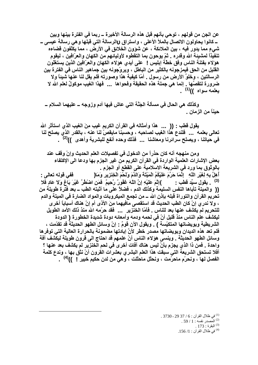عن الجن من قولهم ، توحي بأنهم قبل هذه الرسالة الأخيرة ــ ربما في الفترة بينها وبين ــ كانوا يحاولون الاتصال بالملأ الأعلى ، واستراق γالرسالة التي قبلها وهي رسالة عيسى ــ شيءٍ مما يدور فيه ، بين الملائكة ، عن شوَون الخلائق في الأرض ، مما يكلِّفون قضاءه تنفيذاً لمشيئة الله وقدره . ثمّ يوحون بما التقطوه لأوليائهم من الكهان والعرّافين ، ليقوم هوَلاء بِفتنة الناس وفق خطَّة إبليس ! على أيدي هوَلاء الكهان والعرّافين الذين يستغلُّون القليل من الحق فيمزجونه بالكثير من الباطل ، ويروّجونه بين جماهير الناس في الفترة بين الرسالتين ، وخلوَ الأرض من رسول . أمّا كيفية هذا وصورته فلم يقل لنا عنها شيئاً ولا ضرورة لتقصِّها . إنما هي جملة هذه الحقيقة وفحواها ... فهذا الغيب موكولِّ لعلم الله لا يعلمه سواه ))<sup>(1)</sup> .

وكذلك هي الحال في مسألة الجَنَّة التي عاش فيها آدم وزوجه ــ عليهما السلام ــ حيناً من الزمان .

يقول قطب : (( ... هذا وأمثاله في القرآن الكريم غيب مِنَ الغيب الذي استأثر الله تعالى بعلمه ... فلندع هذا الغيب لصاحبه ، وحسبنا مايقصِّ لنا عنه ، بالقدر الذي يصلح لنا في حياتنا ، ويصلح سرائرنا ومعاشنا ... فذلك وحده أنفع للبشرية وأهدى ))<sup>(2)</sup> .

ومِن منهجِه أنه كان حذراً من الدخول في تفصيلات العلم الحديث وإنّ وقف عند بعض الإشارات العلمية الواردة في القرآن الكريم من غير الجزم بها ودعا الى الإكتفاء بالوثوق بما ورد في الشريعة الاسلامية على القطع أو الجزم . أَهِلَّ بِهِ لِغَيْرِ اللَّهِ ۚ إِنَّمَا حَرَّمَ عَلَيْكُمُ الْمَيْتَةَ وَالدَّمَ وَلَحْمَ الْخِنْزِيرِ وَمَا( ففي قوله تعالى : <sup>(3)</sup> . يقول سبِّد قطب : )إِتْمَ عَلَيْهِ إِنَّ اللَّهَ عَفُورٌ رَّحِيمٌ فَمَن اضْطُرَّ عَيْرَ بَاغٍ وَلاَ عَادٍ فَلا (( والميتة تأباها النفس السليمة وكذلك الدم ، فضلاً على ما أثبته الطب ــ بعد فتَّرة طويلة من تحريم القرآن والتوراة قبله بإذن الله ـــ من تجمع الميكروبات والمواد الضارة فى الميتة والدم ، ولا ندري إنْ كان الطب الحديث قد استقصى مافيهما مِنَ الأذي أم إنّ هناك أسباباً أخرى للتحريم لم يكشف عنها بعد للناس . فأمّا الخنزير ... فقد حرّمه الله منذ ذلك الأمد الطويل ليكشف علم الناس منذ قليل أنّ في لحمه ودمه وأمعائه دودة شديدة الخطورة ( الدودة الشريطية وبويضاتها المتكيِّسة ) . ويقول الآن قومٌ : إنّ وسائل الطهو الحديثة قد تقدَّمت ، فلم تعد هذه الديدان وبويضاتها مصدر خطر لأنَّ إبادتها مضمونة بالحرارة العالية التي توفرها وسائل الطهو الحديثة . وينسى هؤلاء الناس أنّ علمهم قد احتاج الى قرون طويلة ليكشف آفة واحدة \_ فمن ذا الذي يجزم بأنْ ليس هناك آفات أخرى في لحم الخنزير لم يكشف بعد عنها ؟ أفلا تستحق الشريعة التي سبقت هذا العلم البشري بعشرات القرون أنْ نثق بها ، وندع كلمة الفصل لها ، ونحرّم ماحرّمت ، ونحلّل ماحلّلت ، وهي من لدن حكيم خبير ! ))<sup>(4)</sup> .

> (1) في ظلال القرآن : 6 / 37 29 - 3730 . . المصدر نفسه : 1 / 59 .  $173:$ البقرة $^{(3)}$ في ظلال القرآن: 1/ 156.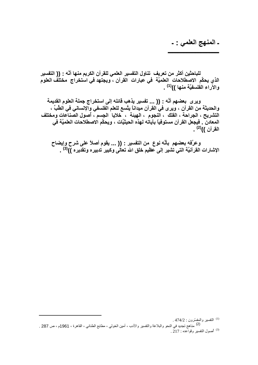ـ المنهج العلمي : ـ

للباحثين أكثر من تعريف تناول التفسير العلمي للقرآن الكريم منـها أنَّه : (( التفسير الذي يحكِّم الاصطلاحات العلميَّة في عبارات القرآن ، ويجتهد في استخراج مختلَف العلوم والآراء الفُلسفيَّة منها ))<sup>(1)</sup> .

ويرى بعضهم أنَّه : (( ... تفسير يذهب قائله إلى استخراج جملة العلوم القديمة والحديثة من القرآن ، ويرى في القرآن ميداناً يتَّسع للعلم الّغلسفي والإنساني في الطّبِّ ، التشريح ، الجراحة ، الفلك ، النجوم ، الهيئة ، ۖ خلايا ۗ الجسم ، أصول الصِّناعات ومختلف المعادن ۖ . فيجعل القرآن مستوفياً بِآياته لهذه الحيثيَّات ، ويحكِّم الاصطلاحات العلميَّة في القرآ*ن ))<sup>(2)</sup> .* 

وعرَّفه بعضهم بأنَّه نوع من التفسير : (( ... يقوم أصلاً على شرح وإيضاح الإشارات القرآنيَّة التي تشير إلى عظيم خلق الله تعالَى وكبير تدبيره وتقديره ))<sup>(3)</sup> .

<sup>(1)</sup> التفسير والمفسّرون : 474/2 . (2)<br>(2) مناهج تجديد في النحو والبلاغة والنفسير والأدب ، أمين الخولي ، مطابع الطناني ، القاهرة ، 1961م ، ص 287 . (3) أصول التفسير وقواعده : 217 .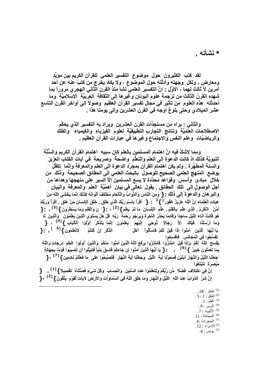\* نشأته

لقد كتب الكثيرون حول موضوع التفسير العلمي للقرآن الكريم بين مؤيِّدِ ومعارضٍ ، ولكل ٍ وجهته وأدلَّته حول الموضوع ، ولا يكاد يخرج من كتبَ عنه عن أحد أمرين لا ثالث لهما ، الأوَّل : انَّ التفسير العلمي نشأ منذ القرن الثاني الـهجري مروراً بما شهده القرن الثالث من ترجمة علوم اليونان وغيرها إلى الثقافة العربيّة الإسلاميّة وما أحدثته هذه العلوم من تأثير في مجال تفسير القرآن العظيم وصولاً إلى أواخر القرن التاسع عشر الميلادي وحتى بلوغ أوجه في القرن العشرين وإلى يومنا هذا .

والثاني : يراه من مستجدَّات القرن العشرين ويراد به التفسير الذي يحكِّم الاصطلاحات العلميَّة ونتائج التجارب التطبيقيَّة لعلوم الفيزياء والكيمياء والفلك والرياضيّات وعلم النفس والاجتماع وغيرها في عبارات القرآن العظيم .

ومما لاشكَّ فيه انَّ اهتمام المسلمين بالعلم كان سببه اهتمام القرآن الكريم والسَّنَّة النبويَّة كذلك إذ كانت الدعوة إلى العلم والتعلُّم واضحةً وصريحةً في آيات الكتاب العزيز. والسنة المطهَّرة \_ ولم يكن اهتمام القرآن بمجرَّد الدعوة إلى العلم والمعرفة وإنَّما تكفَّلَ بوضع المنهج العلمي الصحيح للوصول بالبحث العلمي إلى الحقائق الصحيحة وذلك من خلال مبادئ وأسس وقواعد محدَّدة لا يسع المسلمين إلاَّ السير على منهجها وهداها من أجل الوصول إلى تلك الحقائق ـ يقول تعالَى في بيان أهمِّيَّة العلم والمعرفة والبيان والبرهان والدعوة إلى ذلك : { وَمِنَ النَّاسِ وَالدَّوَابِّ وَالْأَنْعَامِ مُخْتَلِفٌ أَلْوَانُهُ كَذَلِكَ إنَّمَا يَخْشَى اللَّهَ مِنْ عِبَادِهِ الْعُلَمَاءِ إِنَّ اللَّهَ عَزِيزٌ غَفُورٌ ( } <sup>1</sup> : { اقْرَأْ بِاسْمِ رَبِّكَ الَّذِي خَلَقَ ذَلَقَ الْإِنسَانَ مِنْ عَلَق . اقْرَأْ وَرَبُّكَ أَمَّنْ الْمَكْرَمُ . الَّذِي عَلَّمَ بِالْقَلْمِ . عَلَّمَ الْإِنسَانَ مَا لَمْ يَعْلَم } <sup>(2)</sup> ، : { ن وَالْقَلْمِ وَمَا يَسْطُرُونَ } <sup>(3)</sup> ، : { هُوَ قَانِتٌ آنَاء اللَّيْلِ سَاجِدًا وَقَانِمًا يَحْدُرُ الْآخِرَةَ وَيَرْجُو رَحْمَةً ۚ رَبِّهِ ۚ قُلْ هَلْ يَسْتَوِي الَّذِينَ يَعْلَمُونَ ۚ وَالَّذِينَ ۚ لَم وَمَا أَرْسَلْنَا ۖ قَبْلَكَ ۚ إِلاَّ ۚ رِجَالاً ۖ تُوحِي ۚ إِلَيْهِمْ ۖ يَعْلَمُونَ ۚ إِنَّمَا يَتَذَكَّرُ ۚ أَوْلُوا الْأَلْبَابِ } (<sup>4)</sup> ، { الذَّكْرِ إِن كُنْتُمْ لاَتَعْلَمُون**ٍ } <sup>(5</sup> ) : {** يَا أَيُّهَا ۚ الَّذِينَ ۚ آمَنُوا إِذَا قِيلَ لَكُمْ فَاسْأَلُواْ ۚ أَهْلَ تَفْسَدُوا فِي الْمَجَالِسِ ۖ فَافْسَحُوا يَفْسَحِ اللَّهُ لَكُمْ وَإِذَا قِيلَ انشُرُوا فَانشُرُوا يَرْفَعِ اللَّهُ الَّذِينَ آمَنُوا مِنْكُمْ وَالَّذِينَ أوتُوا الْعِلْمَ دَرَجَاتٍ وَاللَّهُ َجَعَلْنَا اللَّيْلَ وَالنَّهَارَ آيَتَيْنِ فَمَحَوْنَا آيَةَ اللَّيْلِ وَجَعَلْنَا آيَةَ النَّهَار فَتُصْبِحُوا عَلَى مَا فَعَلْتُمْ نَادِمِينَ } <sup>(7)</sup> ، { مُبْصِرَةً لِتَبْتَغُواْ إنَّ فِي اخْتِلاَفِ فَضْلاً مِّن رَّبِّكُمْ وَلِتَعْلَمُواْ عَدَدَ السِّنْيِينَ ۚ وَالْحِسَابَ ۚ وَكُلَّ شَيْءٍ فَصَّلْنَاهُ ۚ تَفْصِيلاً } <sup>(1)</sup> ، ﴿

إِنَّ شَرَّ الدَّوَابَّ عِندَ اللّهِ اللّيل وَالنَّهَارِ وَمَا خَلَقَ اللّهُ فِي السَّمَاوَاتِ وَالأرض لآيَاتٍ لّقوْمٍ يَتَّقُونَ } <sup>( 2</sup> ، {

 $.28:$  فاطر  $^{(1)}$  $.5 - 1:$ العلق $^{(2)}$ .  $1:1^{(3)}$  القلم 4) الزمر: 9. . 7 : الأنبياء  $^{(5)}$  $.11:$ المجادلة  $^{(6)}$ <sup>(7)</sup> الحجرات :6.

.  $12:10^{(1)}$ 

 $6$ : يونس  $^{(2)}$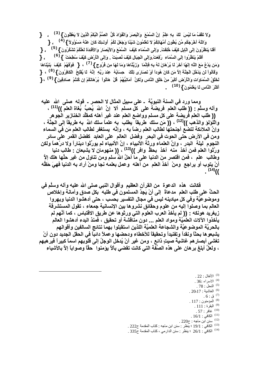وَلاَ تَقْفُ مَا لَيْسَ لَكَ بِهِ عِلْمٌ ۚ إِنَّ السَّمْعَ ۚ وَالْبَصَرَ وَالْقُوَادَ كُلُّ الصُّمُّ الْبُكْمُ الَّذِينَ لاَ يَعْقِلُونَ } <sup>(3)</sup> ، { وَاللّهُ أَخْرَجَكُم مِّن بُطُون أُمَّهَاتِكُمْ لاَ تَعْلَمُونَ شَيْئًا وَجَعَلَ لَكُمُ ۚ أُولَــنِكَ كَانَ عَنْـهُ مَسْوُوُلاً } <sup>(4)</sup> ، { أَقَلْا يَنْظُرُونَ إِلَى الْإِبْلِ كَيْفَ خُلِقْتْ. وَإِلَى السَّمَاء كَيْفَ الْسَّمْعَ وَالأَبْصَارَ وَالأَقْذِدَةَ لَعَلَّكُمْ تَشْكُرُونَ } <sup>(5)</sup> ، { ـ أَفَلَمْ يَنظُرُوا إِلَى السَّمَاءِ رُفِعَتْ وَإِلَى الْجِبَالِ كَيْفَ نُصِبَتْ . وَإِلَى الْأَرْضِ كَيْفَ سُطِحَتْ } <sup>(6)</sup> ، { وَمَن يَدْعُ مَعَ اللَّهِ إِلَـهَا آخَرَ لَمْ بِرُهَانَ لَـهُ بِهِ فَإِنَّمَا ۖ وَزَيَّنَّاهَا وَمَا لَـهَا مِنْ فُرُوجٍ } <sup>(7)</sup> ، { فَوْقَهُمْ ۚ كَيْفَ ۖ بَنَيْنَاهَا ۖ وَقَالُواْ لَن يَدْخُلَ الْجَنَّةَ إِلاَّ مَن كَانَ هُوداً أَوْ نَصَارَى تِلْكَ حِسَابُهُ عِنْدَ رَبِّهِ إِنَّهُ لَا يُقْلِحُ الْكَافِرُونَ } <sup>(8)</sup> ، {  $\frac{1}{2}$ ( لَحْلْقُ السَّمَاوَاتِ وَالْأَرْضِ أَكْبَرُ مِنْ خَلْقِ النَّاسِ وَلَكِنَّ أُمَاتِيَّهُمْ قُلْ هَاتُواْ بُرْهَانَكُمْ إِن كُنْتُمْ صَادِقِينَ } <sup>(9</sup>) ، { **(10) أَآْKََ ا6سِ َ َْ1َُEنَ} .**

ومما ورد في السنة النبويَّة ـ على سبيل المثال لا الحصر ـ قوله صلى الله عليه وآلـه وسلَّم : (( طلب الـعلم فريضـة علـى كلّ مسلم ألا إنَّ اللهَ يُـحبُّ بُغاة الـعلمَّ ))<sup>(11)</sup> ،  **(( x \_ا =1c& % آ7  وواuv ا & r- أه0 آ+ ا}ز1 ا`Eه** والُّلُوالو والذهب ))<sup>(12)</sup> ، (( مَن سلكُ طريقاً ۖ يطلبُ به علماً سلك اللهُ به طريقاً إل*ى* الجنَّة ، **وإن6 ا'Bm uc أ. 2 5\_ ا رvً 0 ، وإ06 1 t: 5 \_ا َ => اء و => ا!رض % ا.Eت => ا . و=c7 ا &% ا آ:c7 ا &% m**  النجوم ليلة البدر ، وإنّ العلماء ورِثة الأنبياء ، إنّ الأنبياء لم يورّثوا ديناراً ولا درْهماً ولكن ورَّثوا العلم فمن أخذ منه أخذ بحظٍّ وافر ))<sup>(13)</sup> ، (( منهومان لا يشبعان : طالب دنيا وطالب علم ، فمن اقتصر منَ الدنيا على ما أحلّ اللهُ سلم ومن تنـاول من غير حلّها هلك إلاّ أنْ يتوب أو يرا**ج**ع ومنْ أخذ العلم من أهله وعمل بعلمه نجا ومنْ أراد به الدنيا فهيَ حَظّه **.**  $^{(14)}$  ((

**فكانت هذه الدعوة من القرآن العظيم وأقوال النبي صلى الله عليه وآله وسلَّم في** الحثِّ على طلب العلم مدعاةً إلى أنْ يَجِدَّ المسلمون في طلبه بكل صدق وأمانـة وإخلاص وموضوعيَّة وفي كل ميادينـه ليس في مجال التفسير بحسب ، حتى أدهشوا الدنيا وبهروا العالم بما وصلوا إليه من علوم وحقائق نشروها بين الإنسانية جمعاء ، تقول المستشرقة زيغريد هونكه : (( لم يأخذ العرب العلوم التي ورثوها عن طريق الاقتباس ، كما أنّهم لم يأخذوا الآلات العلميَّة ومواد العلم <sub>ـــ</sub> دون مناقشة أو تحقيق ، فمنذ البدع أدهشوا العالم بالحريَّة الموضوعيَّة والشجاعة العلميَّة اللذين استقبلوا بهما نتائج السالفين وأقوالهم يشبعو ها بحثًا ونقداً وتفنيداً وتحقيقاً للأخطاء ودحضها وعملاً دائباً في الحقل الجديد دون أنْ تغشي أبصار هم غاشيةً صيتٍ ذائع ، ومن غير أنْ يُدخل الوجلُ إلى قلوبهم اسماً كبيراً فير هبهم **، و67 أã هن &% ه?< ا\*:+ ا > آ Ac <fF6 1zEا ً6 و/Eاً إf6 !-#ء** 

l

 $\,$  الأنفال : 22  $\,$ الاسراء :36 . النحل : 78 . لغاشية : 20-17 .  $^{\left(6\right)}$  $\,$ ق : 6 .  $^{(7)}$ المؤمنون : 117 .  $^{\left(8\right)}$ البقرة : 111 .  $^{(9)}$ غافر : 57 . الكافي : 16/1 .  $^{\left(11\right)}$ . سنن ابن ماجه : ح $220$  .  $\,$ . <sup>(13)</sup> الكافي : 19/1 ؛ ينظر : سنن ابن ماجه : كتاب المقدمة ح222 . )14( اA#2 :1/26 ؛ 67 : اار# ، آب ا ح . 335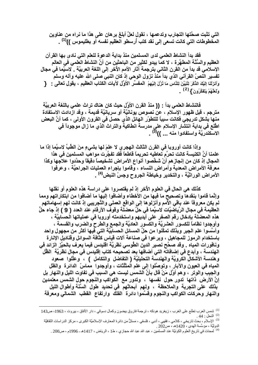التي تثبت صحَّتها التجارب وتدعمها ، نقول لعلَّ أبلغ بر هان على هذا ما نراه من عناوين المخطوطات التي كانت تسعى إلى نقد كتب أرسطو العظيم نفسه أو بطليموس ))<sup>(1)</sup> .

فقد بدأ النشاط العلمي لدى المسلمين منذ بداية الدعوة للعلم التي نادى بها القرآن العظيم والسُّنَّة المطهَّرة ، لا كما يبدو لكثير من الباحثين من أنَّ النشاط العلمي في العالم الإسلامي قد بدأ من القرن الثاني بترجمة آثار الأمم الأخر إلى اللغة العربيَّة . لاسيَّما في مجال تفسير النصّ القرآني الذي بدأ منذ نزول الوحي إذ كان النبي صلى الله عليه وآله وسلم وَأَنزَلْنَا إِلَيْكَ الدِّكْرَ لِثُبَيِّنَ لِلنَّاسِ مَا نُزِّلَ إِلَيْهِمْ ۖ الْمفْسِّرِ ۗ الأُوَّل لآيات الكتاب العظيم ، يقول تعالى : ﴿ وَلَعَلَّهُمْ يَتَفَكَّرُونَ } (2).

فالنشاط العلمي بدأ : (( منذ القرن الأوَّل حيث كان هناك تراث علمي باللغة العربيَّة مترجم ، قبل ظهور الإسلام ، عن نصوص يونانيَّة أو سريانيَّة قديمة ، وقد ازدادت الإستفادة منـها بشكل تدريجي فكانت سبباً للتطوّر الـهائل الذي حصل في القرون الأولى ، كما أنَّ البعض اطَّلع في بداية انتشَّار الإسلام على مدرسة انطاكية والتراث الذي ما زال موجوداً في الاسكندريَّة واستفادوا منه ... ))<sup>(3)</sup> .

وإذا كانت أوروبا في القرن الثالث الـهجري لا علمَ لها بشيءٍ منَ الطِّبِّ لاسيَّما إذا ما علمنا أنَّ الكنيسة كانت تحرِّم تعاطيه تحريماً قاطعاً فقد تفجَّرت مواهب المسلمين في هذا المجال إذ كان من إنجاز هم أنْ شخَّصوا أنواع الأمراض تشخيصاً دقيقاً وحدَّدوا علاجها وكذا معرفة الأمراض المعدية وأمراض النساء ، وقاموا بإجراء العمليات الجراحيَّة ، وعرفوا الأمراض الوراثيَّة ، والتخدير وخياطة الجروح وجسّ النبض<sup>(4)</sup> .

كذلك هي الحال في العلوم الأخر إذ لم يقتصروا على دراسة هذه العلوم أو نقلها وإنَّما قاموا بنقدها وتصحيح ما فيها من الأخطاء وأضافوا إليها ما أضافوا من ابتكاراتهم ومما لم يكن معروفاً عند باقى الأمم وأنزلوها إلى الواقع العملى والتَّجِريبي إذ كانت لهم إسهاماتهم العظيمة في مجال الرِّياضيَّات لاسيَّما في حلِّ معضلة وقوف الأرقام عند العدد ( 9 ) إذ جاء حلَّ هذه المعضَّلة بإدخال رقم الصفر على أيِّديهم واستخدمته أوروبا في عملياتها الحسابيَّة ، وأوجدوا نظاماً للكسور العشريَّة والكسور العاديَّة والجمع والطرح والضرب والقسمة ، وأسَّسوا علم الجبر وبذلك تمكَّنوا من حلِّ المسائل الحسابيَّة التي فيها أكثر من مجهول واحد باستخدام الرموز للمجاهيل ، وبرعوا في صناعة آلات قياس كثافة السوائل وقناديل الإنارة ونافورات المياه . وقد صحَّح نصير الدين الطُّوسي نظريَّة اقليدس فيما يعرف بالحيِّز الزائد في الـهندسـة ، وأبدع فـي إضـافاتـه التـي أضـافـها بـعد تصـحيحـه كتاب إقليدس فـي مـجـال نـظريَّـة الظّل وهندسة الأشكال الكرويَّة والهندسة التحليليَّة ( التفاضل والتكامل ) ، وعلَّلوا صعود المياه في العيون والآبار ، وتوصَّلوا إلى علم المثلَّثات ، وأوجدوا ۖ مَماسِّ الدائرة ۖ والظل والجيب والوتر ، وهم أوَّل مَنْ قال بأنَّ الشمس ليست هي السبب في تفاوت الليل والنـهار بل إنَّ الأرض ذاتها تدور حول نفسها ، وتدور مع الكواكب والنجوم حول الشمس معتمدين بذلك على التجربة والملاحظة ، ولهم أبحاثهم في تحديد طول السَّنَّة وأطوال الليل والنهار وحركات الكواكب والنجوم وقسَّموا دائرة الفلك وارتفاع القطب الشمالى ومعرفة

<sup>&</sup>lt;sup>(1)</sup> شمس العرب تطلع على الغرب ، زيغريد هونكه ، ترجمة فاروق بيضون وكمال دسوقي ، دار الأفاق ، بيروت ، 1963، ص143

<sup>&</sup>lt;sup>(2)</sup> النحلّ : 44 .<br><sup>(3)</sup> الإسلام ، بحث ناريخي ، كلامي ، فقهي ، أدبي ، فلسفي ، مستلٌّ من دائرة المعارف الإسلاميَّة الكبرى ، مركز الدراسات الثقافيَّة<br><sup>(3)</sup> الإسلام ، بحث ناريخي ، كلامي ، ^^^

<sup>&</sup>lt;sup>(4)</sup> لمحات في تاريخ العلوم الكونيَّة عند المسلمين ، عبد الله عبد الله حجازي ، ط1 ، الرياض ، 1417هـ ـ 1996م ، ص200 .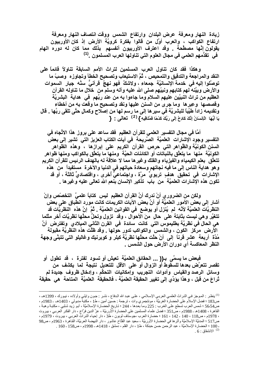زيادة النهار ومعرفة عرض البلدان وارتفاع الشمس ووقت انتصاف النهار ومعرفة ارتفاع الكواكب ، والعرب أوَّل من قالوا بِفكرة كرويَّة الأرض إذ كان الأوربيون يقُولُون إنَّها مصطَّحةً . وقد اعترف الأوربيون أنفسهم بذلك مما كان له دوره الهام في تقدُّمهم العلمي في مجال العلوم التي تناولها العرب المسلمون. <sup>(1)</sup>

وهكذا فقد كان تناول العرب المسلمين لتراث الأمم السابقة تناولأ قائماً على النقد والمراجعة والتدقيق والتمحيص ، ثُمَّ الاستيعاب وتصحيح الخطأ وتجاوزه وصبّ ما توصَّلوا إليه في خدمة الإنسانيَّة جمعاء ، ولاشكَّ فهو نهجٌ ۖ قرآنيٌّ سنَّه جبار ِ السموات والأرض وبيَّنه لهم كتابهم ونبيِّهم صلى الله عليه وآله وسلم من خلال ما تناوله القرآن العظيم من تراث النبيِّين عليهم السلام وما جاءوا به من عند ربِّهم ۖ في هداية البشريَّة وقصصها وعِبرها وما جرى من السنن عليها ونقد وتصحيح ما وقعت به من أخطاء وتقديمه زاداً طَيِّباً للبشريَّة في سير ها إلى ما رسم لها من إصلاح وكمالٍ حتَّى تلقى ربِّها . قال يَا أَيُّهَا ۖ الْإِنسَانُ إِنَّكَ كَادِحٌ إِلَى رَبِّكَ كَدْهًا فَمُلَاقِيهِ } <sup>(2)</sup> **تعالى :** {

أمَّا في مجال التفسير العلمي للقرآن العظيم فقد ساعد على بروز هذا الاتِّجاه في التفسير وجود الإشارات العلميَّة الصَّريحة في آيات الكتاب العزيز التي تشير إلى بعض السنن الكونيَّة والظُّواهر التي حرص القرآن الكريم على إبرازها ، وهذه الظواهر الكونيَّة منـها ما يتعلَّق بالنباتات أو الكائنات الحيَّة ومنـها ما يتعلَّق بالكواكب ومنـها ظواهر تتعلَّق بعلم الكيمياء والفيزياء والفلك وغيرها مما لا علاقة له بالهدف الرئيس للقرآن الكريم و هو هداية الناس إلى ما فيه نجاتهم وسعادة حياتهم في الدنيا والآخرة مستفيداً من هذه الإشارات في تحقيق هدفٍ تربويٍّ مرَّة ، واجتماعيٍّ أخرى ، واقتصاديٍّ ثالثة ، أو قد تكون هذه الإشارات العلميَّة من باب تذكير الإنسان بنعم الله تعالى عليه وغير ها .

ولكن من الضرور ي أنْ ندرك أنَّ القرآن العظيم ليس كتاباً علميَّ التخصَّص وإنْ أشار إلى بعض الأمور العلميَّة أو أنَّ بعض الآيات الكريمات كانت مورد انطَّباق على بعض النظريَّاتُ العلميَّة لأنَّه ۖ لم يُنزل أو يوضع ۖ في القوانين العلميَّة . ثُمَّ ۚ إنَّ هذه ۖ النظريَّات قد تتغيَّر وهي ليست بثابتة على حالٍ منَ الأحوالِ ، وقد ۖ تزول وتحلَّ محلَّها نظريَّات أخر مثلما هي الحال في نظريَّة بطليموس التي كانت سائدة في القرن الثاني الميلادي وتفترض أنَّ الأرض مركز الكون ، والشمس والكواكب تدور حولها . وقد ظلَّت هذه النَّظريَّة مُقبولَة مُدَّة ۖ أربعة ۖ عشر قرناً ۖ إلى ۖ أنْ حلَّت محلَّها نظريَّة كبلر و كوبرنيك وغاليلو التي تتبنَّى وجهة النظر المعاكسة أي دوران الأرض حول الشمس .

فبعض ما يسمَّى بـ(( ... الحقائق العلميَّة تعيش أو تسود لفترة ، قد تطول أو تقصر تتعرَّض بعدها للسقوط أو الزوال أو على الأقل للتعديل نتيجة لما يكشف من وسائل الرصد والقياس وأدوات التجريب وإمكانيات التحكُّم ، وإدخال ظروف جديدة لم تُراعَ من قبل ، وهذا يؤدِّي إلى تغيير الحقيقة العلميَّة ، فالحقيقَة العلميَّة المتاحة هي حقيقة

<sup>&</sup>lt;sup>(1)</sup> ينظر : الموجز في التراث العلمي العربي الإسلامي ، على عبد الله الدفاع ، نشر : جون وايلي وأولاده ، نيورك ، 1399هـ ، ص183 ؛ فضل الإسلام على الحضارة الغربيَّة ، مونتجمري وات ، ترجمة : حسِّين أمين ، ط1 ، مكتبة مدبولي ، 1403هـ ـ 1983م ، ص56.54 ؛ شمس العرب تسطع على الغرب : 225 وما بعدها ، 244 ؛ تاريخ الحضارة الإسلاميَّة ، أبو زيد شلبي ، مكتبة وهبة ، القاهرة ، 1408هـ ـ 1988م ، ص351 ؛ فضل علماء المسلمين على الحضارة الأوربيَّة ، عزِّ الدين فرَّاج ، دار الفكر العربي ، بيروت ، 1978م ، ص118 ، 140 - 142 ، 161 ؛ حضارة العرب ،جوستاف لوبون ، ط3 ، دار إحياء التراث العربي ، بيروت ، 1979م ، ص517 ؛ المدنيَّة الإسلاميَّة وأثر ها في الحضارة الأوربيَّة ، سعيد عبد الفتَّاح عاشور ، دار النهضة العربيَّة، القاهرة ، 1963م ، ص98 ـ 100 ؛ الحضارة الإسلاميَّة ، عبد الرَّحمن حسن حبنكة ، ط1 ، دار القلم ، دمشق ، 1418هـ ـ 1998م ، ص158 ـ 160 . .  $6:12^{(2)}$  الانشقاق $\,$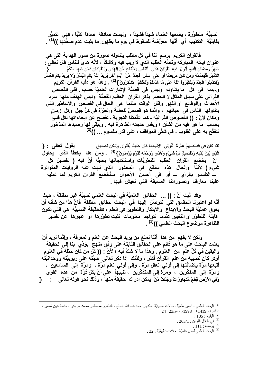نسبيَّة متطوِّرة ، يضعها العلماء شيئاً فشيئاً ، وليست صادقة صدقاً كلَّيّاً ، فهي تتميَّز بقابليَّة التكذيب أي أنَّها معرَّضة للسقوط في يومٍ ما بظهور ما يثبت عدم صحَّتَّها ))<sup>(1)</sup> .

فالقرآن الكريم يرسم لنا في كل مطلب يتناوله صورةً من صور الـهداية التي هي عنوان آياته المباركة ونَصَّهِ العظيم الذي لا ريب فيه ولاشكَّ ، لأنَّه هدىً للناس قال تعالى : شَهْرُ رَمَضَانَ الَّذِيَ أنزلَ ۖ فِيهِ الْقُرْآنُ هُدًى ۗ لِّلنَّاسِ وَبَيِّنَاتٍ مِّنَ الْهُدَى وَالْفُرْقان فمَن شَهِدَ مِنْكُمُ الشَّهْرَ فَلْيَصُمْهُ وَمَن كَانَ مَريضًا أوْ عَلَى سَفَرٍ ۚ فَعِدَّةٌ ۚ مِّنْ ۚ أيَّامِ أَخَرَ يُريدُ اللّهُ بِكُمُ الْيُسْرَ وَلاَ يُريدُ بِكُمُ الْعُسْرَ وَلِتُكْمِلُواْ الْعِدَّة وَلِتُكَبِّرُواْ اللَّهَ عَلَى مَا هَدَاكُمْ وَلَعَلَّكُمْ ۚ تَشْكُرُونَ } <sup>(2)</sup> . وهذا هو دأب القرآن الكريم وديدنه في كل ما يتناوله وليس في قضيَّة الإشارات العلميَّة حسب . ففي القصص القرآني على سبيل المثال لا الحصر يذكر القرآن العظيم القصَّة وليس الـهدف منـها سرد الأحداث والوقائع أو اللهو وقتل الوقت مثلما هي الحال في القصص والأساطير التي يتناولها الناس في حياتهم ، وإنَّما هو قصصٌ للعضة والعِبْرَة في كلِّ جيل وكل زمان ومكان لأنَّ : (( النصوص القرآنيَّة ـ كما علَّمتنا التجربة ـ تفصح عن إيحاءاتها لكل قلبِ بحسب ما هو فيه من الشأن ؛ وبقدر حاجته الظاهرة فيه . ويبقى لها رصيدها المذخور تتفتَّح به على القلوب ، في شتَّى المواقف ، على قدر مقسوم ... ))<sup>(3)</sup>

لَقَدْ كَانَ فِي قَصَصِهِمْ عِبْرِةٌ ۚ لِّأَوْلِى ۖ الأَلْبَابِمَا كَانَ حَدِيثًا يُفْتَرَى وَلَـكِن تَصْدِيقَ يقول تعالى : { الَّذِي بَيْنَ يَدَيْهِ وَتَقْصِيلَ كُلَّ شَيْءٍ وَهُدًى وَرَحْمَةَ لِّقَوْمٍ يُوْمِنُونَ } <sup>(4)</sup> ومن هنا يخطأ الذي يحاول أنْ يخضع القرآن العظيم للنظريَّات واستنتاجاتها بحجَّة أنَّ فيه ( تفصيل كل شيء) لأننا والحال هذه سنقع في المحذور الذي نهت عنه الروايات المتواترة ـــ التّفسير بالرأي ـــ أو في أحسنُ الأحوال سنُخضع القرآن الكريم لما تمليه علينا معارفنا وتصوّراتنا المسبقة التي نعيش فيها .

وقد ثبت أنّ : (( ... الحقائق العلميّة في البحث العلمي نسبيّة غير مطلقة ، حيث أنَّه لو اعتبرنا الحقائق التي نتوصَّل اليها في البحث حقائق مطلقة فإنَّ هذا من شأنه أنْ يعوق عمليَّة البحث والإبداع والابتكار والتطوير في العلم ، فالحقيقة النسبيَّة هي التي تكون قابلة للتطوّر أو التغيير عندما تتواجد معلومات تثبت تطوّرها أو عجزها عن تفسير الظاهرة موضوع البحث العل*مى* ))<sup>(1)</sup> .

ولكن لا يفهم من هذا أنَّنا نمنع مَن يريد البحث عن العلم والمعرفة ، وإنَّما نريد أنْ يعتمد الباحث على ما هو قائم على الحقائق الثابتة على وفق منهج يؤدِّي بنا إلى الحقيقة واليقين في كُلِّ علمٍ منَ العلوم . وهذا ما لا شكَّ فيه ؛ لأنَّ : (( كل مَن كان حظَّهُ في العلوم أوفر كان نصيبه من علم القرآن أكثر ، ولذلك إذا ذكر تعالى حجَّته على ربوبيَّته ووحدانيَّته أتبعها مرَّة بإضافتها إلى أولى العقل مرَّة ، وإلى أولى العلم مرَّة ، ۖ ومرَّة ۖ إلى السامعين ، ومرَّة إلى المفكِّرين ، ومرَّة إلى المتذكِّرين ، تنبيهاً على أنَّ بكل قوَّة من هذه القوى وَفِي الأرْضِ قِطعٌ مُّتَجَاوِرَاتٌ وَجَنَّاتٌ مِّنْ يمكن إدراك حقيقة منـها ، وذلك نحو قولـه تعالى : {

. 263/1 : في ظلال القرآن : 263/1

<sup>(1)</sup> الْبَحث العلمي أسس علميَّة ـ حالات تطبيقيَّة : 32 .

<sup>&</sup>lt;sup>(1)</sup> البحث العلمي ، أسس علميَّة ـ حالات تطبيقيَّة الدكتور أحمد عبد الله اللحلح ، الدكتور مصطفى محمد أبو بكر ، مكتبة عين شمس ، القاهرة ، 1419هـ ـ 1998م ، ص23 ـ 24 .

 $.185:$ البقرة

بوسف : 111 .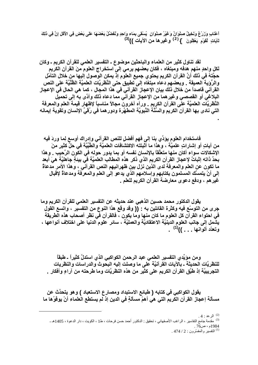أَعْنَابِ وَزَرْعٌ وَنَخِيلٌ صِنْوَانٌ وَعَيْرُ صِنْوَانٍ ۖ يُسْقَى بِمَاءِ وَاحِدٍ وَنُفَضِّلُ بَعْضَهَا عَلَى بَعْضٍ فِي الأَكْلِ إِنَّ فِي ذَلِكَ لَآيَاتِ لَقَوْمٍ يَعْقِلُونَ } <sup>(2)</sup> وغيرِها من الآيات ))<sup>(3)</sup>

لقد تناول كثير من العلماء والباحثين موضوع ـ التفسير العلمي للقرآن الكريم ـ وكان لكل واحدٍ منهم هدفه ومبتغاه ، فكان بعضهم يرمي إلى استخراج العلوم منَ القرآن الكريم حجَّتهُ في ذلك أنَّ القرآن الكريم يحتوي جميع العلوم إذ يمكن الوصول إليها من خلال التأمِّل والرُّوَية العميقة . وبعضهم دعاه مبتغاه إلى تطبيق حتى النَّظريَّات العلميَّة الظَّنِّيَّة على النص القرآني قاصداً من خلال ذلك بيان الإعجاز القرآني في هذا المجال ، كما هي الحال في الإعجاز البلاغي أو القصصي وغيرهما من الإعجاز القرآني مما دعاه ذلك وأدًى به إلى تحميل النُّظريَّات العلميَّة على القرآن الكريم . ورآه آخرون مجالاً مناسباً لإظهار قيمة العلم والمعرفة التي نـادي بـها القرآن الكريم والسُّنَّة النَّبويَّة المطهَّرة ودور هما في رُقيِّ الإنسان وتقوية إيمانه

فاستخدام العلوم يؤدِّي بنا إلى فهمٍ أفضلٍ للنص القرآنى وإدراك أوسع لِما وردَ فيه من آياتٍ أو إشاراتٍ علميَّة ، وهذا ما أَثْبِتته الاكتشافات العلميَّة والطِّبِّيَّة في حلٍّ كثير منَ الإشكالات سواء أكان منها متعلِّقاً بالإنسان نفسه أو بما يدور حوله في الكون الرَّحيب . وهذا بِحدِّ ذاته إثباتٌ لإعجاز القرآن الكريم الذي ذكر هذه المطالب العلميَّة في بيئةٍ جاهليَّة هيَ أبعد ما تكون عن العلم والمعرفة لدى الذين نزل بين ظهرانيهم النص القرآني ، وهذا الأمر مدعاةٌ إلى أنْ يتمسَّك المسلمون بكتابهم وإسلامهم الذي يدعو إلى العلم والمعرفة ومدعاةٌ لإقبال غير هم ، ودفع دعوى معارضة القرآن الكريم للعلم .

يقول الدكتور محمد حسين الذهبي عند حديثه عن التفسير العلمي للقرآن الكريم وما جرى من التوسّع فيه وكثرة القائلين به : (( وقد وقع هذا النوع من التفسير ، واتسع القول في احتواء القرآن كل العلوم ما كان منها وما يكون ، فالقرآن في نظر أصحاب هذه الطريقة يشمل إلى جانب العلوم الدينيَّة الاعتقاديَّة والعمليَّة ، سائر علوم الدنيا على اختلاف أنواعها ، وتعدّد ألوانها . . . ))<sup>(1)</sup> .

ومن موَيِّدي التفسير العلمي عبد الرحمن الكواكبي الذي استدلَّ كثيراً ـ طبقاً للنظريَّات الحديثة ـ بِالآيات القرآنيَّة عَلى ما وصلت إليه البحوث والدراسات والنظريات التجريبيَّة إذ طبَّق القرآن الكريم على كثير من هذه النظريَّات وما طرحته من آراءٍ وأفكار .

يقول الكواكبي في كتابه ( طبائع الاستبداد ومصارع الاستعباد ) و هو يتحدَّث عن مسألة إعجاز القرآن الكريم التي هي أهمّ مسألةٍ في الدين إذ لم يستطع العلماء أنْ يوفَوُها ما

<sup>(2)</sup> الرعد : 4 .<br><sup>(3)</sup> مقدمة جامع النفاسير ، الراغب الأصفهاني ، تحقيق : الدكتور أحمد حسن فرحات ، ط1 ، الكويت ، دار الدعوة ، 1405هـ ـ

. 474 / 2 : التفسير والمفسّرون : 2 / 474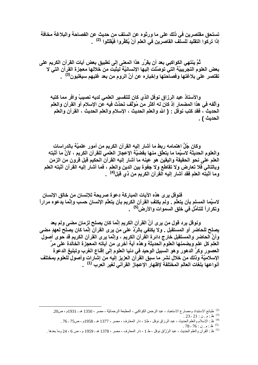تستحق مقتصرين في ذلك على ما ورثوه عن السلف من حديث عن الفصاحة والبلاغة مخافة إذا تركوا التقليد للسلّف القاصرين في العلم أنْ يُكَفَّروا فَيُقتَلوا <sup>(2)</sup> .

ثُمَّ ينتهي الكواكبي بعد أن يقرِّر هذا المعنى إلى تطبيق بعض آيات القرآن الكريم على بعض العلوم التجرِّيبيَّة التيِّ توصَّلت إليها الإنسانيَّة ليثبتَ من خلالها معجزة القرآن التي لا تقتصر على بلاغتها وفصاحتها وإخباره عن أنَّ الروم من بعد غلبهم سيغلبون<sup>(3)</sup> .

والأستاذ عبد الرزاق نوفل الذي كان للتفسير العلمي لديه نصيبٌ وافر مما كتبه وألَّفه في هذا المضمار إذ كان له أكثر من مُوَلِّف تحدَّث فيه عن الإسلام أو القرآن والعلم الحديث ، فقد كتب نوفل : ( الله والعلم الحديث ، الإسلام والعلم الحديث ، القرآن والعلم الحديث ) .

وكان جُلُّ اهتمامه ربط ما أشار إليه القرآن الكريم من أمور علميَّة بالدراسات والعلوم الحديثة لاسيَّما ما يتعلَّق منها بِقضيَّة الإعجاز العلمي للقرآن الكريم ، لأنَّ ما أثبته العلم على نحو الحقيقة واليقين هو عينه ما أشار إليه القرآن الحكيم قبل قرون من الزمن وبالتالي فلا تعارض ولا تقاطع ولا جفوة بين الدين والعلم ، فما أشار إليه القرآن أثبته العلم وما أثبته العلم فقد أشار إليه القرآن الكريم من ذي قبل<sup>(4)</sup> .

فَنوفْل يرى هذه الآيات المباركة دعوة صريحة للإنسان من خالق الإنسان لاسيَّما المسلم بأن يتعلَّم . ولم يكتفِ القرآن الكريم بأن يتعلَّم الإنسان حسب وإنَّما يدعوه مراراً وتكراراً للتأمُّل في خلق السموات والأرض<sup>(5)</sup> .

ونوفل يرد قول من يرى أنَّ القرآن الكريم إنَّما كان يصلح لزمانٍ مضى ولم يعد يصلح للحاضر أو المستقبل . ولا يكتفي بالرِّدِّ على مَن يرى القرآن إنَّما كان يصلح لعهدٍ مضى وأنَّ الحاضر والمستقبل خارج دائرة القرآن الكريم ، وإنَّما يرى القرآن الكريم قد حوى أصول العلم كل علم ويضمنها العلوم الحديثة وهذه آية أخرى من آياته المعجزة الخالدة على مرِّ العصور وكرِّ الدهور وهو السبيل الوحيد في دنيا العلوم إلى إقناع الغرب وتبليغ الدعوة الإسلاميَّة وذلك من خلال نشر ما سبق القرآن العزيز إليه من إشارات وأصول للعلوم بمختلف أنواعها بلغات العالم المختلفة لإظهار الإعجاز القرآن*ي* لغير العرب <sup>(1)</sup> .

<sup>(2)</sup> طبائع الاستبداد ومصارع الاستعباد ، عبد الرحمن الكواكبي ، المطبعة الرحمانيَّة ، مصر ، 1350 هـ ـ 1931م ، ص20. <sup>(3)</sup> ظ : م . ن : 21 - 23 .<br>(<sup>4)</sup> ظ : الإسلام والعلم الحديث ، عبد الرزاق نوفل ، ط1 ، دار المعارف ، مصر ، 1377 هـ ـ 1958م ، ص75 - 76 .<br>(<sup>4)</sup>

 $.78 - 76 : 3.6 : 4.5$  (5)

<sup>&</sup>lt;sup>(1)</sup> ظ : القرآن والعلم الحديث ، عبد الرّزّاق نوفل ، ط 1 ، دار المعارف ، مصر ، 1378 هـ ـ 1959 م ، ص 6 ، 24 وما بعدها <sub>.</sub>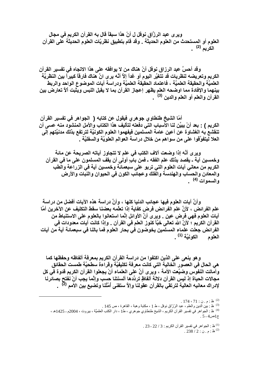وير ي عبد الرزَّاق نوفل ل أنّ هذا سبقاً قال به القرآن الكريم في مجال العلوم أو المستحدث من العلوم الحديثة . وقد قام بتطبيق نظريّات العلوم الحديثة على القرآن الكريم <sup>(2)</sup> .

وقد أحسَّ عبد الرزاق نوفل أنّ هناك من لا يوافقه على هذا الاتجاه في تفسير القرآن الكريم وتعريضه لنظريات قد تتغيَّر اليوم أو غداً إلاَّ أنَّه يرى انَّ هناك فارقاً كبيراً بين النظريَّة العلميَّة والحقيقة العلميَّة ، فاعتماد الحقيقة العلميَّة ودراسة آيات الموضوع الواحد والربط بينهما والإفادة مما اوضحه العلم يظهر إعجاز القرآن بما لا يقبل اللبس ويثبت ألأ تعارض بين القرآن والعلم أو العلم والدين <sup>(3)</sup> .

أمّا الشيخ طنطاوي جو هري فيقول عن كتابه ( الجواهر في تفسير القرآن الكريم ) : بعد أنْ يبيِّن لنا الأسباب التي دفعته لتأليف هذا الكتاب والأمل المنشود منه عسى أن تنقشع به الغشاوة عن أعين عامة المسلمين فيفهموا العلوم الكونيَّة لترتفع بذلك مدنيَّتهم إلى العلا ليتفوَّقوا على من سواهم من خلال دراسة العوالم العلويَّة والسفليَّة .

وير ي أنَّه إذا وضعت آلاف الكتب في علم لا تتجاوز آياته الصريحة عن مائة وخمسين آية ـ يقصد بذلك علم الفقه ـ فمن بابٍ أولَى أن يقف المسلمون على ما في القرآن الكريم من معاني آيات العلوم التي تربو على سبعمائـة وخمسين آيـة فى الزرآعة والْطب والمعادن والحساب والهندسة والفلك وعجائب الكون فى الحيوان والنبات والأرض و السمو ات <sup>(4)</sup> \_

وأنَّ آيات العلوم فيها عجائب الدنيا كلها ، وأنَّ دراسة هذه الآيات أفضل من دراسة علم الفرائض ، لأنَّ علم الفرائض فرض كفاية إذا تعلَّمه بعضنا سفط التكليف عن الآخرين أمَّا آيات العلوم فهي فرض عين . وير ي أنَّ الأوائل إنَّما استعانوا بالعلوم على الاستنباط من القرآن الكريم ؛ لأنَّ الله تعالى حْبًّا كنوز العلم في القرآن . وإذا كانت آيات معدودات في الفرائض جعلت علماء المسلمين يخوضون في بحار العلوم فما بالنا في سبعمائة آية من آيات العلوم الكونيَّة<sup>(1)</sup> .

وهو ينعي على الذين اكتفوا من دراسة القرآن الكريم بمعرفة ألفاظه وحفظها كما هي الحال في العصور الّخالية التي كانت معرفة تكليفيَّة وقراءة سطحيَّة طمست الحقائق وأمَّاتت النفوَّس وضيَّعت الأمة ، ويرى أنَّ على العلماء أنْ يجعلوا القرآن الكريم قدوة في كل مجالات الحياة إذ ليس القرآن دلالة ألفاظٍ تردِّدها ألسنتنا حسب وإنَّما يجب أنْ نفَّتح بصائرنا لإدراك معانيه العالية لترتقي بالقرآن عقولنا وإلاً ستفنى أمَّتُنا وتضيع بين الأمم <sup>(2</sup>) .

. 23 - 22 / 3 إلجواهر في تفسير القرآن الكريم: 3 / 22 - 23 .

 $.238/2:$ ظ:م.ن $.2$ 

<sup>&</sup>lt;sup>(2)</sup> ظ : م . ن : 71 ، 174 .<br><sup>(3)</sup> ظ : بين الدين والعلم ، عبد الرزّاق نوفل ، ط 1 ، مكتبة وهبة ، القاهرة ، ص 145 .<br><sup>(3)</sup> ظ : بين الدين والعلم ، عبد الرزّاق نوفل ، ط 1 ، مثل من مرط 1 ، دار الكتب ال

<sup>&</sup>lt;sup>(4)</sup> ظ : الْجَوَاهِرَ فَيْ نَفْسُيْرِ الْقَرْآنَ الْكَرْيَمَ ، الشَّيخُ طَنْطَاوِي جُوهِري ، طَ1 ، دار الكتب العلميَّة ، بيروت ، 2004م ـ 1425هـ ، ج1ص4 - 5 .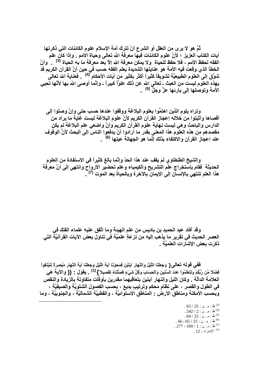تُمَّ هو لا يرى من العقل أو الشرع أنْ تترك أمة الإسلام علوم الكائنات التي ذكرتها آيات الكتاب العزيز ؛ لأنَّ علوم الكائنات فيها معرفة الله تعالى وحياة الأمم . وإذا كان علم الفقه لحفظ الأمم ، فلا حفظ للحياة و لا يمكن معرفة الله إلاَّ بعد معرفة ما به الحياة <sup>(3)</sup> وأنّ الخطأ الذي وقعت فيه الأمة هو عنايتها الشديدة بعلم الفقه حسب في حين أنِّ القرآن الكريم قد شوَّق إلى العلوم الطبيعيَّة تشويقاً كثيراً أكثر بكثير من آيات الأحكام <sup>41</sup>) . فعناية الله تعالى بهذه العلوم ليست من العبث ـ تعالى الله عن ذلك علوَّا كبيراً ـ وإنَّما أوصى الله بها لأنَّها تحيى الأمة وتوصلها إل*ى* بارئها عزَّ وجَلٍّ <sup>(5)</sup> .

وتراه يلوم الذين اهتمَّوا بعلوم البلاغة ووقفوا عندها حسب حتى وإنْ وصلوا إلى أقصاها وأثبتوا من خلاله إعجاز القرآن الكريم لأنّ علوم البلاغة ليست غاية ما يراد من الدارس والباحث وهي ليست نهاية علوم القرآن الكريم وأنّ واضعى علم البلاغة لم يكن مقصدهم من هذه العلوم هذا المعنى بقدر ما أرادوا أنْ يدفعوا الناس إلى البحث لأنَّ الوقوف عند إعجاز القرآن والاكتفاء بذلك إنّما هو الجهالة عينها <sup>(6)</sup> .

والشيخ الطنطاوي لم يقف عند هذا الحدّ وإنَّما بالغ كثيراً في الاستفادة من العلوم الحديثة فقام باستخراج علم التشريح والكيمياء وعلم تحضير الأرواح وانتهى إلى أنَّ معرفة هذا العلم تنتهى بالإنسان إلى الإيمان بالآخرة وبالحياة بعد الموت <sup>(7) \_</sup>.

وقد أفاد عبد الحميد بن باديس من علم الـهيئـة ومـا اتَّفق عليه علمـاء الفلك في العصر الحديث في تقرير ما يذهب إليه من نزعةٍ علميَّة في تناول بعض الآيات القرآنيَّة التي ذكرت بعض الإشارات العلميّة .

فَفَى قَولُه تعالى{ وَجَعَلْنَا اللَّيْلَ وَالنَّهَارَ آيَتَيْنِ فَمَحَوْنَا آيَةَ اللَّيْلِ وَجَعَلْنَا آيَة النَّهَار مُبْصِرَةً لِتَبْتَغُواْ فَضْلاً مِّن رَّبِّكُمْ وَلِتَعْلَمُواْ عَدَدَ السِّنِينَ وَالْحِسَابَ وَكُلَّ شَيْءٍ فَصَّلْنَاهُ تَفْصِيلاً } <sup>(1)</sup> \_ يقول : (( والآيـة هي العلامة الدالَّة . وكان الليل والنـهار آيتين بتعاقبـهما مقدرين بأوقَّات متفاوتة بالزيادة والنقص في الطول والقصر ، على نظامٍ محكم وترتيبٍ بديع ، بحسب الفصول الشتويَّة والصيفيَّة ، وبحسب الأمكنة ومناطق الأرض - المناطق الاستوائيَّة ، والقطبيَّة الشماليَّة ، والجنوبيَّة ، وما

> $.63/25:$ ظ:م.ن $.63/25$  $.242 / 2 : 0.9 : 4^{(4)}$  $.64 / 25 : 0.9 : 4^{(5)}$  $.66 - 65 / 25 : 3.6$ ظ: م.ن : 55  $.277 \cdot 100 / 1$ : م.ن: 1 .  $12:12$ سراء  $12:1$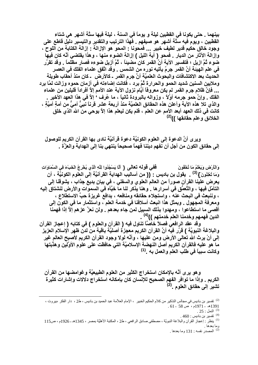بينهما . حتى يكونا في القطبين ليلة و يوماً في السنة ، ليلة فيها ستَّة أشهر هي شتاء القطبين ، ويوم فيه سنَّة أشهر هو صيفهم . فَهذا الترتيب والتقدير والتيسير دليِّل قاطع على وجود خالق حكيم قدير لطيف خبير ... فمحونـا : المحو هو الإزالـة : إزالـة الكتابـة من اللوح ، وإزالــة الآثـار من الديـار \_ فمحو ( آيــة الليل ) إزالـة الضـوع منـها ، وهذا يقتضـى أنَّـه كـان فيـها ضوع ثُمَّ ازيل ؛ فتفسير الآية أنَّ القمر كان مضيئاً ، ثُمَّ أزيل ضوءه فصار مظلماً . وقد تقرَّر في علم الهيئة أنَّ القمر جرمٌ يأتيه نوره من الشمس . وقد اتَّفق علماء الفلك في العصر الدِّديثُ بعد الاكتشافات والبحوث العلميَّة أنَّ جرم القمر ـ كالأرض ـ كان منذ أحَّقاب طويلة وملايين السنين شديد الحمو والحرارة تُمَّ برد ، فكانت إضاءته في أزمان حموه وزالت لمَّا برد ... فإنَّ ظلام جرم القمر لم يكن معروفًا أيَّام نزول الآية عند الأمم إلاَّ أفراداً قليلين من علماء الفلك . وإنَّ حمو جرمه أوَّلاً ، وزواله بالبرودة ثانياً ، ما عُرف ' إلاَّ في هذا العهد الأخير . والذي تلا هذه الآية وأعلن هذه الحقائق العلميَّة منذ أربعة عشر قرناً نَبَىٌّ أمىٌّ من أمةٍ أميَّةٍ ، كانت في ذلك العهد أبعد الأمم عن العلم ، فلم يكن ليعلم هذا إلاَّ بوحي من الله الذي خلق الخلائق وعلم حقائقها ))<sup>(2)</sup>

وير ي أنَّ الدعوة إلى العلوم الكونيَّة دعوة قرآنيَّة نادي بها القرآن الكريم للوصول إلى حقائق الكون من أجل أن نفهم ديننا فهماً صحيحاً ينتهي بنا إلى الهداية والعزَّة .

وَالْأَرْضِ وَيَعْلَمُ مَا تُخْفُونَ ۚ مَسْمَعَ فَقِي قَوْلِهُ تَعَالَى { أَلَا يَسْجُدُوا لِلَّهِ الَّذِي يُخْرجُ الْخَبْءَ فِي السَّمَاوَاتِ وَمَا تُعْلِنُونَ } <sup>(3)</sup> . يقول بن باديس : (( من أساليب الـهداية القرآنيَّة إلى العلوم الكونيَّة ، أن يعرض علينـا القرآن صوراً من الـعالم الـعلوي والسفلـي ، في بيـانٍ بديعٍ جذاب ، يشوقنـا إلـي التأمّل فيها ، والتَّعمَّق في أسرار ها . و هنا يذكر لنا ما خبَّأه في السموات والأرض لنشتاق إليه ، وننبعث في البحث عنه ، واستجلاء حقائقه ومنافعه ، بدافع غريزة حبٍّ الاستطلاع ، ومعرفة المجهول . وبمثل هذا انبعث أسلافنا في خدمة العلم ، واستثمار ما في الكون إلى أقصى ما استطاعوا ، ومهدوا بذلك السبيل لمن جاء بعدهم . ولن نعزَّ عزهم إلاَّ إذا فهمنا الدين فهمهم وخدمنا العلم خدمتهم ))<sup>(4)</sup> .

وَّقْد عقد الرافعي فصلاً خاصًّا تناول فيه ( القرآن والعلوم ) في كتابه ( إعجاز القرآن والبلاغة النبويَّة ) قرَّر فيه أنَّ القرآن الكريم معجزة أصليَّة باقية من لدن ظهر الإسلام العزيز إلى أنْ يرتْ الله تعالى الأرض ومن عليها ، وأنَّه لولا وجود القرآن الكريم لأصبح العالم غير ما هو عليه فالقرآن الكريم أصل النهضة الإسلاميَّة التي حافظت على علوم الأوَّلَين وهذَّبتها وكانت سبباً في طلب العلم والعمل به .<sup>(1)</sup>

و هو ير ي أنَّه بالإمكان استخراج الكثير من العلوم الطبيعيَّة و غوامضها من القرآن الكريم . وإذا ما توافر الفهم الصحيح للإنسان كان بإمكانه استخراج دلالات وإشارات كثيرة<br>تشير إلى حقائق العلوم .<sup>(2)</sup>

.<br><sup>(2)</sup> المصدر نفسه : 131 وما بعدها .

<sup>&</sup>lt;sup>(2)</sup> تفسير بن باديس في مجالس التذكير من كلام الحكيم الخبير ، الإمام العلاّمة عبد الحميد بن باديس ، ط2 ، دار الفكر ،بيروت ،  $.61 - 58$  هـ - 1971م ، ص 58.

<sup>.</sup>  $25:$  النمل  $^{(3)}$ 

<sup>.</sup>  $460:$  تفسير بن باديس  $^{(4)}$ 

<sup>&</sup>lt;sup>(1)</sup> ينظر : إعجاز القرآن والبلاغة النبويَّة ، مصطفى صادق الرافعي ، ط2 ، المكتبة الأهليَّة بمصر ، 1345هـ ـ 1926م ، ص115 و ما بعدها .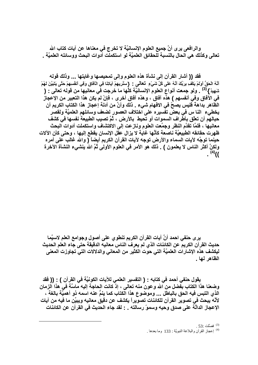والرافعي يرى أنَّ جميع العلوم الإنسانيَّة لا تخرج في معناها عن آيات كتاب الله تعالى وكذلك هي الحال بالنسبة للحقائق العلميَّة لو استكملَّت أدوات البحث ووسائله العلميَّة .

فقد (( أشار القرآن إلى نشأة هذه العلوم وإلى تمحيصها وغايتها ... وذلك قوله أَنَّهُ الْحَقُّ أولَمْ يَكْف بِرِبِّكَ أَنَّهُ عَلَى كُلِّ شَىْءٍ ۖ تَعَالَى : {سَلْرِيهِمْ آيَاتِنَا فِى الْآفاق وَفِى أنفْسِهِمْ حَتَّى يَتَبَيَّنَ لَهُمْ شَهِيدٌ } <sup>(3)</sup> . ولو جمعت أنواع العلوم الإنسانيّة كلّها ما خرجت في معانيها من قوله تعالى : ( في الآفاق وفي أنفسهم ) هذه آفاق ، وهذه آفاق أخرى ، فإنْ لم يكن هذا التعبير من الإعجاز الظاهر بداهةً فليس يصحّ في الافهام شيء . ذلك وأنّ من أدلة إعجاز هذا الكتاب الكريم أن يخطيء النا س في بعض تفسيره على اختلاف العصور لضعف وسائلهم العلميَّة ولقصر حبالهُم أن تعلَّق بأطَّراف السموات أو تحيط بالأرض ، ثُمَّ تصيب الطبيعة نفسها في كشف معانيها ، فلمَّا تقدَّم النظر وجمِّعت العلوم ونـاز عت إلى الاكتشاف واستكملت أدوات البحث ظهرت حقائقه الطبيعيَّة نـاصعة كأنَّها غاية لا يزال عقل الإنسان يقطع إليها ، وحتى كأن الآلات حينما توجَّه لآيات السماء والأرض توجه لآيات القرآن الكريم أيضاً ( والله غالب على أمره ولكنَّ أكثر النَّاس لا يعلمون ) . ذلك هو الأمر في العلوم الأولى تُمَّ الله ينشىء النشأة الآخرة  $(4)$ (

يرى حنفى احمد أنَّ آيات القرآن الكريم تنطوي على أصول وجوامع العلم لاسيَّما حديث القرآن الكريم عن الكائنات الذي لم يعرف الناس معانيه الدقيقة حتى جاء العلم الحديث ليكشف هذه الإشارات العلميَّة التي حوت الكثير من المعاني والدلالات التي تجاوزت المعنى الظاهر لها .

يقول حنفي أحمد في كتابه : ( التفسير العلمي للآيات الكونيَّة في القرآن ) : (( فقد وضعنـا هذا الكتاب بفضل من الله وعون منـه تعالى ، إذ كانت الـحاجـة إليـه مـاسنَّة فـى هذا الزمـان الذي التبس فيه الحق بالباطل ... وموضوع هذا الكتاب كما ينمُّ عنه اسمه ذو أهميَّة بالغة ، لأنّه يبحث في تصوير القرآن للكائنات تصويراً يكشف عن دقيق معانيه ويبيِّن ما فيه من آيات الإعجاز الدالَّةَ على صدق وحيه وسموٍّ رسالته . : لقد جاء الحديث في القرآن عن الكائنات

. فصَلْت: 53.

<sup>(4)</sup> إعجاز القرآن والبلاغة النبويَّة : 133 وما بعدها <sub>.</sub>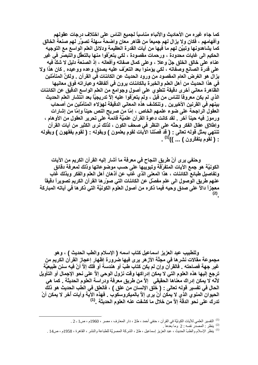كما جاء غيره من الأحاديث والأنباء مناسباً لجميع الناس على اختلاف درجات عقولهم وأفهامهم ، فكان ولا يزال لهم جميعاً من ظاهر معان واضحة سهلة تصوِّر لهم صنعة الخالق كما يشاهدونها وتبيِّن لهم ما فَيها من آيات القدرة العظيمة ودلائل العلم الواسع مع التوجيه الحكيم الى غايات محدودة ، ورحمات مقصودة ، لكى يتعرَّفوا منها بالتعقُّل والتبصُّر في غير عنـاء علـى خـالق الـخلق جلِّ و علا ، و علـى كمـال صـفـاتـه وأفـعالـه ، إذ الصنـعة دليل لا شكَّ فيـه على قدرة الصانع وصفاته ، لكي يؤمنوا بعد التعرّف عليه بصدق وعده ووعيده . كان هذا ولا يزال هو الغرض العام المقصود من ورود الحديث عن الكائنات في القرآن . ولكنِّ المتأمِّلين في هذا الحديث من أهل العلم والخبرة بالكائنات يرون في ألفاظه وعباراته فوق معانيها الظاهرة معاني أخرى دقيقة تنطوي على أصول وجوامع من العلم الواسع الدقيق عن الكائنات الذي لم يكن معروفًا للناس من قبل ، ولم يتعرّفوا عليه إلاّ تدريجيّاً بعد انتشار العلم الحديث بينهم في القرنين الأخيرين . وتنكشف هذه المعاني الدقيقة لهوَلاء المتأمّلين من أصحاب العقول الراجحة على ضوع علمهم الخاص ، إمّا من صريح النص حيناً وإمّا من إشارات ورموز فيه حيناً آخر \_ لقد كانت دعوة القرآن علميَّة قائمة على تحرير العقول من الأوهام ، وإطلاق عقال الفكر وحتَّه على النظر في صحف الكون ، لذلك نرى الكثير من آيات القرآن تنتهي بمثل قوله تعالى : ( قد فصَّلنا الآيات لقومٍ يعلمون ) وبقوله : ( لقوم يفقهون ) وبقوله : ( لقوم يتفكّرون ) ... ))<sup>(1)</sup> .

وحنفي يرى أنّ طريق النجاح في معرفة ما أشار إليه القرآن الكريم من الآيات الكونيَّة هو جمع الآيات المتفرِّقة وتبويبها على حسب موضوعاتها وذلك لمعرفة دقائق وتفاصيل طبائع الكائنات ، هذا المعنى الذي غاب عن أذهان أهل العلم والفكر وبذلك غاب عنهم طريق الوصول الى علم مفصّل عن الكائنات التي صوّر ها القرآن الكريم تصويراً دقيقاً معجزاً دالاً على صدق وحيه فيما ذكره من أصول العلوم الكونيَّة التي ذكر ها في آياته المباركة  $(2)$ 

وللطبيب عبد العزيز اسماعيل كتاب اسمه ( الإسلام والطب الحديث ) ، وهو مجموعة مقالات نشر ها في مجلَّة الأز هر يرى فيها ضرورة إظهار إعجاز القرآن الكريم من غير جهة فصاحته . فالقرآن وإن لم يكن كتاب طبّ أو هندسة أو فلك إلاَّ أنّ فيه سنن طبيعيَّة ترجع إليها هذه العلوم التي لا يمكن إدراكها وقت نزول الوحي إلآ على نحو الإجمال أو التأويل لأنَّه لا يمكن إدراك معناها الحقيقي إلاَّ من طريق معرفة ودراسة العلوم الحديثة ـ كما هي الحال في تفسير قوله تعالى : ( خلق الإنسان من علق ) ، فالعلق في الطب الحديث هو ذلك الحيوان المنوى الذي لا يمكن أنْ يرى إلاّ بالميكروسكوب . فهذه الآية وآيات أخر لا يمكن أنْ تدرك على نحو الدقَّة إلاً من خلال ما كشفت عنه العلوم الحديثة .<sup>(1)</sup>

<sup>(1)</sup> التفسير العلمي للأيات الكونيَّة في القرآن ، حنفي أحمد ، ط2 ، دار المعارف ، مصر ، 1960م ، ص1 - 2 .

لينظر : المصدَّر نفسه : 2 وما بعدها  $^{(2)}$ 

<sup>&</sup>lt;sup>(1)</sup> ينظر الإسلام والطبّ الحديث ، عبد العزيز إسماعيل ، ط2 ، الشركة المصريَّة للطباعة والنشر ، القاهرة ، 1958م ، ص14 .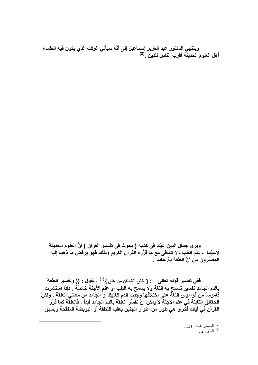وينتهي الدكتور عبد العزيز إسماعيل إلى أنَّه سيأتي الوقت الذي يكون فيه العلماء أهل العلوم الحديثَة اقرب الناس للدين .<sup>(2)</sup>

وير ي جمال الدين عيَّاد في كتابه ( بحوث في تفسير القرآن ) أنَّ العلوم الحديثة لاسيِّما ـ علم الطب ـ لا تتنافى مع مّا قرَّره القرآن الكرّيم ولذلك فهو يرفض ما ذهب إليه المفسِّرون من أنَّ العلقة دمٌ جامد .

فَفي تفسير قوله تعالى : { خَلقَ الْإِنسَانَ مِنْ عَلقٍ } <sup>(1)</sup> ، يقول : **((** وتفسير العلقة بالدم الجامد تفسير تسمح به اللغة ولا يسمح به الطب أو علم الأجنَّة خاصَّةً . فإذا استشرت قاموساً من قواميس اللغة على اختلافها وجدت الدم الغليظ أو الجامد من معاني العلقة . ولكنَّ الحقائق الثابتة في علم الأجنَّة لا يمكن أنْ تفسِّر العلقة بالدم الجامد أبداً . فالعلقة كما قرَّر القرآن في آيات أخرى هي طور من أطوار الجنين يعقب النطفة أو البويضة الملقَحة ويسبق

> . 121 : المصدر نفسه . 121  $12:10^{(1)}$  العلق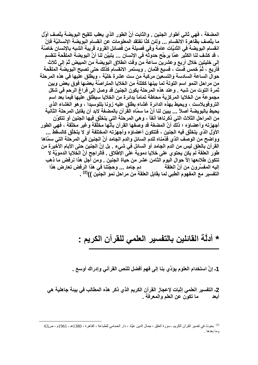المضغة ، فهي ثاني أطوار الجنين . والثابت أنَّ الطور الذي يعقب تلقيح البويضة يتَّصف أوَّل ما يتَّصف بظاَّهرة الانفسام ... ولئن كنَّا نفتقد المعلومات عن انفسام البِّويضة الإنسانيَّة فإنّ انقسام البويضة في الثديَّات عامة وفي فصيلة من فصائل القرود قريبة الشبه بالإنسان خاصَّة ، قد كشف لنا الكثيِّر عمَّا يرجَّح حدوثَه في الإنسان ... يتبيَّن لنا أنَّ البويضة الملقَحة تنقسم إلى خليتين خلال أربع وعشرين ساعة من وقت انطلاق البويضة من المبيض ثُمّ إلى ثلاث فَأَرِبِعٍ ، ثُمَّ خمس فست ، فسبع فَثمان \_ ويستمر الانقسام كذلك حتى تصبح البويضة الملقَّحة حوال الساعة السادسة والتسعين مركبة من ست عشرة خليَّة ، ويطلق عليها في هذه المرحلة من مراحل النمو اسم التوتة لما بينها ككتلة من الخلايا المتراصَّة بعضها فوق بعض وبين ثمرة التوت من شبه \_ وعند هذه المرحلة يكون الجنين قد وصل إلى فراغ الرحم في شكل مجموعة من الخلايا المركزية محاطة تماماً بدائرة من الخلايا سيطلق عليها فيما بعد اسم التروفوبلاست ، ويحيط بهذه الدائرة غشاء يطلق عليه زونا بللوسيدا ، وهو الغشاء الذي يحيط بالبويضة أصلاً ... يبين لنا أنّ ما سمّاه القرآن بالمضغة لابد أن يقابل المرحلة الثانية من المراحل الثلاث التي ذكرنـاها آنفاً ، وهي المرحلـة التي يتخلَّق فيها الجنين أو تتكوَّن أجهزته وأعضاؤه ؛ ذلكَ أنَّ المضغة قد وصَّفها القرآن بأنَّها مخلَّقة وغير مخلَّقة ، فهي الطور الأولِّ الذي يتخلَّق فيه الجنين ، فتتكون أعضاؤه وأجهزته المختلفة أو لا يتخلَّق كالسقطِّ ... وواضح من الوصف الذي قدَّمناه للدم السائل والدم الجامد أنَّ الجنين في المرحلة التي سمَّاها القرآن بالعلق ليس من الدم الجامد أو السائل في شيء . بل إنَّ الجنين حتى الأيام الأخيرة من طور العلقة لم يكن يحتوى على خلايا دموية علَّى الإَطلاق . فالراجح أنَّ الخَّلايا الدمويَّة لا تتكون طلائعها إلاَّ حوال اليوم الثامن عشر من حياة الجنين . ومن أجل هذا نرفض ما ذهب التفسير مع المفهوم الطبي لما يقابل العلقة من مراحل نمو الجنين ))<sup>(2)</sup> .

## \* أدلَّة القائلين بالتفسير العلمي للقرآن الكريم :

1- إنَّ استخدام العلوم يؤدِّي بنـا إلى فهمٍ أفضل للنص القرآني وإدراك أوسع \_

2ـ التفسير العلمي إثبات لإعجاز القرآن الكريم الذي ذكر هذه المطالب في بيئة جاهلية هي ما تكون عن العلم والمعرفة . أيعد

<sup>&</sup>lt;sup>(2)</sup> بحوث في تفسير القرآن الكريم ـ سورة العلق ، جمال الدين عيَّاد ، دار الحمامي للطباعة ، القاهرة ، 1380هـ ـ 1961م ، ص63 وما بعدها .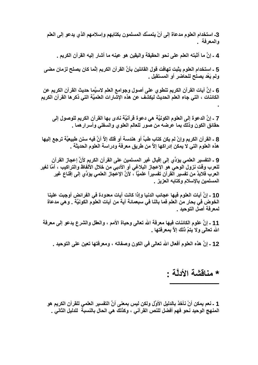3ـ استخدام العلوم مدعاة إلى أنْ يتمسَّك المسلمون بكتابهم وإسلامهم الذي يدعو إلى العلم والمعرفة .

4 ـ إنَّ ما أثبته العلم على نحو الحقيقة واليقين هو عينه ما أشار إليه القرآن الكريم .

5 ـ استخدام العلوم يثبت تهافت قول القائلين بأنَّ القرآن الكريم إنَّما كان يصلح لزمان مضى ولم يَعُد يصلح للحاضر أو المستقبل .

6 ـ إنَّ آيات القرآن الكريم تنطوي على أصول وجوامع العلم لاسيَّما حديث القرآن الكريم عن الكائنات ، التي جاء العلم الحديث ليكشف عن هذه الإشارات العلميَّة التي ذكر ها القرآن الكريم

7 ـ إنَّ الدعوة إلى العلوم الكونيَّة هي دعوة قرآنيَّة نادى بها القرآن الكريم للوصول إلى حقائق الكون وذلك بما عرضه من صور للعالم العلوى والسفلى وأسرار هما .

8 ـ القرآن الكريم وإنْ لم يكن كتاب طبِّ أو هندسة أو فلك إلاَّ أنَّ فيه سنن طبيعيَّة ترجع إليها هذه العلوم التي لا يمكن إدراكها إلاَّ من طريق معرفة ودراسة العلوم الحديثة .

9 ـ التفسير العلمي يؤدِّي إلى إقبال غير المسلمين على القرآن الكريم لأنَّ إعجاز القرآن للعرب وقت نزول الوحي هو الإعجاز البلاغي أو الأدبي من خلال الألفاظ والتراكيب ، أمَّا لغير العرب فلابدَّ من تفسير الفرآن تفسيراً علميًّا ، لأنَّ الإعجاز العلمي يؤدِّي إلى إقناع غير المسلمين بالإسلام وكتابه العزيز .

10 ـ إنَّ آيات العلوم فيها عجائب الدنيا وإذا كانت آيات معدودة في الفرائض أوجبت علينا الخوض في بحار من العلم فما بالنا في سبعمائة آية من آيات العلوم الكونيَّة . وهي مدعاة لمعرفة أصل التوحيد .

11 ـ إنَّ علوم الكائنات فيها معرفة الله تعالى وحياة الأمم ، والعقل والشرع يدعو إلى معرفة الله تعالى ولا يتمّ ذلك إلاَّ بمعرفتها .

12 ـ إنّ هذه العلوم أفعال الله تعالى في الكون وصفاته ، ومعرفتها تعين على التوحيد .

## \* منافشة الأدلَّة -

1 ـ نعم يمكن أنْ نأخذ بالدليل الأوَّل ولكن ليس بمعنى أنَّ التفسير العلمي للقرآن الكريم هو المنهج الوحيد نحو فهم أفضل للنص القرآني ، وكذلك هي الحال بالنسبة للدليل الثاني \_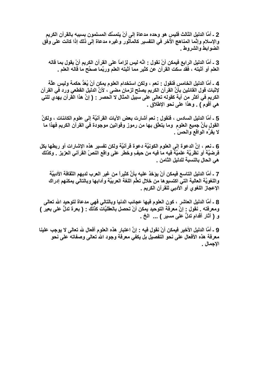2 ـ أمَّا الدليل الثالث فليس هو وحده مدعاة إلى أنْ يتمسَّك المسلمون بسببه بالقرآن الكريم والإسلام وإنَّما المناهج الأخر في التفسير كالمأَثور وغيره مدعاة إلى ذلك إذا كانت على وفق الضوابط والشروط .

3 ـ أمَّا الدليل الرابع فيمكن أنْ نقول : انَّه ليس لِزاماً على القرآن الكريم أنْ يقول بما قاله العلم أو أثبته ، فقد سكت القرآن عن كثير مما أثبته العلم وربَّما صحَّح ما قاله العلم .

4 ـ أمَّا الدليل الخامس فنقول : نعم ، ولكن استخدام العلوم يمكن أنْ يُعَدُّ حكمة وليس علَّة لإثبات قول القائلين بأنَّ القرآن الكريم يصلح لزمانٍ مضى ، لأنَّ الدليل القطعي ورد في القرآن الكريم في أكثر من آية كقوله تعالى على سبيل المثال لا الحصر : ( إنَّ هذا القرآن يهدي للتي هي أقوم ) . وهذا على نحو الإطلاق .

5 ـ أمَّا الدليل السادس ، فنقول : نعم أشارت بعض الآيات القرآنيَّة إلى علوم الكائنات ، ولكنَّ القول بأنَّ جميع العلوم وما يتعلَّق بـها من رموزٍ وقوانين موجودة في القرآن الكريم فهذا ما لا يقرّه الواقع والحسّ .

6 ـ نعم ، إنَّ الدعوة إلى العلوم الكونيَّة دعوة قرآنيَّة ولكن تفسير هذه الإشارات أو ربطها بكل فرضيَّة أو نَظريَّة علميَّة فيه ما فيه من حيفٍ وخطر على واقع النصّ القرآني العزيز . وكذلك هي الحال بالنسبة للدليل الثامن .

7 ـ أمَّا الدليل التاسع فيمكن أنْ يؤخذ عليه بأنَّ كثيراً من غير العرب لديهم الثقافة الأدبيَّة واللغويَّة العالية التيِّ اكتسبوها من خلال تعلُّم اللغة العربيَّة وآدابها وبالتالي يمكنهم إدراك الإعجاز اللغوي أو الأدبي للقرآن الكريم .

8 ـ أمَّا الدليل العاشر ، كون العلوم فيها عجائب الدنيا وبالتالي فهي مدعاة لتوحيد الله تعالى ومعرفته . نقول : إنَّ معرفة التوحيد يمكن أنْ تحصل بالعقليَّات كذلك : ( بعرة تدلُّ على بعير ) و ( آثار أقدامِ تدلَّ علمی مسیر ) ... الخ .

9 ـ أمَّا الدليل الأخير فيمكن أنْ نقول فيه : انَّ اعتبار هذه العلوم أفعال لله تعالى لا يوجب علينا معرفة هذه الأفعال على نحو التفصيل بل يكفي معرفة وجود الله تعالى وصفاته على نحو الإجمال .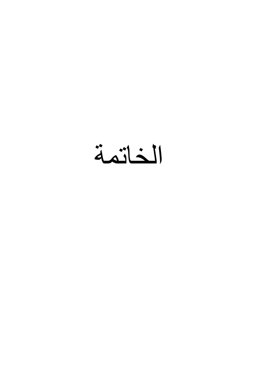الخاتمة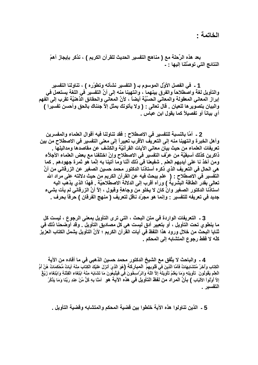الخاتمة -

بعد هذه الرِّحلة مع ( مناهج التفسير الحديث للقرآن الكريم ) ، نذكر بإيجاز أهمّ النتائج التي توصِّلنا إليها : -

1 ـ في الفصل الأوَّل الموسوم بـ ( التفسير نشأته وتطوَّره ) ، تناولنا التفسير والتأويل لغةً واصطلاحاً والفرق بينهما ، وانتهينا منه إلى أنَّ التفسير في اللغة يستعمل في إبراز المعاني المعقولة والمعاني الحسِّيَّة أيضاً ، لأنَّ المعاني والحقائق الَّذهنيَّة تقرب إلى الفهم والبيان بتصوير ها للعيان . قال تعالى : ( ولا يأتونك بمثل إلاَّ جنناك بالحق وأحسن تفسيرا ) أي بياناً أو تفصيلاً كما يقول ابن عباس .

2 ـ أمّا بالنسبة للتفسير في الاصطلاح : فقد تناولنا فيه أقوال العلماء والمفسرين وأهل الخبر ة وانتهينا منه إلى التعريف الأقرب تعبيراً إلى معنى التفسير في الاصطلاح من بين تعريفات العلماء من حيث بيان معانى الآيات القرآنيَّة والكشف عن مقاصدها ومداليلها . ذاكرين كذلك أسبقيَّة من عرَّف التفسير في الاصطلاح وإنْ اختلفنا مع بعض العلماء الأجلاَّء ومن أخذ نا على أيديهم العلم . شفيعنا في ذلك أنَّنا وما أتينا به إنَّما هو ثمرة جهودهم . كما هى الحال فى التعريف الذي ذكره أستاذنا الدكتور محمد حسين الصغير عن الزرقاني من أنّ التفسير في الاصطلاح - ( علم يبحث فيه عن القرآن الكريم من حيث دلالته على مراد الله تعالى بقدر الطاقة البشرية ) ورآه أقرب إلى الدلالة الاصطلاحيَّة . فهذا الذي يذهب اليه استاذنا الدكتور الصغير وانْ كان لا يخلو من وجاهةٍ وفَبول ، إلاَّ أنَّ الزرقاني لم يأت بشيء جديد في تعريفه للتفسير : وإنما هو مجرّد ناقل لتعريف ( منهج الفرقان ) حرفاً بحرف .

3 ـ التعريفات الواردة في متن البحث ، التي ترى التأويل بمعنى الرجوع ، ليست كل ما ينطو ي تحت التأويل ، أو بتعبير أدق ليست هي كل مصاديق التأويل . وقد أوضحنا ذلك في ثنايا البحث من خلال ورود هذا اللفظ في آيات القرآن الكريم ؛ لأنّ التأويل يشمل الكتاب العزيز. كلّه لا فقط رجوع المتشابه إلى المحكم .

4 ـ والباحث لا يتَّفق مع الشيخ الدكتور محمد حسين الذهبي في ما أفاده من الآية الْكِتَابِ وَأَخَرُ مُتَشَابِهَاتٌ فَأَمَّا الَّذِينَ في قُلُوبِهِمْ ۖ الْمبارِكَـةِ ۖ (هُوَ الَّذِيَ أنزلَ عَلَيْكَ الْكِتَابَ مِنْهُ آيَاتٌ مُحْكَمَاتٌ هُنَّ أُمُّ الْعِلْمِ يَقُولُونَ ۚ تَأُويلِهِ وَمَا يَعْلَمُ تَأْوِيلَهُ إِلاَّ اللَّهُ وَالرَّاسِخُونَ فَى فَيَتَّبِعُونَ مَا تَشَابَهَ مِنْهُ ابْتِغَاء الْفِتْنَةِ وَابْتِغَاء زَيْغٌ إِلاَّ أَوْلُواْ الأَلْبَابِ ﴾ بأنّ المراد من لفظ التأويل في هذه الآية هو آمَنًا بِهِ كُلِّ مِّنْ عِندِ رَبِّنا وَمَا يَذَكَّرُ التفسير .

5 ـ الذين تناولوا هذه الآية خلطوا بين قضية المحكم والمتشابه وقضية التأويل ـ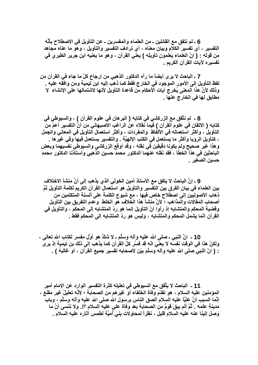6 ـ لم نتفق مع القائلين ـ من العلماء والمفسرين ـ عن التأويل في الاصطلاح بأنَّه التفسير ، أي تفسير الكلام وبيان معناه ، أي ترادف التفسير والتأويل ، وهو ما عناه مجاهد من قوله : ( إنَّ العلماء يعلمون تأويله ) يعني القرآن ، وهو ما يعنيه ابن جرير الطبري في تفسيره لآيات القرآن الكريم .

7 ـ الباحث لا يرى أيضاً ما رآه الدكتور الذهبي من إرجاع كلّ ما جاء في القرآن من لفظ التأويل إلى الأمور الموجود في الخارج فقط كما ذهب إليه ابن تيمية ومن وافقه عليه . وذلك لأنَّ هذا المعنى يُخرج آيات الأحكام من قاعدة التأويل لأنها لاشتمالها على الإنشاء لا مطابق لها في الخارج عنها .

8 ـ لم نتَّفق مع الزركشي في كتابه ( البر هان في علوم القرآن ) ، والسيوطي في كتابه ( الاتقان في علوم القرآن ) فيما نقلاه عن الراغب الإصبهاني من أنَّ التفسير أعمّ من التأويلُ ، وأكثر استعماله في الألفاظ والمفردات ، وأكثر استعمال التأويل في المعاني والجمل ، كتأويل الروِّيا وأكثَّر ما يستعمل في الكتب الإلهيَّة . والتفسير يستعمل فيها وفي غير ها . وهذا غير صحيح ولم يكونا دقيقين في نقله ، وقد أوقع الزركشي والسيوطي نفسيهما وبعض الباحثين في هذا الخطأ ، فقد نقله عنهما الدكتور محمد حسين الذهبي وأستاذنا الدكتور محمد حسين الصغير .

9 ـ إنَّ الباحث لا يتفق مع الأستاذ أمين الخولى الذي يذهب إلى أنَّ منشأ الاختلاف بين العلماء في بيان الفرق بين التفسير والتأويل هو استعمال القرآن الكريم لكلمة التأويل ثمّ ذهاب الأصوليين إلى اصطلاح خاص فيها ، مع شيوع الكلمة على ألسنة المتكلمين من أصحاب المقالات والمذاهب ؛ لأنَّ منشأ هذا الخلاف هو الخلط ۖ وعدم التفريق بين التأويل وقضية المحكم والمتشابه إذ رأوا أنّ التأويل إنما هو ردّ المتشابه إلى المحكم ، والتأويل في القرآن انَّما يشمل المحكم والمتشابه ، وليس هو ردّ المتشابه إلى المحكم فقط ـ

10 ـ انَّ النبي ـ صلى الله عليه وأله وسلَّم ـ لا شكَّ هو أوَّل مفسر لكتاب الله تعالى ، ولكنْ هذا في الوقت نفسه لا يعني انّه قد فسَّر كلّ القرآن كما يذهب إلى ذلك بن تيمية إذ يرى : ( انَّ النَّبِي صلَّى الله عليه وأله وسلَّم بيِّن لأصحابِه تفسير جميع القرآن ، أو غالبهُ ) .

11 ـ الباحث لا يتَّفق مع السيوطي في تعليله كثرة التفسير الوارد عن الإمام أمير الموَمنين عليه السلام ، هو تقدّم وفاة الخلفاء أو غير هم من الصحابـة ؛ لأنّـه تعليلٌ غير مقنـع ، إنَّما السبب أنَّ عليًّا عليه السلام ألصق النَّاس برسول الله صلى الله عليه وآله وسلَّم ، وباب مدينة علمه . ثُمَّ ألم يبقَ قومٌ من الصحابة بعد وفاة على عليه السلام ؟!. ولا ننسي أنَّ ما وصل إلينا عنه عليه السلام قليل ، نظراً لمحاولات بني أميَّة لطمس آثاره عليه السلام .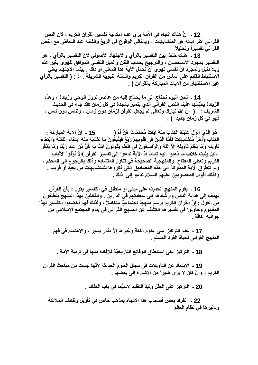12 ـ انَّ هناك اتجاه في الأمة يرى عدم إمكانية تفسير القرآن الكريم ، لان النص القرآني أكثر آياته هو المتشابهات ، وبالتالي الوقوع في الزيغ والفتنة عند التعاطي مع النص القرآني تفسيرأ وتحليلأ

13 ـ هناك خلط بين التفسير بالرأى والاجتهاد الأصولى لانّ التفسير بالرأى ، هو التفسير بمجرد الاستحسان ، والترجيح بحسب الظن والميل النفسي الموافق للهوى بغير علم وبلا دليل ولمجرد انّ نفسي تهوى أنْ تحمَّل الآية هذا المعنى أو ذاك . بينما الاجتهاد يعني الاستنباط القائم على أساس من القرآن الكريم والسنة النبوية الشريفة . إذ : ( التفسير بالرأي غير الاستظهار من الآيات المباركة بالقرائن ) .

14 ـ نحن اليوم نحتاج إلى ما يحتاج إليه من عاصر نزول الوحي وزيادة ، وهذه الزيادة يَحْتِمُها علينا النص القرآني الذي يتميز بالجدة في كل زمان فقد جاء في الحديث الشريف : ( إنَّ الله تبارك وتعالى لم يجعل القرآن لزمانٍ دون زمان ، ولناسٍ دون ناسٍ ، فهو في كل زمان جديد ) .

هُوَ الَّذِيَ أَنْزَلَ عَلَيْكَ الْكِتَابَ مِنْهُ آيَاتٌ مُّحْكَمَاتٌ هُنَّ أُمُّ ( 15 - انَّ الآبة المباركة -الْكِتَابِ وَأَخَرُ مُتَشَابِهَاتٌ فَأَمَّا الَّذِينَ في قُلُوبِهِمْ زَيْعٌ فَيَتَّبِعُونَ مَا تَشَابَهَ مِنْهُ ابْتِغاء الْفِتْنَةِ وَابْتِغَاء تَأْوِيلِهِ وَمَا يَعْلَمُ تَأْوِيلَهُ إِلاَّ اللَّهُ وَالرَّاسَخُونَ فِي الْعِلْمِ يَقُولُونَ آمَنَّا بِهِ كُلِّ مِّنْ عِنْدِ رَبِّنَا وَمَا يَذَكَّرُ دليل يثبت خلاف ما ذهبوا اليه تماماً إذ الآية تدعوا إلى تفسير القرآن )إلاً أوْلُواْ الألْبَابِ الكريم وتعطى المفتاح والمنهجية الصحيحة في تناول المتشابه وذلك بالرجوع إلى المحكم ، ولم تتطرق الآية المباركة الى هذه المصاديق التي ذكروها للمتشابهات من بعيد أو قريب . وكذلك أقوال المعصومين عليهم السلام تدعو إلى ذلك ـ

16 - يقوم المنهج الحديث على مبني أو منطلق في التفسير يقول : بأنَّ القرآن يهدف إلى هداية الناس وإرشادهم إلى سعادتهم في الدارين . والقائلين بهذا المنهج ينطلقون من القول : إنَّ القرآن الكريم يرسم منهجاً اجتماعيًّا متكاملاً ، ولذلك فهم أخضعوا التفسير لهذا المفهوم وحاولوا في تفسير هم الكشف عن المنهج القرآني في بناء المجتمع الإسلامي من حو انبه كاڤة \_

17 ـ عدم التركيز على علوم اللغة وغيرها إلاَّ بقدرٍ يسير ، والاهتمام في فهم المنهج القرآني لحياة الفرد المسلم .

18 - التركيز على استنطاق الوقائع التاريخيَّة للإفادة منها في تربية الأمة .

19 ـ الابتعاد عن التأويلات في مجال العلوم الحديثة لأنَّها ليست من مباحث القرآن الكريم ، وإنْ كان لا يرى ضيراً من الاشارة إلى بعضها .

20 ـ التركيز على العقل ونبذ التقليد لاسيَّما في باب العقائد ـ

22 ـ انفراد بعض أصحاب هذا الاتجاه بمذهب خاص في تأويل وظائف الملائكة وتأثيرها فى نظام العالم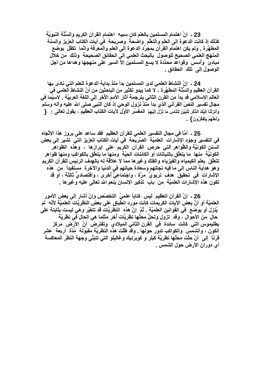23 - إنّ اهتمام المسلمين بالعلم كان سببه اهتمام القرآن الكريم والسَّنَّة النبويَّة كذلك إذ كانت الدعوة إلى العلم والتعلُّم واضحهً وصريحة في آيات الكتاب العزيز والسنة المطهَّرة \_ ولم يكن اهتمام القرآن بمجرِّد الدعوة إلى العلم والمعرفة وإنَّما تكفَّلَ بوضع المنهج العلمي الصحيح للوصول بالبحث العلمي إلى الحقائق الصحيحة وذلك من خلال مبادئ وأسس وقواعد محدَّدة لا يسع المسلمين إلاَّ السير على منهجها وهداها من أجل الوصول إلى تلك الحقائق .

24 ـ إنَّ النشاط العلمي لدى المسلمين بدأ منذ بداية الدعوة للعلم التي نادى بها القرآن العظيم والسَّنَّة المطهَّرة ، لا كما يبدو لكثيرٍ من الباحثين من أنّ النشاط العلمي في العالم الإسلامي قد بدأ من القرن الثاني بترجمة آثار الأمم الأخر إلى اللغة العربيَّة . لاسيَّما في مجال تفسير النصِّ القرآني الذي بدأ منذ نزول الوحي إذ كان النبي صلى الله عليه وآله وسلم وَأَنزَلْنَا إِلَيْكَ الذِّكْرَ لِثْبَيِّنَ لِلنَّاسِ مَا نُزِّلَ إِلَيْهِمْ ۖ الْمَفْسَرِ الأُوِّلِ لآيات الكتاب العظيم ، يقول تعالى - ﴿ وَلَعَلَّهُمْ يَتَفَكَّرُونَ } [

25 ـ أمَّا في مجال التفسير العلمي للقرآن العظيم فقد ساعد على بروز هذا الاتِّجاه فى التفسير وجود الإشارات العلميَّة الصَّريحة في آيات الكتاب العزيز التي تشير إلى بعض السنن الكونيَّة والظُّواهر التي حرص القرآن الكريم على إبرازها ، وهذه الظواهر الكونيَّة منـها مـا يتعلَّق بالنباتات أو الكائنات الحيَّة ومنـها مـا يتعلَّق بـالكواكب ومنـها ظواهر تتعلَّق بعلم الكيمياء والفيزياء والفلك وغيرها مما لا علاقة له بالهدف الرئيس للقرآن الكريم و هو هداية الناس إلى ما فيه نجاتهم وسعادة حياتهم في الدنيا والآخر ة مستفيداً من هذه الإشارات في تحقيق هدفٍ تربويٍّ مرَّة ، واجتماعيٍّ أخرى ، واقتصاديٍّ ثالثة ، أو قد تكون هذه الإشارات العلميَّة من باب تذكير الإنسان بنعم الله تعالى عليه وغيرها .

26 ـ إنَّ القرآن العظيم ليس كتاباً علميَّ التخصّص وإنْ أشار إلى بعض الأمور العلميَّة أو أنَّ بعض الآيات الكريمات كانت مورد انطباق على بعض النظريَّات العلميَّة لأنَّه لم يُنزل أو يوضع في القوانين العلميَّة . ثُمَّ إنَّ هذه النظريَّات قد تتغيَّر وهي ليست بثابتة على حال منَ الأحوال ، وقد تزول وتحلَّ محلِّها نظريَّات أخر مثلما هي الحال في نظريَّة بطليموس التي كانت سائدة في القرن الثاني الميلادي وتفترض أنَّ الأرض مركز الكون ، والشمَّس والكواكب تدوَّر حولها . وقدَّ ظلَّت هذَّه النظريَّة مقبولة ۚ مُدَّة ۚ أربعة ۚ عشر قرنـًا إلى أنْ حلَّت محلَّها نظريَّة كبلر و كوبرنيك وغاليلو التي تتبنَّى وجهة النظر المعاكسة أي دوران الأرض حول الشمس .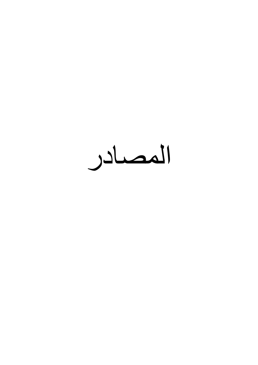المصادر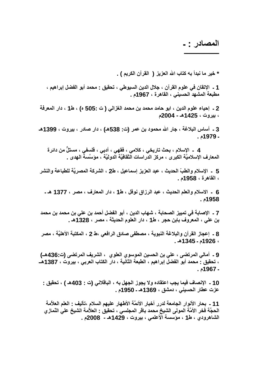## المصادر **: ـ**

**ـــــــــــــــــــــــــــــ**

\* خير ما نبدأ به كتاب الله العزيز ( القرآن الكريم ) <u>.</u>

1 ـ الإتقان في علوم القرآن ، جلال الدين السيوطي ، تحقيق <u>:</u> محمد أبو الفضل إبراهيم ، ـ مطبعة المشهد الحسيني ، القاهرة ، 1967م .

2 ـ إحياء علوم الدين ، ابو حامد محمد بن محمد الغزالي ( ت :505 ه) ، ط1 ، دار المعرفة **، -وت ، 1425هـ - 2004م**

3 ـ أساس البلاغة ، جار الله محمود بن عمر (ت: 538هـ) ، دار صادر ، بيروت ، 1399هـ **ـ 1979م .** 

**4** الإسلام ، بحث تاريخي ، كلامي ، فقهي ، أدبي ، فلسفي ، مستلّ من دائر ة المعارف الإسلاميّة الكبرى ، مركز الدراسات الثقافيّة الدوليّة ، مؤسّسة الـهدى <sub>-</sub>

5 الإسلام والطبّ الحديث ، عبد العزيز إسماعيل ، ط2 ، الشركة المصريّة للطباعة والنشر **، اهة ، 1958م .**

**6 ـ اf'م وا ا.91 ، & ازاق E=7 ، ط1 ، دار ارف ، \* ، 1377 هـ ـ 1958م .**

7 ـ الإصابة في تمييز الصحابة ، شهاب الدين ، أبو الفضل أحمد بن علي بن محمد بن محمد .  **&> ، اوف ` ، ط1 ، دار اEم ا.1K ، \* ، 1328هـ .**

8 ـ إعجاز القرآن والبلاغة النبوية ، مصطفى صادق الرافعي ،ط 2 ، المكتبة الأهليَّة ، مصر **، 1926م ـ 1345هـ .** 

9 ـ أمالي المرتضى ، علي بن الحسين الموسوي العلوي ، الشريف المرتضى (ت:436هـ) ، تحقيق : محمد أبو الفضل إبراهيم ، الطبعة الثانية ، دار الكتاب العرب*ي* ، بيروت ، 1387هـــ **ـ 1967م .**

10 ـ الإنصاف فيما يجب اعتقاده ولا يجوز الجهل به ، الباقلاني (ت : 403هـ ) ، تحقيق : **&\ت &5ر ا-.> ، دjG ، 1369هـ ـ 1950م .**

11 ـ بحار الأنوار الجامعة لدرر أخبار الأئمّة الأطهار عليهم السلام ،تأليف <u>:</u> العلم العلاّمة الحجّة فخر الأمّة المولى الشيخ محمد باقر المجلسي ، تحقيق : العلاّمة الشيخ علي النّماز ي الشاهرودي ، **ط1 ، مؤسسة الأعلمي ، بيروت ، 1429هـ -** 2008م .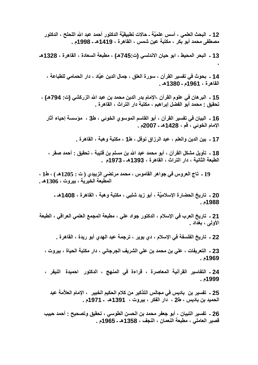12 ـ البحث العلمي ، أسس علميَّة ـ حالات تطبيقيَّة الدكتور أحمد عبد الله اللحلح ، الدكتور مصطفى محمد أبو بكر ، مكتبة عين شمس ، القاهرة ، 1419هـ ـ 1998م .

13 - البحر المحيط ، ابو حيان الاندلسي (ت:745هـ) ، مطبعة السعادة ، القاهرة ، 1328هـ

14 - بحوث في تفسير القرآن ، سورة العلق ، جمال الدين عيَّاد ، دار الحمامي للطباعة ، القاهرة ، 1961م ـ 1380هـ .

15 ـ البر هان في علوم القرآن ،الإمام بدر الدين محمد بن عبد الله الزركشي (ت: 794هـ) ، تحقيق : محمد أبو الفضل إبراهيم ، مكتبة دار التراث ، القاهرة .

16 ـ البيان في تفسير القرآن ، أبو القاسم الموسوي الخوئي ، ط3 ، مؤسسة إحياء آثار الإمام الخوئي ، قم ، 1428هـ ـ 2007م .

17 ـ بين الدين والعلم ، عبد الرزاق نوفل ، ط1 ، مكتبة وهبة ، القاهرة ـ

18 ـ تأويل مشكل القرآن ، أبو محمد عبد الله بن مسلم بن قتيبة ، تحقيق - أحمد صقر ، الطبعة الثانية ، دار التراث ، القاهرة ، 1393هـ ـ 1973م .

19 ـ تاج العروس في جواهر القاموس ، محمد مرتضى الزبيدي ( ت : 1205هـ ) ، ط1 ، المطبعة الخيرية ، بيروت ، 1306هـ .

20 ـ تاريخ الحضارة الإسلاميَّة ، أبو زيد شلبي ، مكتبة وهبة ، القاهرة ، 1408هـ ـ 1988م.

21 ـ تاريخ العرب في الإسلام ، الدكتور جواد علي ، مطبعة المجمع العلمي العراقي ، الطبعة الأولى ، بغداد .

22 ـ تاريخ الفلسفة في الإسلام ، دي بوير ، ترجمة عبد الـهدي أبو ريدة ، القاهرة ـ

23 ـ التعريفات ، على بن محمد بن على الشريف الجرجاني ، دار مكتبة الحياة ، بيروت ، 1969م .

24 ـ التفاسير القرآنية المعاصرة ، قراءة في المنهج ، الدكتور احميدة النيفر ، 1999م .

25 ـ تفسير بن باديس في مجالس التذكير من كلام الحكيم الخبير ، الإمام العلأمة عبد الحميد بن باديس ، ط2 ، دار الفكر ، بيروت ، 1391هـ ـ 1971م .

26 ـ تفسير التبيان ، أبو جعفر محمد بن الحسن الطوسى ، تحقيق وتصحيح : أحمد حبيب قصير العاملي ، مطبعة النعمان ، النجف ، 1358هـ ـ 1965م .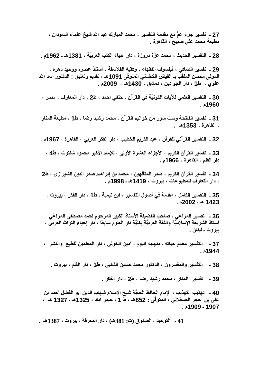27 ـ تفسير جزء عمَّ مع مقدمة التفسير ، محمد المبارك عبد الله شيخ علماء السودان ، مطبعة محمد على صبيح ، القاهرة .

28 ـ التفسير الحديث ، محمد عزَّة دروزة ، دار إحياء الكتب العربيَّة ، 1381هـ ـ 1962م .

29 ـ تفسير الصافي ، فيلسوف الفقهاء ، وفقيه الفلاسفة ، أستاذ عصره ووحيد دهره ، المولى محسن الملقّب بـ الفيض الكاشاني المتوفّى 1091هـ ، تقديم وتعليق - الدكتور أسد الله علوي ، ط1 ، دار الجوادين ، دمشق ، 1430هـ - 2009م .

30 ـ التفسير العلمي للآيات الكونيَّة في القرآن ، حنفي أحمد ، ط2 ، دار المعارف ، مصر ، 1960م .

31 ـ تفسير الفاتحة وست سور من خواتيم القرآن ، محمد رشيد رضا ، ط1 ، مطبعة المنار ، القاهرة ، 1353هـ.

32 ـ التفسير القرآني للقرآن ، عبد الكريم الخطيب ، دار الفكر العربي ، القاهرة ، 1967م .

33 ـ تفسير القرآن الكريم ، الأجزاء العشرة الأولى ، للإمام الأكبر محمود شلتوت ، ط4 ، دار القلم ، القاهرة ، 1966م .

34 ـ تفسير القرآن الكريم ، صدر المتألِّهين ، محمد بن إبراهيم صدر الدين الشيرازي ، ط2 ، دار التعارف للمطبوعات ، بيروت ، 1419هـ ـ 1998م .

35 ـ التفسير الكامل ، مقدمة في أصول التفسير ، ابن تيمية ، ط1 ، دار الفكر ، بيروت ، 1423 هـ ـ 2002م.

36 ـ تفسير المراغي ، صاحب الفضيلة الأستاذ الكبير المرحوم احمد مصطفى المراغي أستاذ الشريعة الإسلاميَّة واللغة العربيَّة بكليَّة دار العلوم سابقاً ، دار إحياء التراث العربي ، بير وٽ ـ لبنان ـ

37 ـ التفسير معالم حياته ـ منهجه اليوم ، أمين الخولى ، دار المعلمين للطبع والنشر ، 1944م .

التفسير والمفسرون ، الدكتور محمد حسين الذهبي ، ط1 ، دار القلم ، بيروت . - 38

39 ـ تفسير المنار ، محمد رشيد رضا ، ط2 ، دار الفكر ـ

40 ـ تهذيب التهذيب ، الإمام الحافظ الحجَّة شيخ الإسلام شهاب الدين أبو الفضل أحمد بن على بن حجر العسقلاني ، المتوفَّى : 852هـ ، طّ 1 ، حيدر آباد ، 1325هـ ـ 1327 هـ ، 1907 - 1909م .

41 ـ التوحيد ، الصدوق (ت: 381هـ) ، دار المعرفة ، بيروت ، 1387هـ .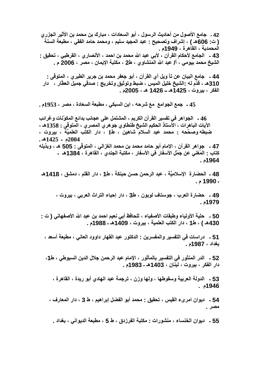42 ـ جامع الأصول من أحاديث الرسول ، أبو السعادات ، مبارك بن محمد بن الأثير الجزر ي ( ت: 606هـ ) ، إشراف وتصحيح : عبد المجيد سليم ، ومحمد حامد الفقي ، مطبعة السنة المحمدية ، القاهرة ، 1949م . 43 ـ الجامع لأحكام القرآن ، لأبي عبد الله محمد بن احمد ، الأنصار ي ، القرطبي ، تحقيق : الشيخ محمد بيومي ، أ/ عبد الله المنشاوي ، ط2 ، مكتبة الإيمان ، مصر ، 2006 م .

44 ـ جامع البيان عن تأ ويل آي القرآن ، أبو جعفر محمد بن جرير الطبري ، المتوفَّى : 310هـ ، قدَّم لـه -الشيخ خليل الميس ، ضبط وتوثيق وتخريج - صدقي جميل العطَّار ، دار الفكر ، بيروت ، 1425هـ ــ 1426 هـ ، 2005م .

45 ـ جمع الجوامع مع شرحه ، ابن السبكي ، مطبعة السعادة ، مصر ، 1953م .

46 ـ الجواهر في تفسير القرآن الكريم ، المشتمل على عجائب بدائع المكوّنات وغرائب الآيات الباهرات ، الأستاذ الحكيم الشيخ طنطاوي جو هر ي المصر ي ، المتوفَّى : 1358هـ ، ضبطه وصحَّحه : محمد عبد السلام شاهين ، ط1 ، دار الكتب العلميِّة ، بيروت ،  $.41425 - 2004$ 47 ـ جواهر القرآن ، الإمام أبو حامد محمد بن محمد الغزالي ، المتوفَّى : 505 هـ ، وبذيله كتاب - المُغنى عن جَمْلِ الأسفارِ في الأسفارِ ، مكتبة الجندي ، القاهرة ، 1384هـ ـ 1964ء .

48 ـ الحضارة الإسلاميّة ، عبد الرحمن حسن حبنكة ، ط1 ، دار القلم ، دمشق ، 1418هـ. - 1990 م .

49 ـ حضارة العرب ، جوستاف لوبون ، ط3 ، دار إحياء التراث العربي ، بيروت ، 1979م .

50 ـ حلية الأولياء وطبقات الأصفياء ، للحافظ أبي نعيم احمد بن عبد الله الأصفهاني ( ت -430هـ ) ، ط1 ، دار الكتب العلمية ، بيروت ، 1409هـ ـ 1988م .

51 ـ دراسات في التفسير والمفسرين : الدكتور عبد القهار داوود العاني ، مطبعة أسعد ، بغداد ، 1987م .

52 - الدر المنثور في التفسير بالمأثور ، الإمام عبد الرحمن جلال الدين السيوطي ، ط1، دار الفكر ، بيروت ، لبنان ، 1403هـ ـ 1983م .

53 ـ الدولة العربية وسقوطها ، ولها وزن ، ترجمة عبد الهادي أبو ريدة ، القاهرة ، 1946م .

54 ـ ديوان امر يء القيس ، تحقيق : محمد أبو الفضل إبراهيم ، ط 3 ، دار المعارف ، مصر .

55 - ديوان الخنساء ، منشورات : مكتبة الفرزدق ، ط 5 ، مطبعة الديواني ، بغداد .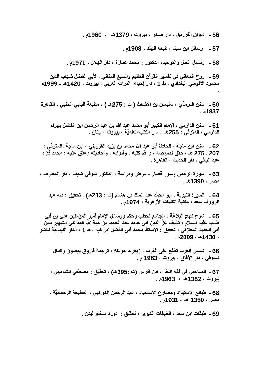**56 ـ د1Eان ا:زدق ، دار /در ، -وت ، 1379هـ ـ 1960م .** 

**57 ـ رm7 ا - ، x ا2 ، 1908م .**

**.** 

58 ـ رسائل العدل والتوحيد، الدكتور : محمد عمارة ، دار الـهلال ، 1971م .

59 ـ روح المعاني في تفسير القرآن العظيم والسبع المثاني ، لأبي الفضل شهاب الدين محمود الآلوسي البغدادي ، ط 1 ، دار إحياء التراث العربي ، بيروت ، 1420هـ ــ 1999م

60 ـ سنن الترمذي ، سليمان بن الأشعث ( ت : 275هـ ) ، مطبعة البابي الحلبي ، القاهرة **1937م .** 

61 ـ سنن الدارم*ي* ، الإمام الكبير أبو محمد عبد الله بن عبد الرحمن ابن الفضل بهرام الدارمي ، المتوفَّى : 255هـ ، دار الكتب العلميَّة ، بيروت ، لبنـان <u>.</u>

62 ـ سنن ابن ماجة ، الحافظ أبو عبد الله محمد بن يزيد القزويني ، ابن ماجة ،المتوفّ*ى* : 207 ـ 275 هـ ، حقّق نصوصه ، ورقّم كتبه ، وأبوابه ، وأحاديثه وعلّق عليه : محمد فؤاد عبد الباق*ي* ، دار الحديث ، القاهرة <u>.</u>

63 ـ سورة الرحمن وسور قصار ـ عرض ودراسة ، الدكتور شوق*ي* ضيف ، دار المعارف ، **\* ، 1390هـ .**

64 - السيرة النبوية ، أبو محمّد عبد الملك بن هشام (ت : 213هـ) ، تحقيق : طه عبد الرؤوف سعد ، مكتبة الكليات الأزهرية ، 1974م <u>.</u>

65 ـ شرح نـهج البلاغة ، الجامع لخطب وحكم ورسائل الإمام أمير الموَمنين عل*ي* بن أب*ي* طالب عليه السلام ، تأليف عزَّ الدين أبي حامد عبد الحميد بن هبة الله المدائني الشهير بابن أبي الحديد المعتزلي ، تحقيق : الاستاذ محمد أبي الفضل ابراهيم ، ط 1 ، الدار اللبنانيَّة للنشر **، 1430هـ ـ 2009م .** 

66 ـ شمس العرب تطلع عل*ى* الغرب ، زيغريد هونكه ، ترجمة فاروق بيضون وكمال دسوقي ، دار الآفاق ، بيروت ، 1963 م <u>.</u>

67 - الصاحبي في فقه اللغة ، ابن فارس (ت **:395هـ) ، تحقيق : مصطفى الشويهي ، -وت ، 1382هـ ، 1963م .** 

68 ـ طبائع الاستبداد ومصارع الاستعباد ، عبد الرحمن الكواكب*ي* ، المطبعة الرحمانيَّة ، **\* ، 1350 هـ ـ 1931م .**

69 ـ طبقات ابن سعد ، الطبقات الكبر *ى* ، تحقيق : ادورد سخاو ليدن <sub>-</sub>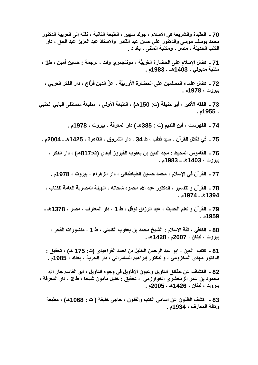70 ـ العقيدة والشريعة في الإسلام ، جولد سهير ، الطبعة الثانية ، نقله إل*ى* العربية الدكتور محمد يوسف موس*ى* والدكتور على حسن عبد القادر والاستاذ عبد العزيز عبد الحق ، دار الكتب الحديثة ، مصر ، ومكتبة المثن*ى* ، بغداد <sub>-</sub>

71 ـ فضل الإسلام على الحضارة الغربيَّة ، مونتجمري وات ، ترجمة : حسين أمين ، ط1 ، **B E <، 1403هــ ـ 1983م .**

72 ـ فضل علماء المسلمين على الحضارة الأوربيّة ، عزّ الدين فرّاج ، دار الفكر العرب*ي* ، **-وت ، 1978م .**

73 ـ الفقه الأكبر ، أبو حنيفة (ت: 150هـ) ، الطبعة الأولى ، مطبعة مصطفى البابي الحلبي **، 1955م .**

74 ـ الفهرست ، أبن النديم (ت : 385هـ ) دار المعرفة ، بيروت ، 1978م .

75 ـ في ظلال القرآن ، سيد قطب ، ط 34 ، دار الشروق ، القاهرة ، 1425هـ ـ 2004م .

76 ـ القاموس المحيط : مجد الدين بن يعقوب الفيروز آبادي (ت:817هـ) ، دار الفكر ، **-وت ، 1403هـ ــ 1983م .**

77 ـ القرآن في الإسلام ، محمد حسين الطباطبائي ، دار الزهراء ، بيروت ، 1978م <u>.</u>

78 ـ القرآن والتفسير ، الدكتور عبد الله محمود شحاته ، الـهيئة المصرية العامة للكتاب ، **1394هـ ـ 1974م .**

**79 ـ ا8ن وا ا.91 ، & ازاق E=7 ، ط 1 ، دار ارف ، \* ، 1378هـ ـ 1959م .** 

8**0 ـ الكافي ، ثقة الاسلام : الشيخ محمد بن يعقوب الكلين***ي* **، ط 1 ، منشورات الفجر ، -وت ، ن ، 2007م ـ 1428هـ .** 

81 ـ كتاب العين ، ابو عبد الرحمن الخليل بن احمد الفر اهيدي (ت: 175 هـ) ، تحقيق : الدكتور مهدي المخزومي ، والدكتور إبراهيم السامرائي ، دار الحرية ، بغداد ، 1985م <u>.</u>

82 ـ الكشاف عن حقائق التأويل وعيون الأقاويل في وجوه التأويل ، أبو القاسم جار الله محمود بن عمر الزمخشري الخوارزمي ، تحقيق : خليل مأمون شيحا ، ط 2 ، دار المعرفة ، **-وت ، ن ، 1426هـ ـ 2005م .** 

83 ـ كشف الظنون عن أسامي الكتب والفنون ، حاجي خليفة ( ت : 1068هـ) ، مطبعة **وآ ارف ، 1934م .**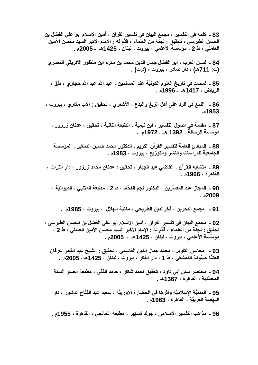83 ـ كلمة في التفسير ، مجمع البيان في تفسير القرآن ، أمين الإسلام أبو علي الفضل بن الحسن الطبرسي ، تحقيق : لجنة من العلماء ، قدّم لـه : الإمام الأكبر السيد محسن الأمين العاملي ، ط 2 ، مؤسّسة الأعلمي ، بيروت ، لبنان ، 1425هـ ـ 2005م .

84 ـ نسان العرب ، ابو الفضل جمال الدين محمد بن مكرم ابن منظور الأفريقي المصر *ي* **(ت: 711هـ)** ، دار صادر ، بيروت ، **(**د.ت**) .** 

85 ـ لمحات في تاريخ العلوم الكونيّة عند المسلمين ، عبد الله عبد الله حجاز *ي* ، ط1 ، **ا1ض ، 1417هـ ـ 1996م .**

86 ـ اللمع في الرد على أهل الزيغ والبدع ، الأشعري ، تحقيق : الأب مكار ي ، بيروت ، **1953م .**

87 ـ مقدمة في أصول التفسير ، ابن تيمية ، الطبعة الثانية ، تحقيق ، عدنان زرزور ، **z ا ، 1392 هــ ـ 1972م .**

88 ـ المبادئ العامة لتفسير القرآن الكريم ، الدكتور محمد حسين الصغير ، المؤسسة ا**لجامعية للدراسات والنشر والتوزيع ، بيروت ، 1983م .** 

89 ـ متشابه القرآن ، القاضي عبد الجبار ، تحقيق : عدنان محمد زرزور ، دار التراث ، **اهة ، 1966م .** 

90 ـ المجاز عند المفسِّرين ، الدكتور نجم الفحّام ، ط 2 ، مطبعة المتنبي ، الديوانيّة ، **2009م .** 

91 - مجمع البحرين ، فخرالدين الطريحي ، مكتبة الهلال ، بيروت ، 1985م .

92 ـ مجمع البيان في تفسير القرآن ، أمين الإسلام أبو علي الفضل بن الحسن الطبرس*ي* ، تحقيق : لجنة من العلماء ، قدّم لـه : الإمام الأكبر السيد محسن الأمين العاملي ، ط 2 ، مؤسّسة الأعلمي ، بيروت ، لبنان ، 1425هـ ـ 2005م .

93 ـ محاسن التأويل ، محمد جمال الدين القاسمي ، تحقيق <u>:</u> الشيخ عبد القادر عرفان العشّا حسّونـة الدمشقي ، ط 1 ، دار الفكر ، بيروت ، لبنـان ، 1425هـ ـ 2005م .

94 ـ مختصر سنن أب*ي* داود ، تحقيق أحمد شاكر ، حامد الفقي ، مطبعة أنصار السنـة **اّ.1 ، اهة ، 1367هـ .**

95 ـ المدنيَّة الإسلاميَّة وأثرها في الحضارة الأوربيَّة ، سعيد عبد الفتَّاح عاشور ، دار ال**نهضة العربيّة ، القاهرة ، 1963م .** 

96 ـ مذاهب التفسير الإسلامي ، جولد تسهير ، مطبعة الخانج*ي* ، القاهرة ، 1955م .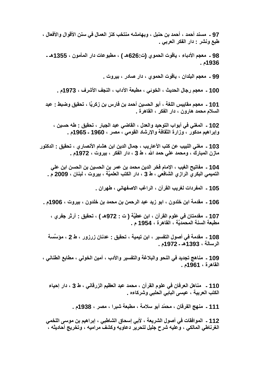97 ـ مسند أحمد ، أحمد بن حنبل ، وبهامشه منتخب كنز العمال في سنن الأقوال والأفعال ، طبع ونشر : دار الفكر العربي .

98 ـ معجم الأدباء ، ياقوت الحموي (ت:626هـ ) ، مطبوعات دار المأمون ، 1355هـ ـ 1936ء .

99 ـ معجم البلدان ، ياقوت الحموي ، دار صادر ، بيروت ـ

100 ـ معجم رجال الحديث ، الخوئي ، مطبعة الآداب ، النجف الأشرف ، 1973م .

101 ـ معجم مقاييس اللغة ، أبو الحسين أحمد بن فارس بن زكريًا ، تحقيق وضبط : عبد السلام محمد هارون ، دار الفكر ، القاهرة ـ

102 ـ المغنى في أبواب التوحيد والعدل ، القاضي عبد الجبار ، تحقيق : طه حسين ، وإبراهيم مدكور ، وزارة الثقافة والإرشاد القومى ، مصر ، 1960 ـ 1965م .

103 ـ مغنى اللبيب عن كتب الأعاريب ، جمال الدين ابن هشام الأنصار ي ، تحقيق : الدكتور مازن المبارك ، ومحمد علي حمد الله ، ط 3 ، دار الفكر ، بيروت ، 1972م .

104 ـ مفاتيح الغيب ، الإمام فخر الدين محمد بن عمر بن الحسين بن الحسن ابن علي التميمي البكر ي الراز ي الشافعي ، ط 3 ، دار الكتب العلميَّة ، بيروت ، لبنان ، 2009 م .

105 ـ المفردات لغريب القرآن ، الراغب الاصفهاني ، طهران .

106 ـ مقدمة ابن خلدون ، ابو زيد عبد الرحمن بن محمد بن خلدون ، بيروت ، 1906م ـ

107 ـ مقدمتان في علوم القرآن ، ابن عطيَّة ( ت : 972هـ ) ، تحقيق : آرثر جفري ، مطبعة السنة المحمديَّة ، القاهرة ، 1954 م .

108 ـ مقدمة في أصول التفسير ، ابن تيمية ، تحقيق - عدنان زرزور ، ط 2 ، مؤسَّسة الرسالة ، 1393هـ ـ 1972م .

109 ـ مناهج تجديد في النحو والبلاغة والتفسير والأدب ، أمين الخولي ، مطابع الطناني ، القاهرة ، 1961م .

110 ـ مناهل العرفان في علوم القرآن ، محمد عبد العظيم الزرقاني ، ط 3 ، دار إحياء الكتب العربية ، عيسى البابي الحلبي وشركاءه .

111 ـ منهج الفرقان ، محمّد أبو سلامة ، مطبعة شبرا ، مصر ، 1938م .

112 ـ الموافقات في أصول الشريعة ، لأبي إسحاق الشاطبي ، إبراهيم بن موسى اللخمي الغرناطي المالكي ، وعليه شرح جليل لتحرير دعاويه وكشف مراميه ، وتخريج أحاديثه ،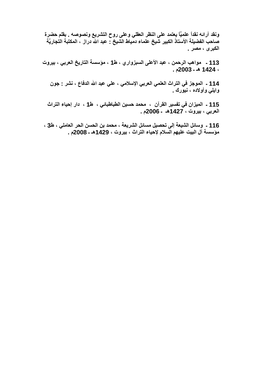ونقد آرائـه نقداً علميّاً يعتمد على النظر العقلي وعلى روح التشريع ونصوصـه <sub>-</sub> بقلم حضرة صاحب الفضيلة الأستاذ الكبير شيخ علماء دمياط الشيخ : عبد الله دراز ، المكتبة التجاريّة ا**لكبرى ، مصر <sub>-</sub>** 

113 - مواهب الرحمن ، عبد الأعلى السبزواري ، ط1 ، مؤسسة التاريخ العربي ، بيروت **، 1424 هـ ـ 2003م .**

114 ـ الموجز في التراث العلمي العربي الإسلامي ، علي عبد الله الدفاع ، نشر : جون وايل*ي وأولاده ، نيورك <sub>-</sub>* 

115 ـ الميزان في تفسير القرآن ، محمد حسين الطباطبائي ، ط1 ، دار إحياء التراث **ا> ، -وت ، 1427هـ ـ 2006م .**

116 - وسائل الشيعة إلى تحصيل مسائل الشريعة ، محمد بن الحسن الحر العاملي ، ط3 ، مؤسسة آل البيت عليهم السلام لإحياء التراث ، بيروت ، 1429هـ ـ 2008م .